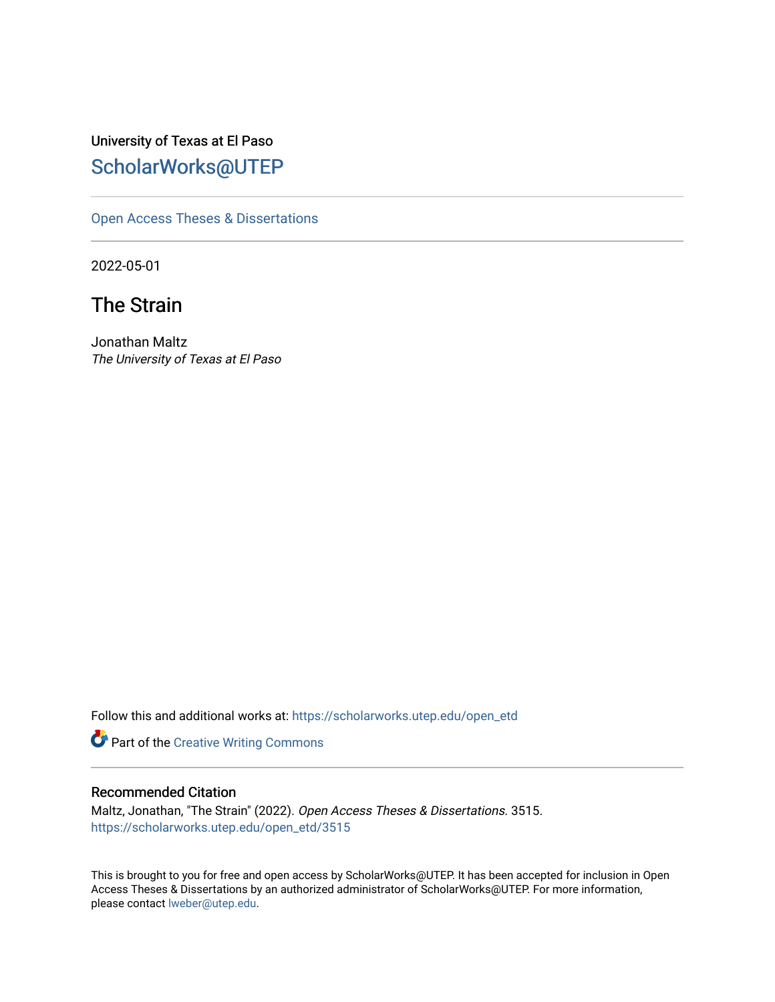University of Texas at El Paso [ScholarWorks@UTEP](https://scholarworks.utep.edu/)

[Open Access Theses & Dissertations](https://scholarworks.utep.edu/open_etd) 

2022-05-01

# The Strain

Jonathan Maltz The University of Texas at El Paso

Follow this and additional works at: [https://scholarworks.utep.edu/open\\_etd](https://scholarworks.utep.edu/open_etd?utm_source=scholarworks.utep.edu%2Fopen_etd%2F3515&utm_medium=PDF&utm_campaign=PDFCoverPages)

Part of the [Creative Writing Commons](https://network.bepress.com/hgg/discipline/574?utm_source=scholarworks.utep.edu%2Fopen_etd%2F3515&utm_medium=PDF&utm_campaign=PDFCoverPages) 

### Recommended Citation

Maltz, Jonathan, "The Strain" (2022). Open Access Theses & Dissertations. 3515. [https://scholarworks.utep.edu/open\\_etd/3515](https://scholarworks.utep.edu/open_etd/3515?utm_source=scholarworks.utep.edu%2Fopen_etd%2F3515&utm_medium=PDF&utm_campaign=PDFCoverPages) 

This is brought to you for free and open access by ScholarWorks@UTEP. It has been accepted for inclusion in Open Access Theses & Dissertations by an authorized administrator of ScholarWorks@UTEP. For more information, please contact [lweber@utep.edu.](mailto:lweber@utep.edu)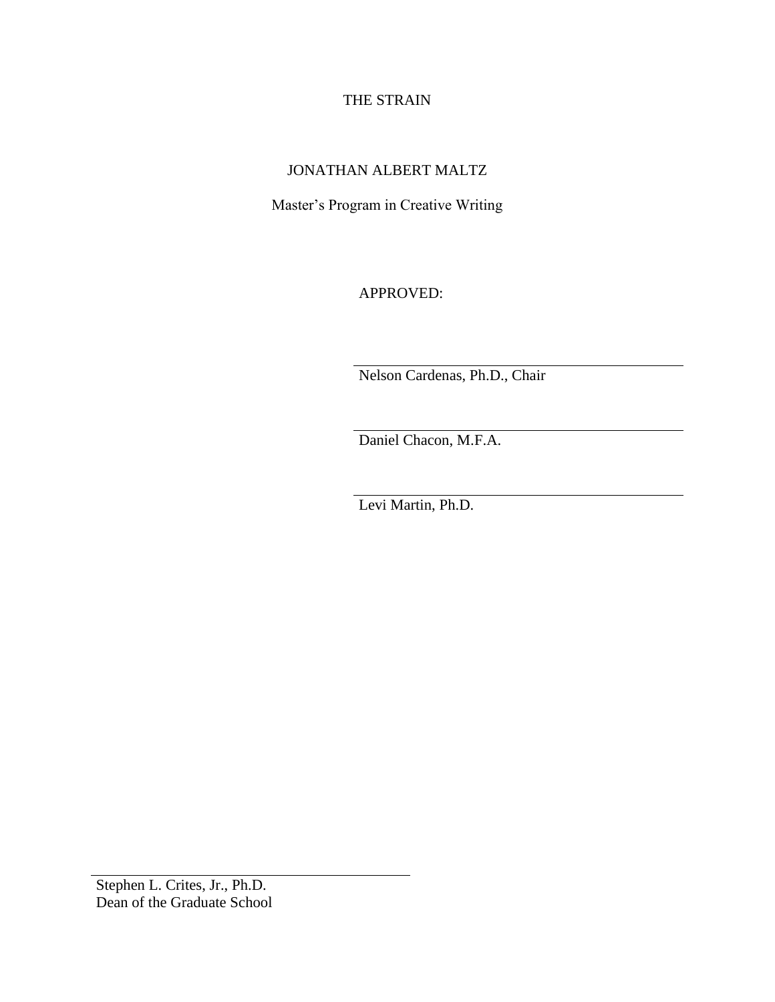### THE STRAIN

## JONATHAN ALBERT MALTZ

Master's Program in Creative Writing

APPROVED:

Nelson Cardenas, Ph.D., Chair

Daniel Chacon, M.F.A.

Levi Martin, Ph.D.

Stephen L. Crites, Jr., Ph.D. Dean of the Graduate School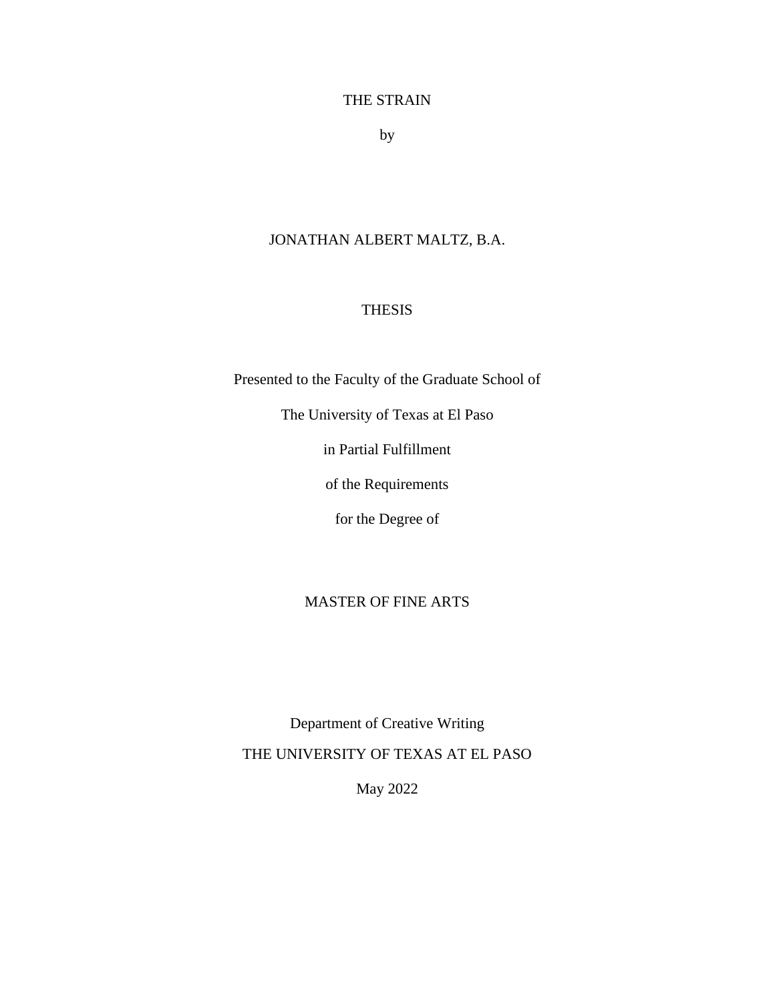### THE STRAIN

by

# JONATHAN ALBERT MALTZ, B.A.

### THESIS

Presented to the Faculty of the Graduate School of

The University of Texas at El Paso

in Partial Fulfillment

of the Requirements

for the Degree of

### MASTER OF FINE ARTS

Department of Creative Writing THE UNIVERSITY OF TEXAS AT EL PASO

May 2022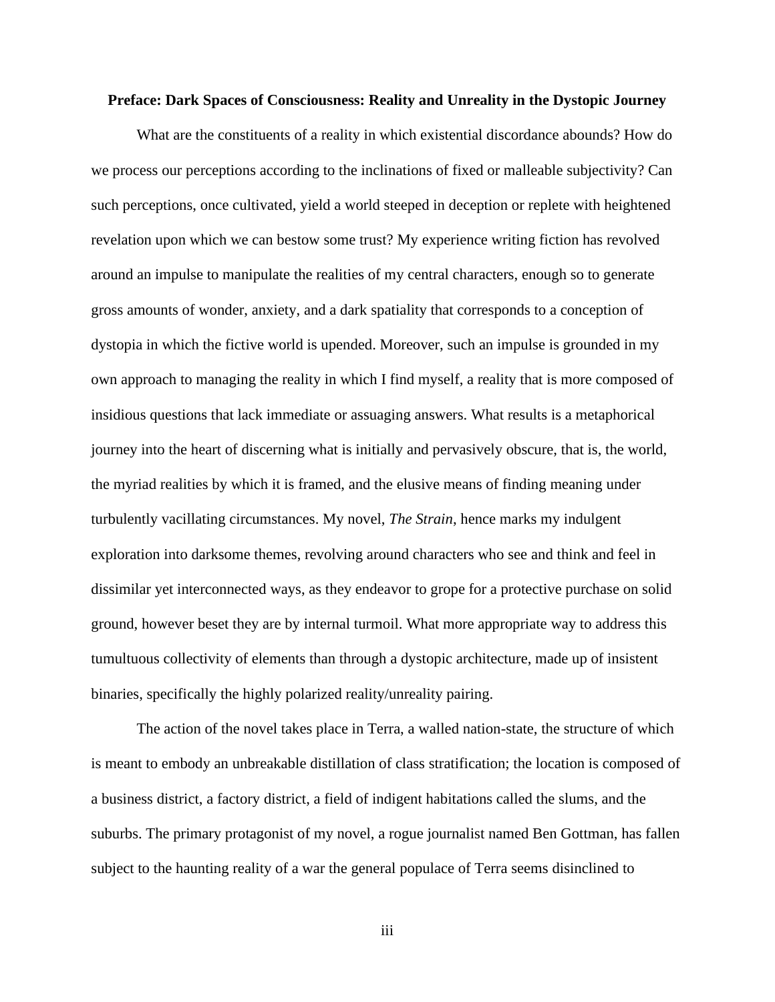### **Preface: Dark Spaces of Consciousness: Reality and Unreality in the Dystopic Journey**

What are the constituents of a reality in which existential discordance abounds? How do we process our perceptions according to the inclinations of fixed or malleable subjectivity? Can such perceptions, once cultivated, yield a world steeped in deception or replete with heightened revelation upon which we can bestow some trust? My experience writing fiction has revolved around an impulse to manipulate the realities of my central characters, enough so to generate gross amounts of wonder, anxiety, and a dark spatiality that corresponds to a conception of dystopia in which the fictive world is upended. Moreover, such an impulse is grounded in my own approach to managing the reality in which I find myself, a reality that is more composed of insidious questions that lack immediate or assuaging answers. What results is a metaphorical journey into the heart of discerning what is initially and pervasively obscure, that is, the world, the myriad realities by which it is framed, and the elusive means of finding meaning under turbulently vacillating circumstances. My novel, *The Strain*, hence marks my indulgent exploration into darksome themes, revolving around characters who see and think and feel in dissimilar yet interconnected ways, as they endeavor to grope for a protective purchase on solid ground, however beset they are by internal turmoil. What more appropriate way to address this tumultuous collectivity of elements than through a dystopic architecture, made up of insistent binaries, specifically the highly polarized reality/unreality pairing.

The action of the novel takes place in Terra, a walled nation-state, the structure of which is meant to embody an unbreakable distillation of class stratification; the location is composed of a business district, a factory district, a field of indigent habitations called the slums, and the suburbs. The primary protagonist of my novel, a rogue journalist named Ben Gottman, has fallen subject to the haunting reality of a war the general populace of Terra seems disinclined to

iii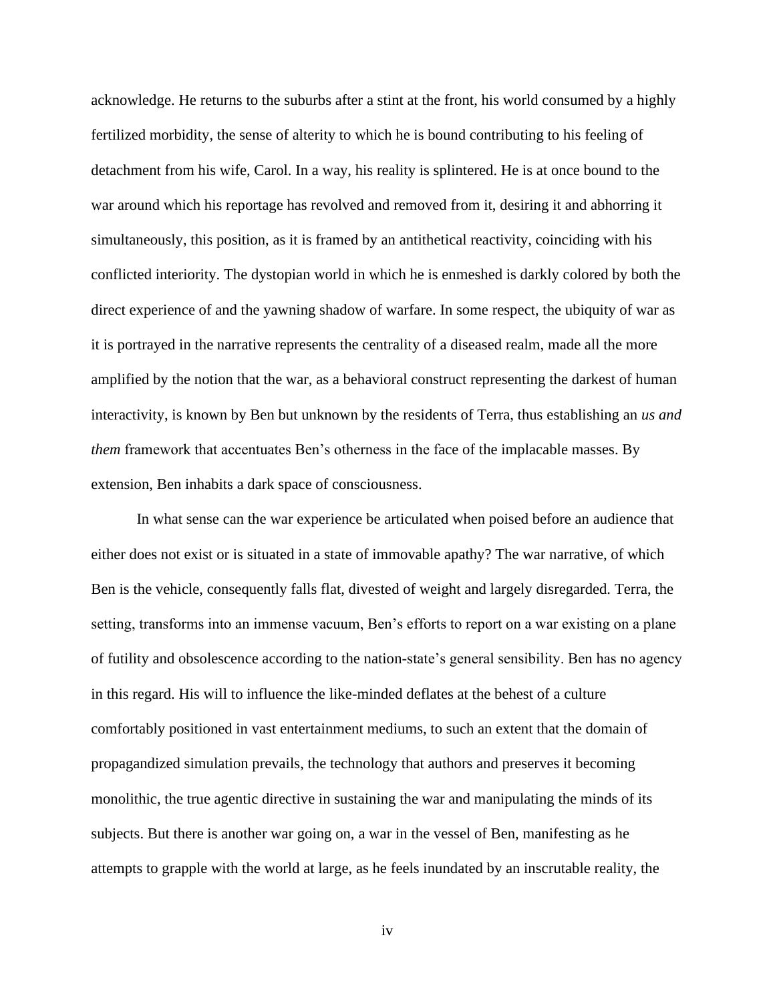acknowledge. He returns to the suburbs after a stint at the front, his world consumed by a highly fertilized morbidity, the sense of alterity to which he is bound contributing to his feeling of detachment from his wife, Carol. In a way, his reality is splintered. He is at once bound to the war around which his reportage has revolved and removed from it, desiring it and abhorring it simultaneously, this position, as it is framed by an antithetical reactivity, coinciding with his conflicted interiority. The dystopian world in which he is enmeshed is darkly colored by both the direct experience of and the yawning shadow of warfare. In some respect, the ubiquity of war as it is portrayed in the narrative represents the centrality of a diseased realm, made all the more amplified by the notion that the war, as a behavioral construct representing the darkest of human interactivity, is known by Ben but unknown by the residents of Terra, thus establishing an *us and them* framework that accentuates Ben's otherness in the face of the implacable masses. By extension, Ben inhabits a dark space of consciousness.

In what sense can the war experience be articulated when poised before an audience that either does not exist or is situated in a state of immovable apathy? The war narrative, of which Ben is the vehicle, consequently falls flat, divested of weight and largely disregarded. Terra, the setting, transforms into an immense vacuum, Ben's efforts to report on a war existing on a plane of futility and obsolescence according to the nation-state's general sensibility. Ben has no agency in this regard. His will to influence the like-minded deflates at the behest of a culture comfortably positioned in vast entertainment mediums, to such an extent that the domain of propagandized simulation prevails, the technology that authors and preserves it becoming monolithic, the true agentic directive in sustaining the war and manipulating the minds of its subjects. But there is another war going on, a war in the vessel of Ben, manifesting as he attempts to grapple with the world at large, as he feels inundated by an inscrutable reality, the

iv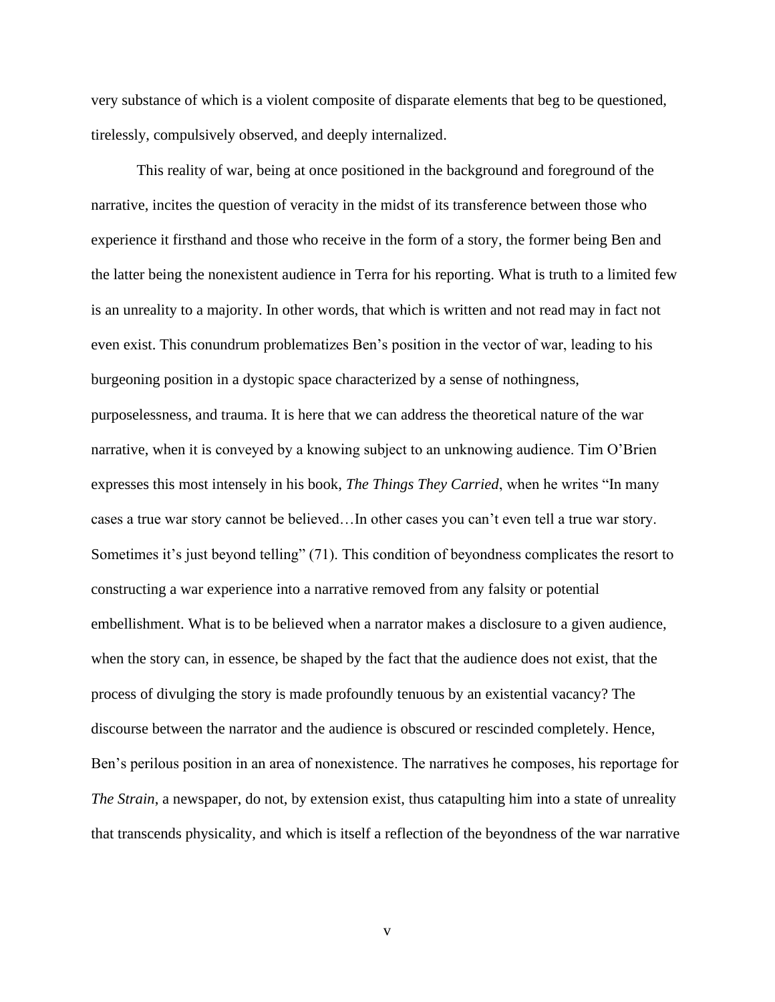very substance of which is a violent composite of disparate elements that beg to be questioned, tirelessly, compulsively observed, and deeply internalized.

This reality of war, being at once positioned in the background and foreground of the narrative, incites the question of veracity in the midst of its transference between those who experience it firsthand and those who receive in the form of a story, the former being Ben and the latter being the nonexistent audience in Terra for his reporting. What is truth to a limited few is an unreality to a majority. In other words, that which is written and not read may in fact not even exist. This conundrum problematizes Ben's position in the vector of war, leading to his burgeoning position in a dystopic space characterized by a sense of nothingness, purposelessness, and trauma. It is here that we can address the theoretical nature of the war narrative, when it is conveyed by a knowing subject to an unknowing audience. Tim O'Brien expresses this most intensely in his book, *The Things They Carried*, when he writes "In many cases a true war story cannot be believed…In other cases you can't even tell a true war story. Sometimes it's just beyond telling" (71). This condition of beyondness complicates the resort to constructing a war experience into a narrative removed from any falsity or potential embellishment. What is to be believed when a narrator makes a disclosure to a given audience, when the story can, in essence, be shaped by the fact that the audience does not exist, that the process of divulging the story is made profoundly tenuous by an existential vacancy? The discourse between the narrator and the audience is obscured or rescinded completely. Hence, Ben's perilous position in an area of nonexistence. The narratives he composes, his reportage for *The Strain*, a newspaper, do not, by extension exist, thus catapulting him into a state of unreality that transcends physicality, and which is itself a reflection of the beyondness of the war narrative

v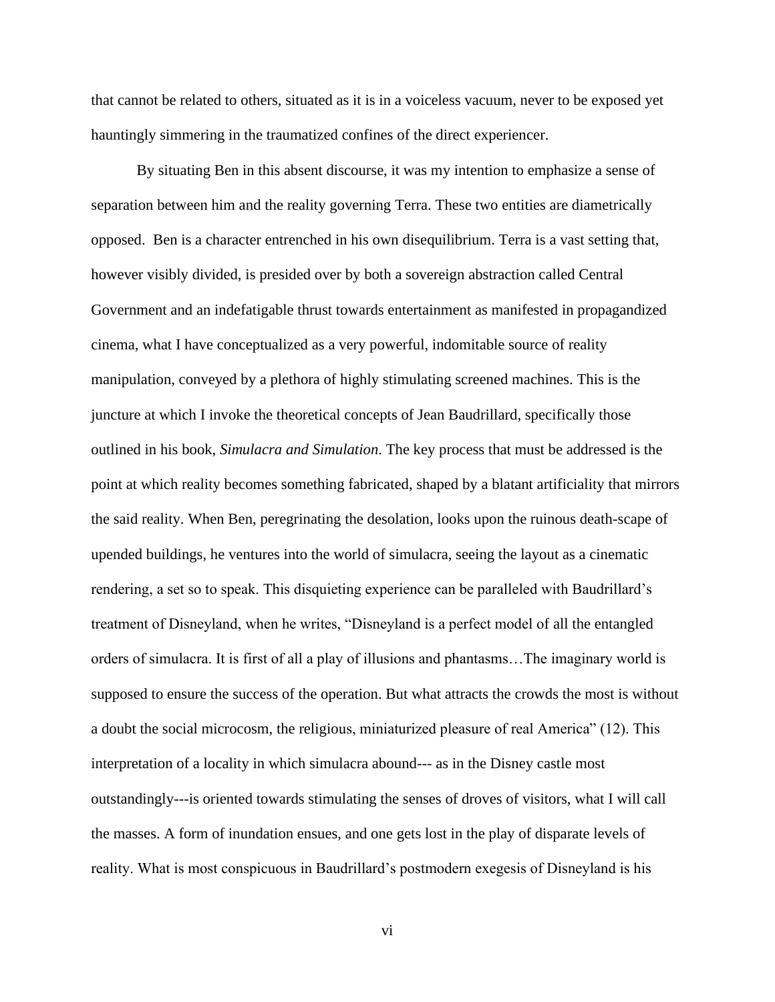that cannot be related to others, situated as it is in a voiceless vacuum, never to be exposed yet hauntingly simmering in the traumatized confines of the direct experiencer.

By situating Ben in this absent discourse, it was my intention to emphasize a sense of separation between him and the reality governing Terra. These two entities are diametrically opposed. Ben is a character entrenched in his own disequilibrium. Terra is a vast setting that, however visibly divided, is presided over by both a sovereign abstraction called Central Government and an indefatigable thrust towards entertainment as manifested in propagandized cinema, what I have conceptualized as a very powerful, indomitable source of reality manipulation, conveyed by a plethora of highly stimulating screened machines. This is the juncture at which I invoke the theoretical concepts of Jean Baudrillard, specifically those outlined in his book, *Simulacra and Simulation*. The key process that must be addressed is the point at which reality becomes something fabricated, shaped by a blatant artificiality that mirrors the said reality. When Ben, peregrinating the desolation, looks upon the ruinous death-scape of upended buildings, he ventures into the world of simulacra, seeing the layout as a cinematic rendering, a set so to speak. This disquieting experience can be paralleled with Baudrillard's treatment of Disneyland, when he writes, "Disneyland is a perfect model of all the entangled orders of simulacra. It is first of all a play of illusions and phantasms…The imaginary world is supposed to ensure the success of the operation. But what attracts the crowds the most is without a doubt the social microcosm, the religious, miniaturized pleasure of real America" (12). This interpretation of a locality in which simulacra abound--- as in the Disney castle most outstandingly---is oriented towards stimulating the senses of droves of visitors, what I will call the masses. A form of inundation ensues, and one gets lost in the play of disparate levels of reality. What is most conspicuous in Baudrillard's postmodern exegesis of Disneyland is his

vi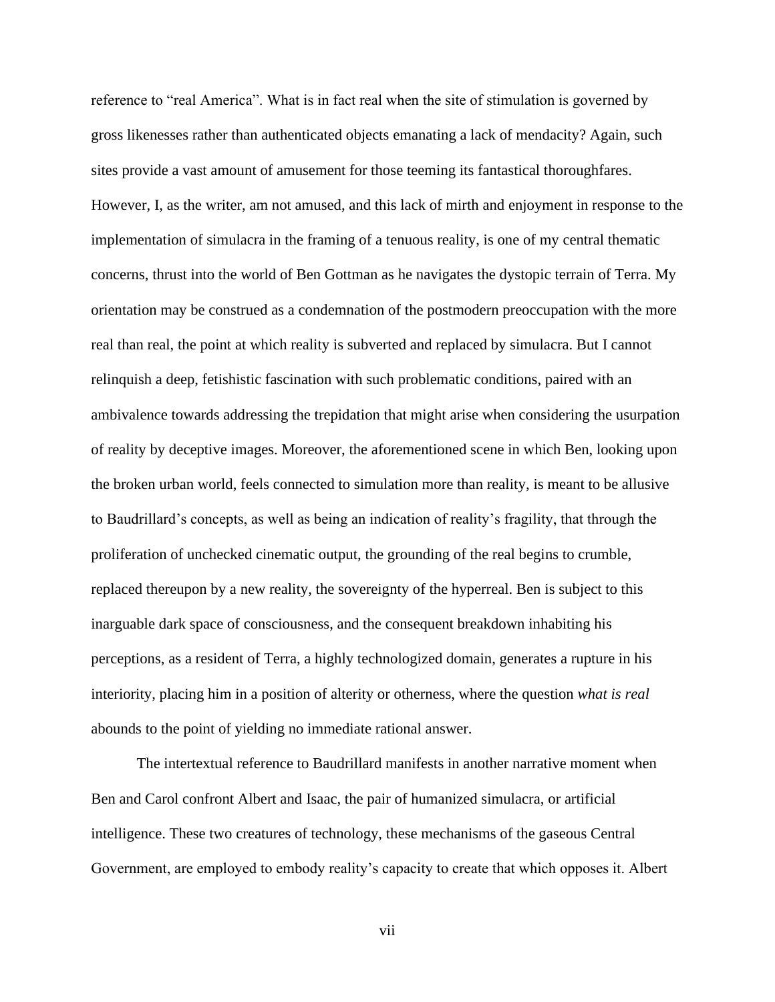reference to "real America". What is in fact real when the site of stimulation is governed by gross likenesses rather than authenticated objects emanating a lack of mendacity? Again, such sites provide a vast amount of amusement for those teeming its fantastical thoroughfares. However, I, as the writer, am not amused, and this lack of mirth and enjoyment in response to the implementation of simulacra in the framing of a tenuous reality, is one of my central thematic concerns, thrust into the world of Ben Gottman as he navigates the dystopic terrain of Terra. My orientation may be construed as a condemnation of the postmodern preoccupation with the more real than real, the point at which reality is subverted and replaced by simulacra. But I cannot relinquish a deep, fetishistic fascination with such problematic conditions, paired with an ambivalence towards addressing the trepidation that might arise when considering the usurpation of reality by deceptive images. Moreover, the aforementioned scene in which Ben, looking upon the broken urban world, feels connected to simulation more than reality, is meant to be allusive to Baudrillard's concepts, as well as being an indication of reality's fragility, that through the proliferation of unchecked cinematic output, the grounding of the real begins to crumble, replaced thereupon by a new reality, the sovereignty of the hyperreal. Ben is subject to this inarguable dark space of consciousness, and the consequent breakdown inhabiting his perceptions, as a resident of Terra, a highly technologized domain, generates a rupture in his interiority, placing him in a position of alterity or otherness, where the question *what is real*  abounds to the point of yielding no immediate rational answer.

The intertextual reference to Baudrillard manifests in another narrative moment when Ben and Carol confront Albert and Isaac, the pair of humanized simulacra, or artificial intelligence. These two creatures of technology, these mechanisms of the gaseous Central Government, are employed to embody reality's capacity to create that which opposes it. Albert

vii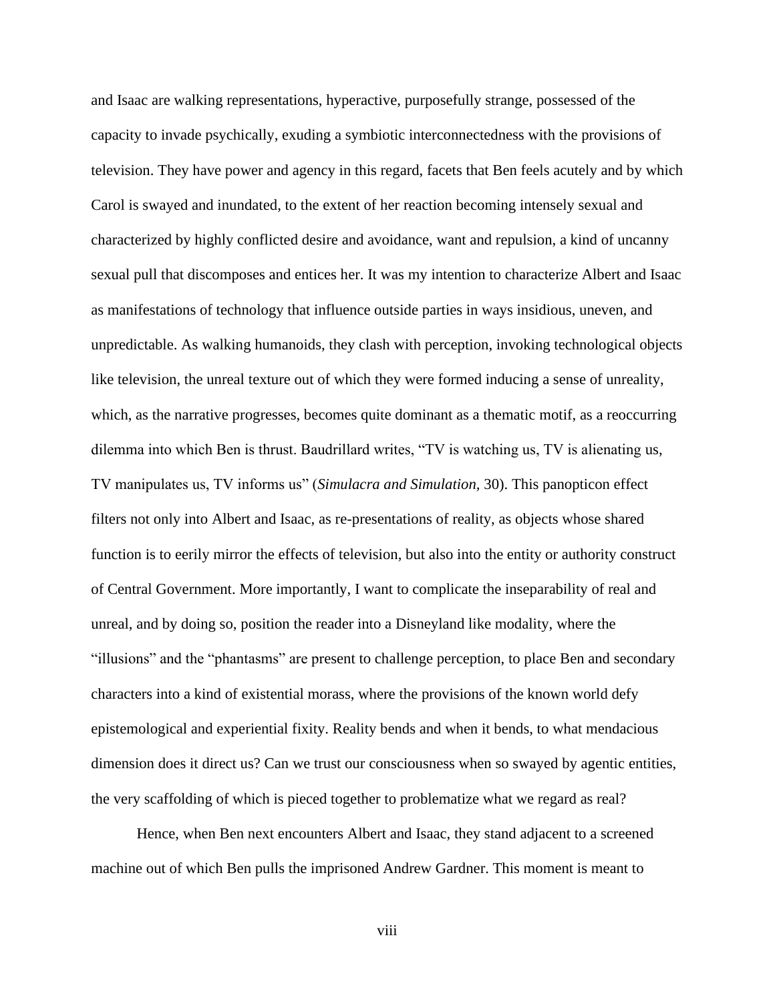and Isaac are walking representations, hyperactive, purposefully strange, possessed of the capacity to invade psychically, exuding a symbiotic interconnectedness with the provisions of television. They have power and agency in this regard, facets that Ben feels acutely and by which Carol is swayed and inundated, to the extent of her reaction becoming intensely sexual and characterized by highly conflicted desire and avoidance, want and repulsion, a kind of uncanny sexual pull that discomposes and entices her. It was my intention to characterize Albert and Isaac as manifestations of technology that influence outside parties in ways insidious, uneven, and unpredictable. As walking humanoids, they clash with perception, invoking technological objects like television, the unreal texture out of which they were formed inducing a sense of unreality, which, as the narrative progresses, becomes quite dominant as a thematic motif, as a reoccurring dilemma into which Ben is thrust. Baudrillard writes, "TV is watching us, TV is alienating us, TV manipulates us, TV informs us" (*Simulacra and Simulation,* 30). This panopticon effect filters not only into Albert and Isaac, as re-presentations of reality, as objects whose shared function is to eerily mirror the effects of television, but also into the entity or authority construct of Central Government. More importantly, I want to complicate the inseparability of real and unreal, and by doing so, position the reader into a Disneyland like modality, where the "illusions" and the "phantasms" are present to challenge perception, to place Ben and secondary characters into a kind of existential morass, where the provisions of the known world defy epistemological and experiential fixity. Reality bends and when it bends, to what mendacious dimension does it direct us? Can we trust our consciousness when so swayed by agentic entities, the very scaffolding of which is pieced together to problematize what we regard as real?

Hence, when Ben next encounters Albert and Isaac, they stand adjacent to a screened machine out of which Ben pulls the imprisoned Andrew Gardner. This moment is meant to

viii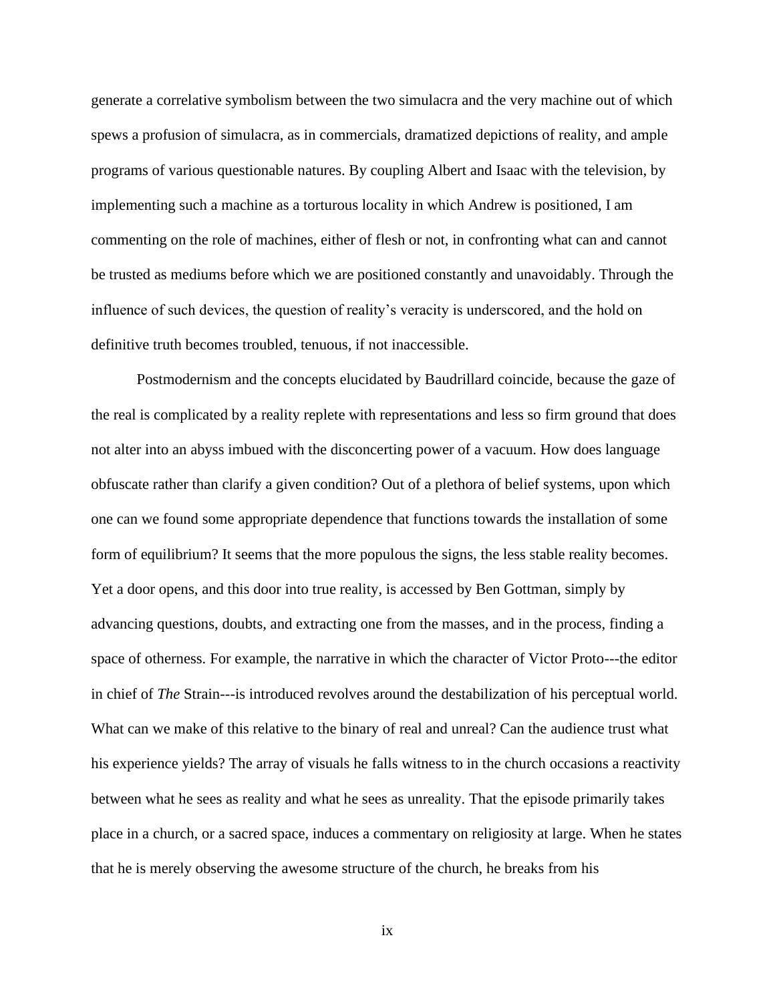generate a correlative symbolism between the two simulacra and the very machine out of which spews a profusion of simulacra, as in commercials, dramatized depictions of reality, and ample programs of various questionable natures. By coupling Albert and Isaac with the television, by implementing such a machine as a torturous locality in which Andrew is positioned, I am commenting on the role of machines, either of flesh or not, in confronting what can and cannot be trusted as mediums before which we are positioned constantly and unavoidably. Through the influence of such devices, the question of reality's veracity is underscored, and the hold on definitive truth becomes troubled, tenuous, if not inaccessible.

Postmodernism and the concepts elucidated by Baudrillard coincide, because the gaze of the real is complicated by a reality replete with representations and less so firm ground that does not alter into an abyss imbued with the disconcerting power of a vacuum. How does language obfuscate rather than clarify a given condition? Out of a plethora of belief systems, upon which one can we found some appropriate dependence that functions towards the installation of some form of equilibrium? It seems that the more populous the signs, the less stable reality becomes. Yet a door opens, and this door into true reality, is accessed by Ben Gottman, simply by advancing questions, doubts, and extracting one from the masses, and in the process, finding a space of otherness. For example, the narrative in which the character of Victor Proto---the editor in chief of *The* Strain---is introduced revolves around the destabilization of his perceptual world. What can we make of this relative to the binary of real and unreal? Can the audience trust what his experience yields? The array of visuals he falls witness to in the church occasions a reactivity between what he sees as reality and what he sees as unreality. That the episode primarily takes place in a church, or a sacred space, induces a commentary on religiosity at large. When he states that he is merely observing the awesome structure of the church, he breaks from his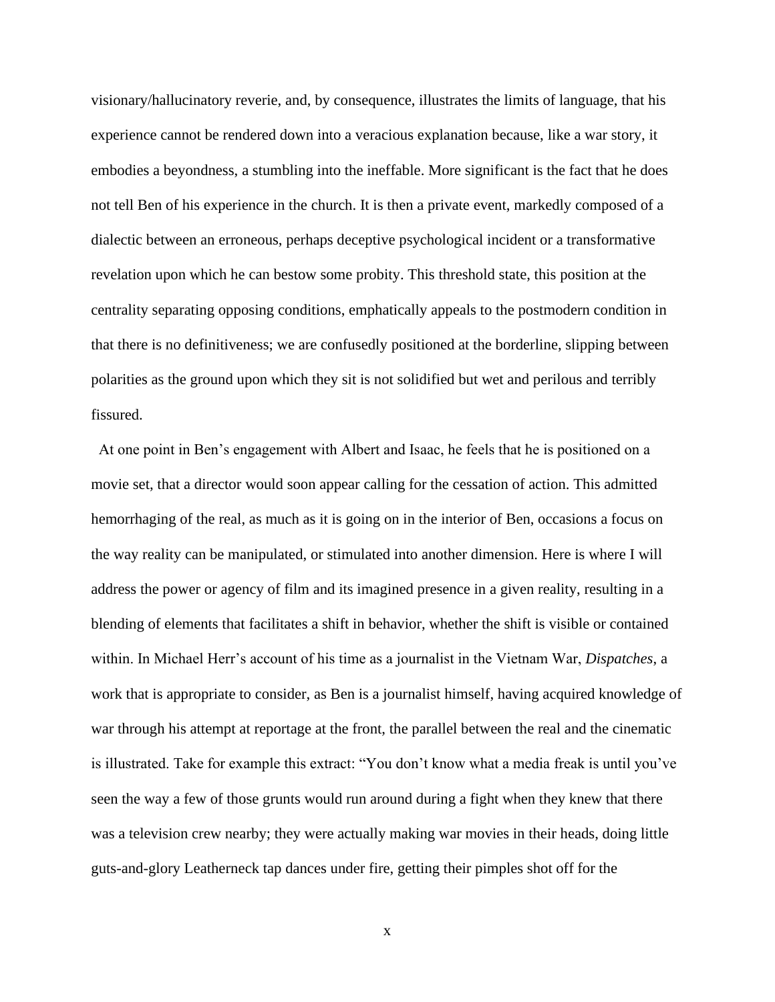visionary/hallucinatory reverie, and, by consequence, illustrates the limits of language, that his experience cannot be rendered down into a veracious explanation because, like a war story, it embodies a beyondness, a stumbling into the ineffable. More significant is the fact that he does not tell Ben of his experience in the church. It is then a private event, markedly composed of a dialectic between an erroneous, perhaps deceptive psychological incident or a transformative revelation upon which he can bestow some probity. This threshold state, this position at the centrality separating opposing conditions, emphatically appeals to the postmodern condition in that there is no definitiveness; we are confusedly positioned at the borderline, slipping between polarities as the ground upon which they sit is not solidified but wet and perilous and terribly fissured.

 At one point in Ben's engagement with Albert and Isaac, he feels that he is positioned on a movie set, that a director would soon appear calling for the cessation of action. This admitted hemorrhaging of the real, as much as it is going on in the interior of Ben, occasions a focus on the way reality can be manipulated, or stimulated into another dimension. Here is where I will address the power or agency of film and its imagined presence in a given reality, resulting in a blending of elements that facilitates a shift in behavior, whether the shift is visible or contained within. In Michael Herr's account of his time as a journalist in the Vietnam War, *Dispatches*, a work that is appropriate to consider, as Ben is a journalist himself, having acquired knowledge of war through his attempt at reportage at the front, the parallel between the real and the cinematic is illustrated. Take for example this extract: "You don't know what a media freak is until you've seen the way a few of those grunts would run around during a fight when they knew that there was a television crew nearby; they were actually making war movies in their heads, doing little guts-and-glory Leatherneck tap dances under fire, getting their pimples shot off for the

x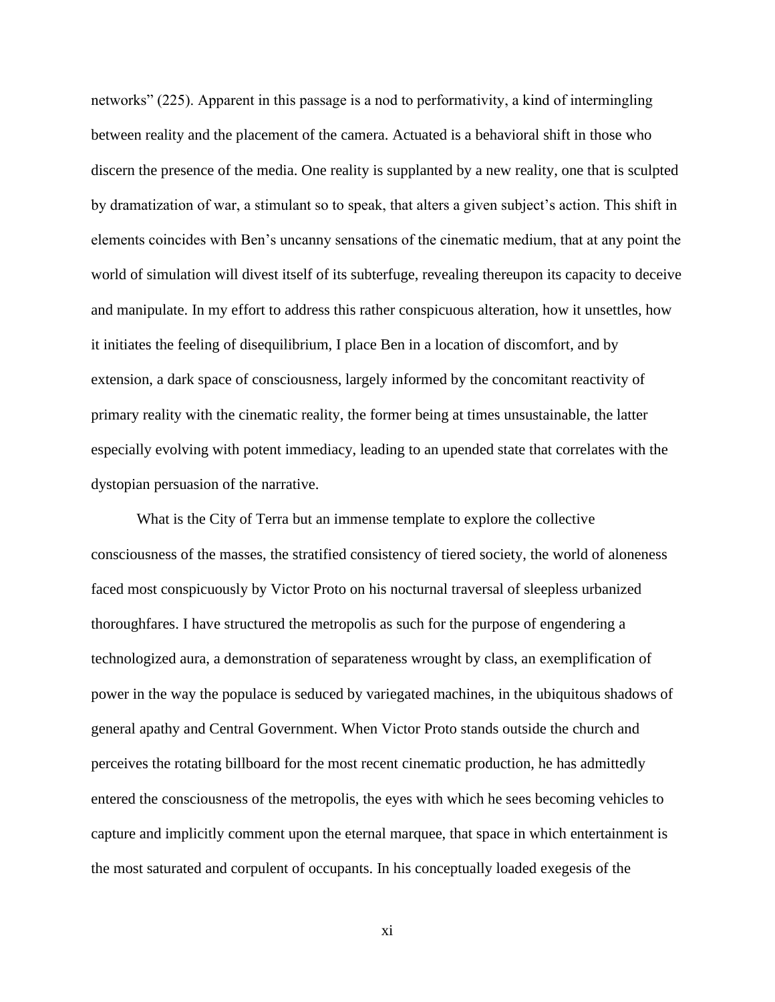networks" (225). Apparent in this passage is a nod to performativity, a kind of intermingling between reality and the placement of the camera. Actuated is a behavioral shift in those who discern the presence of the media. One reality is supplanted by a new reality, one that is sculpted by dramatization of war, a stimulant so to speak, that alters a given subject's action. This shift in elements coincides with Ben's uncanny sensations of the cinematic medium, that at any point the world of simulation will divest itself of its subterfuge, revealing thereupon its capacity to deceive and manipulate. In my effort to address this rather conspicuous alteration, how it unsettles, how it initiates the feeling of disequilibrium, I place Ben in a location of discomfort, and by extension, a dark space of consciousness, largely informed by the concomitant reactivity of primary reality with the cinematic reality, the former being at times unsustainable, the latter especially evolving with potent immediacy, leading to an upended state that correlates with the dystopian persuasion of the narrative.

What is the City of Terra but an immense template to explore the collective consciousness of the masses, the stratified consistency of tiered society, the world of aloneness faced most conspicuously by Victor Proto on his nocturnal traversal of sleepless urbanized thoroughfares. I have structured the metropolis as such for the purpose of engendering a technologized aura, a demonstration of separateness wrought by class, an exemplification of power in the way the populace is seduced by variegated machines, in the ubiquitous shadows of general apathy and Central Government. When Victor Proto stands outside the church and perceives the rotating billboard for the most recent cinematic production, he has admittedly entered the consciousness of the metropolis, the eyes with which he sees becoming vehicles to capture and implicitly comment upon the eternal marquee, that space in which entertainment is the most saturated and corpulent of occupants. In his conceptually loaded exegesis of the

xi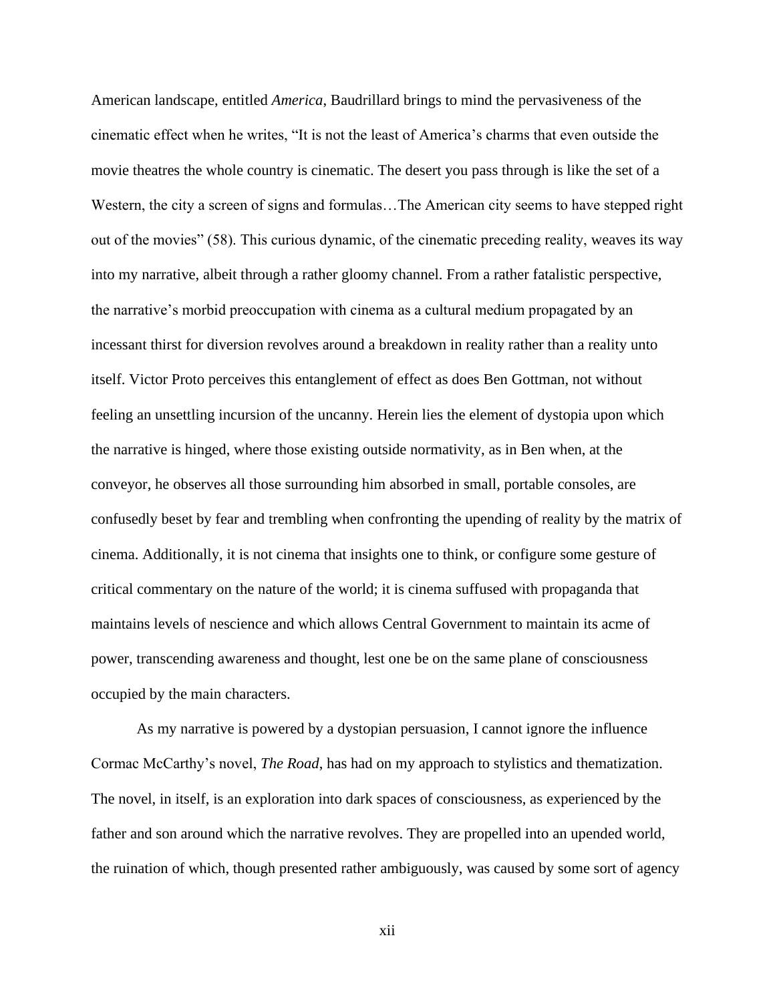American landscape, entitled *America*, Baudrillard brings to mind the pervasiveness of the cinematic effect when he writes, "It is not the least of America's charms that even outside the movie theatres the whole country is cinematic. The desert you pass through is like the set of a Western, the city a screen of signs and formulas…The American city seems to have stepped right out of the movies" (58). This curious dynamic, of the cinematic preceding reality, weaves its way into my narrative, albeit through a rather gloomy channel. From a rather fatalistic perspective, the narrative's morbid preoccupation with cinema as a cultural medium propagated by an incessant thirst for diversion revolves around a breakdown in reality rather than a reality unto itself. Victor Proto perceives this entanglement of effect as does Ben Gottman, not without feeling an unsettling incursion of the uncanny. Herein lies the element of dystopia upon which the narrative is hinged, where those existing outside normativity, as in Ben when, at the conveyor, he observes all those surrounding him absorbed in small, portable consoles, are confusedly beset by fear and trembling when confronting the upending of reality by the matrix of cinema. Additionally, it is not cinema that insights one to think, or configure some gesture of critical commentary on the nature of the world; it is cinema suffused with propaganda that maintains levels of nescience and which allows Central Government to maintain its acme of power, transcending awareness and thought, lest one be on the same plane of consciousness occupied by the main characters.

As my narrative is powered by a dystopian persuasion, I cannot ignore the influence Cormac McCarthy's novel, *The Road*, has had on my approach to stylistics and thematization. The novel, in itself, is an exploration into dark spaces of consciousness, as experienced by the father and son around which the narrative revolves. They are propelled into an upended world, the ruination of which, though presented rather ambiguously, was caused by some sort of agency

xii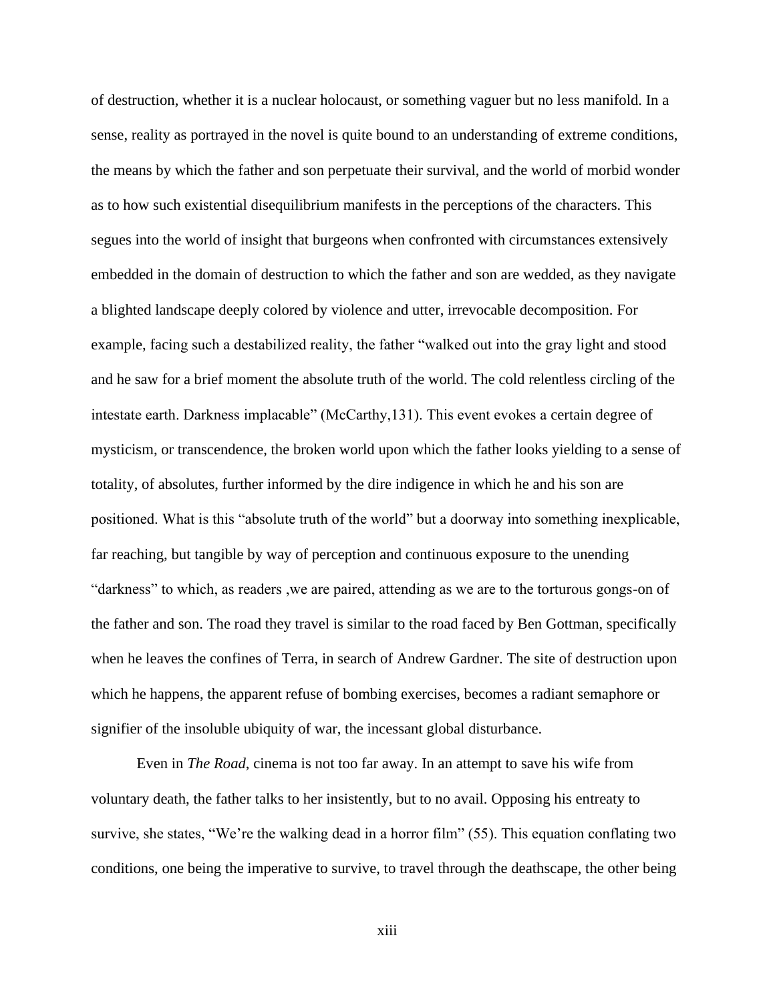of destruction, whether it is a nuclear holocaust, or something vaguer but no less manifold. In a sense, reality as portrayed in the novel is quite bound to an understanding of extreme conditions, the means by which the father and son perpetuate their survival, and the world of morbid wonder as to how such existential disequilibrium manifests in the perceptions of the characters. This segues into the world of insight that burgeons when confronted with circumstances extensively embedded in the domain of destruction to which the father and son are wedded, as they navigate a blighted landscape deeply colored by violence and utter, irrevocable decomposition. For example, facing such a destabilized reality, the father "walked out into the gray light and stood and he saw for a brief moment the absolute truth of the world. The cold relentless circling of the intestate earth. Darkness implacable" (McCarthy,131). This event evokes a certain degree of mysticism, or transcendence, the broken world upon which the father looks yielding to a sense of totality, of absolutes, further informed by the dire indigence in which he and his son are positioned. What is this "absolute truth of the world" but a doorway into something inexplicable, far reaching, but tangible by way of perception and continuous exposure to the unending "darkness" to which, as readers ,we are paired, attending as we are to the torturous gongs-on of the father and son. The road they travel is similar to the road faced by Ben Gottman, specifically when he leaves the confines of Terra, in search of Andrew Gardner. The site of destruction upon which he happens, the apparent refuse of bombing exercises, becomes a radiant semaphore or signifier of the insoluble ubiquity of war, the incessant global disturbance.

Even in *The Road*, cinema is not too far away. In an attempt to save his wife from voluntary death, the father talks to her insistently, but to no avail. Opposing his entreaty to survive, she states, "We're the walking dead in a horror film" (55). This equation conflating two conditions, one being the imperative to survive, to travel through the deathscape, the other being

xiii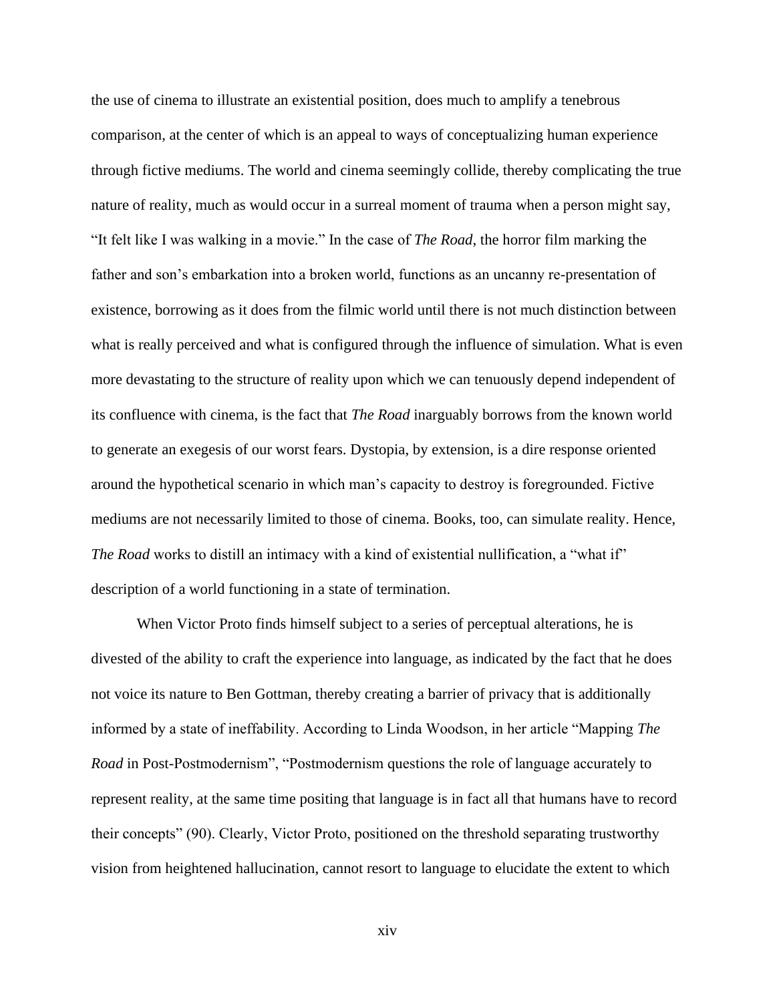the use of cinema to illustrate an existential position, does much to amplify a tenebrous comparison, at the center of which is an appeal to ways of conceptualizing human experience through fictive mediums. The world and cinema seemingly collide, thereby complicating the true nature of reality, much as would occur in a surreal moment of trauma when a person might say, "It felt like I was walking in a movie." In the case of *The Road*, the horror film marking the father and son's embarkation into a broken world, functions as an uncanny re-presentation of existence, borrowing as it does from the filmic world until there is not much distinction between what is really perceived and what is configured through the influence of simulation. What is even more devastating to the structure of reality upon which we can tenuously depend independent of its confluence with cinema, is the fact that *The Road* inarguably borrows from the known world to generate an exegesis of our worst fears. Dystopia, by extension, is a dire response oriented around the hypothetical scenario in which man's capacity to destroy is foregrounded. Fictive mediums are not necessarily limited to those of cinema. Books, too, can simulate reality. Hence, *The Road* works to distill an intimacy with a kind of existential nullification, a "what if" description of a world functioning in a state of termination.

When Victor Proto finds himself subject to a series of perceptual alterations, he is divested of the ability to craft the experience into language, as indicated by the fact that he does not voice its nature to Ben Gottman, thereby creating a barrier of privacy that is additionally informed by a state of ineffability. According to Linda Woodson, in her article "Mapping *The Road* in Post-Postmodernism", "Postmodernism questions the role of language accurately to represent reality, at the same time positing that language is in fact all that humans have to record their concepts" (90). Clearly, Victor Proto, positioned on the threshold separating trustworthy vision from heightened hallucination, cannot resort to language to elucidate the extent to which

xiv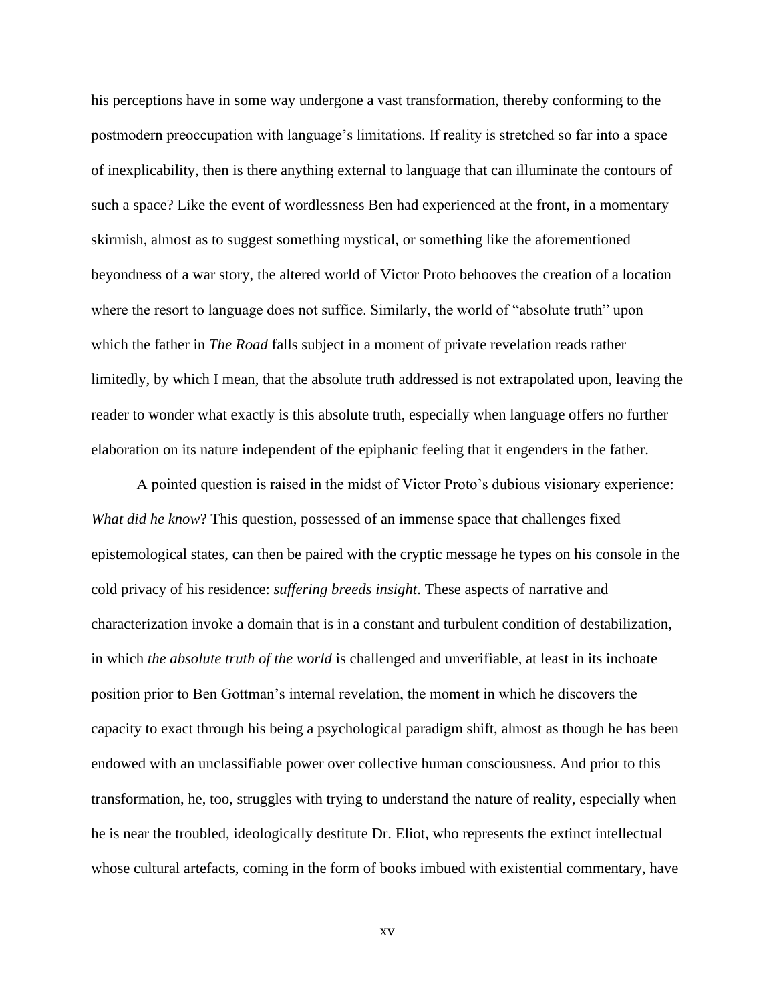his perceptions have in some way undergone a vast transformation, thereby conforming to the postmodern preoccupation with language's limitations. If reality is stretched so far into a space of inexplicability, then is there anything external to language that can illuminate the contours of such a space? Like the event of wordlessness Ben had experienced at the front, in a momentary skirmish, almost as to suggest something mystical, or something like the aforementioned beyondness of a war story, the altered world of Victor Proto behooves the creation of a location where the resort to language does not suffice. Similarly, the world of "absolute truth" upon which the father in *The Road* falls subject in a moment of private revelation reads rather limitedly, by which I mean, that the absolute truth addressed is not extrapolated upon, leaving the reader to wonder what exactly is this absolute truth, especially when language offers no further elaboration on its nature independent of the epiphanic feeling that it engenders in the father.

A pointed question is raised in the midst of Victor Proto's dubious visionary experience: *What did he know*? This question, possessed of an immense space that challenges fixed epistemological states, can then be paired with the cryptic message he types on his console in the cold privacy of his residence: *suffering breeds insight*. These aspects of narrative and characterization invoke a domain that is in a constant and turbulent condition of destabilization, in which *the absolute truth of the world* is challenged and unverifiable, at least in its inchoate position prior to Ben Gottman's internal revelation, the moment in which he discovers the capacity to exact through his being a psychological paradigm shift, almost as though he has been endowed with an unclassifiable power over collective human consciousness. And prior to this transformation, he, too, struggles with trying to understand the nature of reality, especially when he is near the troubled, ideologically destitute Dr. Eliot, who represents the extinct intellectual whose cultural artefacts, coming in the form of books imbued with existential commentary, have

xv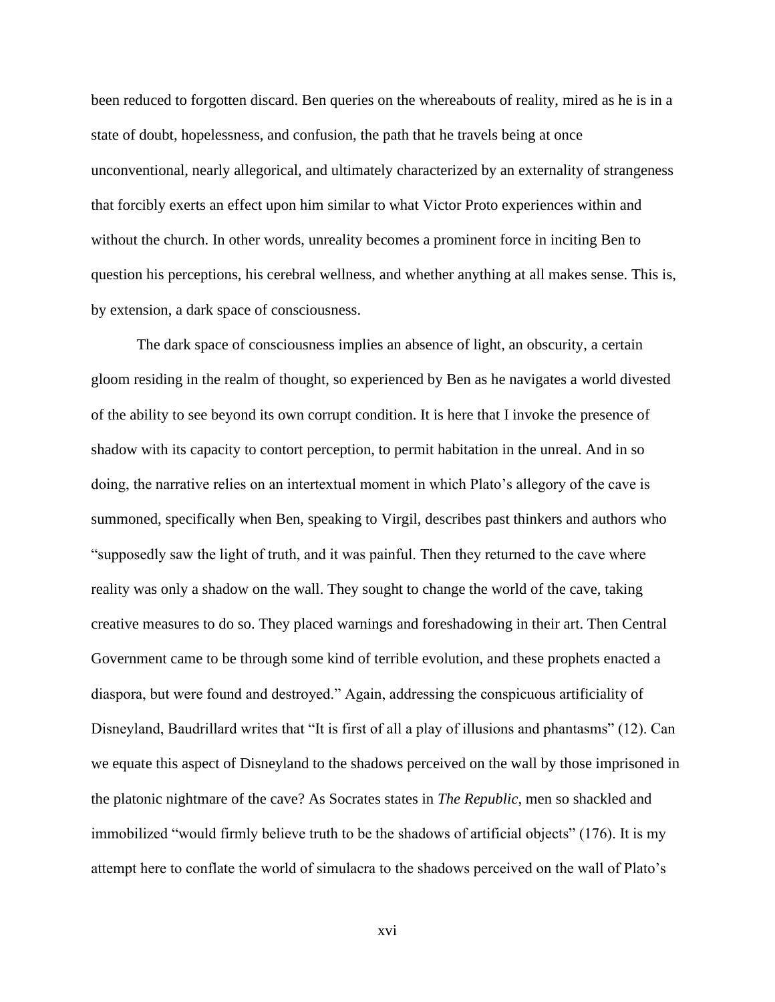been reduced to forgotten discard. Ben queries on the whereabouts of reality, mired as he is in a state of doubt, hopelessness, and confusion, the path that he travels being at once unconventional, nearly allegorical, and ultimately characterized by an externality of strangeness that forcibly exerts an effect upon him similar to what Victor Proto experiences within and without the church. In other words, unreality becomes a prominent force in inciting Ben to question his perceptions, his cerebral wellness, and whether anything at all makes sense. This is, by extension, a dark space of consciousness.

The dark space of consciousness implies an absence of light, an obscurity, a certain gloom residing in the realm of thought, so experienced by Ben as he navigates a world divested of the ability to see beyond its own corrupt condition. It is here that I invoke the presence of shadow with its capacity to contort perception, to permit habitation in the unreal. And in so doing, the narrative relies on an intertextual moment in which Plato's allegory of the cave is summoned, specifically when Ben, speaking to Virgil, describes past thinkers and authors who "supposedly saw the light of truth, and it was painful. Then they returned to the cave where reality was only a shadow on the wall. They sought to change the world of the cave, taking creative measures to do so. They placed warnings and foreshadowing in their art. Then Central Government came to be through some kind of terrible evolution, and these prophets enacted a diaspora, but were found and destroyed." Again, addressing the conspicuous artificiality of Disneyland, Baudrillard writes that "It is first of all a play of illusions and phantasms" (12). Can we equate this aspect of Disneyland to the shadows perceived on the wall by those imprisoned in the platonic nightmare of the cave? As Socrates states in *The Republic*, men so shackled and immobilized "would firmly believe truth to be the shadows of artificial objects" (176). It is my attempt here to conflate the world of simulacra to the shadows perceived on the wall of Plato's

xvi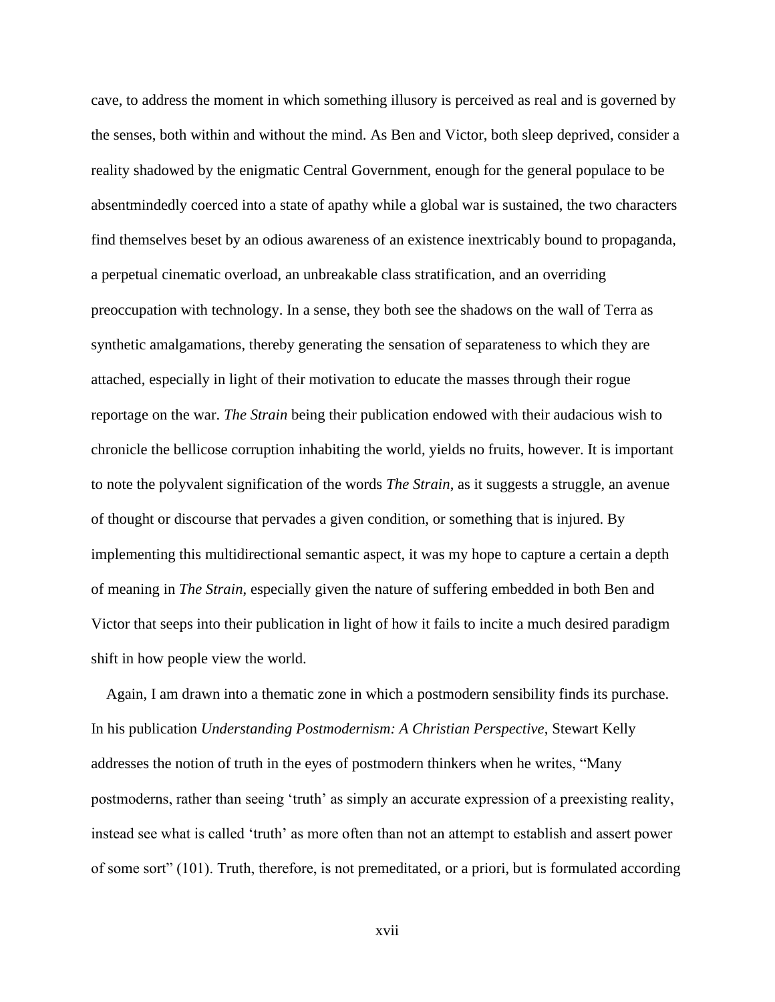cave, to address the moment in which something illusory is perceived as real and is governed by the senses, both within and without the mind. As Ben and Victor, both sleep deprived, consider a reality shadowed by the enigmatic Central Government, enough for the general populace to be absentmindedly coerced into a state of apathy while a global war is sustained, the two characters find themselves beset by an odious awareness of an existence inextricably bound to propaganda, a perpetual cinematic overload, an unbreakable class stratification, and an overriding preoccupation with technology. In a sense, they both see the shadows on the wall of Terra as synthetic amalgamations, thereby generating the sensation of separateness to which they are attached, especially in light of their motivation to educate the masses through their rogue reportage on the war. *The Strain* being their publication endowed with their audacious wish to chronicle the bellicose corruption inhabiting the world, yields no fruits, however. It is important to note the polyvalent signification of the words *The Strain*, as it suggests a struggle, an avenue of thought or discourse that pervades a given condition, or something that is injured. By implementing this multidirectional semantic aspect, it was my hope to capture a certain a depth of meaning in *The Strain*, especially given the nature of suffering embedded in both Ben and Victor that seeps into their publication in light of how it fails to incite a much desired paradigm shift in how people view the world.

 Again, I am drawn into a thematic zone in which a postmodern sensibility finds its purchase. In his publication *Understanding Postmodernism: A Christian Perspective*, Stewart Kelly addresses the notion of truth in the eyes of postmodern thinkers when he writes, "Many postmoderns, rather than seeing 'truth' as simply an accurate expression of a preexisting reality, instead see what is called 'truth' as more often than not an attempt to establish and assert power of some sort" (101). Truth, therefore, is not premeditated, or a priori, but is formulated according

xvii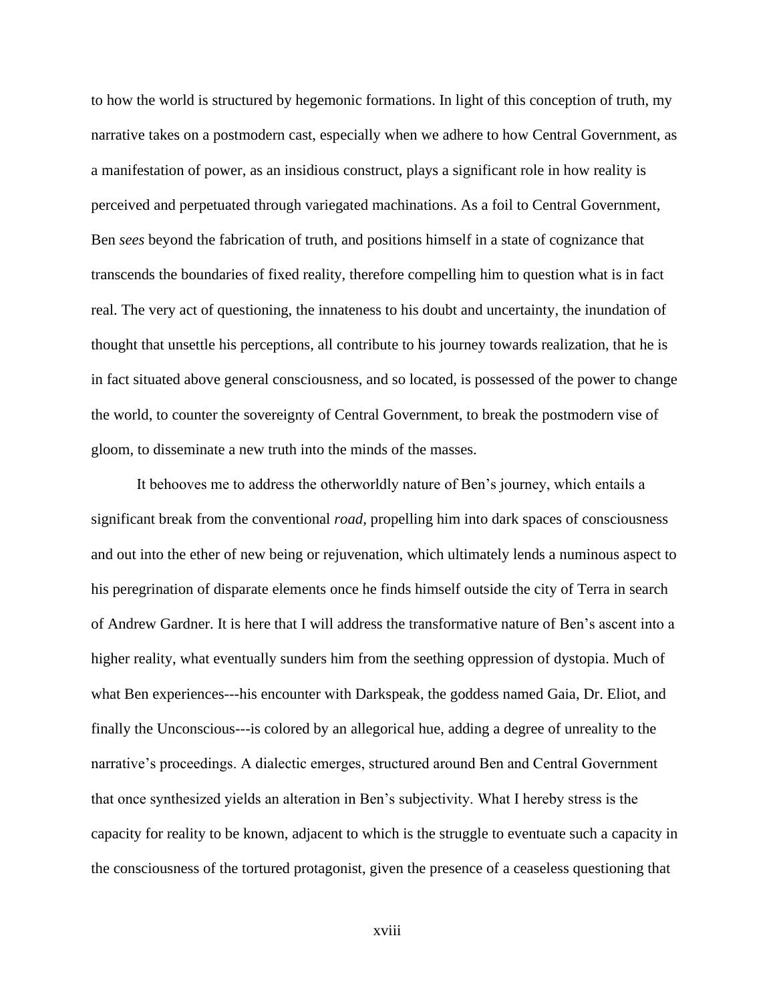to how the world is structured by hegemonic formations. In light of this conception of truth, my narrative takes on a postmodern cast, especially when we adhere to how Central Government, as a manifestation of power, as an insidious construct, plays a significant role in how reality is perceived and perpetuated through variegated machinations. As a foil to Central Government, Ben *sees* beyond the fabrication of truth, and positions himself in a state of cognizance that transcends the boundaries of fixed reality, therefore compelling him to question what is in fact real. The very act of questioning, the innateness to his doubt and uncertainty, the inundation of thought that unsettle his perceptions, all contribute to his journey towards realization, that he is in fact situated above general consciousness, and so located, is possessed of the power to change the world, to counter the sovereignty of Central Government, to break the postmodern vise of gloom, to disseminate a new truth into the minds of the masses.

It behooves me to address the otherworldly nature of Ben's journey, which entails a significant break from the conventional *road*, propelling him into dark spaces of consciousness and out into the ether of new being or rejuvenation, which ultimately lends a numinous aspect to his peregrination of disparate elements once he finds himself outside the city of Terra in search of Andrew Gardner. It is here that I will address the transformative nature of Ben's ascent into a higher reality, what eventually sunders him from the seething oppression of dystopia. Much of what Ben experiences---his encounter with Darkspeak, the goddess named Gaia, Dr. Eliot, and finally the Unconscious---is colored by an allegorical hue, adding a degree of unreality to the narrative's proceedings. A dialectic emerges, structured around Ben and Central Government that once synthesized yields an alteration in Ben's subjectivity. What I hereby stress is the capacity for reality to be known, adjacent to which is the struggle to eventuate such a capacity in the consciousness of the tortured protagonist, given the presence of a ceaseless questioning that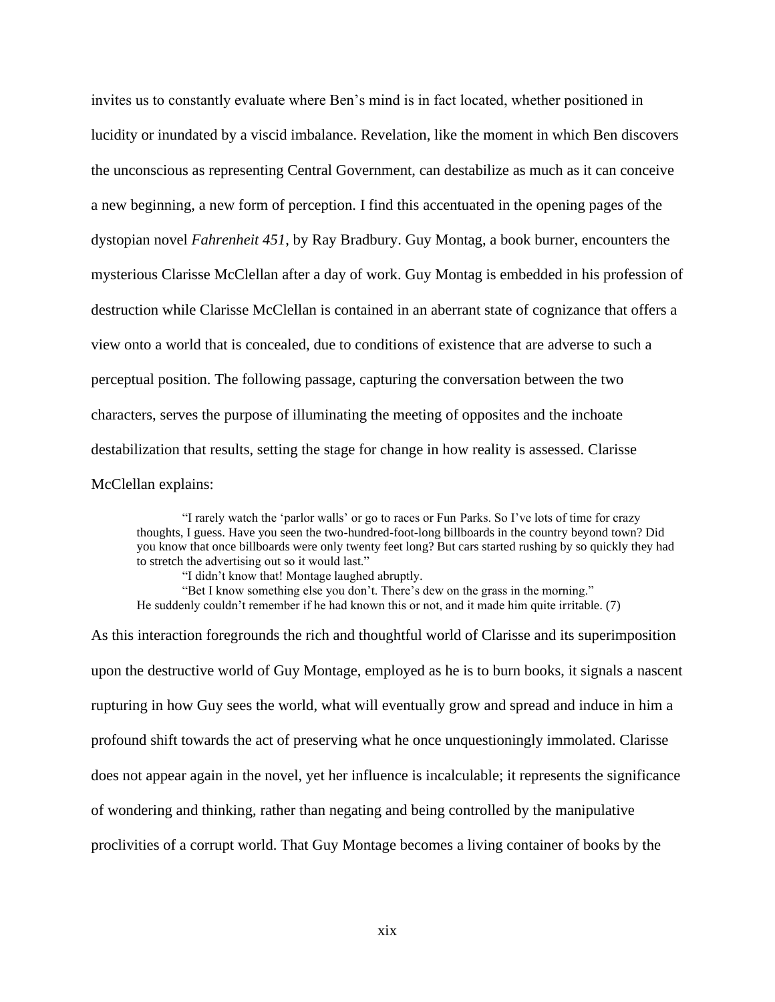invites us to constantly evaluate where Ben's mind is in fact located, whether positioned in lucidity or inundated by a viscid imbalance. Revelation, like the moment in which Ben discovers the unconscious as representing Central Government, can destabilize as much as it can conceive a new beginning, a new form of perception. I find this accentuated in the opening pages of the dystopian novel *Fahrenheit 451*, by Ray Bradbury. Guy Montag, a book burner, encounters the mysterious Clarisse McClellan after a day of work. Guy Montag is embedded in his profession of destruction while Clarisse McClellan is contained in an aberrant state of cognizance that offers a view onto a world that is concealed, due to conditions of existence that are adverse to such a perceptual position. The following passage, capturing the conversation between the two characters, serves the purpose of illuminating the meeting of opposites and the inchoate destabilization that results, setting the stage for change in how reality is assessed. Clarisse McClellan explains:

"I rarely watch the 'parlor walls' or go to races or Fun Parks. So I've lots of time for crazy thoughts, I guess. Have you seen the two-hundred-foot-long billboards in the country beyond town? Did you know that once billboards were only twenty feet long? But cars started rushing by so quickly they had to stretch the advertising out so it would last."

"I didn't know that! Montage laughed abruptly. "Bet I know something else you don't. There's dew on the grass in the morning." He suddenly couldn't remember if he had known this or not, and it made him quite irritable. (7)

As this interaction foregrounds the rich and thoughtful world of Clarisse and its superimposition upon the destructive world of Guy Montage, employed as he is to burn books, it signals a nascent rupturing in how Guy sees the world, what will eventually grow and spread and induce in him a profound shift towards the act of preserving what he once unquestioningly immolated. Clarisse does not appear again in the novel, yet her influence is incalculable; it represents the significance of wondering and thinking, rather than negating and being controlled by the manipulative proclivities of a corrupt world. That Guy Montage becomes a living container of books by the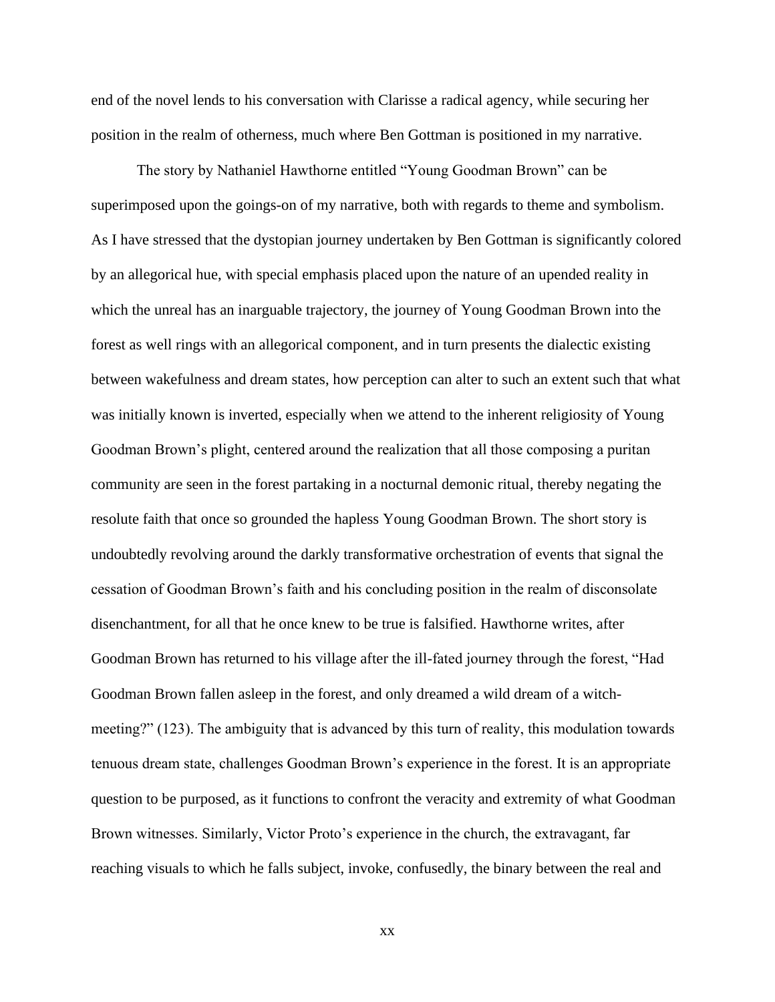end of the novel lends to his conversation with Clarisse a radical agency, while securing her position in the realm of otherness, much where Ben Gottman is positioned in my narrative.

The story by Nathaniel Hawthorne entitled "Young Goodman Brown" can be superimposed upon the goings-on of my narrative, both with regards to theme and symbolism. As I have stressed that the dystopian journey undertaken by Ben Gottman is significantly colored by an allegorical hue, with special emphasis placed upon the nature of an upended reality in which the unreal has an inarguable trajectory, the journey of Young Goodman Brown into the forest as well rings with an allegorical component, and in turn presents the dialectic existing between wakefulness and dream states, how perception can alter to such an extent such that what was initially known is inverted, especially when we attend to the inherent religiosity of Young Goodman Brown's plight, centered around the realization that all those composing a puritan community are seen in the forest partaking in a nocturnal demonic ritual, thereby negating the resolute faith that once so grounded the hapless Young Goodman Brown. The short story is undoubtedly revolving around the darkly transformative orchestration of events that signal the cessation of Goodman Brown's faith and his concluding position in the realm of disconsolate disenchantment, for all that he once knew to be true is falsified. Hawthorne writes, after Goodman Brown has returned to his village after the ill-fated journey through the forest, "Had Goodman Brown fallen asleep in the forest, and only dreamed a wild dream of a witchmeeting?" (123). The ambiguity that is advanced by this turn of reality, this modulation towards tenuous dream state, challenges Goodman Brown's experience in the forest. It is an appropriate question to be purposed, as it functions to confront the veracity and extremity of what Goodman Brown witnesses. Similarly, Victor Proto's experience in the church, the extravagant, far reaching visuals to which he falls subject, invoke, confusedly, the binary between the real and

xx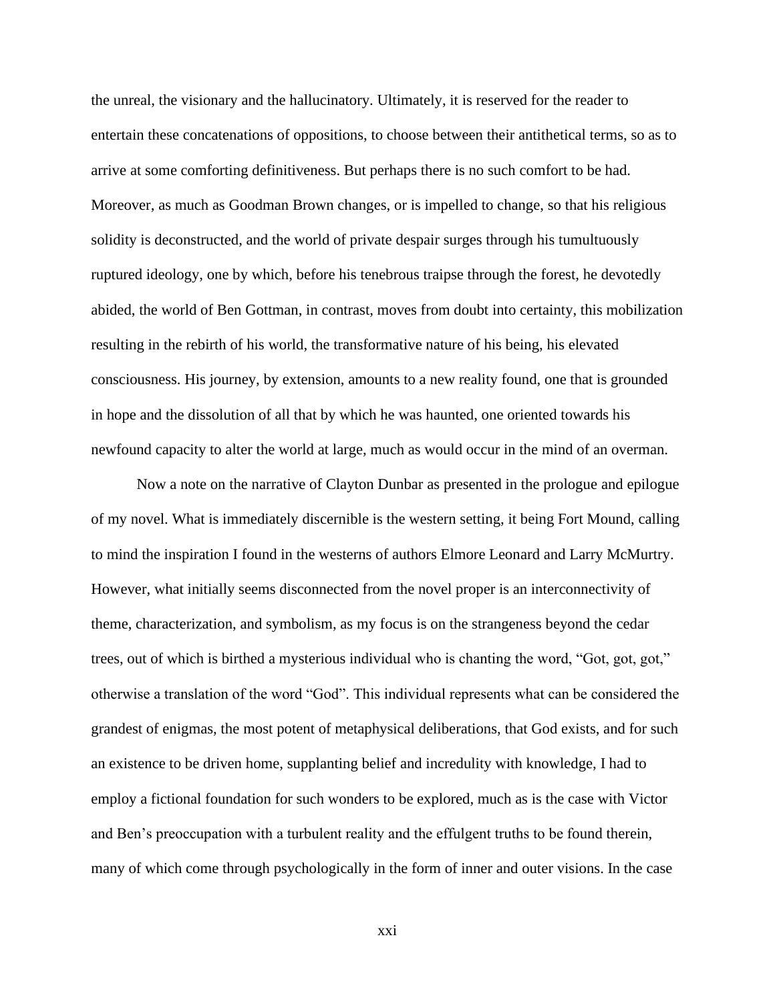the unreal, the visionary and the hallucinatory. Ultimately, it is reserved for the reader to entertain these concatenations of oppositions, to choose between their antithetical terms, so as to arrive at some comforting definitiveness. But perhaps there is no such comfort to be had. Moreover, as much as Goodman Brown changes, or is impelled to change, so that his religious solidity is deconstructed, and the world of private despair surges through his tumultuously ruptured ideology, one by which, before his tenebrous traipse through the forest, he devotedly abided, the world of Ben Gottman, in contrast, moves from doubt into certainty, this mobilization resulting in the rebirth of his world, the transformative nature of his being, his elevated consciousness. His journey, by extension, amounts to a new reality found, one that is grounded in hope and the dissolution of all that by which he was haunted, one oriented towards his newfound capacity to alter the world at large, much as would occur in the mind of an overman.

Now a note on the narrative of Clayton Dunbar as presented in the prologue and epilogue of my novel. What is immediately discernible is the western setting, it being Fort Mound, calling to mind the inspiration I found in the westerns of authors Elmore Leonard and Larry McMurtry. However, what initially seems disconnected from the novel proper is an interconnectivity of theme, characterization, and symbolism, as my focus is on the strangeness beyond the cedar trees, out of which is birthed a mysterious individual who is chanting the word, "Got, got, got," otherwise a translation of the word "God". This individual represents what can be considered the grandest of enigmas, the most potent of metaphysical deliberations, that God exists, and for such an existence to be driven home, supplanting belief and incredulity with knowledge, I had to employ a fictional foundation for such wonders to be explored, much as is the case with Victor and Ben's preoccupation with a turbulent reality and the effulgent truths to be found therein, many of which come through psychologically in the form of inner and outer visions. In the case

xxi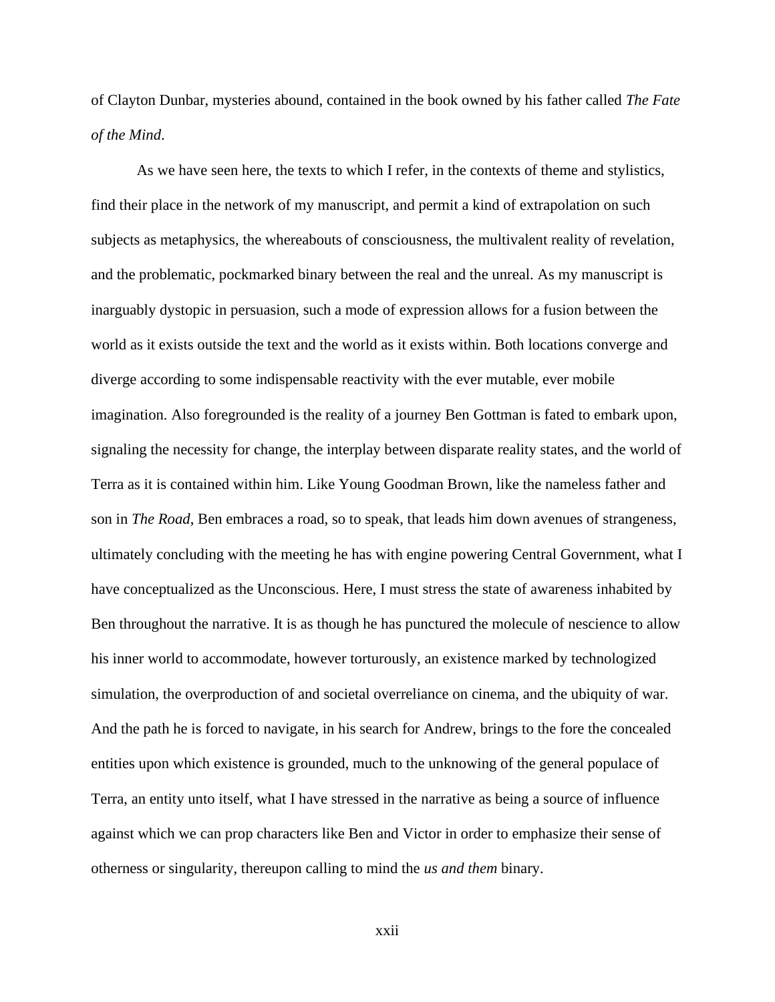of Clayton Dunbar, mysteries abound, contained in the book owned by his father called *The Fate of the Mind*.

As we have seen here, the texts to which I refer, in the contexts of theme and stylistics, find their place in the network of my manuscript, and permit a kind of extrapolation on such subjects as metaphysics, the whereabouts of consciousness, the multivalent reality of revelation, and the problematic, pockmarked binary between the real and the unreal. As my manuscript is inarguably dystopic in persuasion, such a mode of expression allows for a fusion between the world as it exists outside the text and the world as it exists within. Both locations converge and diverge according to some indispensable reactivity with the ever mutable, ever mobile imagination. Also foregrounded is the reality of a journey Ben Gottman is fated to embark upon, signaling the necessity for change, the interplay between disparate reality states, and the world of Terra as it is contained within him. Like Young Goodman Brown, like the nameless father and son in *The Road*, Ben embraces a road, so to speak, that leads him down avenues of strangeness, ultimately concluding with the meeting he has with engine powering Central Government, what I have conceptualized as the Unconscious. Here, I must stress the state of awareness inhabited by Ben throughout the narrative. It is as though he has punctured the molecule of nescience to allow his inner world to accommodate, however torturously, an existence marked by technologized simulation, the overproduction of and societal overreliance on cinema, and the ubiquity of war. And the path he is forced to navigate, in his search for Andrew, brings to the fore the concealed entities upon which existence is grounded, much to the unknowing of the general populace of Terra, an entity unto itself, what I have stressed in the narrative as being a source of influence against which we can prop characters like Ben and Victor in order to emphasize their sense of otherness or singularity, thereupon calling to mind the *us and them* binary.

xxii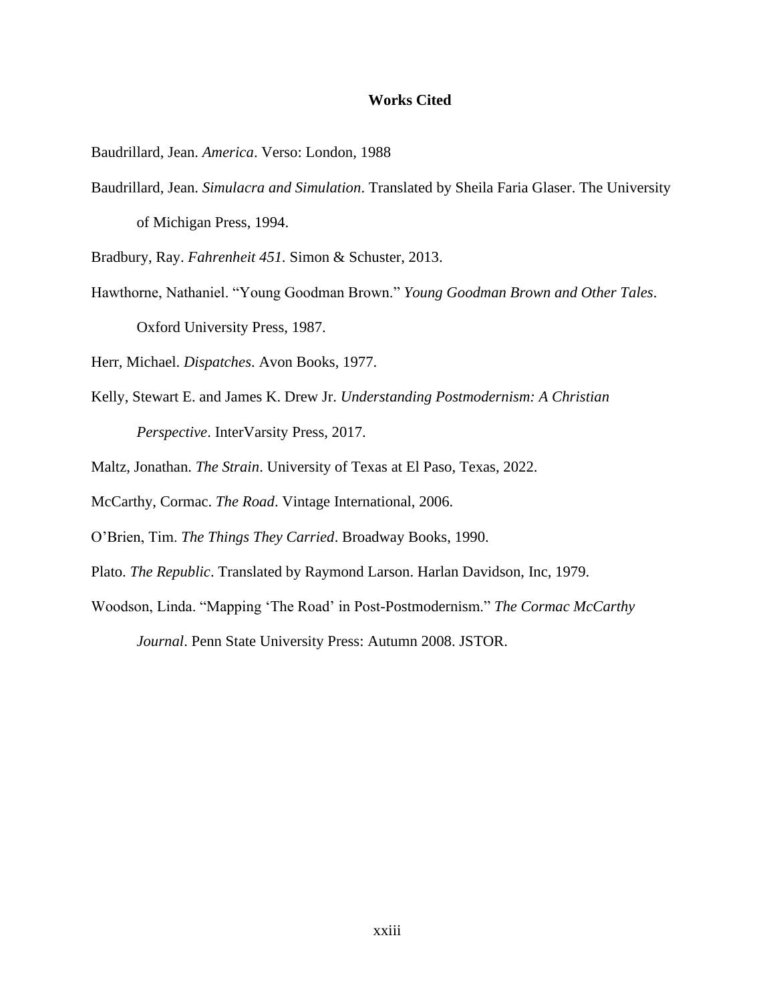#### **Works Cited**

Baudrillard, Jean. *America*. Verso: London, 1988

Baudrillard, Jean. *Simulacra and Simulation*. Translated by Sheila Faria Glaser. The University of Michigan Press, 1994.

Bradbury, Ray. *Fahrenheit 451.* Simon & Schuster, 2013.

Hawthorne, Nathaniel. "Young Goodman Brown." *Young Goodman Brown and Other Tales*. Oxford University Press, 1987.

Herr, Michael. *Dispatches*. Avon Books, 1977.

- Kelly, Stewart E. and James K. Drew Jr. *Understanding Postmodernism: A Christian Perspective*. InterVarsity Press, 2017.
- Maltz, Jonathan. *The Strain*. University of Texas at El Paso, Texas, 2022.
- McCarthy, Cormac. *The Road*. Vintage International, 2006.
- O'Brien, Tim. *The Things They Carried*. Broadway Books, 1990.
- Plato. *The Republic*. Translated by Raymond Larson. Harlan Davidson, Inc, 1979.
- Woodson, Linda. "Mapping 'The Road' in Post-Postmodernism." *The Cormac McCarthy Journal*. Penn State University Press: Autumn 2008. JSTOR.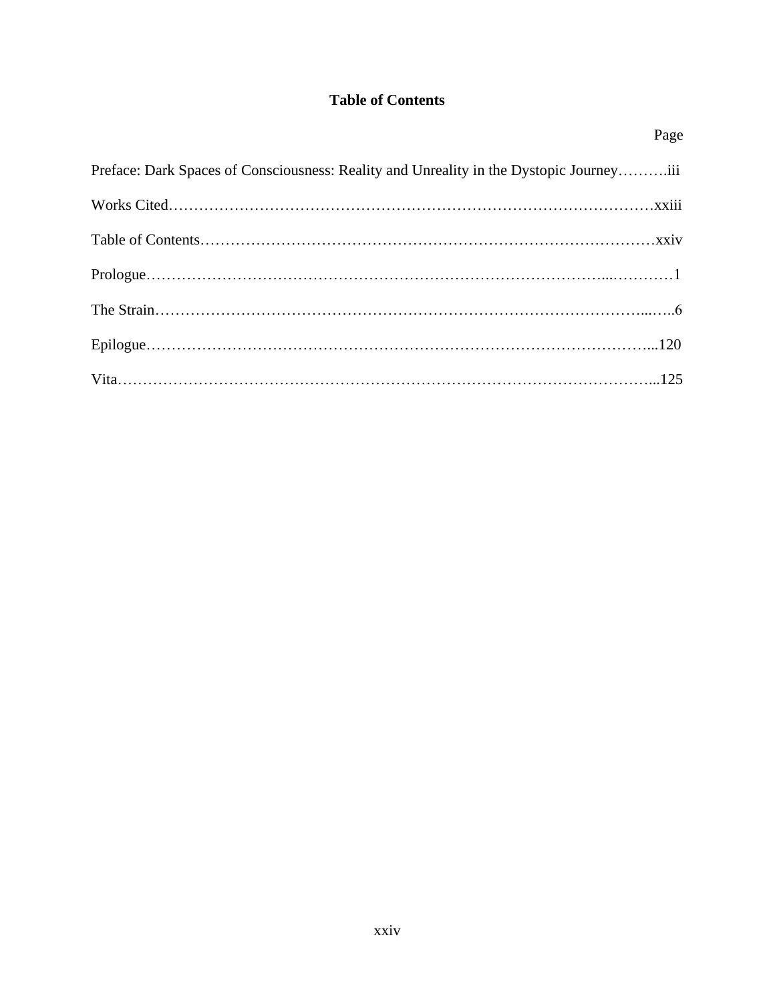# **Table of Contents**

| Page                                                                                    |
|-----------------------------------------------------------------------------------------|
| Preface: Dark Spaces of Consciousness: Reality and Unreality in the Dystopic Journeyiii |
|                                                                                         |
|                                                                                         |
|                                                                                         |
|                                                                                         |
|                                                                                         |
|                                                                                         |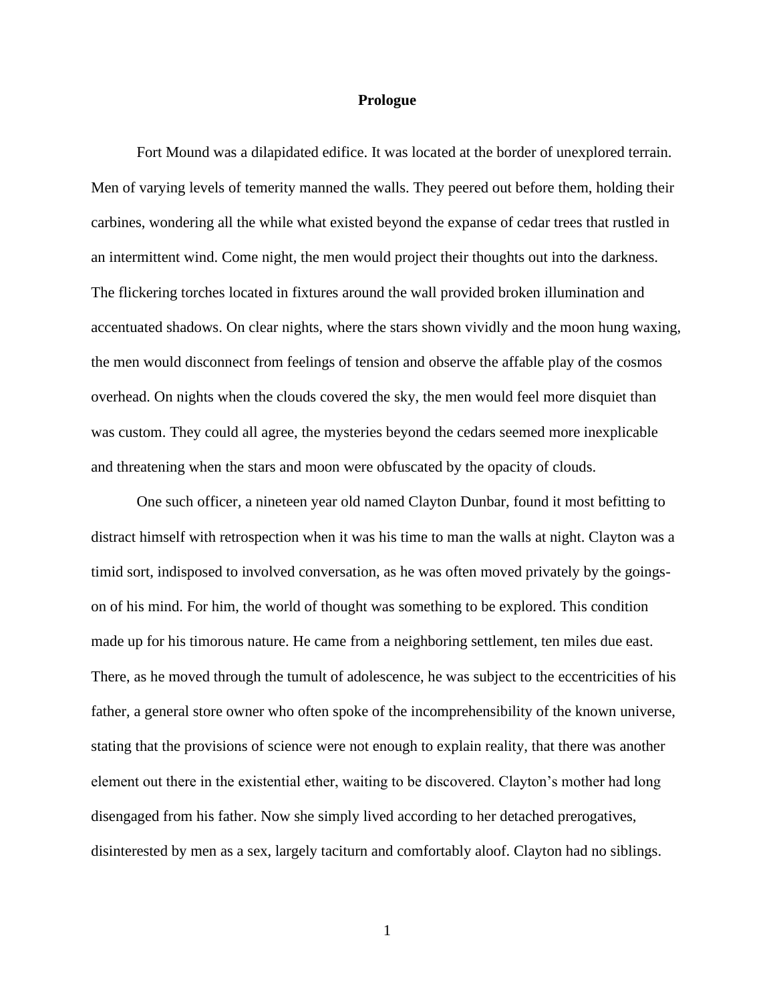#### **Prologue**

Fort Mound was a dilapidated edifice. It was located at the border of unexplored terrain. Men of varying levels of temerity manned the walls. They peered out before them, holding their carbines, wondering all the while what existed beyond the expanse of cedar trees that rustled in an intermittent wind. Come night, the men would project their thoughts out into the darkness. The flickering torches located in fixtures around the wall provided broken illumination and accentuated shadows. On clear nights, where the stars shown vividly and the moon hung waxing, the men would disconnect from feelings of tension and observe the affable play of the cosmos overhead. On nights when the clouds covered the sky, the men would feel more disquiet than was custom. They could all agree, the mysteries beyond the cedars seemed more inexplicable and threatening when the stars and moon were obfuscated by the opacity of clouds.

One such officer, a nineteen year old named Clayton Dunbar, found it most befitting to distract himself with retrospection when it was his time to man the walls at night. Clayton was a timid sort, indisposed to involved conversation, as he was often moved privately by the goingson of his mind. For him, the world of thought was something to be explored. This condition made up for his timorous nature. He came from a neighboring settlement, ten miles due east. There, as he moved through the tumult of adolescence, he was subject to the eccentricities of his father, a general store owner who often spoke of the incomprehensibility of the known universe, stating that the provisions of science were not enough to explain reality, that there was another element out there in the existential ether, waiting to be discovered. Clayton's mother had long disengaged from his father. Now she simply lived according to her detached prerogatives, disinterested by men as a sex, largely taciturn and comfortably aloof. Clayton had no siblings.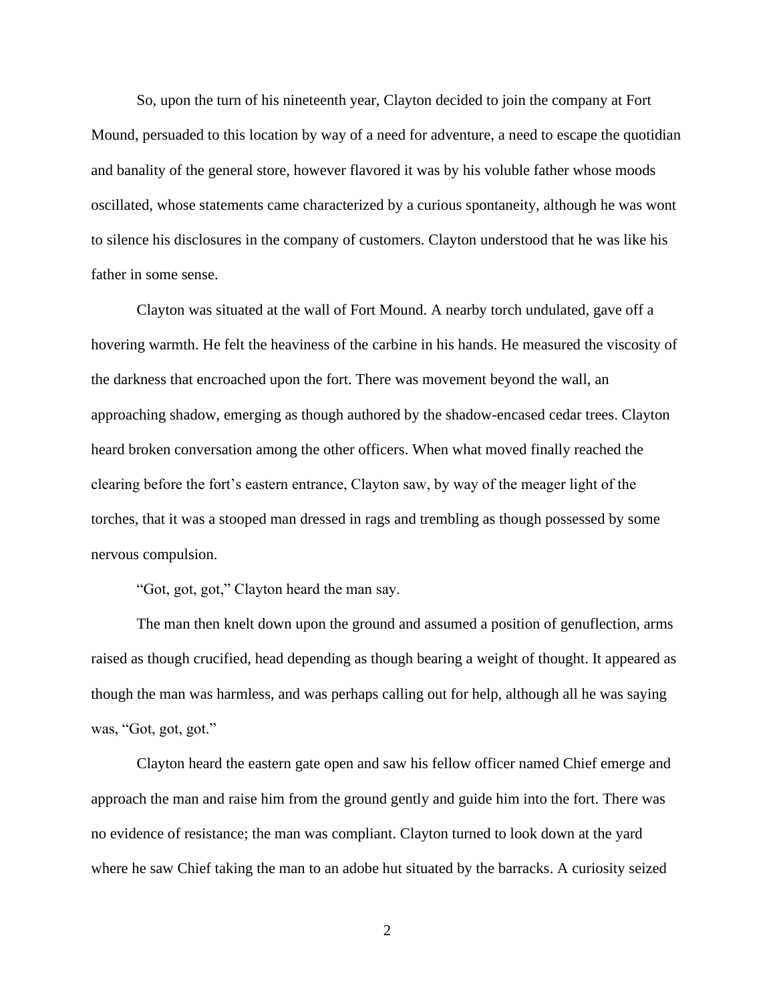So, upon the turn of his nineteenth year, Clayton decided to join the company at Fort Mound, persuaded to this location by way of a need for adventure, a need to escape the quotidian and banality of the general store, however flavored it was by his voluble father whose moods oscillated, whose statements came characterized by a curious spontaneity, although he was wont to silence his disclosures in the company of customers. Clayton understood that he was like his father in some sense.

Clayton was situated at the wall of Fort Mound. A nearby torch undulated, gave off a hovering warmth. He felt the heaviness of the carbine in his hands. He measured the viscosity of the darkness that encroached upon the fort. There was movement beyond the wall, an approaching shadow, emerging as though authored by the shadow-encased cedar trees. Clayton heard broken conversation among the other officers. When what moved finally reached the clearing before the fort's eastern entrance, Clayton saw, by way of the meager light of the torches, that it was a stooped man dressed in rags and trembling as though possessed by some nervous compulsion.

"Got, got, got," Clayton heard the man say.

The man then knelt down upon the ground and assumed a position of genuflection, arms raised as though crucified, head depending as though bearing a weight of thought. It appeared as though the man was harmless, and was perhaps calling out for help, although all he was saying was, "Got, got, got."

Clayton heard the eastern gate open and saw his fellow officer named Chief emerge and approach the man and raise him from the ground gently and guide him into the fort. There was no evidence of resistance; the man was compliant. Clayton turned to look down at the yard where he saw Chief taking the man to an adobe hut situated by the barracks. A curiosity seized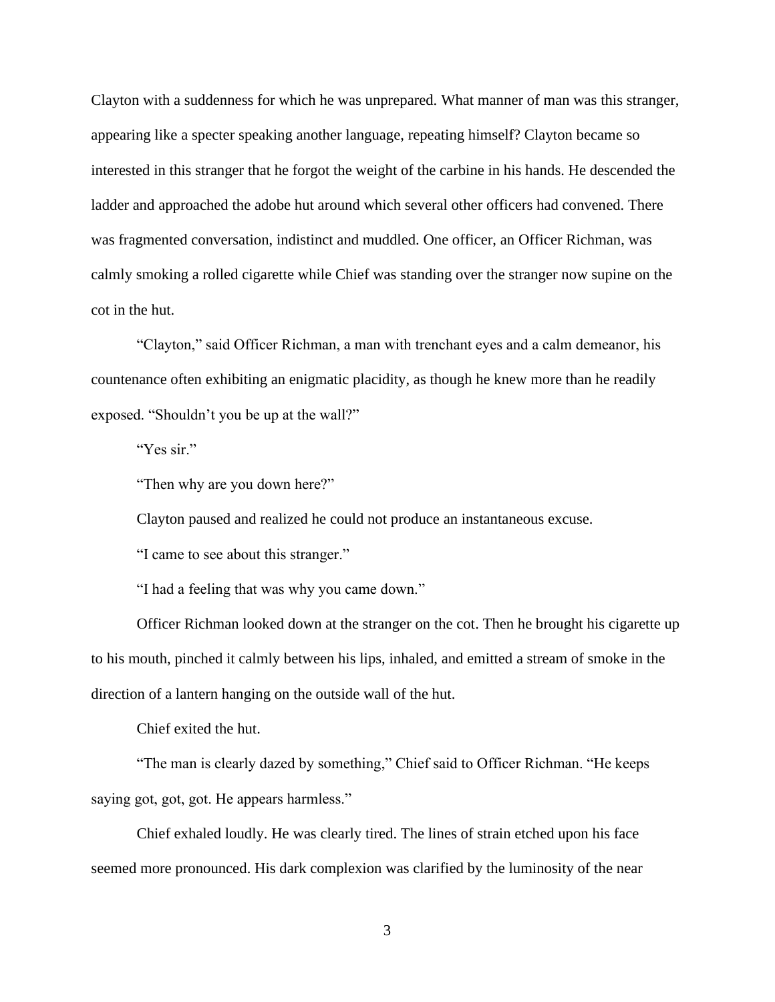Clayton with a suddenness for which he was unprepared. What manner of man was this stranger, appearing like a specter speaking another language, repeating himself? Clayton became so interested in this stranger that he forgot the weight of the carbine in his hands. He descended the ladder and approached the adobe hut around which several other officers had convened. There was fragmented conversation, indistinct and muddled. One officer, an Officer Richman, was calmly smoking a rolled cigarette while Chief was standing over the stranger now supine on the cot in the hut.

"Clayton," said Officer Richman, a man with trenchant eyes and a calm demeanor, his countenance often exhibiting an enigmatic placidity, as though he knew more than he readily exposed. "Shouldn't you be up at the wall?"

"Yes sir."

"Then why are you down here?"

Clayton paused and realized he could not produce an instantaneous excuse.

"I came to see about this stranger."

"I had a feeling that was why you came down."

Officer Richman looked down at the stranger on the cot. Then he brought his cigarette up to his mouth, pinched it calmly between his lips, inhaled, and emitted a stream of smoke in the direction of a lantern hanging on the outside wall of the hut.

Chief exited the hut.

"The man is clearly dazed by something," Chief said to Officer Richman. "He keeps saying got, got, got. He appears harmless."

Chief exhaled loudly. He was clearly tired. The lines of strain etched upon his face seemed more pronounced. His dark complexion was clarified by the luminosity of the near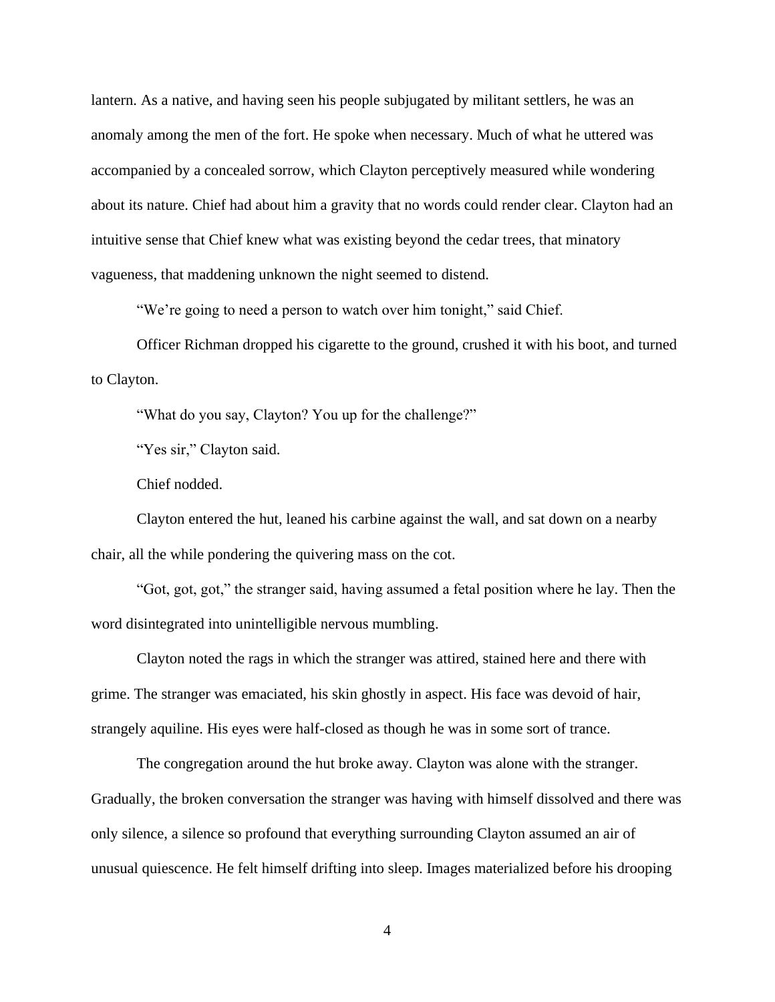lantern. As a native, and having seen his people subjugated by militant settlers, he was an anomaly among the men of the fort. He spoke when necessary. Much of what he uttered was accompanied by a concealed sorrow, which Clayton perceptively measured while wondering about its nature. Chief had about him a gravity that no words could render clear. Clayton had an intuitive sense that Chief knew what was existing beyond the cedar trees, that minatory vagueness, that maddening unknown the night seemed to distend.

"We're going to need a person to watch over him tonight," said Chief.

Officer Richman dropped his cigarette to the ground, crushed it with his boot, and turned to Clayton.

"What do you say, Clayton? You up for the challenge?"

"Yes sir," Clayton said.

Chief nodded.

Clayton entered the hut, leaned his carbine against the wall, and sat down on a nearby chair, all the while pondering the quivering mass on the cot.

"Got, got, got," the stranger said, having assumed a fetal position where he lay. Then the word disintegrated into unintelligible nervous mumbling.

Clayton noted the rags in which the stranger was attired, stained here and there with grime. The stranger was emaciated, his skin ghostly in aspect. His face was devoid of hair, strangely aquiline. His eyes were half-closed as though he was in some sort of trance.

The congregation around the hut broke away. Clayton was alone with the stranger. Gradually, the broken conversation the stranger was having with himself dissolved and there was only silence, a silence so profound that everything surrounding Clayton assumed an air of unusual quiescence. He felt himself drifting into sleep. Images materialized before his drooping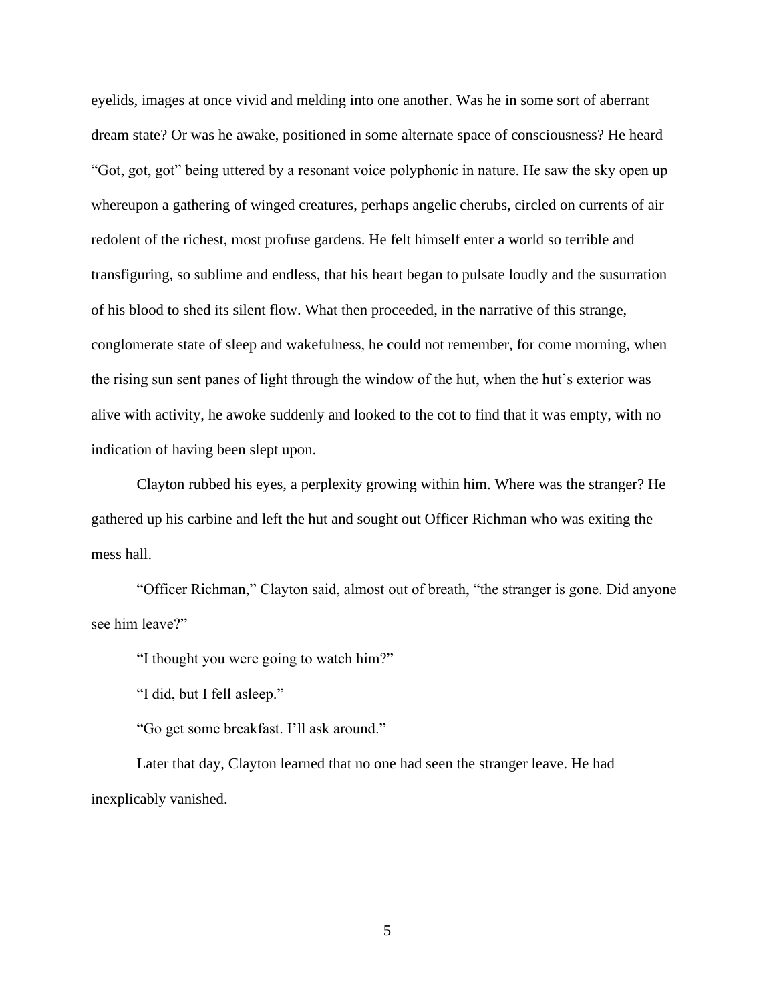eyelids, images at once vivid and melding into one another. Was he in some sort of aberrant dream state? Or was he awake, positioned in some alternate space of consciousness? He heard "Got, got, got" being uttered by a resonant voice polyphonic in nature. He saw the sky open up whereupon a gathering of winged creatures, perhaps angelic cherubs, circled on currents of air redolent of the richest, most profuse gardens. He felt himself enter a world so terrible and transfiguring, so sublime and endless, that his heart began to pulsate loudly and the susurration of his blood to shed its silent flow. What then proceeded, in the narrative of this strange, conglomerate state of sleep and wakefulness, he could not remember, for come morning, when the rising sun sent panes of light through the window of the hut, when the hut's exterior was alive with activity, he awoke suddenly and looked to the cot to find that it was empty, with no indication of having been slept upon.

Clayton rubbed his eyes, a perplexity growing within him. Where was the stranger? He gathered up his carbine and left the hut and sought out Officer Richman who was exiting the mess hall.

"Officer Richman," Clayton said, almost out of breath, "the stranger is gone. Did anyone see him leave?"

"I thought you were going to watch him?"

"I did, but I fell asleep."

"Go get some breakfast. I'll ask around."

Later that day, Clayton learned that no one had seen the stranger leave. He had inexplicably vanished.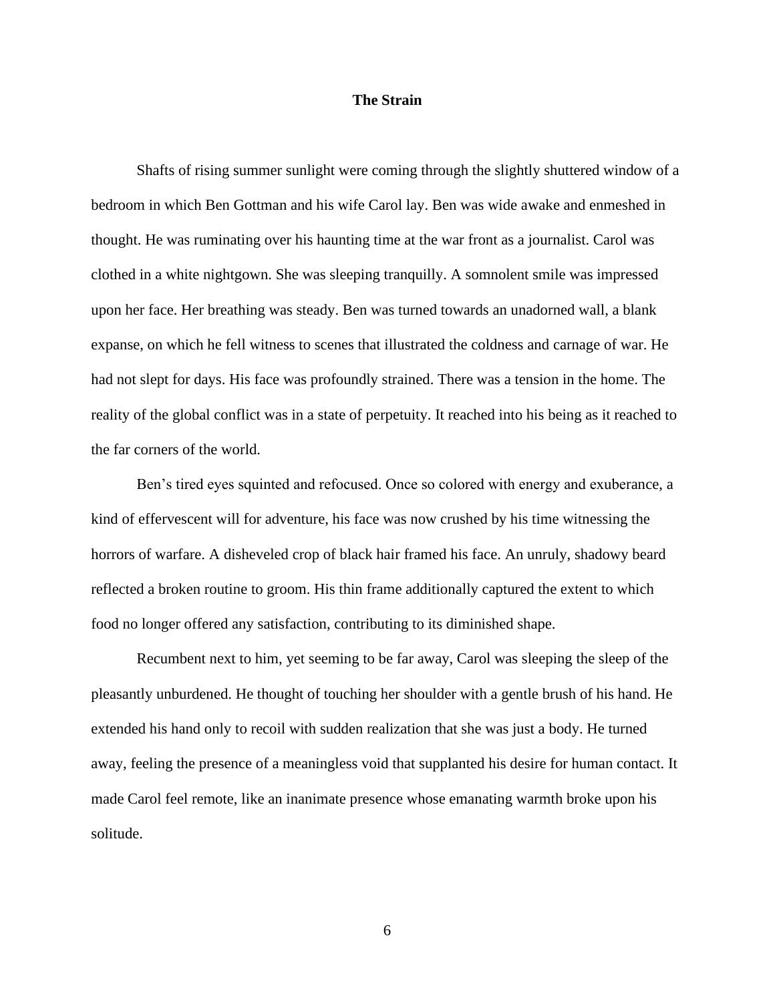#### **The Strain**

Shafts of rising summer sunlight were coming through the slightly shuttered window of a bedroom in which Ben Gottman and his wife Carol lay. Ben was wide awake and enmeshed in thought. He was ruminating over his haunting time at the war front as a journalist. Carol was clothed in a white nightgown. She was sleeping tranquilly. A somnolent smile was impressed upon her face. Her breathing was steady. Ben was turned towards an unadorned wall, a blank expanse, on which he fell witness to scenes that illustrated the coldness and carnage of war. He had not slept for days. His face was profoundly strained. There was a tension in the home. The reality of the global conflict was in a state of perpetuity. It reached into his being as it reached to the far corners of the world.

Ben's tired eyes squinted and refocused. Once so colored with energy and exuberance, a kind of effervescent will for adventure, his face was now crushed by his time witnessing the horrors of warfare. A disheveled crop of black hair framed his face. An unruly, shadowy beard reflected a broken routine to groom. His thin frame additionally captured the extent to which food no longer offered any satisfaction, contributing to its diminished shape.

Recumbent next to him, yet seeming to be far away, Carol was sleeping the sleep of the pleasantly unburdened. He thought of touching her shoulder with a gentle brush of his hand. He extended his hand only to recoil with sudden realization that she was just a body. He turned away, feeling the presence of a meaningless void that supplanted his desire for human contact. It made Carol feel remote, like an inanimate presence whose emanating warmth broke upon his solitude.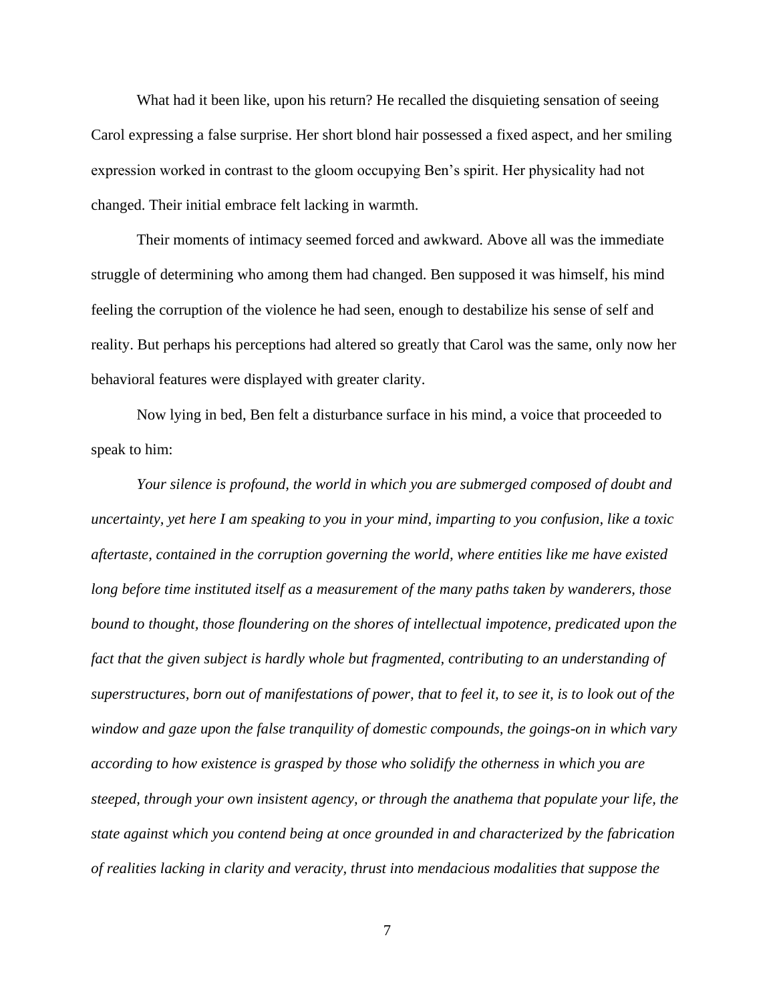What had it been like, upon his return? He recalled the disquieting sensation of seeing Carol expressing a false surprise. Her short blond hair possessed a fixed aspect, and her smiling expression worked in contrast to the gloom occupying Ben's spirit. Her physicality had not changed. Their initial embrace felt lacking in warmth.

Their moments of intimacy seemed forced and awkward. Above all was the immediate struggle of determining who among them had changed. Ben supposed it was himself, his mind feeling the corruption of the violence he had seen, enough to destabilize his sense of self and reality. But perhaps his perceptions had altered so greatly that Carol was the same, only now her behavioral features were displayed with greater clarity.

Now lying in bed, Ben felt a disturbance surface in his mind, a voice that proceeded to speak to him:

*Your silence is profound, the world in which you are submerged composed of doubt and uncertainty, yet here I am speaking to you in your mind, imparting to you confusion, like a toxic aftertaste, contained in the corruption governing the world, where entities like me have existed long before time instituted itself as a measurement of the many paths taken by wanderers, those bound to thought, those floundering on the shores of intellectual impotence, predicated upon the fact that the given subject is hardly whole but fragmented, contributing to an understanding of superstructures, born out of manifestations of power, that to feel it, to see it, is to look out of the window and gaze upon the false tranquility of domestic compounds, the goings-on in which vary according to how existence is grasped by those who solidify the otherness in which you are steeped, through your own insistent agency, or through the anathema that populate your life, the state against which you contend being at once grounded in and characterized by the fabrication of realities lacking in clarity and veracity, thrust into mendacious modalities that suppose the*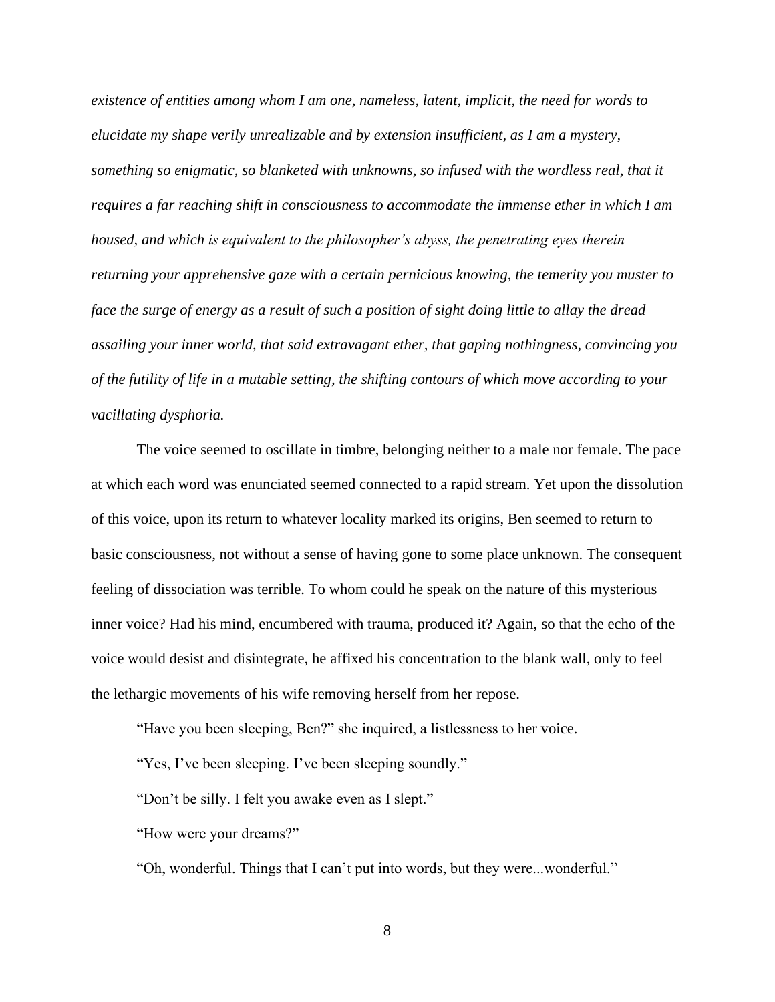*existence of entities among whom I am one, nameless, latent, implicit, the need for words to elucidate my shape verily unrealizable and by extension insufficient, as I am a mystery, something so enigmatic, so blanketed with unknowns, so infused with the wordless real, that it requires a far reaching shift in consciousness to accommodate the immense ether in which I am housed, and which is equivalent to the philosopher's abyss, the penetrating eyes therein returning your apprehensive gaze with a certain pernicious knowing, the temerity you muster to face the surge of energy as a result of such a position of sight doing little to allay the dread assailing your inner world, that said extravagant ether, that gaping nothingness, convincing you of the futility of life in a mutable setting, the shifting contours of which move according to your vacillating dysphoria.* 

The voice seemed to oscillate in timbre, belonging neither to a male nor female. The pace at which each word was enunciated seemed connected to a rapid stream. Yet upon the dissolution of this voice, upon its return to whatever locality marked its origins, Ben seemed to return to basic consciousness, not without a sense of having gone to some place unknown. The consequent feeling of dissociation was terrible. To whom could he speak on the nature of this mysterious inner voice? Had his mind, encumbered with trauma, produced it? Again, so that the echo of the voice would desist and disintegrate, he affixed his concentration to the blank wall, only to feel the lethargic movements of his wife removing herself from her repose.

"Have you been sleeping, Ben?" she inquired, a listlessness to her voice.

"Yes, I've been sleeping. I've been sleeping soundly."

"Don't be silly. I felt you awake even as I slept."

"How were your dreams?"

"Oh, wonderful. Things that I can't put into words, but they were...wonderful."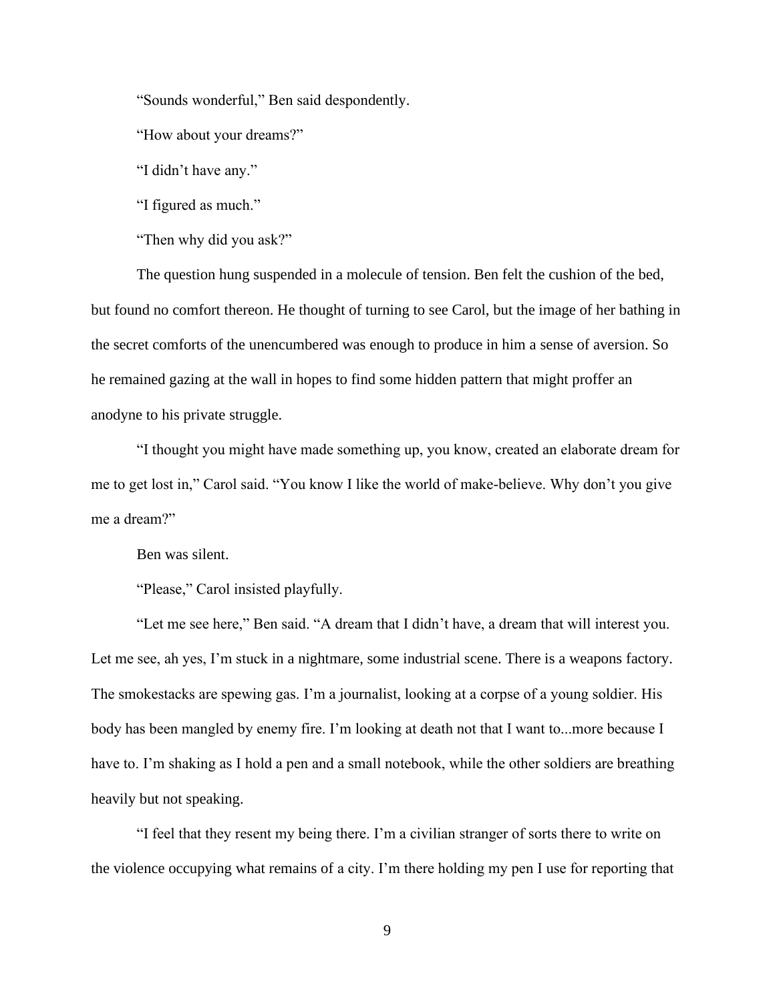"Sounds wonderful," Ben said despondently.

"How about your dreams?"

"I didn't have any."

"I figured as much."

"Then why did you ask?"

The question hung suspended in a molecule of tension. Ben felt the cushion of the bed, but found no comfort thereon. He thought of turning to see Carol, but the image of her bathing in the secret comforts of the unencumbered was enough to produce in him a sense of aversion. So he remained gazing at the wall in hopes to find some hidden pattern that might proffer an anodyne to his private struggle.

"I thought you might have made something up, you know, created an elaborate dream for me to get lost in," Carol said. "You know I like the world of make-believe. Why don't you give me a dream?"

Ben was silent.

"Please," Carol insisted playfully.

"Let me see here," Ben said. "A dream that I didn't have, a dream that will interest you. Let me see, ah yes, I'm stuck in a nightmare, some industrial scene. There is a weapons factory. The smokestacks are spewing gas. I'm a journalist, looking at a corpse of a young soldier. His body has been mangled by enemy fire. I'm looking at death not that I want to...more because I have to. I'm shaking as I hold a pen and a small notebook, while the other soldiers are breathing heavily but not speaking.

"I feel that they resent my being there. I'm a civilian stranger of sorts there to write on the violence occupying what remains of a city. I'm there holding my pen I use for reporting that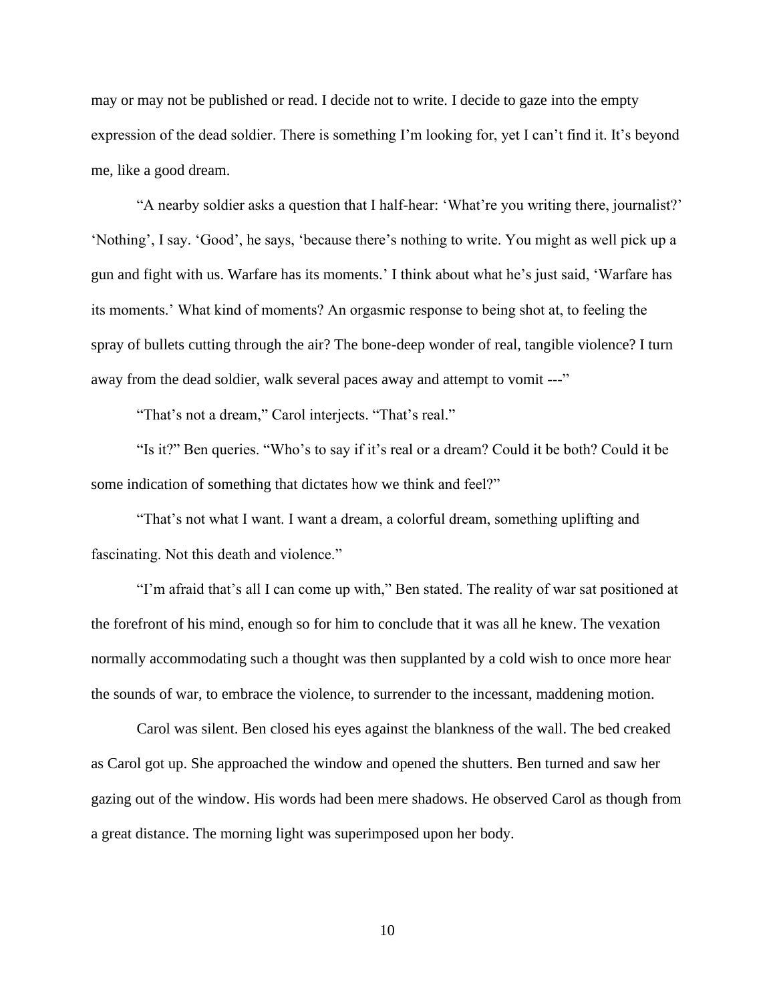may or may not be published or read. I decide not to write. I decide to gaze into the empty expression of the dead soldier. There is something I'm looking for, yet I can't find it. It's beyond me, like a good dream.

"A nearby soldier asks a question that I half-hear: 'What're you writing there, journalist?' 'Nothing', I say. 'Good', he says, 'because there's nothing to write. You might as well pick up a gun and fight with us. Warfare has its moments.' I think about what he's just said, 'Warfare has its moments.' What kind of moments? An orgasmic response to being shot at, to feeling the spray of bullets cutting through the air? The bone-deep wonder of real, tangible violence? I turn away from the dead soldier, walk several paces away and attempt to vomit ---"

"That's not a dream," Carol interjects. "That's real."

"Is it?" Ben queries. "Who's to say if it's real or a dream? Could it be both? Could it be some indication of something that dictates how we think and feel?"

"That's not what I want. I want a dream, a colorful dream, something uplifting and fascinating. Not this death and violence."

"I'm afraid that's all I can come up with," Ben stated. The reality of war sat positioned at the forefront of his mind, enough so for him to conclude that it was all he knew. The vexation normally accommodating such a thought was then supplanted by a cold wish to once more hear the sounds of war, to embrace the violence, to surrender to the incessant, maddening motion.

Carol was silent. Ben closed his eyes against the blankness of the wall. The bed creaked as Carol got up. She approached the window and opened the shutters. Ben turned and saw her gazing out of the window. His words had been mere shadows. He observed Carol as though from a great distance. The morning light was superimposed upon her body.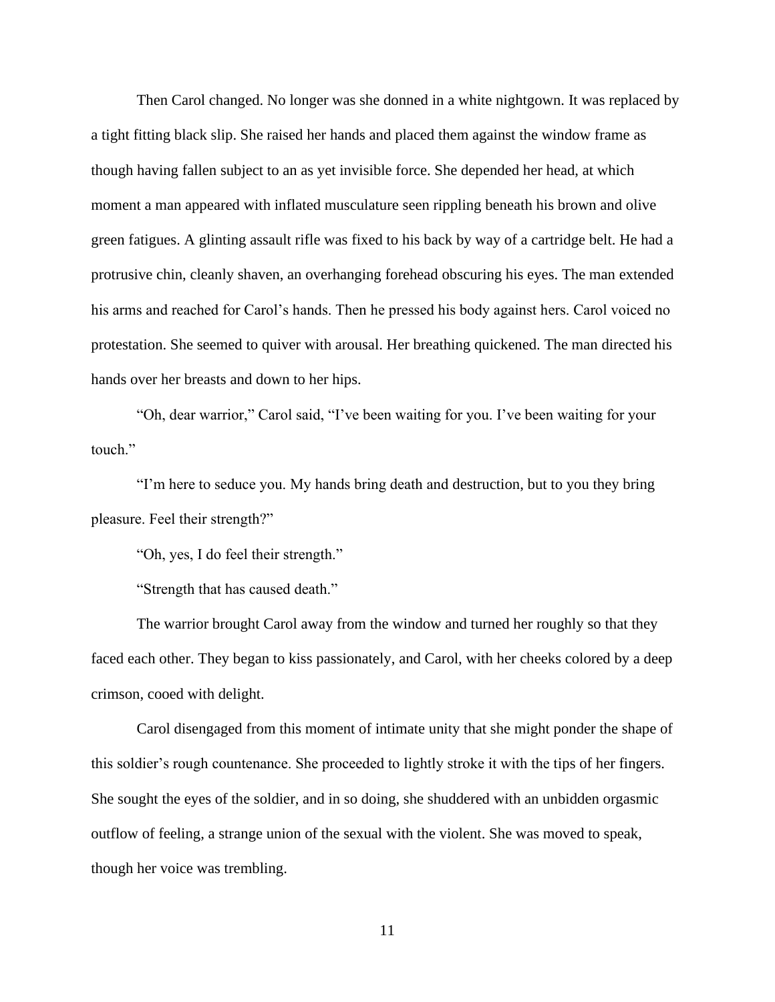Then Carol changed. No longer was she donned in a white nightgown. It was replaced by a tight fitting black slip. She raised her hands and placed them against the window frame as though having fallen subject to an as yet invisible force. She depended her head, at which moment a man appeared with inflated musculature seen rippling beneath his brown and olive green fatigues. A glinting assault rifle was fixed to his back by way of a cartridge belt. He had a protrusive chin, cleanly shaven, an overhanging forehead obscuring his eyes. The man extended his arms and reached for Carol's hands. Then he pressed his body against hers. Carol voiced no protestation. She seemed to quiver with arousal. Her breathing quickened. The man directed his hands over her breasts and down to her hips.

"Oh, dear warrior," Carol said, "I've been waiting for you. I've been waiting for your touch."

"I'm here to seduce you. My hands bring death and destruction, but to you they bring pleasure. Feel their strength?"

"Oh, yes, I do feel their strength."

"Strength that has caused death."

The warrior brought Carol away from the window and turned her roughly so that they faced each other. They began to kiss passionately, and Carol, with her cheeks colored by a deep crimson, cooed with delight.

Carol disengaged from this moment of intimate unity that she might ponder the shape of this soldier's rough countenance. She proceeded to lightly stroke it with the tips of her fingers. She sought the eyes of the soldier, and in so doing, she shuddered with an unbidden orgasmic outflow of feeling, a strange union of the sexual with the violent. She was moved to speak, though her voice was trembling.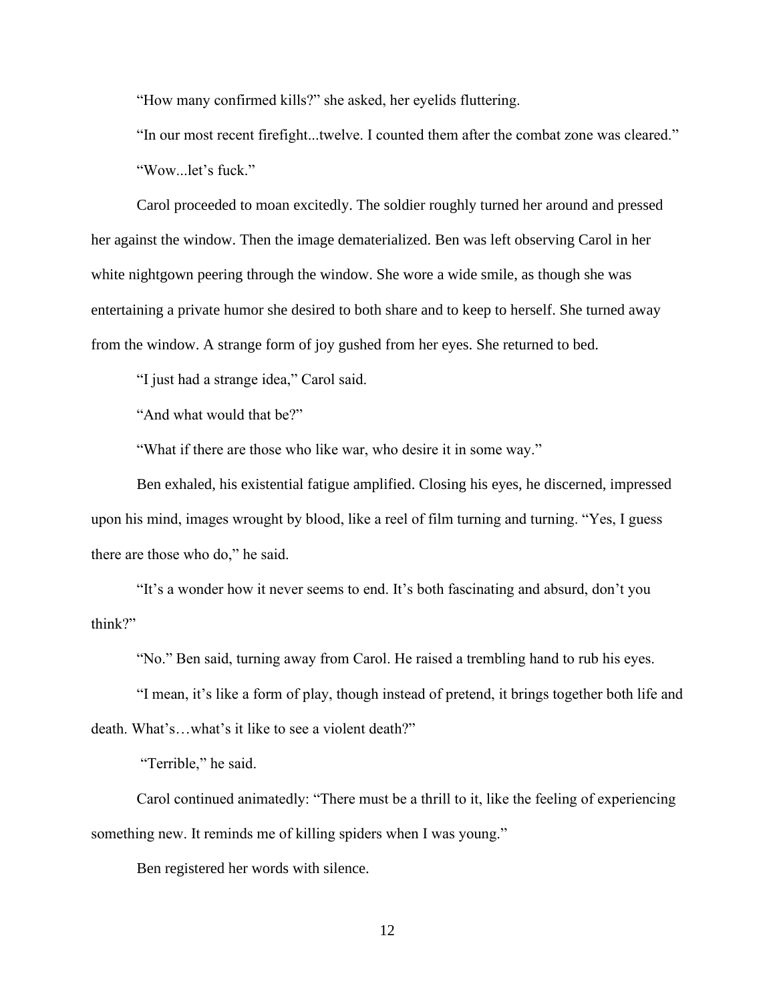"How many confirmed kills?" she asked, her eyelids fluttering.

"In our most recent firefight...twelve. I counted them after the combat zone was cleared." "Wow...let's fuck."

Carol proceeded to moan excitedly. The soldier roughly turned her around and pressed her against the window. Then the image dematerialized. Ben was left observing Carol in her white nightgown peering through the window. She wore a wide smile, as though she was entertaining a private humor she desired to both share and to keep to herself. She turned away from the window. A strange form of joy gushed from her eyes. She returned to bed.

"I just had a strange idea," Carol said.

"And what would that be?"

"What if there are those who like war, who desire it in some way."

Ben exhaled, his existential fatigue amplified. Closing his eyes, he discerned, impressed upon his mind, images wrought by blood, like a reel of film turning and turning. "Yes, I guess there are those who do," he said.

"It's a wonder how it never seems to end. It's both fascinating and absurd, don't you think?"

"No." Ben said, turning away from Carol. He raised a trembling hand to rub his eyes.

"I mean, it's like a form of play, though instead of pretend, it brings together both life and death. What's…what's it like to see a violent death?"

"Terrible," he said.

Carol continued animatedly: "There must be a thrill to it, like the feeling of experiencing something new. It reminds me of killing spiders when I was young."

Ben registered her words with silence.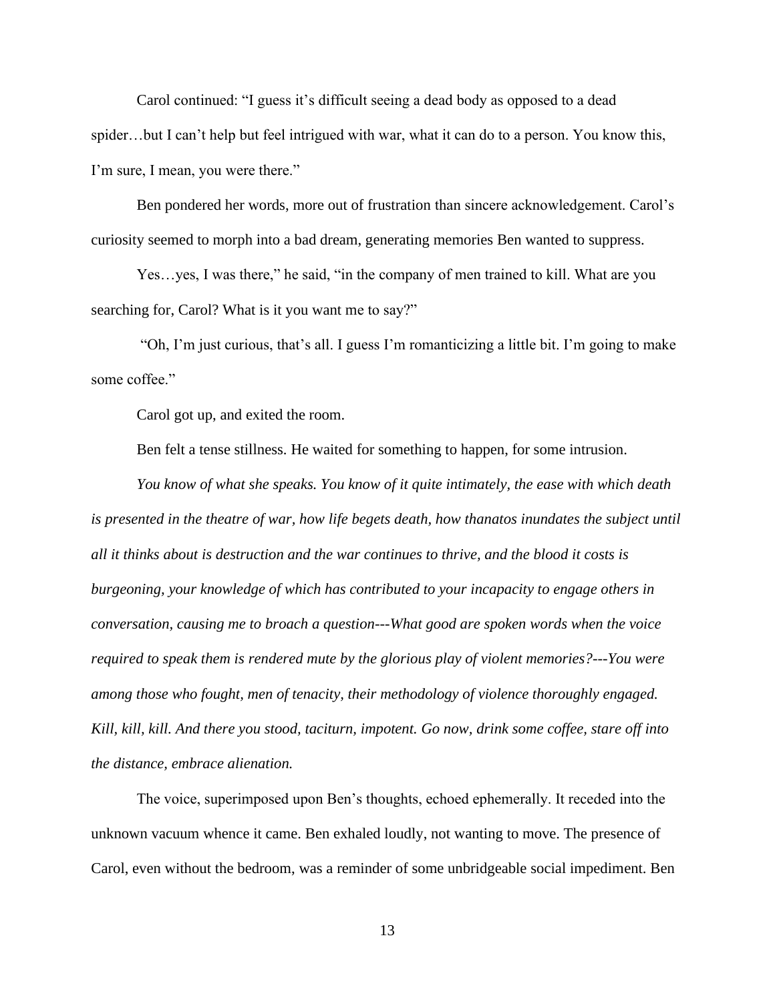Carol continued: "I guess it's difficult seeing a dead body as opposed to a dead spider…but I can't help but feel intrigued with war, what it can do to a person. You know this, I'm sure, I mean, you were there."

Ben pondered her words, more out of frustration than sincere acknowledgement. Carol's curiosity seemed to morph into a bad dream, generating memories Ben wanted to suppress.

Yes…yes, I was there," he said, "in the company of men trained to kill. What are you searching for, Carol? What is it you want me to say?"

"Oh, I'm just curious, that's all. I guess I'm romanticizing a little bit. I'm going to make some coffee."

Carol got up, and exited the room.

Ben felt a tense stillness. He waited for something to happen, for some intrusion.

*You know of what she speaks. You know of it quite intimately, the ease with which death is presented in the theatre of war, how life begets death, how thanatos inundates the subject until all it thinks about is destruction and the war continues to thrive, and the blood it costs is burgeoning, your knowledge of which has contributed to your incapacity to engage others in conversation, causing me to broach a question---What good are spoken words when the voice required to speak them is rendered mute by the glorious play of violent memories?---You were among those who fought, men of tenacity, their methodology of violence thoroughly engaged. Kill, kill, kill. And there you stood, taciturn, impotent. Go now, drink some coffee, stare off into the distance, embrace alienation.* 

The voice, superimposed upon Ben's thoughts, echoed ephemerally. It receded into the unknown vacuum whence it came. Ben exhaled loudly, not wanting to move. The presence of Carol, even without the bedroom, was a reminder of some unbridgeable social impediment. Ben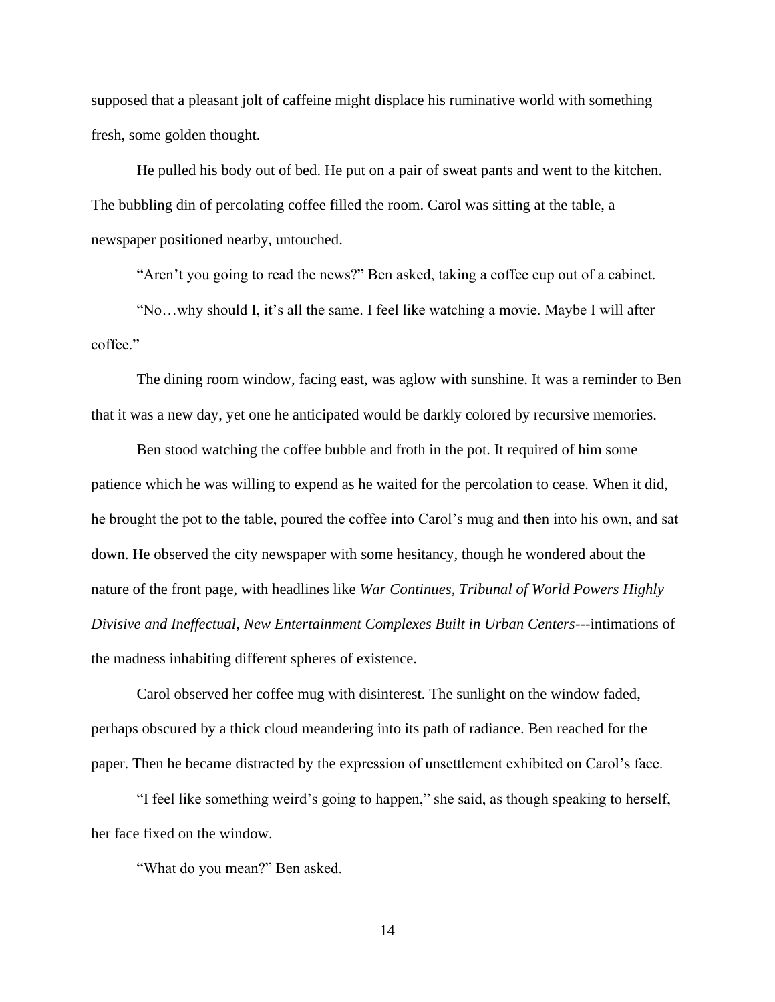supposed that a pleasant jolt of caffeine might displace his ruminative world with something fresh, some golden thought.

He pulled his body out of bed. He put on a pair of sweat pants and went to the kitchen. The bubbling din of percolating coffee filled the room. Carol was sitting at the table, a newspaper positioned nearby, untouched.

"Aren't you going to read the news?" Ben asked, taking a coffee cup out of a cabinet.

"No…why should I, it's all the same. I feel like watching a movie. Maybe I will after coffee."

The dining room window, facing east, was aglow with sunshine. It was a reminder to Ben that it was a new day, yet one he anticipated would be darkly colored by recursive memories.

Ben stood watching the coffee bubble and froth in the pot. It required of him some patience which he was willing to expend as he waited for the percolation to cease. When it did, he brought the pot to the table, poured the coffee into Carol's mug and then into his own, and sat down. He observed the city newspaper with some hesitancy, though he wondered about the nature of the front page, with headlines like *War Continues*, *Tribunal of World Powers Highly Divisive and Ineffectual*, *New Entertainment Complexes Built in Urban Centers*---intimations of the madness inhabiting different spheres of existence.

Carol observed her coffee mug with disinterest. The sunlight on the window faded, perhaps obscured by a thick cloud meandering into its path of radiance. Ben reached for the paper. Then he became distracted by the expression of unsettlement exhibited on Carol's face.

"I feel like something weird's going to happen," she said, as though speaking to herself, her face fixed on the window.

"What do you mean?" Ben asked.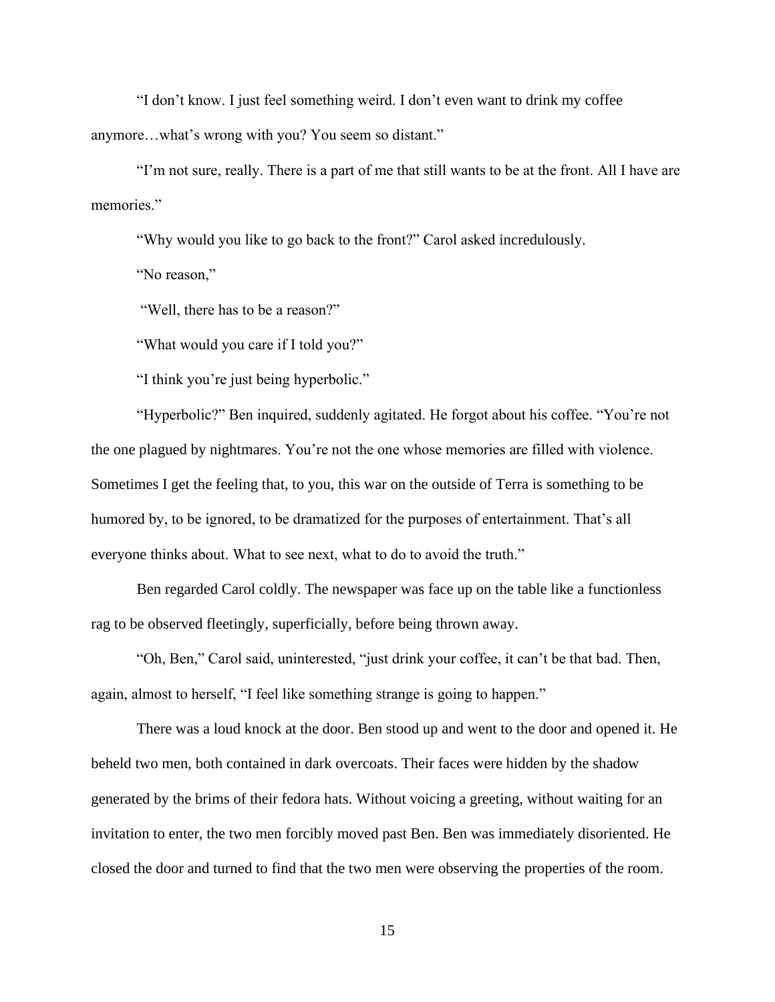"I don't know. I just feel something weird. I don't even want to drink my coffee anymore…what's wrong with you? You seem so distant."

"I'm not sure, really. There is a part of me that still wants to be at the front. All I have are memories."

"Why would you like to go back to the front?" Carol asked incredulously.

"No reason,"

"Well, there has to be a reason?"

"What would you care if I told you?"

"I think you're just being hyperbolic."

"Hyperbolic?" Ben inquired, suddenly agitated. He forgot about his coffee. "You're not the one plagued by nightmares. You're not the one whose memories are filled with violence. Sometimes I get the feeling that, to you, this war on the outside of Terra is something to be humored by, to be ignored, to be dramatized for the purposes of entertainment. That's all everyone thinks about. What to see next, what to do to avoid the truth."

Ben regarded Carol coldly. The newspaper was face up on the table like a functionless rag to be observed fleetingly, superficially, before being thrown away.

"Oh, Ben," Carol said, uninterested, "just drink your coffee, it can't be that bad. Then, again, almost to herself, "I feel like something strange is going to happen."

There was a loud knock at the door. Ben stood up and went to the door and opened it. He beheld two men, both contained in dark overcoats. Their faces were hidden by the shadow generated by the brims of their fedora hats. Without voicing a greeting, without waiting for an invitation to enter, the two men forcibly moved past Ben. Ben was immediately disoriented. He closed the door and turned to find that the two men were observing the properties of the room.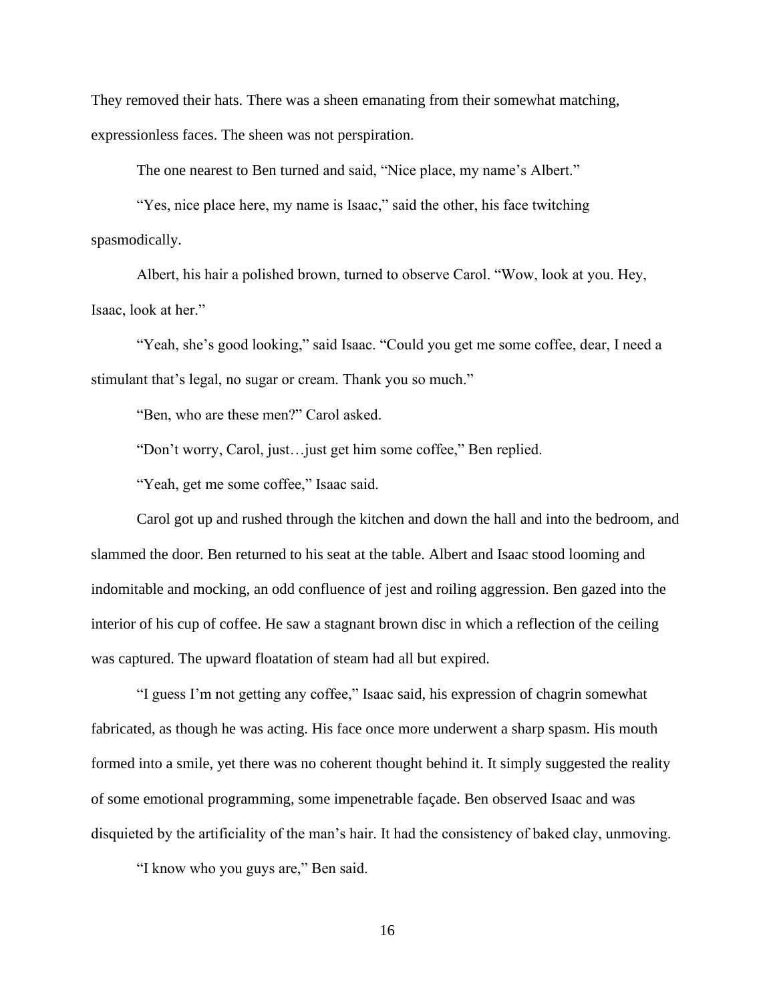They removed their hats. There was a sheen emanating from their somewhat matching, expressionless faces. The sheen was not perspiration.

The one nearest to Ben turned and said, "Nice place, my name's Albert."

"Yes, nice place here, my name is Isaac," said the other, his face twitching spasmodically.

Albert, his hair a polished brown, turned to observe Carol. "Wow, look at you. Hey, Isaac, look at her."

"Yeah, she's good looking," said Isaac. "Could you get me some coffee, dear, I need a stimulant that's legal, no sugar or cream. Thank you so much."

"Ben, who are these men?" Carol asked.

"Don't worry, Carol, just…just get him some coffee," Ben replied.

"Yeah, get me some coffee," Isaac said.

Carol got up and rushed through the kitchen and down the hall and into the bedroom, and slammed the door. Ben returned to his seat at the table. Albert and Isaac stood looming and indomitable and mocking, an odd confluence of jest and roiling aggression. Ben gazed into the interior of his cup of coffee. He saw a stagnant brown disc in which a reflection of the ceiling was captured. The upward floatation of steam had all but expired.

"I guess I'm not getting any coffee," Isaac said, his expression of chagrin somewhat fabricated, as though he was acting. His face once more underwent a sharp spasm. His mouth formed into a smile, yet there was no coherent thought behind it. It simply suggested the reality of some emotional programming, some impenetrable façade. Ben observed Isaac and was disquieted by the artificiality of the man's hair. It had the consistency of baked clay, unmoving.

"I know who you guys are," Ben said.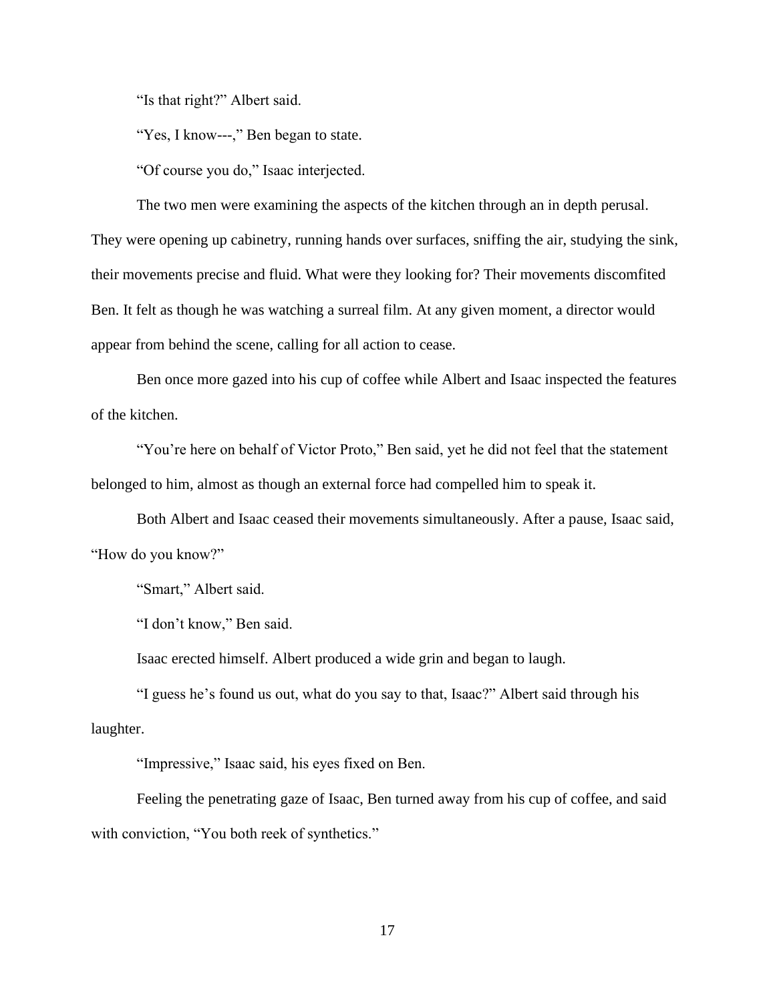"Is that right?" Albert said.

"Yes, I know---," Ben began to state.

"Of course you do," Isaac interjected.

The two men were examining the aspects of the kitchen through an in depth perusal. They were opening up cabinetry, running hands over surfaces, sniffing the air, studying the sink, their movements precise and fluid. What were they looking for? Their movements discomfited Ben. It felt as though he was watching a surreal film. At any given moment, a director would appear from behind the scene, calling for all action to cease.

Ben once more gazed into his cup of coffee while Albert and Isaac inspected the features of the kitchen.

"You're here on behalf of Victor Proto," Ben said, yet he did not feel that the statement belonged to him, almost as though an external force had compelled him to speak it.

Both Albert and Isaac ceased their movements simultaneously. After a pause, Isaac said, "How do you know?"

"Smart," Albert said.

"I don't know," Ben said.

Isaac erected himself. Albert produced a wide grin and began to laugh.

"I guess he's found us out, what do you say to that, Isaac?" Albert said through his laughter.

"Impressive," Isaac said, his eyes fixed on Ben.

Feeling the penetrating gaze of Isaac, Ben turned away from his cup of coffee, and said with conviction, "You both reek of synthetics."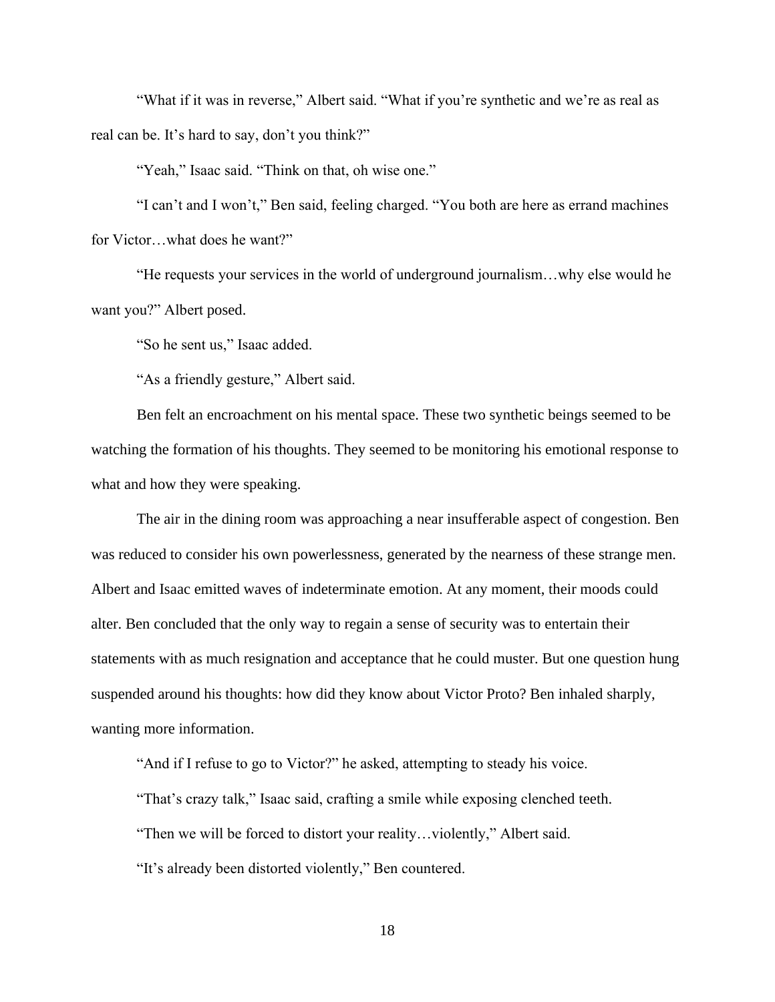"What if it was in reverse," Albert said. "What if you're synthetic and we're as real as real can be. It's hard to say, don't you think?"

"Yeah," Isaac said. "Think on that, oh wise one."

"I can't and I won't," Ben said, feeling charged. "You both are here as errand machines for Victor…what does he want?"

"He requests your services in the world of underground journalism…why else would he want you?" Albert posed.

"So he sent us," Isaac added.

"As a friendly gesture," Albert said.

Ben felt an encroachment on his mental space. These two synthetic beings seemed to be watching the formation of his thoughts. They seemed to be monitoring his emotional response to what and how they were speaking.

The air in the dining room was approaching a near insufferable aspect of congestion. Ben was reduced to consider his own powerlessness, generated by the nearness of these strange men. Albert and Isaac emitted waves of indeterminate emotion. At any moment, their moods could alter. Ben concluded that the only way to regain a sense of security was to entertain their statements with as much resignation and acceptance that he could muster. But one question hung suspended around his thoughts: how did they know about Victor Proto? Ben inhaled sharply, wanting more information.

"And if I refuse to go to Victor?" he asked, attempting to steady his voice.

"That's crazy talk," Isaac said, crafting a smile while exposing clenched teeth.

"Then we will be forced to distort your reality…violently," Albert said.

"It's already been distorted violently," Ben countered.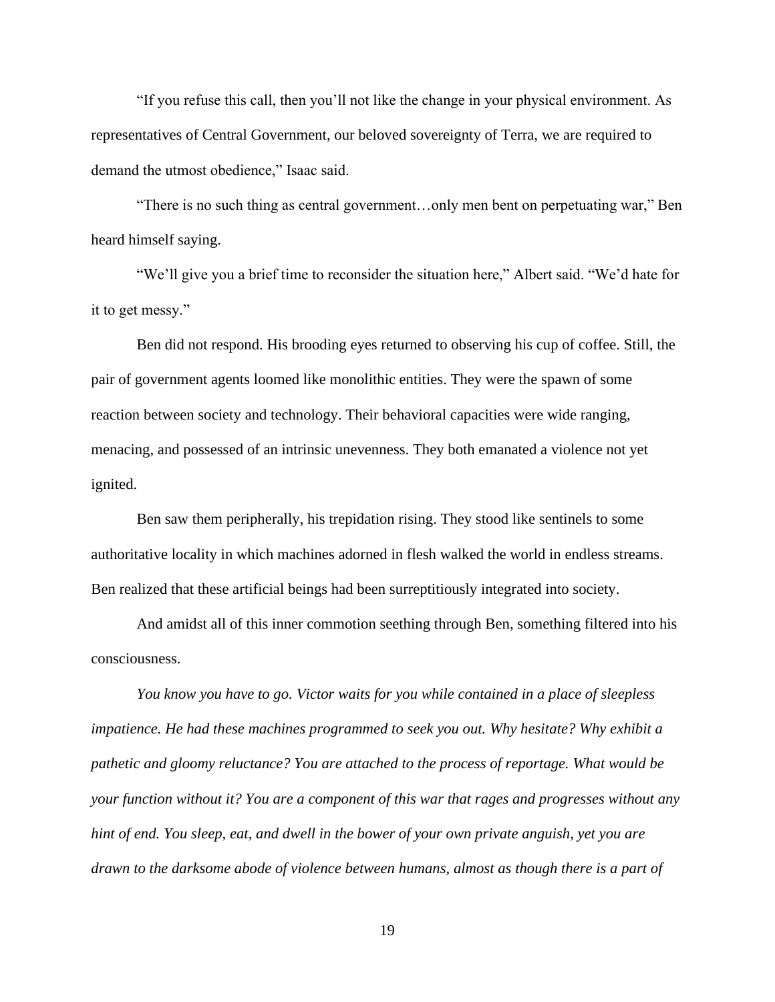"If you refuse this call, then you'll not like the change in your physical environment. As representatives of Central Government, our beloved sovereignty of Terra, we are required to demand the utmost obedience," Isaac said.

"There is no such thing as central government…only men bent on perpetuating war," Ben heard himself saying.

"We'll give you a brief time to reconsider the situation here," Albert said. "We'd hate for it to get messy."

Ben did not respond. His brooding eyes returned to observing his cup of coffee. Still, the pair of government agents loomed like monolithic entities. They were the spawn of some reaction between society and technology. Their behavioral capacities were wide ranging, menacing, and possessed of an intrinsic unevenness. They both emanated a violence not yet ignited.

Ben saw them peripherally, his trepidation rising. They stood like sentinels to some authoritative locality in which machines adorned in flesh walked the world in endless streams. Ben realized that these artificial beings had been surreptitiously integrated into society.

And amidst all of this inner commotion seething through Ben, something filtered into his consciousness.

*You know you have to go. Victor waits for you while contained in a place of sleepless impatience. He had these machines programmed to seek you out. Why hesitate? Why exhibit a pathetic and gloomy reluctance? You are attached to the process of reportage. What would be your function without it? You are a component of this war that rages and progresses without any hint of end. You sleep, eat, and dwell in the bower of your own private anguish, yet you are drawn to the darksome abode of violence between humans, almost as though there is a part of*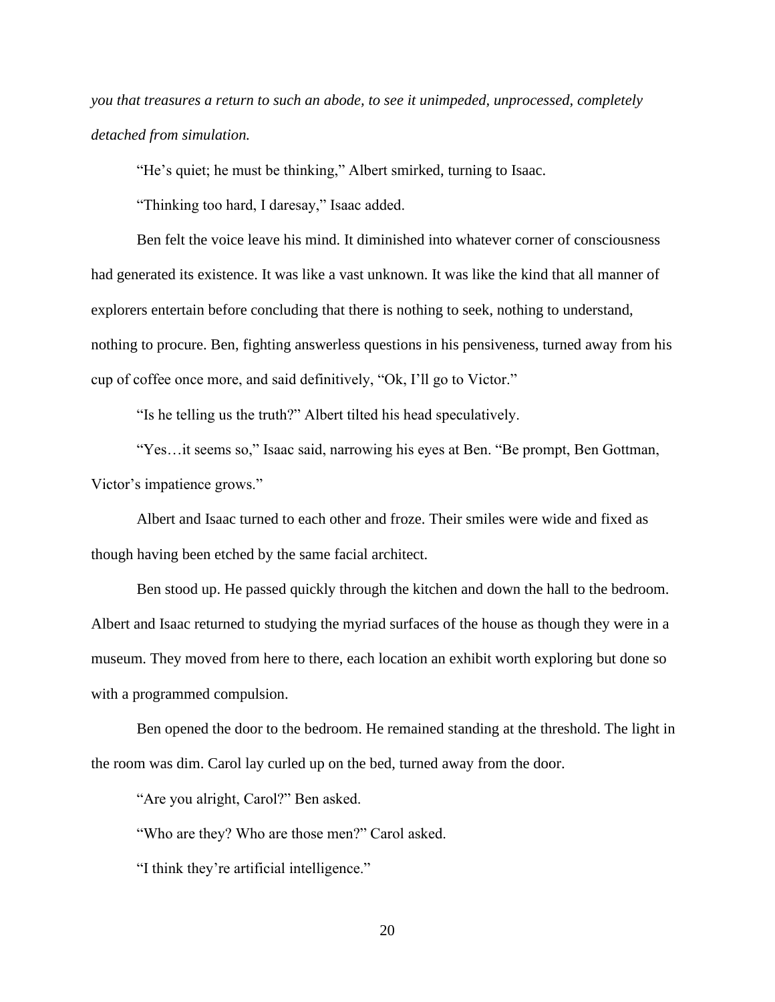*you that treasures a return to such an abode, to see it unimpeded, unprocessed, completely detached from simulation.* 

"He's quiet; he must be thinking," Albert smirked, turning to Isaac.

"Thinking too hard, I daresay," Isaac added.

Ben felt the voice leave his mind. It diminished into whatever corner of consciousness had generated its existence. It was like a vast unknown. It was like the kind that all manner of explorers entertain before concluding that there is nothing to seek, nothing to understand, nothing to procure. Ben, fighting answerless questions in his pensiveness, turned away from his cup of coffee once more, and said definitively, "Ok, I'll go to Victor."

"Is he telling us the truth?" Albert tilted his head speculatively.

"Yes…it seems so," Isaac said, narrowing his eyes at Ben. "Be prompt, Ben Gottman, Victor's impatience grows."

Albert and Isaac turned to each other and froze. Their smiles were wide and fixed as though having been etched by the same facial architect.

Ben stood up. He passed quickly through the kitchen and down the hall to the bedroom. Albert and Isaac returned to studying the myriad surfaces of the house as though they were in a museum. They moved from here to there, each location an exhibit worth exploring but done so with a programmed compulsion.

Ben opened the door to the bedroom. He remained standing at the threshold. The light in the room was dim. Carol lay curled up on the bed, turned away from the door.

"Are you alright, Carol?" Ben asked.

"Who are they? Who are those men?" Carol asked.

"I think they're artificial intelligence."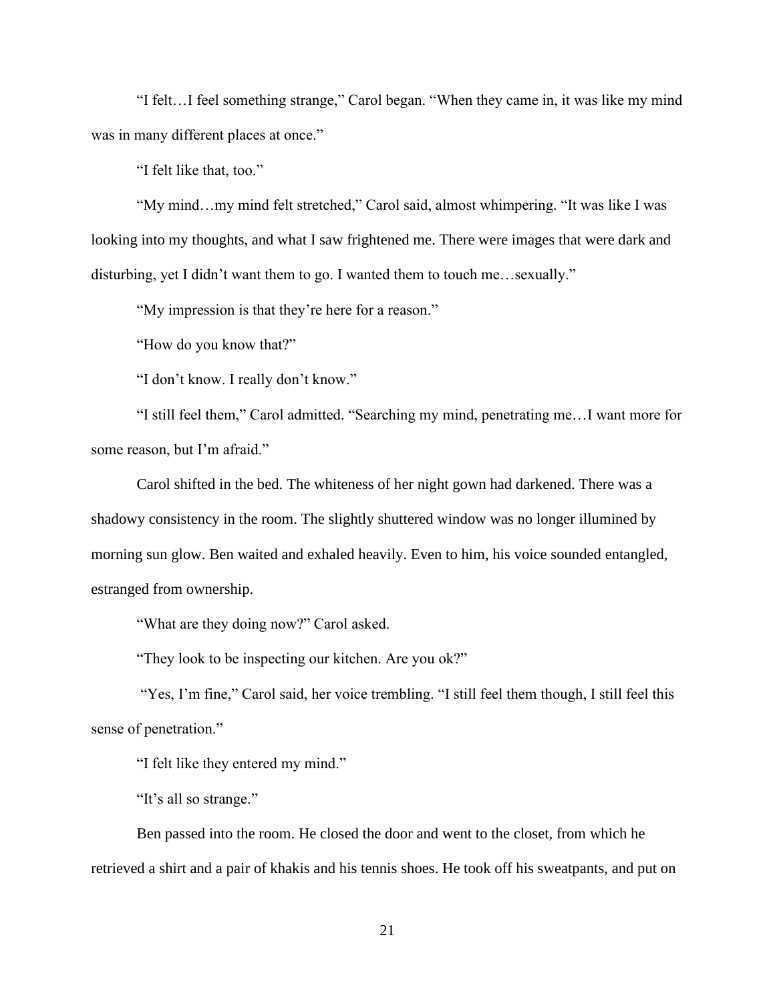"I felt…I feel something strange," Carol began. "When they came in, it was like my mind was in many different places at once."

"I felt like that, too."

"My mind…my mind felt stretched," Carol said, almost whimpering. "It was like I was looking into my thoughts, and what I saw frightened me. There were images that were dark and disturbing, yet I didn't want them to go. I wanted them to touch me…sexually."

"My impression is that they're here for a reason."

"How do you know that?"

"I don't know. I really don't know."

"I still feel them," Carol admitted. "Searching my mind, penetrating me…I want more for some reason, but I'm afraid."

Carol shifted in the bed. The whiteness of her night gown had darkened. There was a shadowy consistency in the room. The slightly shuttered window was no longer illumined by morning sun glow. Ben waited and exhaled heavily. Even to him, his voice sounded entangled, estranged from ownership.

"What are they doing now?" Carol asked.

"They look to be inspecting our kitchen. Are you ok?"

"Yes, I'm fine," Carol said, her voice trembling. "I still feel them though, I still feel this sense of penetration."

"I felt like they entered my mind."

"It's all so strange."

Ben passed into the room. He closed the door and went to the closet, from which he retrieved a shirt and a pair of khakis and his tennis shoes. He took off his sweatpants, and put on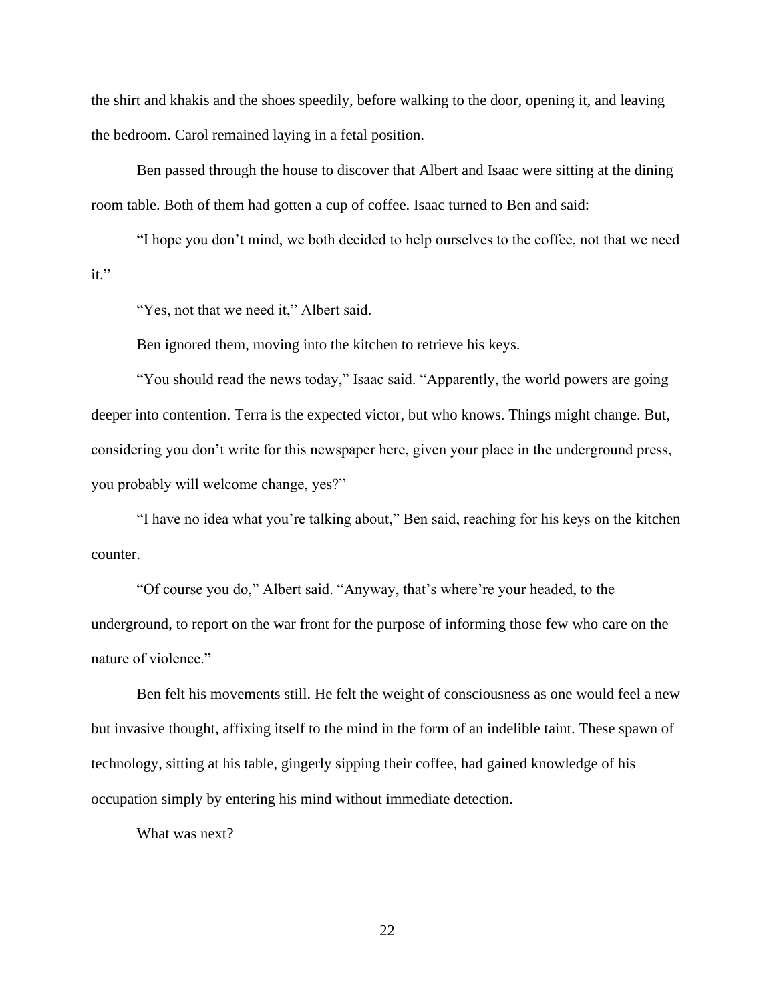the shirt and khakis and the shoes speedily, before walking to the door, opening it, and leaving the bedroom. Carol remained laying in a fetal position.

Ben passed through the house to discover that Albert and Isaac were sitting at the dining room table. Both of them had gotten a cup of coffee. Isaac turned to Ben and said:

"I hope you don't mind, we both decided to help ourselves to the coffee, not that we need it."

"Yes, not that we need it," Albert said.

Ben ignored them, moving into the kitchen to retrieve his keys.

"You should read the news today," Isaac said. "Apparently, the world powers are going deeper into contention. Terra is the expected victor, but who knows. Things might change. But, considering you don't write for this newspaper here, given your place in the underground press, you probably will welcome change, yes?"

"I have no idea what you're talking about," Ben said, reaching for his keys on the kitchen counter.

"Of course you do," Albert said. "Anyway, that's where're your headed, to the underground, to report on the war front for the purpose of informing those few who care on the nature of violence."

Ben felt his movements still. He felt the weight of consciousness as one would feel a new but invasive thought, affixing itself to the mind in the form of an indelible taint. These spawn of technology, sitting at his table, gingerly sipping their coffee, had gained knowledge of his occupation simply by entering his mind without immediate detection.

What was next?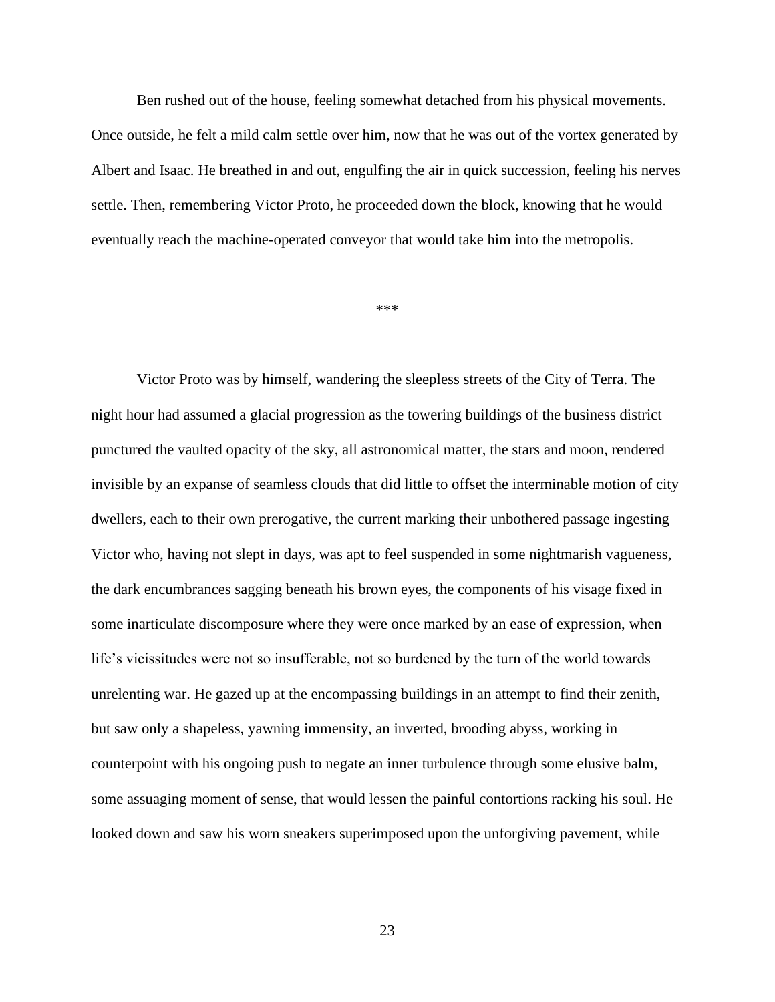Ben rushed out of the house, feeling somewhat detached from his physical movements.

Once outside, he felt a mild calm settle over him, now that he was out of the vortex generated by Albert and Isaac. He breathed in and out, engulfing the air in quick succession, feeling his nerves settle. Then, remembering Victor Proto, he proceeded down the block, knowing that he would eventually reach the machine-operated conveyor that would take him into the metropolis.

\*\*\*

Victor Proto was by himself, wandering the sleepless streets of the City of Terra. The night hour had assumed a glacial progression as the towering buildings of the business district punctured the vaulted opacity of the sky, all astronomical matter, the stars and moon, rendered invisible by an expanse of seamless clouds that did little to offset the interminable motion of city dwellers, each to their own prerogative, the current marking their unbothered passage ingesting Victor who, having not slept in days, was apt to feel suspended in some nightmarish vagueness, the dark encumbrances sagging beneath his brown eyes, the components of his visage fixed in some inarticulate discomposure where they were once marked by an ease of expression, when life's vicissitudes were not so insufferable, not so burdened by the turn of the world towards unrelenting war. He gazed up at the encompassing buildings in an attempt to find their zenith, but saw only a shapeless, yawning immensity, an inverted, brooding abyss, working in counterpoint with his ongoing push to negate an inner turbulence through some elusive balm, some assuaging moment of sense, that would lessen the painful contortions racking his soul. He looked down and saw his worn sneakers superimposed upon the unforgiving pavement, while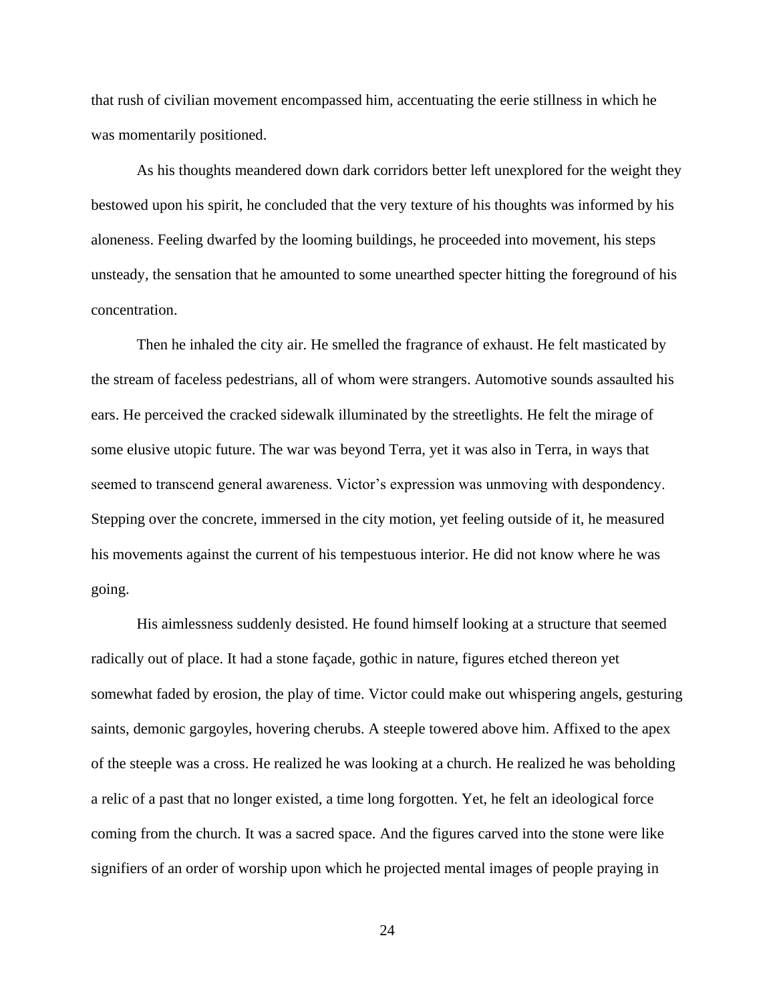that rush of civilian movement encompassed him, accentuating the eerie stillness in which he was momentarily positioned.

As his thoughts meandered down dark corridors better left unexplored for the weight they bestowed upon his spirit, he concluded that the very texture of his thoughts was informed by his aloneness. Feeling dwarfed by the looming buildings, he proceeded into movement, his steps unsteady, the sensation that he amounted to some unearthed specter hitting the foreground of his concentration.

Then he inhaled the city air. He smelled the fragrance of exhaust. He felt masticated by the stream of faceless pedestrians, all of whom were strangers. Automotive sounds assaulted his ears. He perceived the cracked sidewalk illuminated by the streetlights. He felt the mirage of some elusive utopic future. The war was beyond Terra, yet it was also in Terra, in ways that seemed to transcend general awareness. Victor's expression was unmoving with despondency. Stepping over the concrete, immersed in the city motion, yet feeling outside of it, he measured his movements against the current of his tempestuous interior. He did not know where he was going.

His aimlessness suddenly desisted. He found himself looking at a structure that seemed radically out of place. It had a stone façade, gothic in nature, figures etched thereon yet somewhat faded by erosion, the play of time. Victor could make out whispering angels, gesturing saints, demonic gargoyles, hovering cherubs. A steeple towered above him. Affixed to the apex of the steeple was a cross. He realized he was looking at a church. He realized he was beholding a relic of a past that no longer existed, a time long forgotten. Yet, he felt an ideological force coming from the church. It was a sacred space. And the figures carved into the stone were like signifiers of an order of worship upon which he projected mental images of people praying in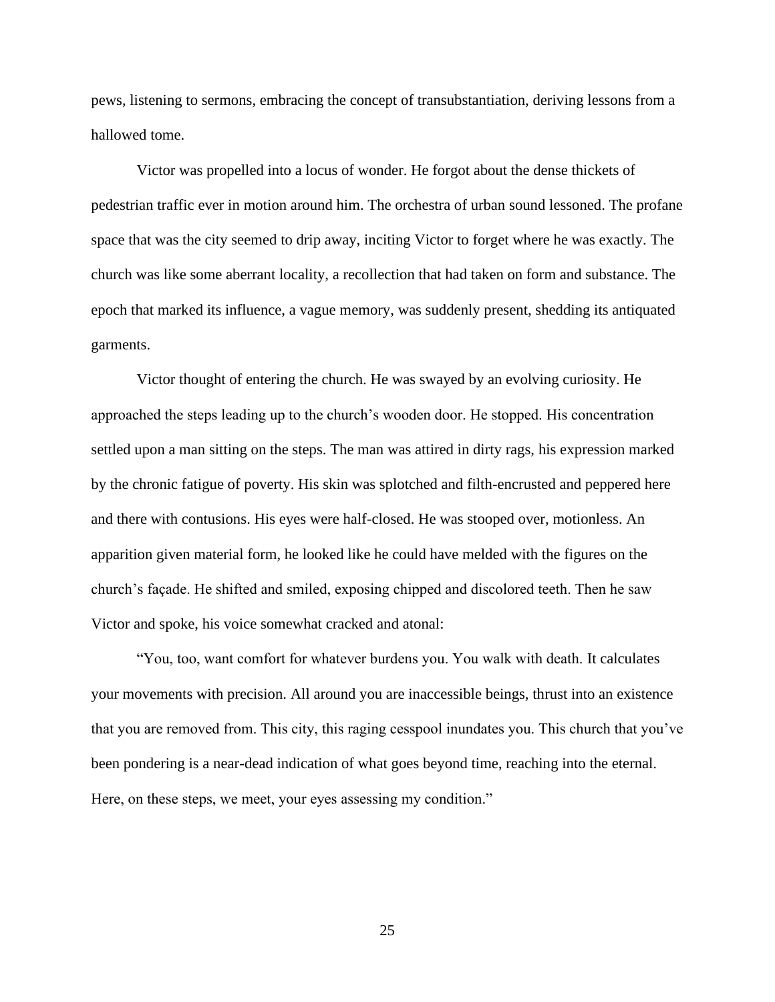pews, listening to sermons, embracing the concept of transubstantiation, deriving lessons from a hallowed tome.

Victor was propelled into a locus of wonder. He forgot about the dense thickets of pedestrian traffic ever in motion around him. The orchestra of urban sound lessoned. The profane space that was the city seemed to drip away, inciting Victor to forget where he was exactly. The church was like some aberrant locality, a recollection that had taken on form and substance. The epoch that marked its influence, a vague memory, was suddenly present, shedding its antiquated garments.

Victor thought of entering the church. He was swayed by an evolving curiosity. He approached the steps leading up to the church's wooden door. He stopped. His concentration settled upon a man sitting on the steps. The man was attired in dirty rags, his expression marked by the chronic fatigue of poverty. His skin was splotched and filth-encrusted and peppered here and there with contusions. His eyes were half-closed. He was stooped over, motionless. An apparition given material form, he looked like he could have melded with the figures on the church's façade. He shifted and smiled, exposing chipped and discolored teeth. Then he saw Victor and spoke, his voice somewhat cracked and atonal:

"You, too, want comfort for whatever burdens you. You walk with death. It calculates your movements with precision. All around you are inaccessible beings, thrust into an existence that you are removed from. This city, this raging cesspool inundates you. This church that you've been pondering is a near-dead indication of what goes beyond time, reaching into the eternal. Here, on these steps, we meet, your eyes assessing my condition."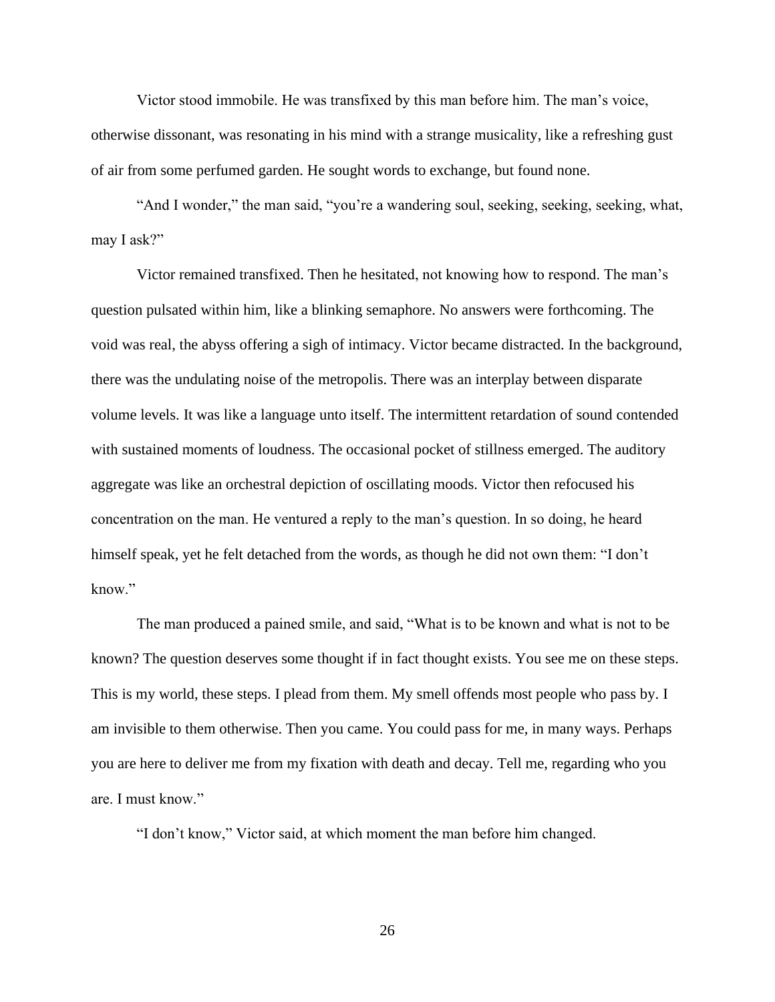Victor stood immobile. He was transfixed by this man before him. The man's voice, otherwise dissonant, was resonating in his mind with a strange musicality, like a refreshing gust of air from some perfumed garden. He sought words to exchange, but found none.

"And I wonder," the man said, "you're a wandering soul, seeking, seeking, seeking, what, may I ask?"

Victor remained transfixed. Then he hesitated, not knowing how to respond. The man's question pulsated within him, like a blinking semaphore. No answers were forthcoming. The void was real, the abyss offering a sigh of intimacy. Victor became distracted. In the background, there was the undulating noise of the metropolis. There was an interplay between disparate volume levels. It was like a language unto itself. The intermittent retardation of sound contended with sustained moments of loudness. The occasional pocket of stillness emerged. The auditory aggregate was like an orchestral depiction of oscillating moods. Victor then refocused his concentration on the man. He ventured a reply to the man's question. In so doing, he heard himself speak, yet he felt detached from the words, as though he did not own them: "I don't know."

The man produced a pained smile, and said, "What is to be known and what is not to be known? The question deserves some thought if in fact thought exists. You see me on these steps. This is my world, these steps. I plead from them. My smell offends most people who pass by. I am invisible to them otherwise. Then you came. You could pass for me, in many ways. Perhaps you are here to deliver me from my fixation with death and decay. Tell me, regarding who you are. I must know."

"I don't know," Victor said, at which moment the man before him changed.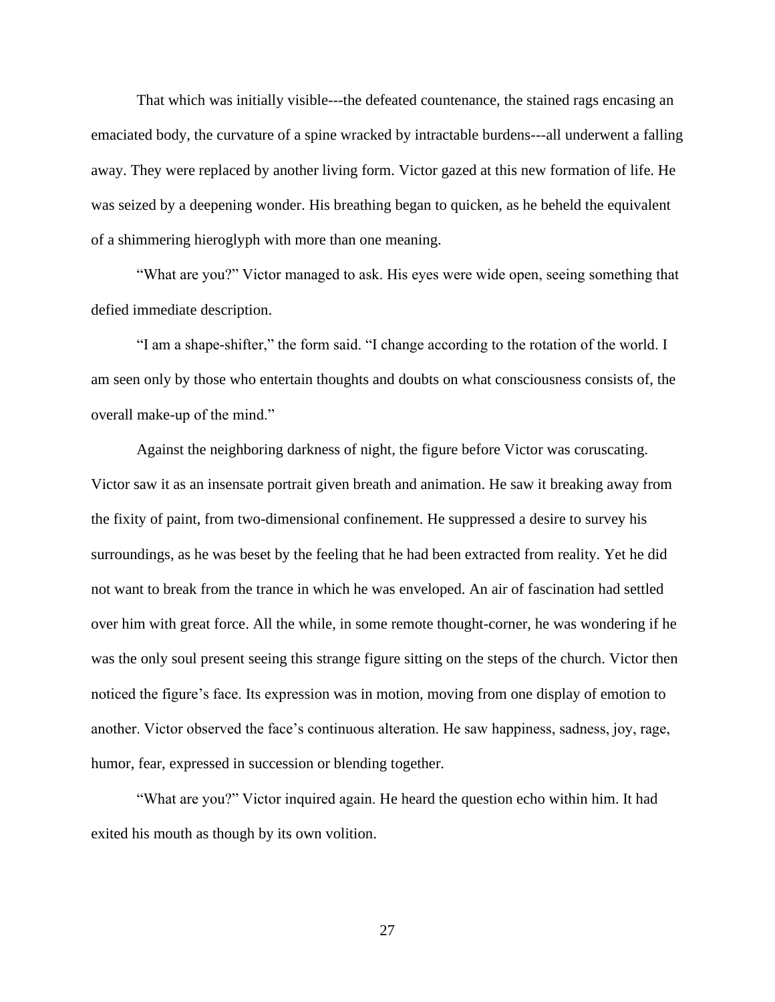That which was initially visible---the defeated countenance, the stained rags encasing an emaciated body, the curvature of a spine wracked by intractable burdens---all underwent a falling away. They were replaced by another living form. Victor gazed at this new formation of life. He was seized by a deepening wonder. His breathing began to quicken, as he beheld the equivalent of a shimmering hieroglyph with more than one meaning.

"What are you?" Victor managed to ask. His eyes were wide open, seeing something that defied immediate description.

"I am a shape-shifter," the form said. "I change according to the rotation of the world. I am seen only by those who entertain thoughts and doubts on what consciousness consists of, the overall make-up of the mind."

Against the neighboring darkness of night, the figure before Victor was coruscating. Victor saw it as an insensate portrait given breath and animation. He saw it breaking away from the fixity of paint, from two-dimensional confinement. He suppressed a desire to survey his surroundings, as he was beset by the feeling that he had been extracted from reality. Yet he did not want to break from the trance in which he was enveloped. An air of fascination had settled over him with great force. All the while, in some remote thought-corner, he was wondering if he was the only soul present seeing this strange figure sitting on the steps of the church. Victor then noticed the figure's face. Its expression was in motion, moving from one display of emotion to another. Victor observed the face's continuous alteration. He saw happiness, sadness, joy, rage, humor, fear, expressed in succession or blending together.

"What are you?" Victor inquired again. He heard the question echo within him. It had exited his mouth as though by its own volition.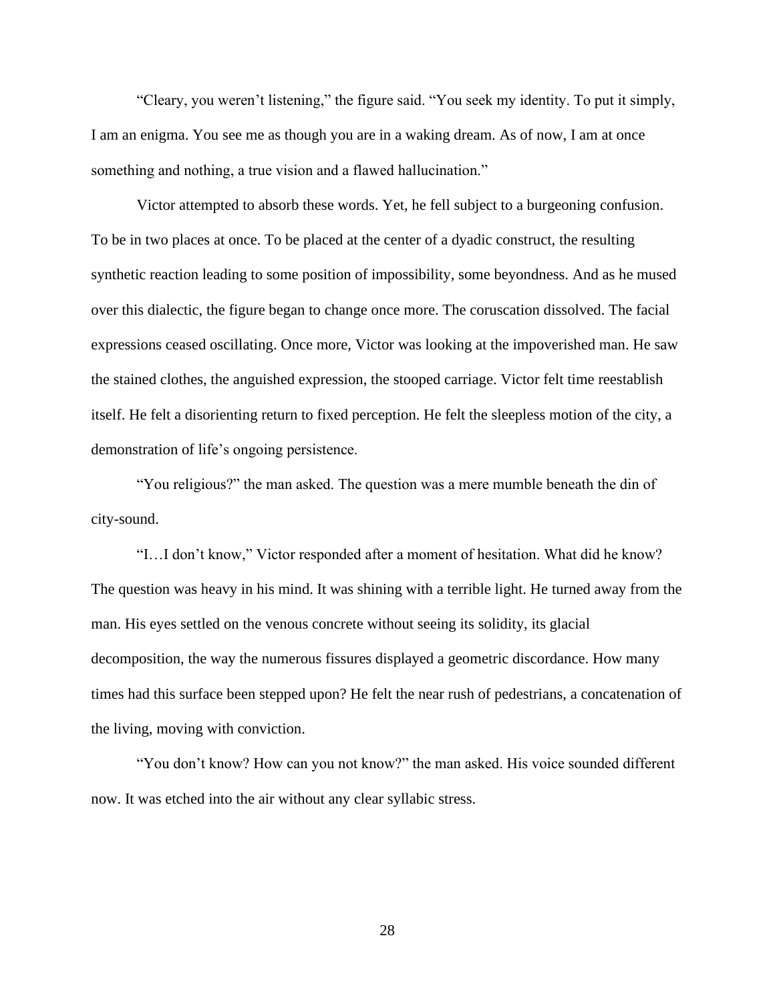"Cleary, you weren't listening," the figure said. "You seek my identity. To put it simply, I am an enigma. You see me as though you are in a waking dream. As of now, I am at once something and nothing, a true vision and a flawed hallucination."

Victor attempted to absorb these words. Yet, he fell subject to a burgeoning confusion. To be in two places at once. To be placed at the center of a dyadic construct, the resulting synthetic reaction leading to some position of impossibility, some beyondness. And as he mused over this dialectic, the figure began to change once more. The coruscation dissolved. The facial expressions ceased oscillating. Once more, Victor was looking at the impoverished man. He saw the stained clothes, the anguished expression, the stooped carriage. Victor felt time reestablish itself. He felt a disorienting return to fixed perception. He felt the sleepless motion of the city, a demonstration of life's ongoing persistence.

"You religious?" the man asked. The question was a mere mumble beneath the din of city-sound.

"I…I don't know," Victor responded after a moment of hesitation. What did he know? The question was heavy in his mind. It was shining with a terrible light. He turned away from the man. His eyes settled on the venous concrete without seeing its solidity, its glacial decomposition, the way the numerous fissures displayed a geometric discordance. How many times had this surface been stepped upon? He felt the near rush of pedestrians, a concatenation of the living, moving with conviction.

"You don't know? How can you not know?" the man asked. His voice sounded different now. It was etched into the air without any clear syllabic stress.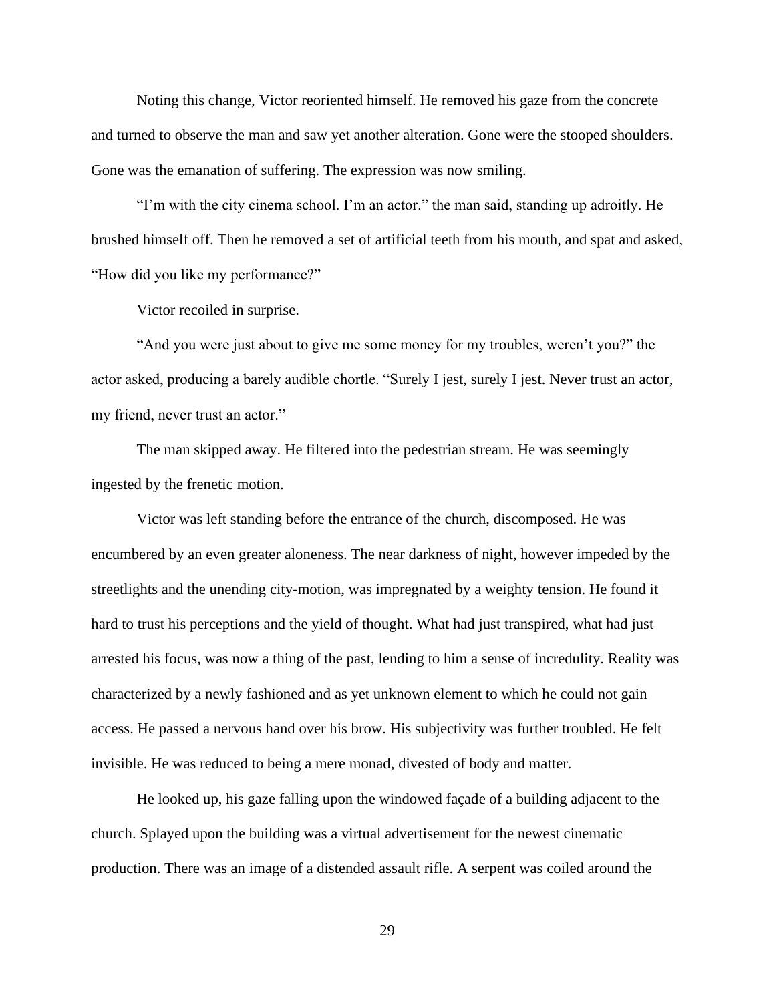Noting this change, Victor reoriented himself. He removed his gaze from the concrete and turned to observe the man and saw yet another alteration. Gone were the stooped shoulders. Gone was the emanation of suffering. The expression was now smiling.

"I'm with the city cinema school. I'm an actor." the man said, standing up adroitly. He brushed himself off. Then he removed a set of artificial teeth from his mouth, and spat and asked, "How did you like my performance?"

Victor recoiled in surprise.

"And you were just about to give me some money for my troubles, weren't you?" the actor asked, producing a barely audible chortle. "Surely I jest, surely I jest. Never trust an actor, my friend, never trust an actor."

The man skipped away. He filtered into the pedestrian stream. He was seemingly ingested by the frenetic motion.

Victor was left standing before the entrance of the church, discomposed. He was encumbered by an even greater aloneness. The near darkness of night, however impeded by the streetlights and the unending city-motion, was impregnated by a weighty tension. He found it hard to trust his perceptions and the yield of thought. What had just transpired, what had just arrested his focus, was now a thing of the past, lending to him a sense of incredulity. Reality was characterized by a newly fashioned and as yet unknown element to which he could not gain access. He passed a nervous hand over his brow. His subjectivity was further troubled. He felt invisible. He was reduced to being a mere monad, divested of body and matter.

He looked up, his gaze falling upon the windowed façade of a building adjacent to the church. Splayed upon the building was a virtual advertisement for the newest cinematic production. There was an image of a distended assault rifle. A serpent was coiled around the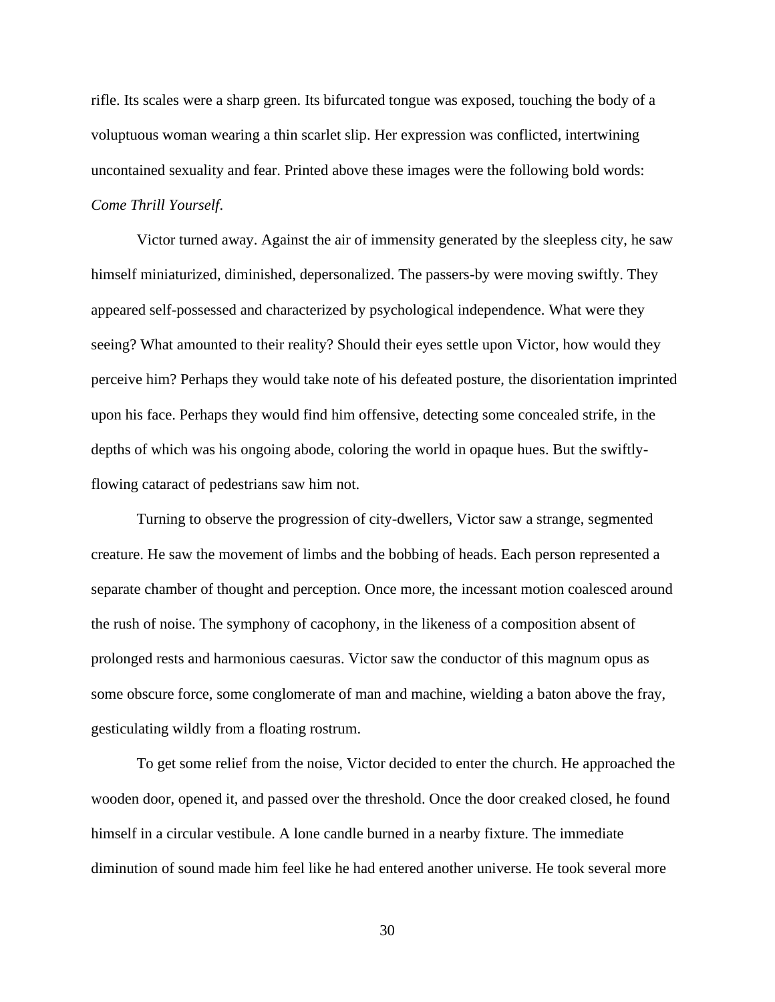rifle. Its scales were a sharp green. Its bifurcated tongue was exposed, touching the body of a voluptuous woman wearing a thin scarlet slip. Her expression was conflicted, intertwining uncontained sexuality and fear. Printed above these images were the following bold words: *Come Thrill Yourself*.

Victor turned away. Against the air of immensity generated by the sleepless city, he saw himself miniaturized, diminished, depersonalized. The passers-by were moving swiftly. They appeared self-possessed and characterized by psychological independence. What were they seeing? What amounted to their reality? Should their eyes settle upon Victor, how would they perceive him? Perhaps they would take note of his defeated posture, the disorientation imprinted upon his face. Perhaps they would find him offensive, detecting some concealed strife, in the depths of which was his ongoing abode, coloring the world in opaque hues. But the swiftlyflowing cataract of pedestrians saw him not.

Turning to observe the progression of city-dwellers, Victor saw a strange, segmented creature. He saw the movement of limbs and the bobbing of heads. Each person represented a separate chamber of thought and perception. Once more, the incessant motion coalesced around the rush of noise. The symphony of cacophony, in the likeness of a composition absent of prolonged rests and harmonious caesuras. Victor saw the conductor of this magnum opus as some obscure force, some conglomerate of man and machine, wielding a baton above the fray, gesticulating wildly from a floating rostrum.

To get some relief from the noise, Victor decided to enter the church. He approached the wooden door, opened it, and passed over the threshold. Once the door creaked closed, he found himself in a circular vestibule. A lone candle burned in a nearby fixture. The immediate diminution of sound made him feel like he had entered another universe. He took several more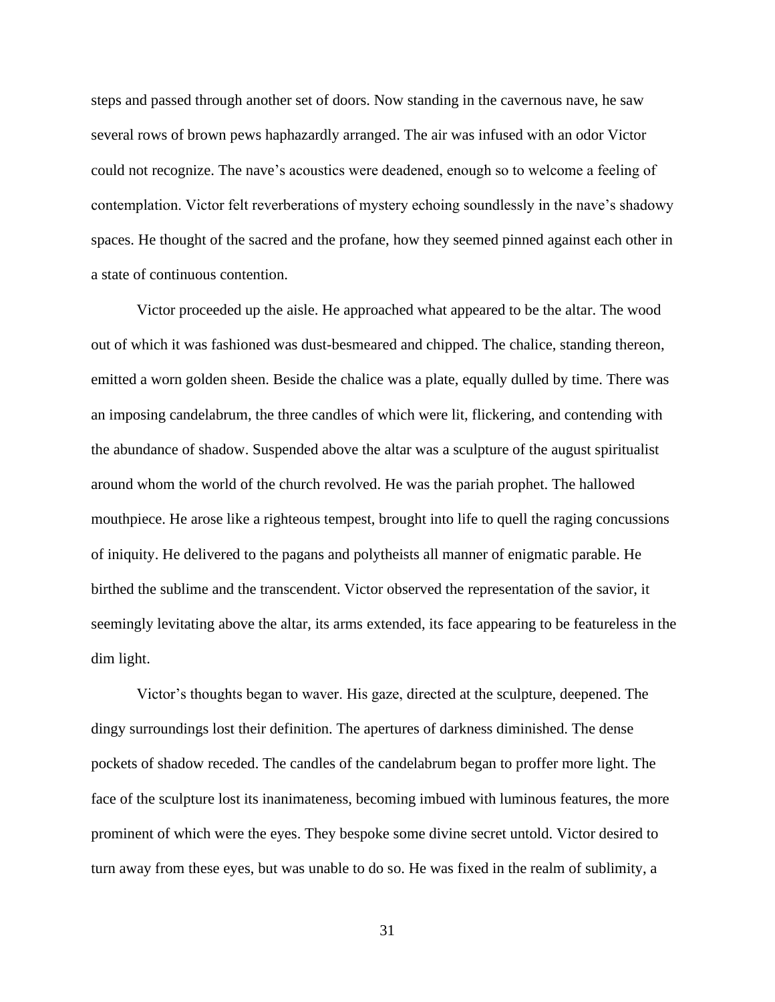steps and passed through another set of doors. Now standing in the cavernous nave, he saw several rows of brown pews haphazardly arranged. The air was infused with an odor Victor could not recognize. The nave's acoustics were deadened, enough so to welcome a feeling of contemplation. Victor felt reverberations of mystery echoing soundlessly in the nave's shadowy spaces. He thought of the sacred and the profane, how they seemed pinned against each other in a state of continuous contention.

Victor proceeded up the aisle. He approached what appeared to be the altar. The wood out of which it was fashioned was dust-besmeared and chipped. The chalice, standing thereon, emitted a worn golden sheen. Beside the chalice was a plate, equally dulled by time. There was an imposing candelabrum, the three candles of which were lit, flickering, and contending with the abundance of shadow. Suspended above the altar was a sculpture of the august spiritualist around whom the world of the church revolved. He was the pariah prophet. The hallowed mouthpiece. He arose like a righteous tempest, brought into life to quell the raging concussions of iniquity. He delivered to the pagans and polytheists all manner of enigmatic parable. He birthed the sublime and the transcendent. Victor observed the representation of the savior, it seemingly levitating above the altar, its arms extended, its face appearing to be featureless in the dim light.

Victor's thoughts began to waver. His gaze, directed at the sculpture, deepened. The dingy surroundings lost their definition. The apertures of darkness diminished. The dense pockets of shadow receded. The candles of the candelabrum began to proffer more light. The face of the sculpture lost its inanimateness, becoming imbued with luminous features, the more prominent of which were the eyes. They bespoke some divine secret untold. Victor desired to turn away from these eyes, but was unable to do so. He was fixed in the realm of sublimity, a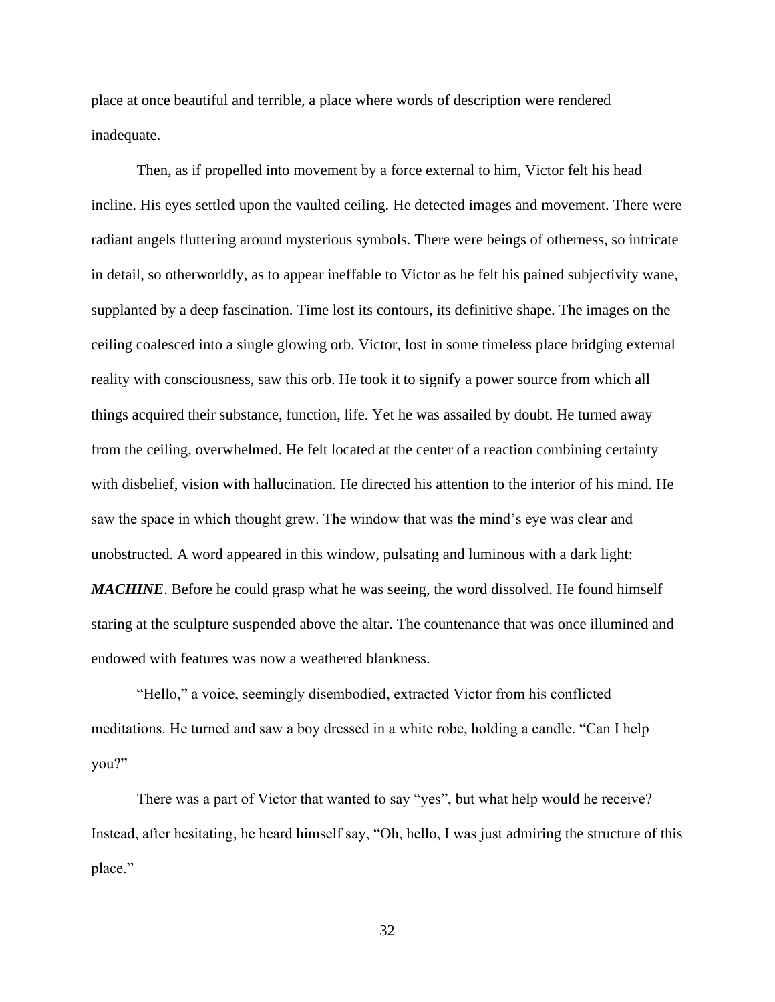place at once beautiful and terrible, a place where words of description were rendered inadequate.

Then, as if propelled into movement by a force external to him, Victor felt his head incline. His eyes settled upon the vaulted ceiling. He detected images and movement. There were radiant angels fluttering around mysterious symbols. There were beings of otherness, so intricate in detail, so otherworldly, as to appear ineffable to Victor as he felt his pained subjectivity wane, supplanted by a deep fascination. Time lost its contours, its definitive shape. The images on the ceiling coalesced into a single glowing orb. Victor, lost in some timeless place bridging external reality with consciousness, saw this orb. He took it to signify a power source from which all things acquired their substance, function, life. Yet he was assailed by doubt. He turned away from the ceiling, overwhelmed. He felt located at the center of a reaction combining certainty with disbelief, vision with hallucination. He directed his attention to the interior of his mind. He saw the space in which thought grew. The window that was the mind's eye was clear and unobstructed. A word appeared in this window, pulsating and luminous with a dark light: *MACHINE*. Before he could grasp what he was seeing, the word dissolved. He found himself staring at the sculpture suspended above the altar. The countenance that was once illumined and endowed with features was now a weathered blankness.

"Hello," a voice, seemingly disembodied, extracted Victor from his conflicted meditations. He turned and saw a boy dressed in a white robe, holding a candle. "Can I help you?"

There was a part of Victor that wanted to say "yes", but what help would he receive? Instead, after hesitating, he heard himself say, "Oh, hello, I was just admiring the structure of this place."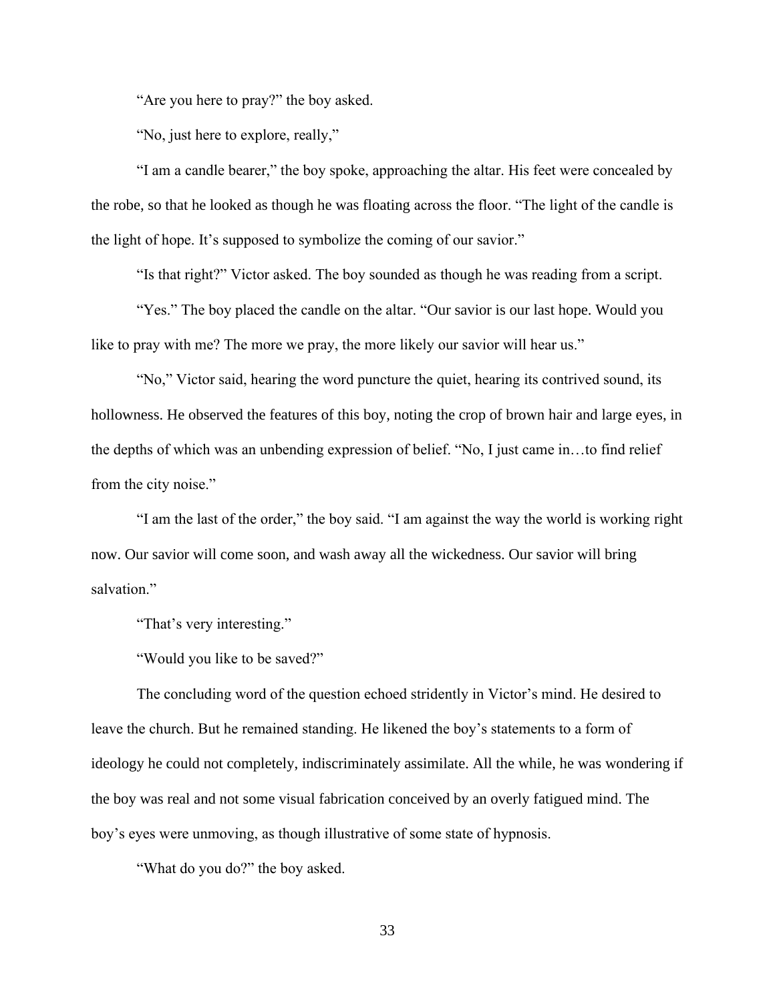"Are you here to pray?" the boy asked.

"No, just here to explore, really,"

"I am a candle bearer," the boy spoke, approaching the altar. His feet were concealed by the robe, so that he looked as though he was floating across the floor. "The light of the candle is the light of hope. It's supposed to symbolize the coming of our savior."

"Is that right?" Victor asked. The boy sounded as though he was reading from a script.

"Yes." The boy placed the candle on the altar. "Our savior is our last hope. Would you like to pray with me? The more we pray, the more likely our savior will hear us."

"No," Victor said, hearing the word puncture the quiet, hearing its contrived sound, its hollowness. He observed the features of this boy, noting the crop of brown hair and large eyes, in the depths of which was an unbending expression of belief. "No, I just came in…to find relief from the city noise."

"I am the last of the order," the boy said. "I am against the way the world is working right now. Our savior will come soon, and wash away all the wickedness. Our savior will bring salvation."

"That's very interesting."

"Would you like to be saved?"

The concluding word of the question echoed stridently in Victor's mind. He desired to leave the church. But he remained standing. He likened the boy's statements to a form of ideology he could not completely, indiscriminately assimilate. All the while, he was wondering if the boy was real and not some visual fabrication conceived by an overly fatigued mind. The boy's eyes were unmoving, as though illustrative of some state of hypnosis.

"What do you do?" the boy asked.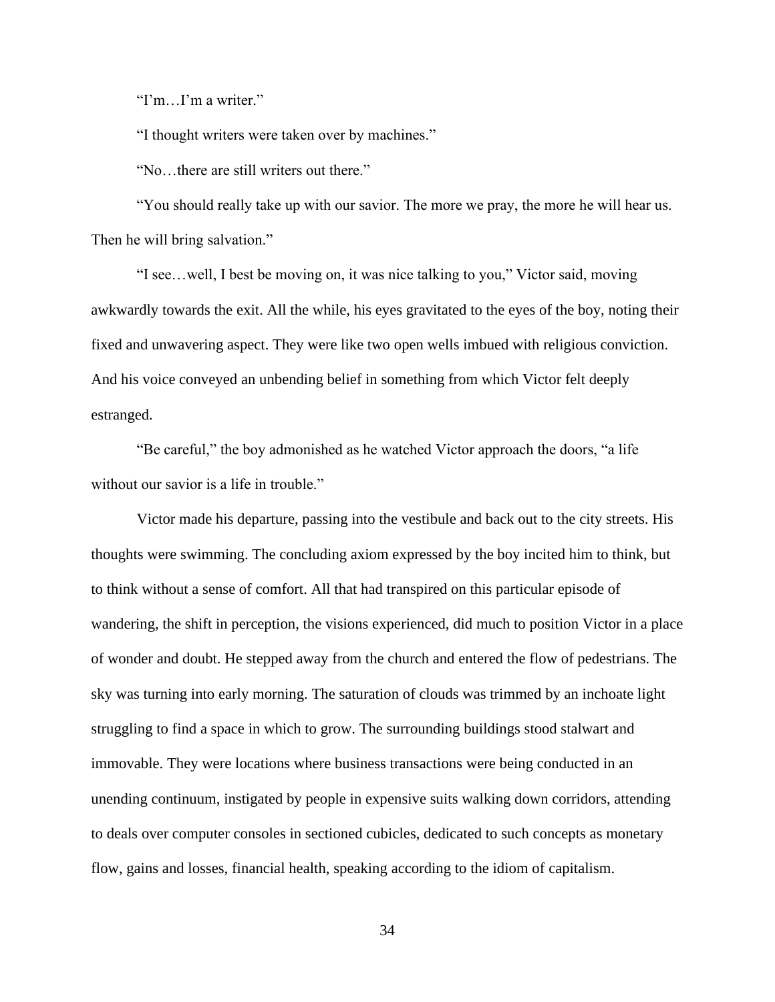"I'm…I'm a writer."

"I thought writers were taken over by machines."

"No…there are still writers out there."

"You should really take up with our savior. The more we pray, the more he will hear us. Then he will bring salvation."

"I see…well, I best be moving on, it was nice talking to you," Victor said, moving awkwardly towards the exit. All the while, his eyes gravitated to the eyes of the boy, noting their fixed and unwavering aspect. They were like two open wells imbued with religious conviction. And his voice conveyed an unbending belief in something from which Victor felt deeply estranged.

"Be careful," the boy admonished as he watched Victor approach the doors, "a life without our savior is a life in trouble."

Victor made his departure, passing into the vestibule and back out to the city streets. His thoughts were swimming. The concluding axiom expressed by the boy incited him to think, but to think without a sense of comfort. All that had transpired on this particular episode of wandering, the shift in perception, the visions experienced, did much to position Victor in a place of wonder and doubt. He stepped away from the church and entered the flow of pedestrians. The sky was turning into early morning. The saturation of clouds was trimmed by an inchoate light struggling to find a space in which to grow. The surrounding buildings stood stalwart and immovable. They were locations where business transactions were being conducted in an unending continuum, instigated by people in expensive suits walking down corridors, attending to deals over computer consoles in sectioned cubicles, dedicated to such concepts as monetary flow, gains and losses, financial health, speaking according to the idiom of capitalism.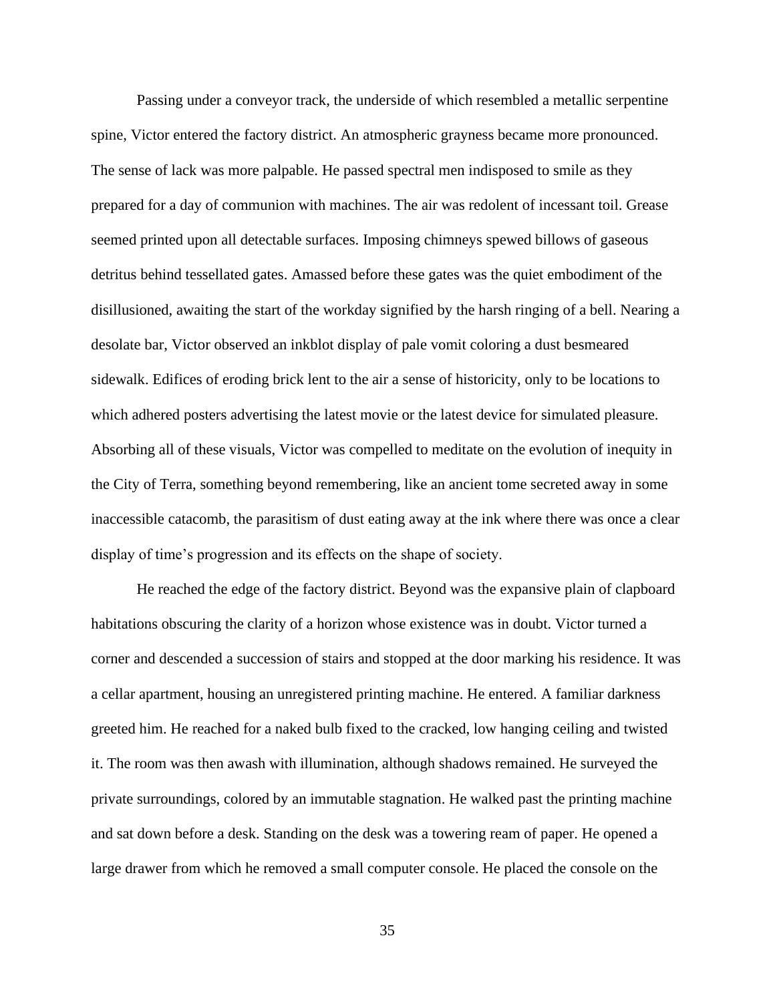Passing under a conveyor track, the underside of which resembled a metallic serpentine spine, Victor entered the factory district. An atmospheric grayness became more pronounced. The sense of lack was more palpable. He passed spectral men indisposed to smile as they prepared for a day of communion with machines. The air was redolent of incessant toil. Grease seemed printed upon all detectable surfaces. Imposing chimneys spewed billows of gaseous detritus behind tessellated gates. Amassed before these gates was the quiet embodiment of the disillusioned, awaiting the start of the workday signified by the harsh ringing of a bell. Nearing a desolate bar, Victor observed an inkblot display of pale vomit coloring a dust besmeared sidewalk. Edifices of eroding brick lent to the air a sense of historicity, only to be locations to which adhered posters advertising the latest movie or the latest device for simulated pleasure. Absorbing all of these visuals, Victor was compelled to meditate on the evolution of inequity in the City of Terra, something beyond remembering, like an ancient tome secreted away in some inaccessible catacomb, the parasitism of dust eating away at the ink where there was once a clear display of time's progression and its effects on the shape of society.

He reached the edge of the factory district. Beyond was the expansive plain of clapboard habitations obscuring the clarity of a horizon whose existence was in doubt. Victor turned a corner and descended a succession of stairs and stopped at the door marking his residence. It was a cellar apartment, housing an unregistered printing machine. He entered. A familiar darkness greeted him. He reached for a naked bulb fixed to the cracked, low hanging ceiling and twisted it. The room was then awash with illumination, although shadows remained. He surveyed the private surroundings, colored by an immutable stagnation. He walked past the printing machine and sat down before a desk. Standing on the desk was a towering ream of paper. He opened a large drawer from which he removed a small computer console. He placed the console on the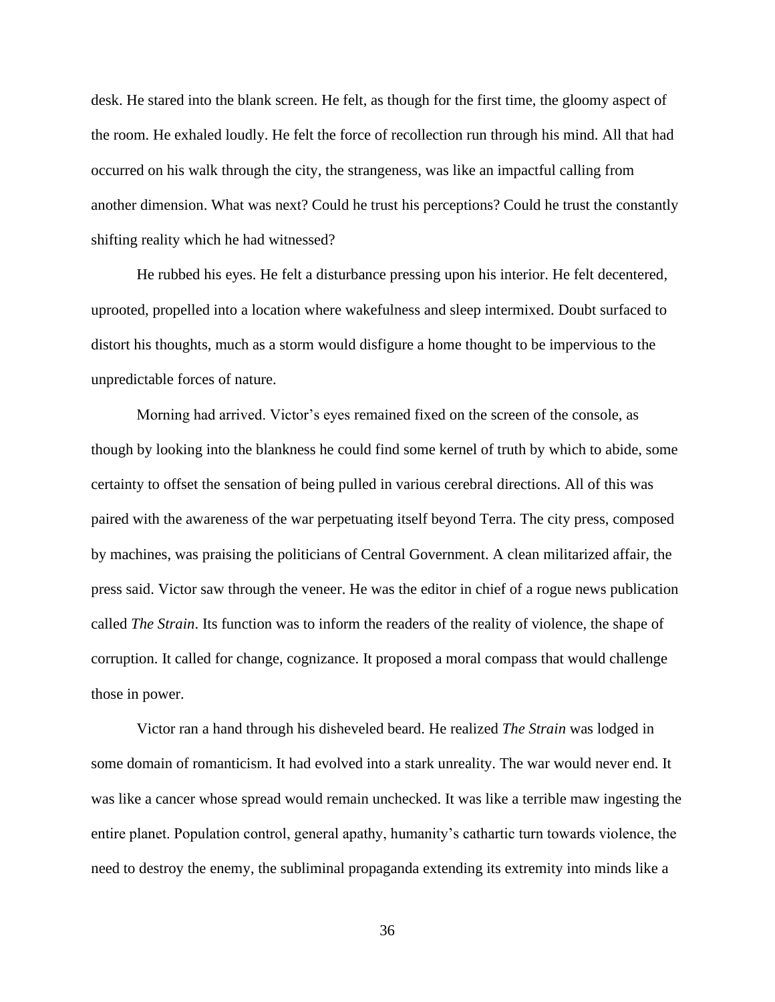desk. He stared into the blank screen. He felt, as though for the first time, the gloomy aspect of the room. He exhaled loudly. He felt the force of recollection run through his mind. All that had occurred on his walk through the city, the strangeness, was like an impactful calling from another dimension. What was next? Could he trust his perceptions? Could he trust the constantly shifting reality which he had witnessed?

He rubbed his eyes. He felt a disturbance pressing upon his interior. He felt decentered, uprooted, propelled into a location where wakefulness and sleep intermixed. Doubt surfaced to distort his thoughts, much as a storm would disfigure a home thought to be impervious to the unpredictable forces of nature.

Morning had arrived. Victor's eyes remained fixed on the screen of the console, as though by looking into the blankness he could find some kernel of truth by which to abide, some certainty to offset the sensation of being pulled in various cerebral directions. All of this was paired with the awareness of the war perpetuating itself beyond Terra. The city press, composed by machines, was praising the politicians of Central Government. A clean militarized affair, the press said. Victor saw through the veneer. He was the editor in chief of a rogue news publication called *The Strain*. Its function was to inform the readers of the reality of violence, the shape of corruption. It called for change, cognizance. It proposed a moral compass that would challenge those in power.

Victor ran a hand through his disheveled beard. He realized *The Strain* was lodged in some domain of romanticism. It had evolved into a stark unreality. The war would never end. It was like a cancer whose spread would remain unchecked. It was like a terrible maw ingesting the entire planet. Population control, general apathy, humanity's cathartic turn towards violence, the need to destroy the enemy, the subliminal propaganda extending its extremity into minds like a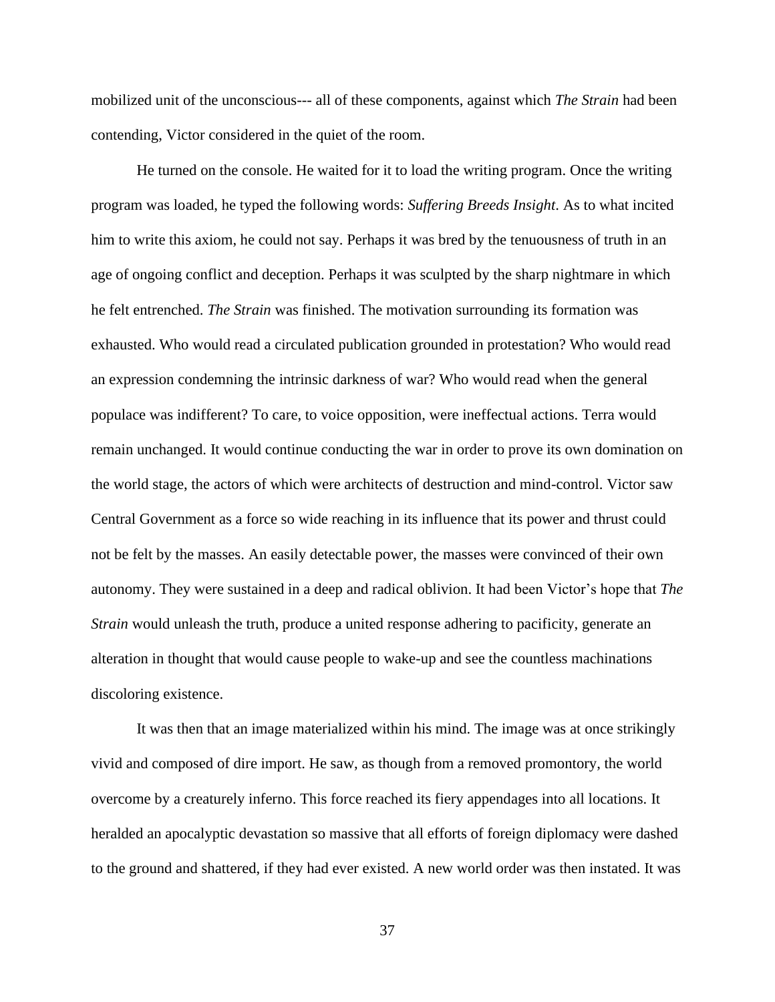mobilized unit of the unconscious--- all of these components, against which *The Strain* had been contending, Victor considered in the quiet of the room.

He turned on the console. He waited for it to load the writing program. Once the writing program was loaded, he typed the following words: *Suffering Breeds Insight*. As to what incited him to write this axiom, he could not say. Perhaps it was bred by the tenuousness of truth in an age of ongoing conflict and deception. Perhaps it was sculpted by the sharp nightmare in which he felt entrenched. *The Strain* was finished. The motivation surrounding its formation was exhausted. Who would read a circulated publication grounded in protestation? Who would read an expression condemning the intrinsic darkness of war? Who would read when the general populace was indifferent? To care, to voice opposition, were ineffectual actions. Terra would remain unchanged. It would continue conducting the war in order to prove its own domination on the world stage, the actors of which were architects of destruction and mind-control. Victor saw Central Government as a force so wide reaching in its influence that its power and thrust could not be felt by the masses. An easily detectable power, the masses were convinced of their own autonomy. They were sustained in a deep and radical oblivion. It had been Victor's hope that *The Strain* would unleash the truth, produce a united response adhering to pacificity, generate an alteration in thought that would cause people to wake-up and see the countless machinations discoloring existence.

It was then that an image materialized within his mind. The image was at once strikingly vivid and composed of dire import. He saw, as though from a removed promontory, the world overcome by a creaturely inferno. This force reached its fiery appendages into all locations. It heralded an apocalyptic devastation so massive that all efforts of foreign diplomacy were dashed to the ground and shattered, if they had ever existed. A new world order was then instated. It was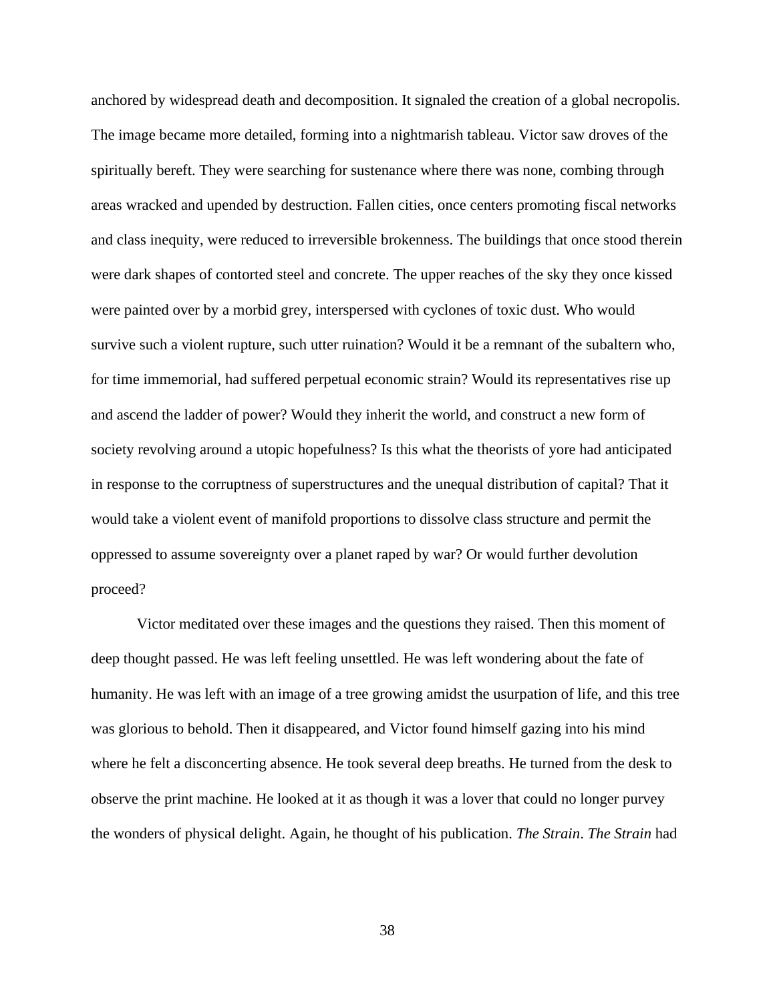anchored by widespread death and decomposition. It signaled the creation of a global necropolis. The image became more detailed, forming into a nightmarish tableau. Victor saw droves of the spiritually bereft. They were searching for sustenance where there was none, combing through areas wracked and upended by destruction. Fallen cities, once centers promoting fiscal networks and class inequity, were reduced to irreversible brokenness. The buildings that once stood therein were dark shapes of contorted steel and concrete. The upper reaches of the sky they once kissed were painted over by a morbid grey, interspersed with cyclones of toxic dust. Who would survive such a violent rupture, such utter ruination? Would it be a remnant of the subaltern who, for time immemorial, had suffered perpetual economic strain? Would its representatives rise up and ascend the ladder of power? Would they inherit the world, and construct a new form of society revolving around a utopic hopefulness? Is this what the theorists of yore had anticipated in response to the corruptness of superstructures and the unequal distribution of capital? That it would take a violent event of manifold proportions to dissolve class structure and permit the oppressed to assume sovereignty over a planet raped by war? Or would further devolution proceed?

Victor meditated over these images and the questions they raised. Then this moment of deep thought passed. He was left feeling unsettled. He was left wondering about the fate of humanity. He was left with an image of a tree growing amidst the usurpation of life, and this tree was glorious to behold. Then it disappeared, and Victor found himself gazing into his mind where he felt a disconcerting absence. He took several deep breaths. He turned from the desk to observe the print machine. He looked at it as though it was a lover that could no longer purvey the wonders of physical delight. Again, he thought of his publication. *The Strain*. *The Strain* had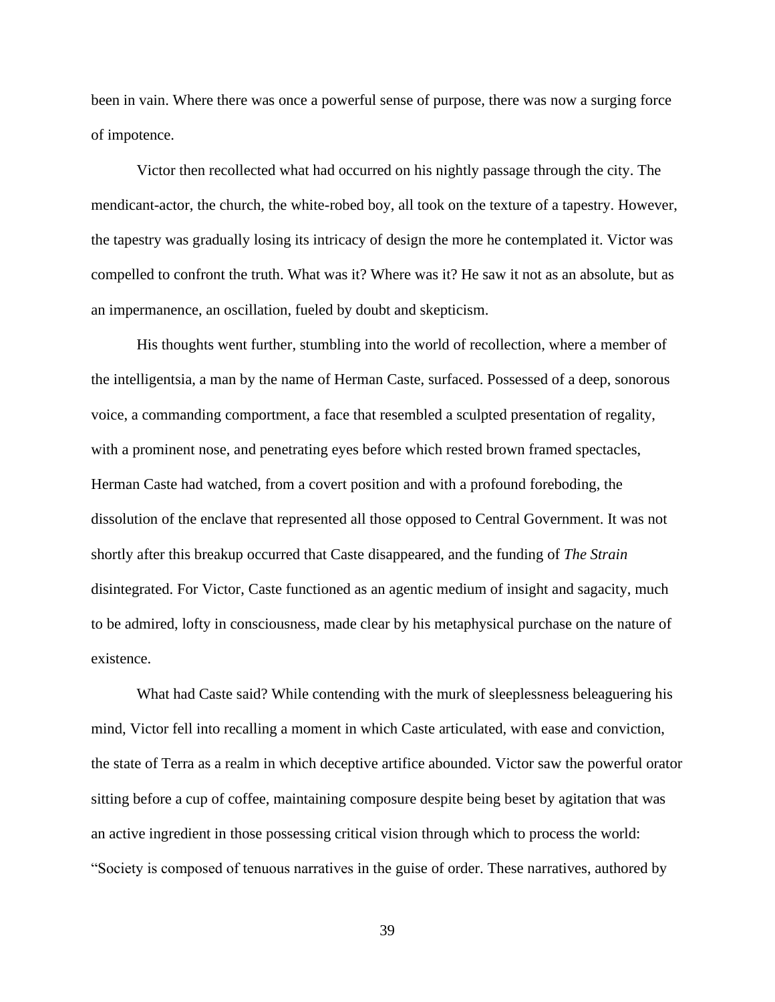been in vain. Where there was once a powerful sense of purpose, there was now a surging force of impotence.

Victor then recollected what had occurred on his nightly passage through the city. The mendicant-actor, the church, the white-robed boy, all took on the texture of a tapestry. However, the tapestry was gradually losing its intricacy of design the more he contemplated it. Victor was compelled to confront the truth. What was it? Where was it? He saw it not as an absolute, but as an impermanence, an oscillation, fueled by doubt and skepticism.

His thoughts went further, stumbling into the world of recollection, where a member of the intelligentsia, a man by the name of Herman Caste, surfaced. Possessed of a deep, sonorous voice, a commanding comportment, a face that resembled a sculpted presentation of regality, with a prominent nose, and penetrating eyes before which rested brown framed spectacles, Herman Caste had watched, from a covert position and with a profound foreboding, the dissolution of the enclave that represented all those opposed to Central Government. It was not shortly after this breakup occurred that Caste disappeared, and the funding of *The Strain* disintegrated. For Victor, Caste functioned as an agentic medium of insight and sagacity, much to be admired, lofty in consciousness, made clear by his metaphysical purchase on the nature of existence.

What had Caste said? While contending with the murk of sleeplessness beleaguering his mind, Victor fell into recalling a moment in which Caste articulated, with ease and conviction, the state of Terra as a realm in which deceptive artifice abounded. Victor saw the powerful orator sitting before a cup of coffee, maintaining composure despite being beset by agitation that was an active ingredient in those possessing critical vision through which to process the world: "Society is composed of tenuous narratives in the guise of order. These narratives, authored by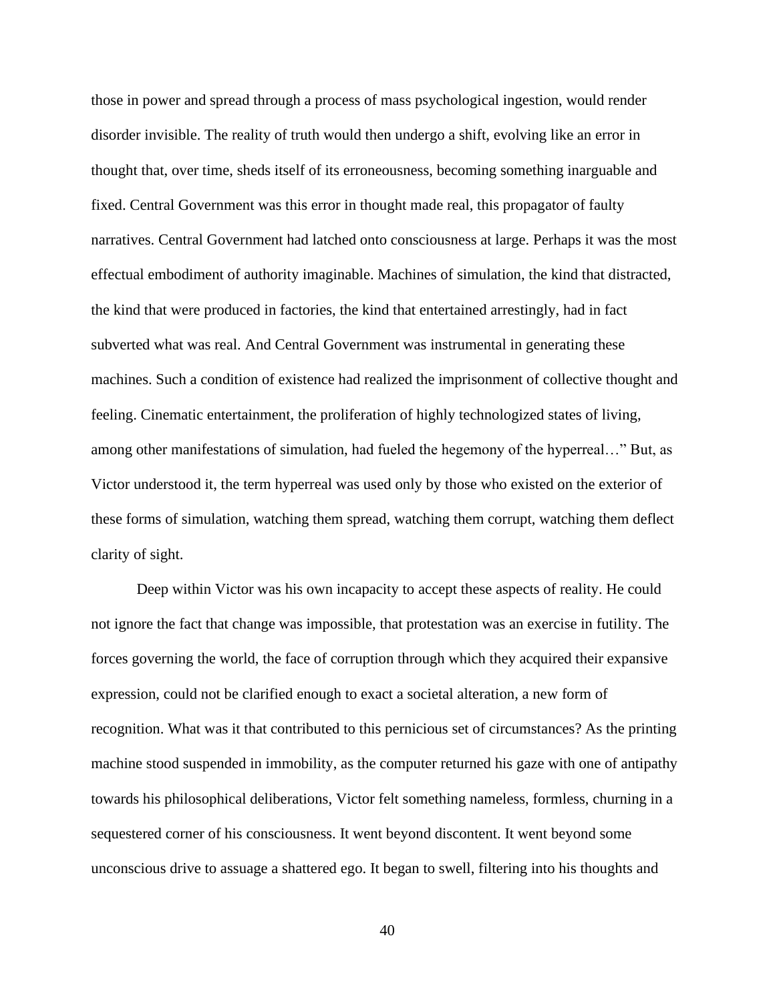those in power and spread through a process of mass psychological ingestion, would render disorder invisible. The reality of truth would then undergo a shift, evolving like an error in thought that, over time, sheds itself of its erroneousness, becoming something inarguable and fixed. Central Government was this error in thought made real, this propagator of faulty narratives. Central Government had latched onto consciousness at large. Perhaps it was the most effectual embodiment of authority imaginable. Machines of simulation, the kind that distracted, the kind that were produced in factories, the kind that entertained arrestingly, had in fact subverted what was real. And Central Government was instrumental in generating these machines. Such a condition of existence had realized the imprisonment of collective thought and feeling. Cinematic entertainment, the proliferation of highly technologized states of living, among other manifestations of simulation, had fueled the hegemony of the hyperreal…" But, as Victor understood it, the term hyperreal was used only by those who existed on the exterior of these forms of simulation, watching them spread, watching them corrupt, watching them deflect clarity of sight.

Deep within Victor was his own incapacity to accept these aspects of reality. He could not ignore the fact that change was impossible, that protestation was an exercise in futility. The forces governing the world, the face of corruption through which they acquired their expansive expression, could not be clarified enough to exact a societal alteration, a new form of recognition. What was it that contributed to this pernicious set of circumstances? As the printing machine stood suspended in immobility, as the computer returned his gaze with one of antipathy towards his philosophical deliberations, Victor felt something nameless, formless, churning in a sequestered corner of his consciousness. It went beyond discontent. It went beyond some unconscious drive to assuage a shattered ego. It began to swell, filtering into his thoughts and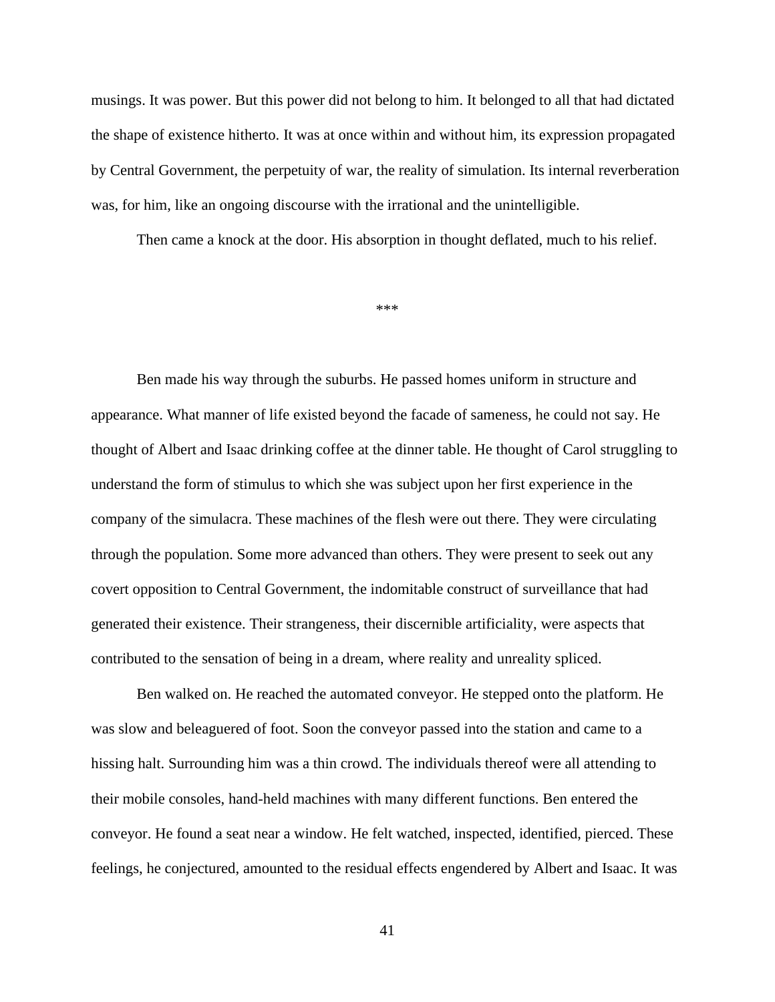musings. It was power. But this power did not belong to him. It belonged to all that had dictated the shape of existence hitherto. It was at once within and without him, its expression propagated by Central Government, the perpetuity of war, the reality of simulation. Its internal reverberation was, for him, like an ongoing discourse with the irrational and the unintelligible.

Then came a knock at the door. His absorption in thought deflated, much to his relief.

\*\*\*

Ben made his way through the suburbs. He passed homes uniform in structure and appearance. What manner of life existed beyond the facade of sameness, he could not say. He thought of Albert and Isaac drinking coffee at the dinner table. He thought of Carol struggling to understand the form of stimulus to which she was subject upon her first experience in the company of the simulacra. These machines of the flesh were out there. They were circulating through the population. Some more advanced than others. They were present to seek out any covert opposition to Central Government, the indomitable construct of surveillance that had generated their existence. Their strangeness, their discernible artificiality, were aspects that contributed to the sensation of being in a dream, where reality and unreality spliced.

Ben walked on. He reached the automated conveyor. He stepped onto the platform. He was slow and beleaguered of foot. Soon the conveyor passed into the station and came to a hissing halt. Surrounding him was a thin crowd. The individuals thereof were all attending to their mobile consoles, hand-held machines with many different functions. Ben entered the conveyor. He found a seat near a window. He felt watched, inspected, identified, pierced. These feelings, he conjectured, amounted to the residual effects engendered by Albert and Isaac. It was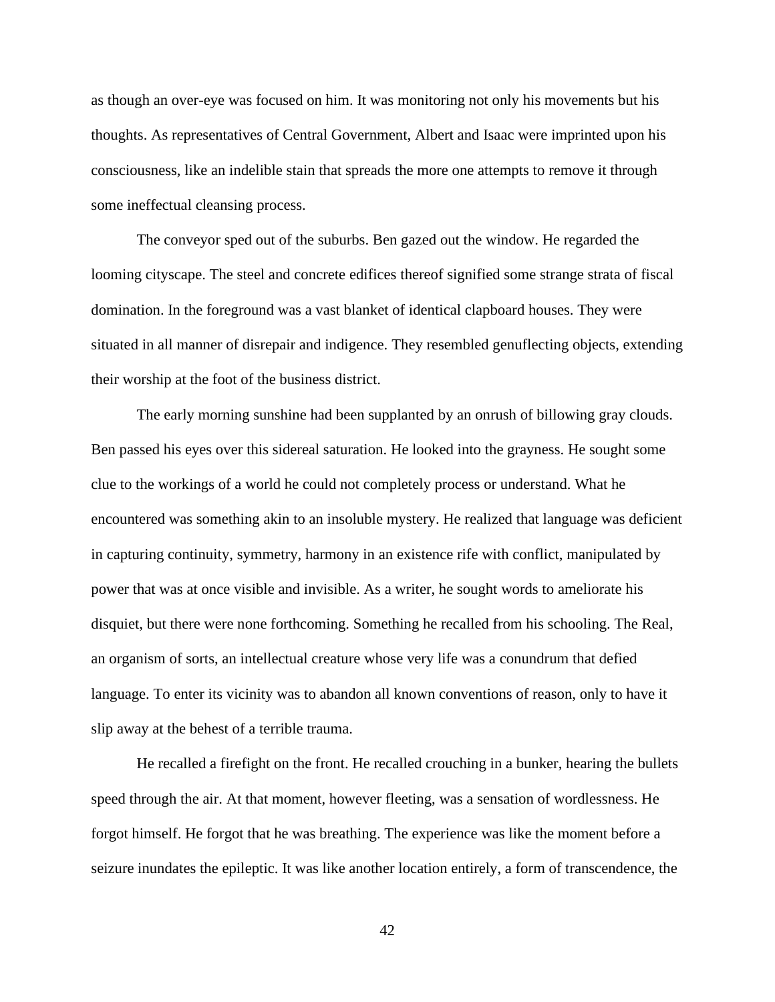as though an over-eye was focused on him. It was monitoring not only his movements but his thoughts. As representatives of Central Government, Albert and Isaac were imprinted upon his consciousness, like an indelible stain that spreads the more one attempts to remove it through some ineffectual cleansing process.

The conveyor sped out of the suburbs. Ben gazed out the window. He regarded the looming cityscape. The steel and concrete edifices thereof signified some strange strata of fiscal domination. In the foreground was a vast blanket of identical clapboard houses. They were situated in all manner of disrepair and indigence. They resembled genuflecting objects, extending their worship at the foot of the business district.

The early morning sunshine had been supplanted by an onrush of billowing gray clouds. Ben passed his eyes over this sidereal saturation. He looked into the grayness. He sought some clue to the workings of a world he could not completely process or understand. What he encountered was something akin to an insoluble mystery. He realized that language was deficient in capturing continuity, symmetry, harmony in an existence rife with conflict, manipulated by power that was at once visible and invisible. As a writer, he sought words to ameliorate his disquiet, but there were none forthcoming. Something he recalled from his schooling. The Real, an organism of sorts, an intellectual creature whose very life was a conundrum that defied language. To enter its vicinity was to abandon all known conventions of reason, only to have it slip away at the behest of a terrible trauma.

He recalled a firefight on the front. He recalled crouching in a bunker, hearing the bullets speed through the air. At that moment, however fleeting, was a sensation of wordlessness. He forgot himself. He forgot that he was breathing. The experience was like the moment before a seizure inundates the epileptic. It was like another location entirely, a form of transcendence, the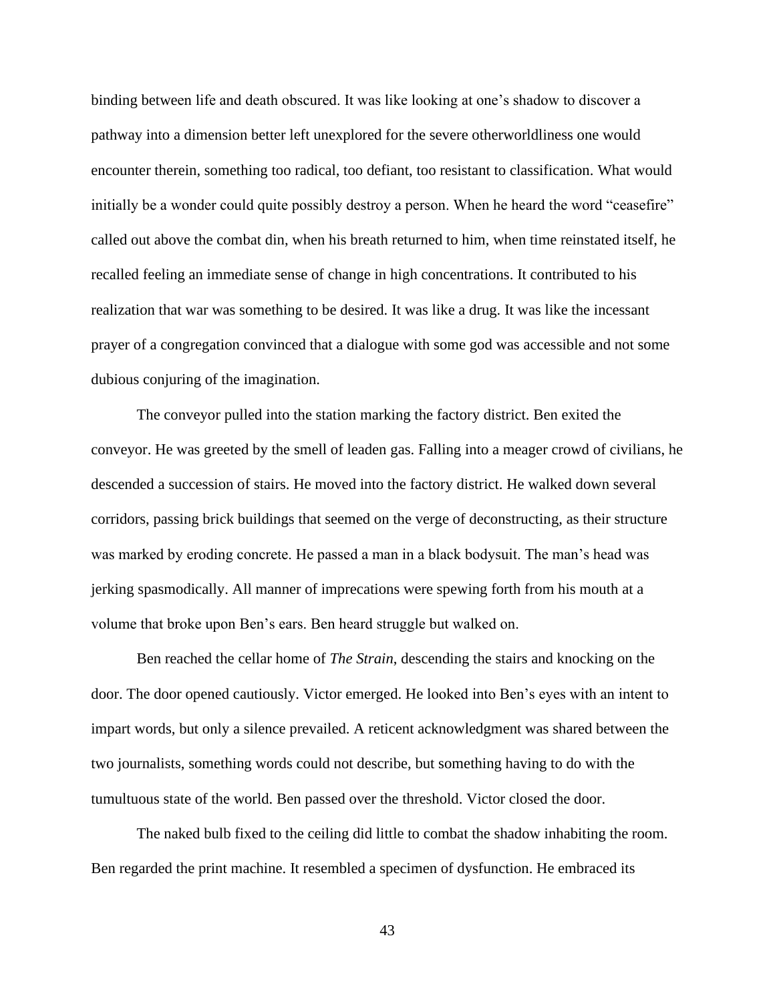binding between life and death obscured. It was like looking at one's shadow to discover a pathway into a dimension better left unexplored for the severe otherworldliness one would encounter therein, something too radical, too defiant, too resistant to classification. What would initially be a wonder could quite possibly destroy a person. When he heard the word "ceasefire" called out above the combat din, when his breath returned to him, when time reinstated itself, he recalled feeling an immediate sense of change in high concentrations. It contributed to his realization that war was something to be desired. It was like a drug. It was like the incessant prayer of a congregation convinced that a dialogue with some god was accessible and not some dubious conjuring of the imagination.

The conveyor pulled into the station marking the factory district. Ben exited the conveyor. He was greeted by the smell of leaden gas. Falling into a meager crowd of civilians, he descended a succession of stairs. He moved into the factory district. He walked down several corridors, passing brick buildings that seemed on the verge of deconstructing, as their structure was marked by eroding concrete. He passed a man in a black bodysuit. The man's head was jerking spasmodically. All manner of imprecations were spewing forth from his mouth at a volume that broke upon Ben's ears. Ben heard struggle but walked on.

Ben reached the cellar home of *The Strain*, descending the stairs and knocking on the door. The door opened cautiously. Victor emerged. He looked into Ben's eyes with an intent to impart words, but only a silence prevailed. A reticent acknowledgment was shared between the two journalists, something words could not describe, but something having to do with the tumultuous state of the world. Ben passed over the threshold. Victor closed the door.

The naked bulb fixed to the ceiling did little to combat the shadow inhabiting the room. Ben regarded the print machine. It resembled a specimen of dysfunction. He embraced its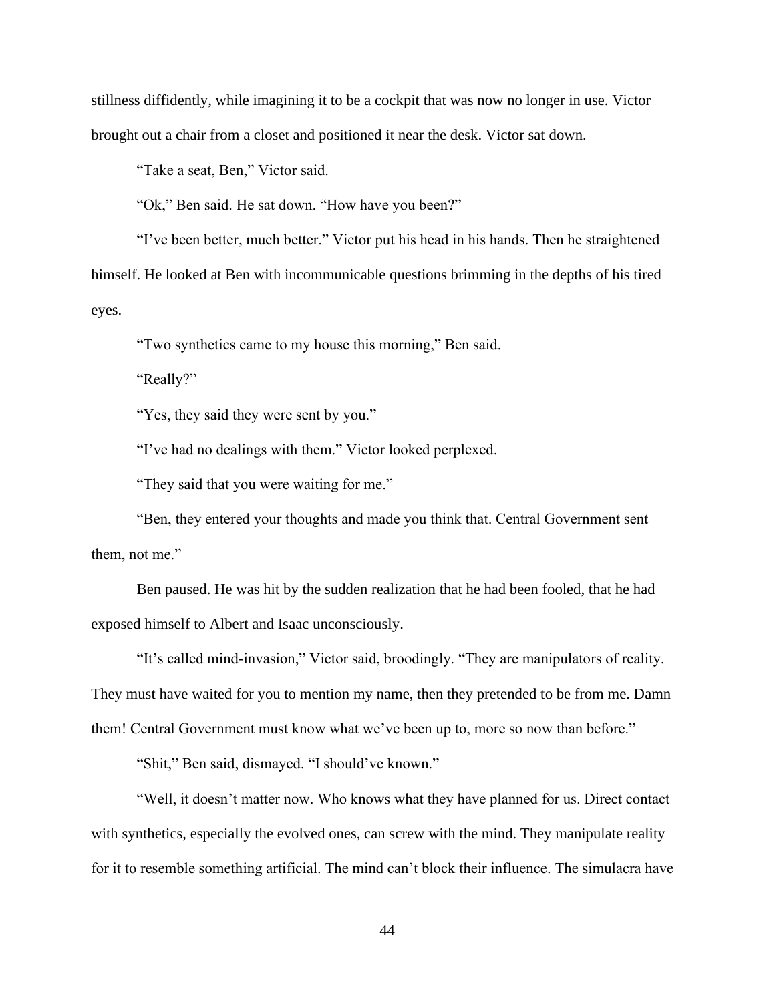stillness diffidently, while imagining it to be a cockpit that was now no longer in use. Victor brought out a chair from a closet and positioned it near the desk. Victor sat down.

"Take a seat, Ben," Victor said.

"Ok," Ben said. He sat down. "How have you been?"

"I've been better, much better." Victor put his head in his hands. Then he straightened himself. He looked at Ben with incommunicable questions brimming in the depths of his tired eyes.

"Two synthetics came to my house this morning," Ben said.

"Really?"

"Yes, they said they were sent by you."

"I've had no dealings with them." Victor looked perplexed.

"They said that you were waiting for me."

"Ben, they entered your thoughts and made you think that. Central Government sent them, not me."

Ben paused. He was hit by the sudden realization that he had been fooled, that he had exposed himself to Albert and Isaac unconsciously.

"It's called mind-invasion," Victor said, broodingly. "They are manipulators of reality. They must have waited for you to mention my name, then they pretended to be from me. Damn them! Central Government must know what we've been up to, more so now than before."

"Shit," Ben said, dismayed. "I should've known."

"Well, it doesn't matter now. Who knows what they have planned for us. Direct contact with synthetics, especially the evolved ones, can screw with the mind. They manipulate reality for it to resemble something artificial. The mind can't block their influence. The simulacra have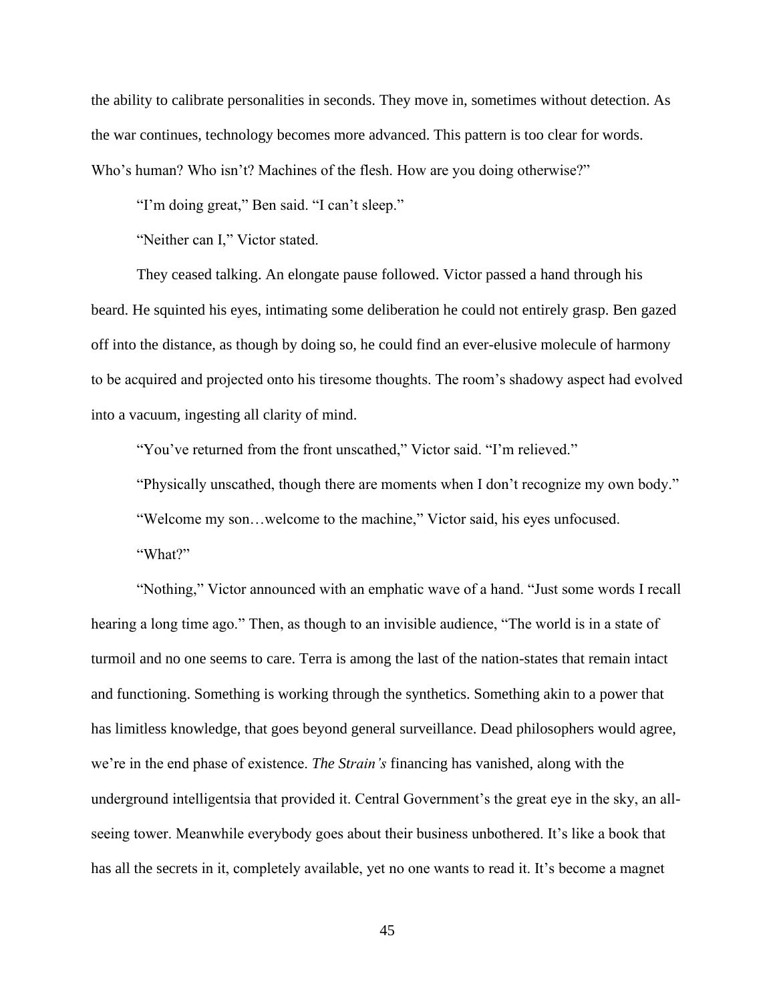the ability to calibrate personalities in seconds. They move in, sometimes without detection. As the war continues, technology becomes more advanced. This pattern is too clear for words. Who's human? Who isn't? Machines of the flesh. How are you doing otherwise?"

"I'm doing great," Ben said. "I can't sleep."

"Neither can I," Victor stated.

They ceased talking. An elongate pause followed. Victor passed a hand through his beard. He squinted his eyes, intimating some deliberation he could not entirely grasp. Ben gazed off into the distance, as though by doing so, he could find an ever-elusive molecule of harmony to be acquired and projected onto his tiresome thoughts. The room's shadowy aspect had evolved into a vacuum, ingesting all clarity of mind.

"You've returned from the front unscathed," Victor said. "I'm relieved."

"Physically unscathed, though there are moments when I don't recognize my own body."

"Welcome my son…welcome to the machine," Victor said, his eyes unfocused.

"What?"

"Nothing," Victor announced with an emphatic wave of a hand. "Just some words I recall hearing a long time ago." Then, as though to an invisible audience, "The world is in a state of turmoil and no one seems to care. Terra is among the last of the nation-states that remain intact and functioning. Something is working through the synthetics. Something akin to a power that has limitless knowledge, that goes beyond general surveillance. Dead philosophers would agree, we're in the end phase of existence. *The Strain's* financing has vanished, along with the underground intelligentsia that provided it. Central Government's the great eye in the sky, an allseeing tower. Meanwhile everybody goes about their business unbothered. It's like a book that has all the secrets in it, completely available, yet no one wants to read it. It's become a magnet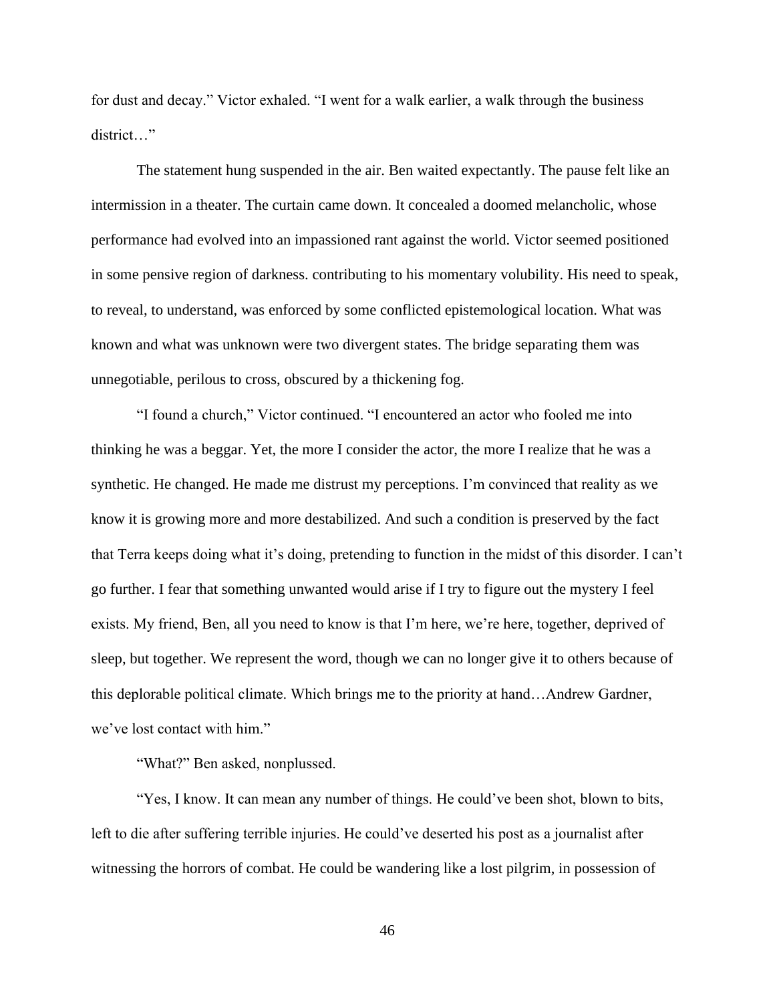for dust and decay." Victor exhaled. "I went for a walk earlier, a walk through the business district…"

The statement hung suspended in the air. Ben waited expectantly. The pause felt like an intermission in a theater. The curtain came down. It concealed a doomed melancholic, whose performance had evolved into an impassioned rant against the world. Victor seemed positioned in some pensive region of darkness. contributing to his momentary volubility. His need to speak, to reveal, to understand, was enforced by some conflicted epistemological location. What was known and what was unknown were two divergent states. The bridge separating them was unnegotiable, perilous to cross, obscured by a thickening fog.

"I found a church," Victor continued. "I encountered an actor who fooled me into thinking he was a beggar. Yet, the more I consider the actor, the more I realize that he was a synthetic. He changed. He made me distrust my perceptions. I'm convinced that reality as we know it is growing more and more destabilized. And such a condition is preserved by the fact that Terra keeps doing what it's doing, pretending to function in the midst of this disorder. I can't go further. I fear that something unwanted would arise if I try to figure out the mystery I feel exists. My friend, Ben, all you need to know is that I'm here, we're here, together, deprived of sleep, but together. We represent the word, though we can no longer give it to others because of this deplorable political climate. Which brings me to the priority at hand…Andrew Gardner, we've lost contact with him."

"What?" Ben asked, nonplussed.

"Yes, I know. It can mean any number of things. He could've been shot, blown to bits, left to die after suffering terrible injuries. He could've deserted his post as a journalist after witnessing the horrors of combat. He could be wandering like a lost pilgrim, in possession of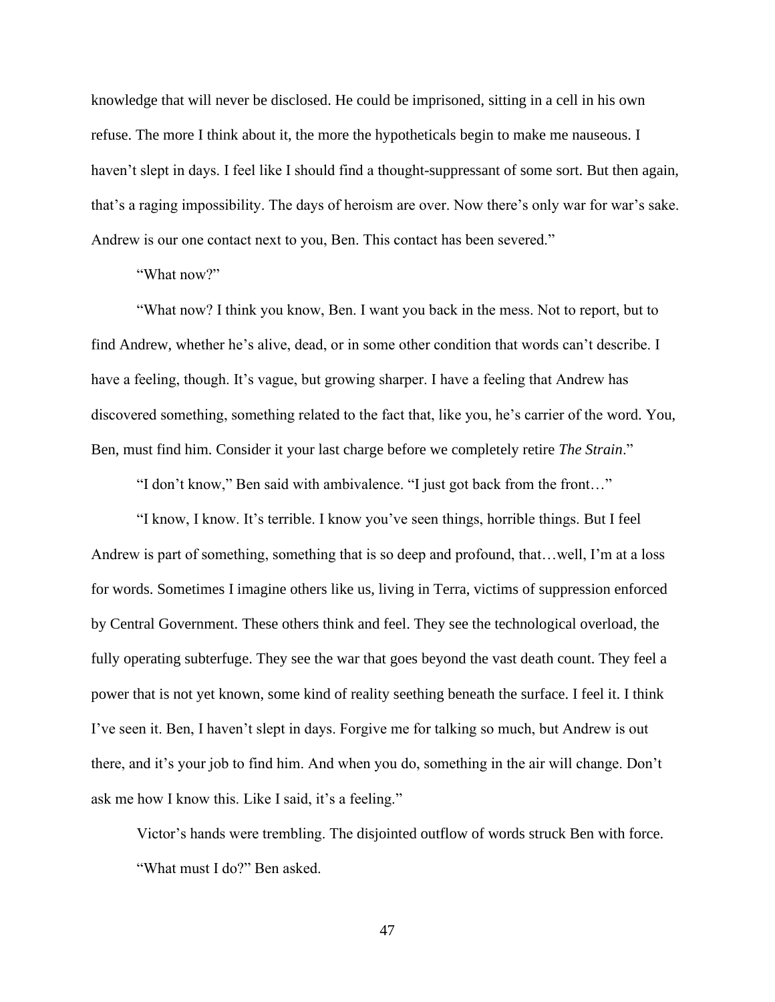knowledge that will never be disclosed. He could be imprisoned, sitting in a cell in his own refuse. The more I think about it, the more the hypotheticals begin to make me nauseous. I haven't slept in days. I feel like I should find a thought-suppressant of some sort. But then again, that's a raging impossibility. The days of heroism are over. Now there's only war for war's sake. Andrew is our one contact next to you, Ben. This contact has been severed."

"What now?"

"What now? I think you know, Ben. I want you back in the mess. Not to report, but to find Andrew, whether he's alive, dead, or in some other condition that words can't describe. I have a feeling, though. It's vague, but growing sharper. I have a feeling that Andrew has discovered something, something related to the fact that, like you, he's carrier of the word. You, Ben, must find him. Consider it your last charge before we completely retire *The Strain*."

"I don't know," Ben said with ambivalence. "I just got back from the front…"

"I know, I know. It's terrible. I know you've seen things, horrible things. But I feel Andrew is part of something, something that is so deep and profound, that…well, I'm at a loss for words. Sometimes I imagine others like us, living in Terra, victims of suppression enforced by Central Government. These others think and feel. They see the technological overload, the fully operating subterfuge. They see the war that goes beyond the vast death count. They feel a power that is not yet known, some kind of reality seething beneath the surface. I feel it. I think I've seen it. Ben, I haven't slept in days. Forgive me for talking so much, but Andrew is out there, and it's your job to find him. And when you do, something in the air will change. Don't ask me how I know this. Like I said, it's a feeling."

Victor's hands were trembling. The disjointed outflow of words struck Ben with force. "What must I do?" Ben asked.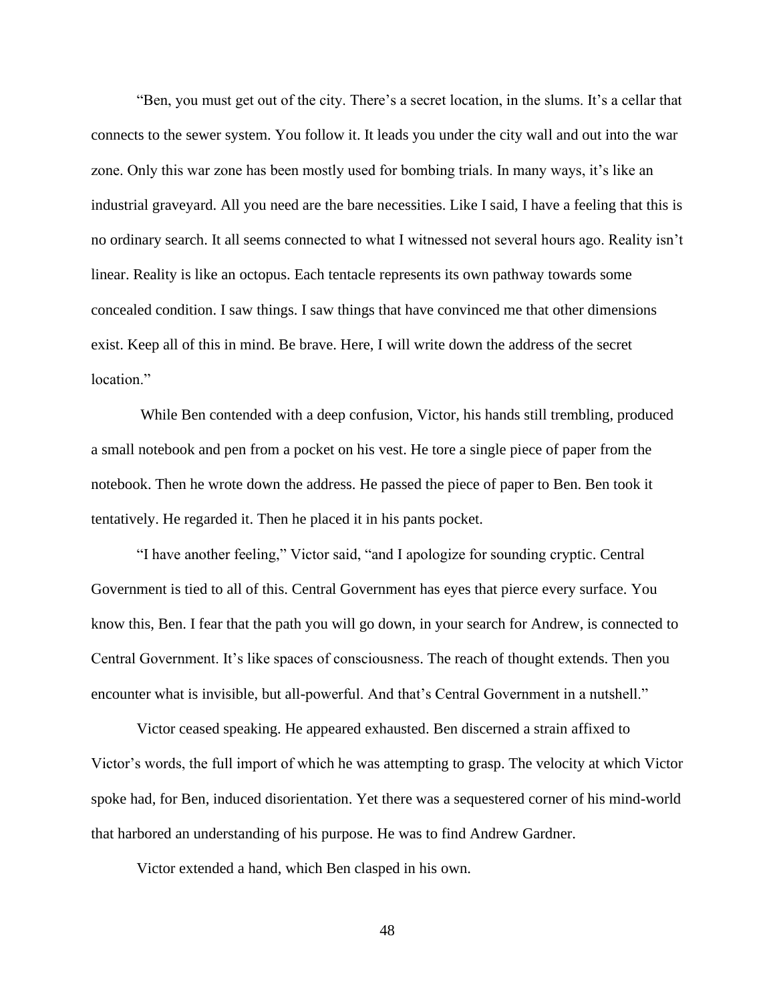"Ben, you must get out of the city. There's a secret location, in the slums. It's a cellar that connects to the sewer system. You follow it. It leads you under the city wall and out into the war zone. Only this war zone has been mostly used for bombing trials. In many ways, it's like an industrial graveyard. All you need are the bare necessities. Like I said, I have a feeling that this is no ordinary search. It all seems connected to what I witnessed not several hours ago. Reality isn't linear. Reality is like an octopus. Each tentacle represents its own pathway towards some concealed condition. I saw things. I saw things that have convinced me that other dimensions exist. Keep all of this in mind. Be brave. Here, I will write down the address of the secret location."

While Ben contended with a deep confusion, Victor, his hands still trembling, produced a small notebook and pen from a pocket on his vest. He tore a single piece of paper from the notebook. Then he wrote down the address. He passed the piece of paper to Ben. Ben took it tentatively. He regarded it. Then he placed it in his pants pocket.

"I have another feeling," Victor said, "and I apologize for sounding cryptic. Central Government is tied to all of this. Central Government has eyes that pierce every surface. You know this, Ben. I fear that the path you will go down, in your search for Andrew, is connected to Central Government. It's like spaces of consciousness. The reach of thought extends. Then you encounter what is invisible, but all-powerful. And that's Central Government in a nutshell."

Victor ceased speaking. He appeared exhausted. Ben discerned a strain affixed to Victor's words, the full import of which he was attempting to grasp. The velocity at which Victor spoke had, for Ben, induced disorientation. Yet there was a sequestered corner of his mind-world that harbored an understanding of his purpose. He was to find Andrew Gardner.

Victor extended a hand, which Ben clasped in his own.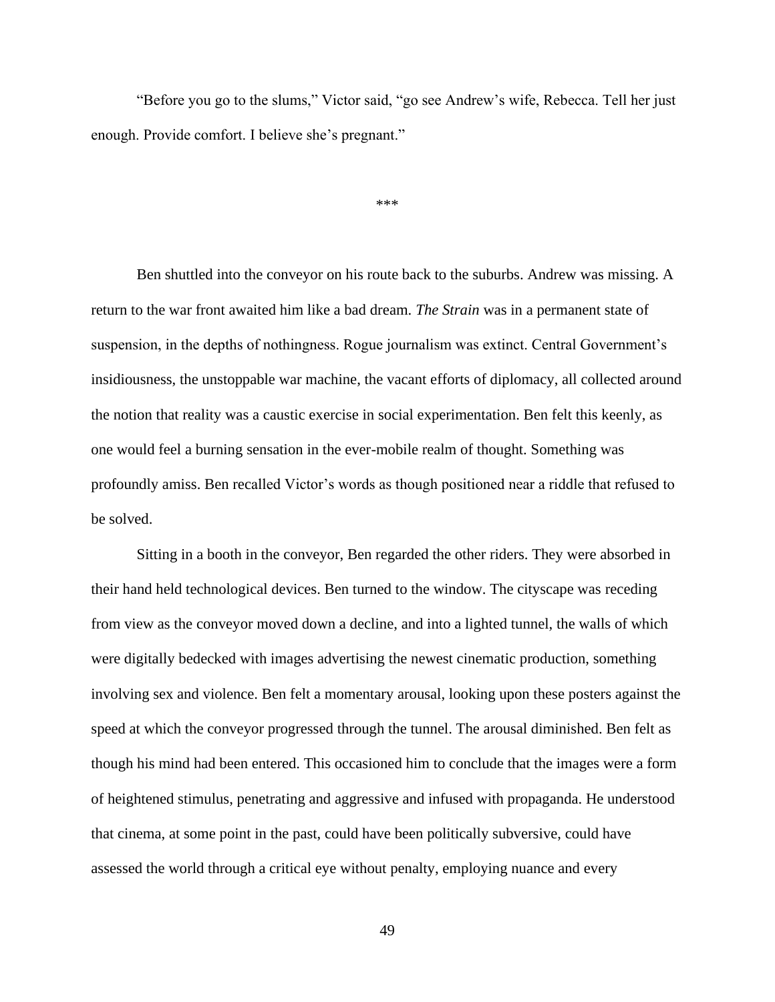"Before you go to the slums," Victor said, "go see Andrew's wife, Rebecca. Tell her just enough. Provide comfort. I believe she's pregnant."

\*\*\*

Ben shuttled into the conveyor on his route back to the suburbs. Andrew was missing. A return to the war front awaited him like a bad dream. *The Strain* was in a permanent state of suspension, in the depths of nothingness. Rogue journalism was extinct. Central Government's insidiousness, the unstoppable war machine, the vacant efforts of diplomacy, all collected around the notion that reality was a caustic exercise in social experimentation. Ben felt this keenly, as one would feel a burning sensation in the ever-mobile realm of thought. Something was profoundly amiss. Ben recalled Victor's words as though positioned near a riddle that refused to be solved.

Sitting in a booth in the conveyor, Ben regarded the other riders. They were absorbed in their hand held technological devices. Ben turned to the window. The cityscape was receding from view as the conveyor moved down a decline, and into a lighted tunnel, the walls of which were digitally bedecked with images advertising the newest cinematic production, something involving sex and violence. Ben felt a momentary arousal, looking upon these posters against the speed at which the conveyor progressed through the tunnel. The arousal diminished. Ben felt as though his mind had been entered. This occasioned him to conclude that the images were a form of heightened stimulus, penetrating and aggressive and infused with propaganda. He understood that cinema, at some point in the past, could have been politically subversive, could have assessed the world through a critical eye without penalty, employing nuance and every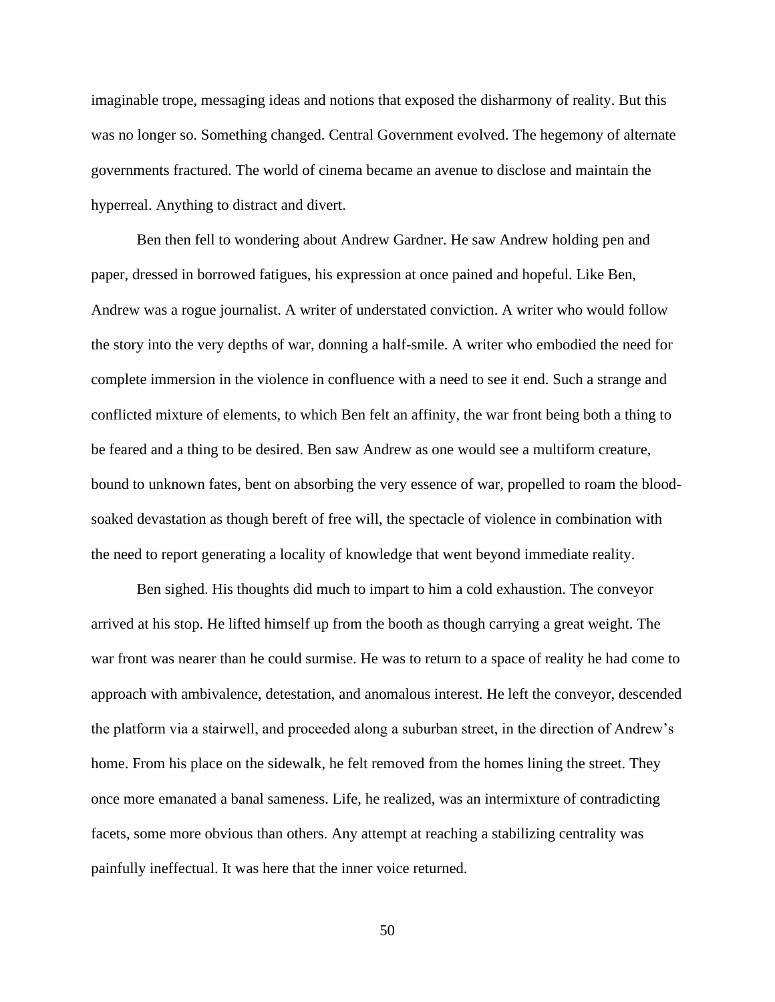imaginable trope, messaging ideas and notions that exposed the disharmony of reality. But this was no longer so. Something changed. Central Government evolved. The hegemony of alternate governments fractured. The world of cinema became an avenue to disclose and maintain the hyperreal. Anything to distract and divert.

Ben then fell to wondering about Andrew Gardner. He saw Andrew holding pen and paper, dressed in borrowed fatigues, his expression at once pained and hopeful. Like Ben, Andrew was a rogue journalist. A writer of understated conviction. A writer who would follow the story into the very depths of war, donning a half-smile. A writer who embodied the need for complete immersion in the violence in confluence with a need to see it end. Such a strange and conflicted mixture of elements, to which Ben felt an affinity, the war front being both a thing to be feared and a thing to be desired. Ben saw Andrew as one would see a multiform creature, bound to unknown fates, bent on absorbing the very essence of war, propelled to roam the bloodsoaked devastation as though bereft of free will, the spectacle of violence in combination with the need to report generating a locality of knowledge that went beyond immediate reality.

Ben sighed. His thoughts did much to impart to him a cold exhaustion. The conveyor arrived at his stop. He lifted himself up from the booth as though carrying a great weight. The war front was nearer than he could surmise. He was to return to a space of reality he had come to approach with ambivalence, detestation, and anomalous interest. He left the conveyor, descended the platform via a stairwell, and proceeded along a suburban street, in the direction of Andrew's home. From his place on the sidewalk, he felt removed from the homes lining the street. They once more emanated a banal sameness. Life, he realized, was an intermixture of contradicting facets, some more obvious than others. Any attempt at reaching a stabilizing centrality was painfully ineffectual. It was here that the inner voice returned.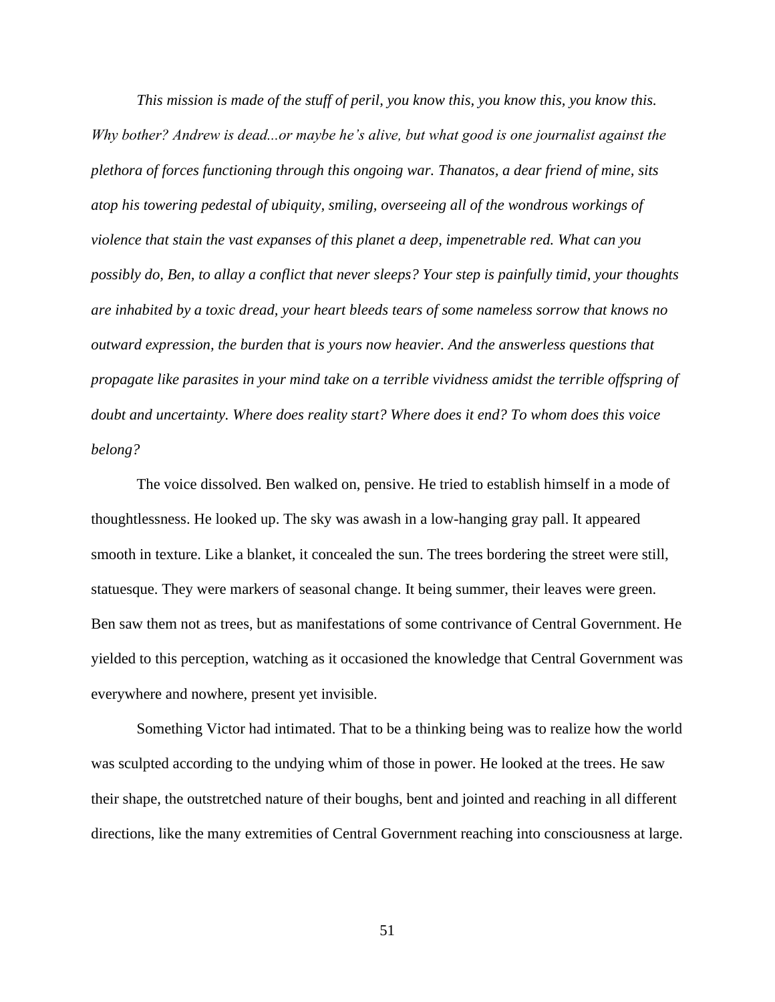*This mission is made of the stuff of peril, you know this, you know this, you know this. Why bother? Andrew is dead...or maybe he's alive, but what good is one journalist against the plethora of forces functioning through this ongoing war. Thanatos, a dear friend of mine, sits atop his towering pedestal of ubiquity, smiling, overseeing all of the wondrous workings of violence that stain the vast expanses of this planet a deep, impenetrable red. What can you possibly do, Ben, to allay a conflict that never sleeps? Your step is painfully timid, your thoughts are inhabited by a toxic dread, your heart bleeds tears of some nameless sorrow that knows no outward expression, the burden that is yours now heavier. And the answerless questions that propagate like parasites in your mind take on a terrible vividness amidst the terrible offspring of doubt and uncertainty. Where does reality start? Where does it end? To whom does this voice belong?*

The voice dissolved. Ben walked on, pensive. He tried to establish himself in a mode of thoughtlessness. He looked up. The sky was awash in a low-hanging gray pall. It appeared smooth in texture. Like a blanket, it concealed the sun. The trees bordering the street were still, statuesque. They were markers of seasonal change. It being summer, their leaves were green. Ben saw them not as trees, but as manifestations of some contrivance of Central Government. He yielded to this perception, watching as it occasioned the knowledge that Central Government was everywhere and nowhere, present yet invisible.

Something Victor had intimated. That to be a thinking being was to realize how the world was sculpted according to the undying whim of those in power. He looked at the trees. He saw their shape, the outstretched nature of their boughs, bent and jointed and reaching in all different directions, like the many extremities of Central Government reaching into consciousness at large.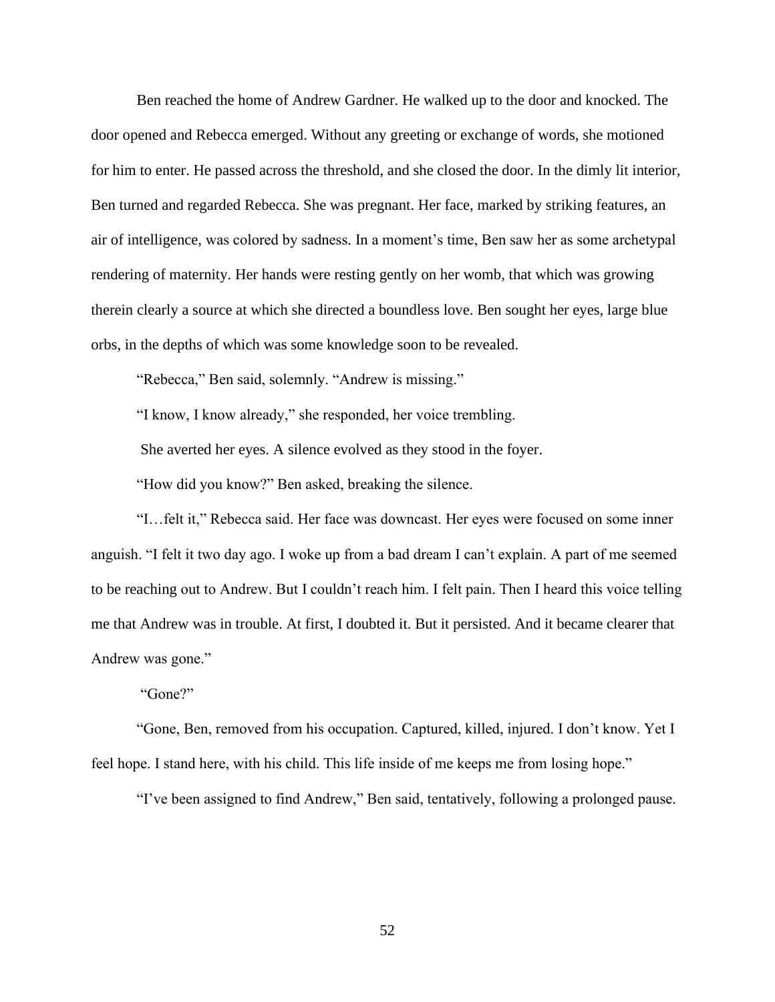Ben reached the home of Andrew Gardner. He walked up to the door and knocked. The door opened and Rebecca emerged. Without any greeting or exchange of words, she motioned for him to enter. He passed across the threshold, and she closed the door. In the dimly lit interior, Ben turned and regarded Rebecca. She was pregnant. Her face, marked by striking features, an air of intelligence, was colored by sadness. In a moment's time, Ben saw her as some archetypal rendering of maternity. Her hands were resting gently on her womb, that which was growing therein clearly a source at which she directed a boundless love. Ben sought her eyes, large blue orbs, in the depths of which was some knowledge soon to be revealed.

"Rebecca," Ben said, solemnly. "Andrew is missing."

"I know, I know already," she responded, her voice trembling.

She averted her eyes. A silence evolved as they stood in the foyer.

"How did you know?" Ben asked, breaking the silence.

"I…felt it," Rebecca said. Her face was downcast. Her eyes were focused on some inner anguish. "I felt it two day ago. I woke up from a bad dream I can't explain. A part of me seemed to be reaching out to Andrew. But I couldn't reach him. I felt pain. Then I heard this voice telling me that Andrew was in trouble. At first, I doubted it. But it persisted. And it became clearer that Andrew was gone."

"Gone?"

"Gone, Ben, removed from his occupation. Captured, killed, injured. I don't know. Yet I feel hope. I stand here, with his child. This life inside of me keeps me from losing hope."

"I've been assigned to find Andrew," Ben said, tentatively, following a prolonged pause.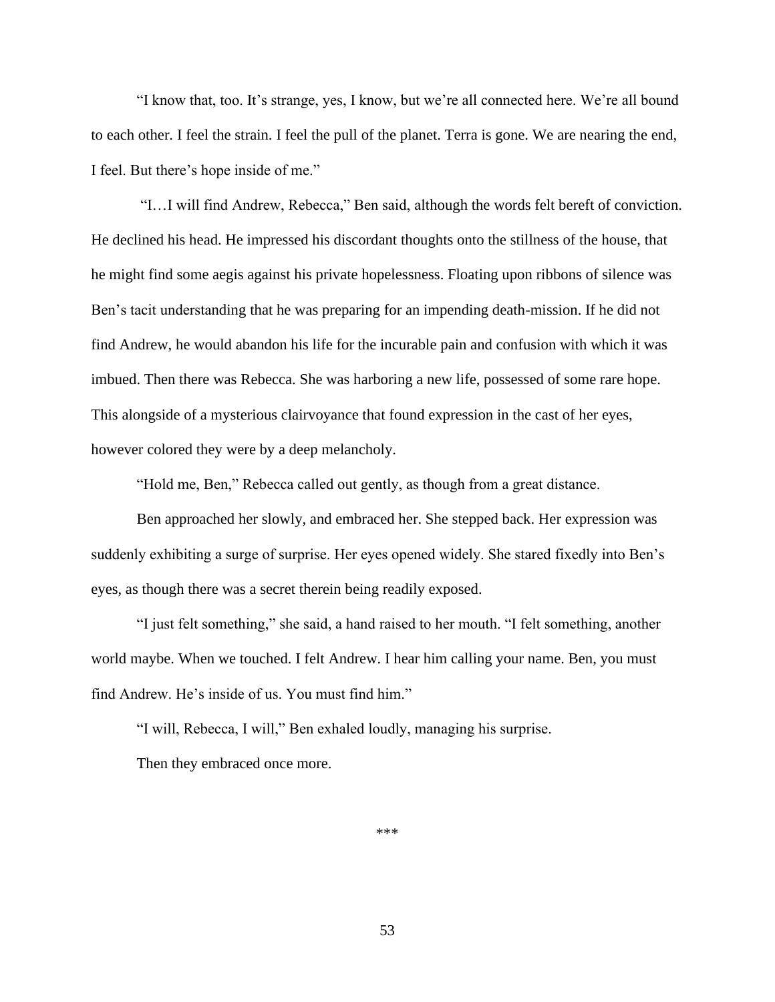"I know that, too. It's strange, yes, I know, but we're all connected here. We're all bound to each other. I feel the strain. I feel the pull of the planet. Terra is gone. We are nearing the end, I feel. But there's hope inside of me."

"I…I will find Andrew, Rebecca," Ben said, although the words felt bereft of conviction. He declined his head. He impressed his discordant thoughts onto the stillness of the house, that he might find some aegis against his private hopelessness. Floating upon ribbons of silence was Ben's tacit understanding that he was preparing for an impending death-mission. If he did not find Andrew, he would abandon his life for the incurable pain and confusion with which it was imbued. Then there was Rebecca. She was harboring a new life, possessed of some rare hope. This alongside of a mysterious clairvoyance that found expression in the cast of her eyes, however colored they were by a deep melancholy.

"Hold me, Ben," Rebecca called out gently, as though from a great distance.

Ben approached her slowly, and embraced her. She stepped back. Her expression was suddenly exhibiting a surge of surprise. Her eyes opened widely. She stared fixedly into Ben's eyes, as though there was a secret therein being readily exposed.

"I just felt something," she said, a hand raised to her mouth. "I felt something, another world maybe. When we touched. I felt Andrew. I hear him calling your name. Ben, you must find Andrew. He's inside of us. You must find him."

"I will, Rebecca, I will," Ben exhaled loudly, managing his surprise.

Then they embraced once more.

\*\*\*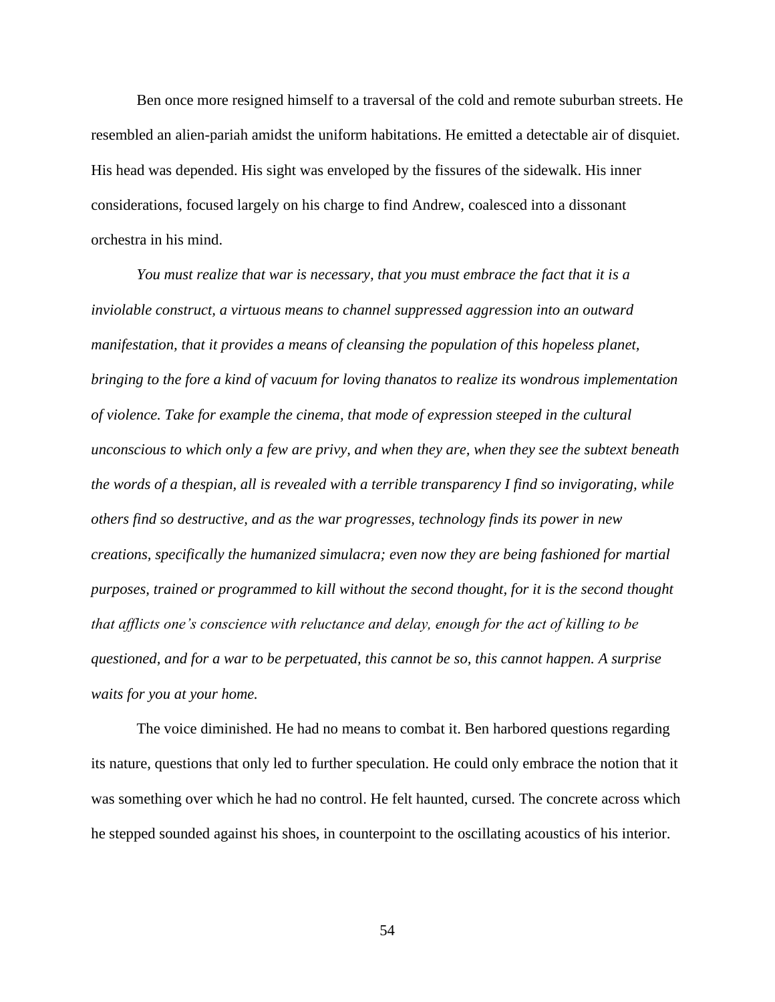Ben once more resigned himself to a traversal of the cold and remote suburban streets. He resembled an alien-pariah amidst the uniform habitations. He emitted a detectable air of disquiet. His head was depended. His sight was enveloped by the fissures of the sidewalk. His inner considerations, focused largely on his charge to find Andrew, coalesced into a dissonant orchestra in his mind.

*You must realize that war is necessary, that you must embrace the fact that it is a inviolable construct, a virtuous means to channel suppressed aggression into an outward manifestation, that it provides a means of cleansing the population of this hopeless planet, bringing to the fore a kind of vacuum for loving thanatos to realize its wondrous implementation of violence. Take for example the cinema, that mode of expression steeped in the cultural unconscious to which only a few are privy, and when they are, when they see the subtext beneath the words of a thespian, all is revealed with a terrible transparency I find so invigorating, while others find so destructive, and as the war progresses, technology finds its power in new creations, specifically the humanized simulacra; even now they are being fashioned for martial purposes, trained or programmed to kill without the second thought, for it is the second thought that afflicts one's conscience with reluctance and delay, enough for the act of killing to be questioned, and for a war to be perpetuated, this cannot be so, this cannot happen. A surprise waits for you at your home.* 

The voice diminished. He had no means to combat it. Ben harbored questions regarding its nature, questions that only led to further speculation. He could only embrace the notion that it was something over which he had no control. He felt haunted, cursed. The concrete across which he stepped sounded against his shoes, in counterpoint to the oscillating acoustics of his interior.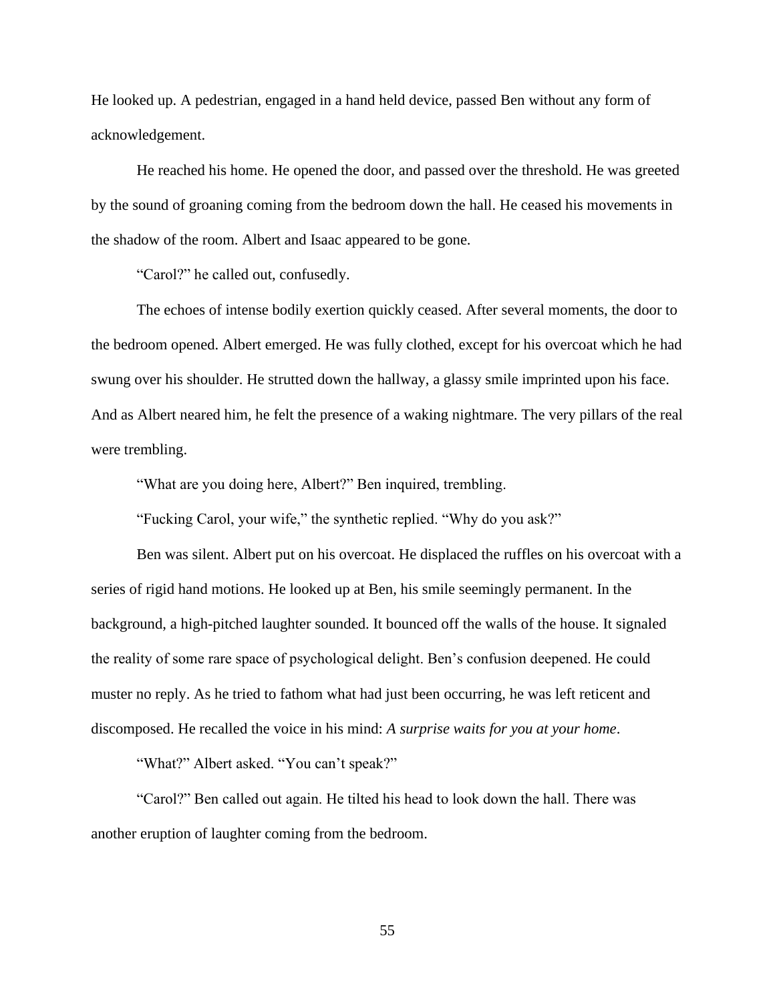He looked up. A pedestrian, engaged in a hand held device, passed Ben without any form of acknowledgement.

He reached his home. He opened the door, and passed over the threshold. He was greeted by the sound of groaning coming from the bedroom down the hall. He ceased his movements in the shadow of the room. Albert and Isaac appeared to be gone.

"Carol?" he called out, confusedly.

The echoes of intense bodily exertion quickly ceased. After several moments, the door to the bedroom opened. Albert emerged. He was fully clothed, except for his overcoat which he had swung over his shoulder. He strutted down the hallway, a glassy smile imprinted upon his face. And as Albert neared him, he felt the presence of a waking nightmare. The very pillars of the real were trembling.

"What are you doing here, Albert?" Ben inquired, trembling.

"Fucking Carol, your wife," the synthetic replied. "Why do you ask?"

Ben was silent. Albert put on his overcoat. He displaced the ruffles on his overcoat with a series of rigid hand motions. He looked up at Ben, his smile seemingly permanent. In the background, a high-pitched laughter sounded. It bounced off the walls of the house. It signaled the reality of some rare space of psychological delight. Ben's confusion deepened. He could muster no reply. As he tried to fathom what had just been occurring, he was left reticent and discomposed. He recalled the voice in his mind: *A surprise waits for you at your home*.

"What?" Albert asked. "You can't speak?"

"Carol?" Ben called out again. He tilted his head to look down the hall. There was another eruption of laughter coming from the bedroom.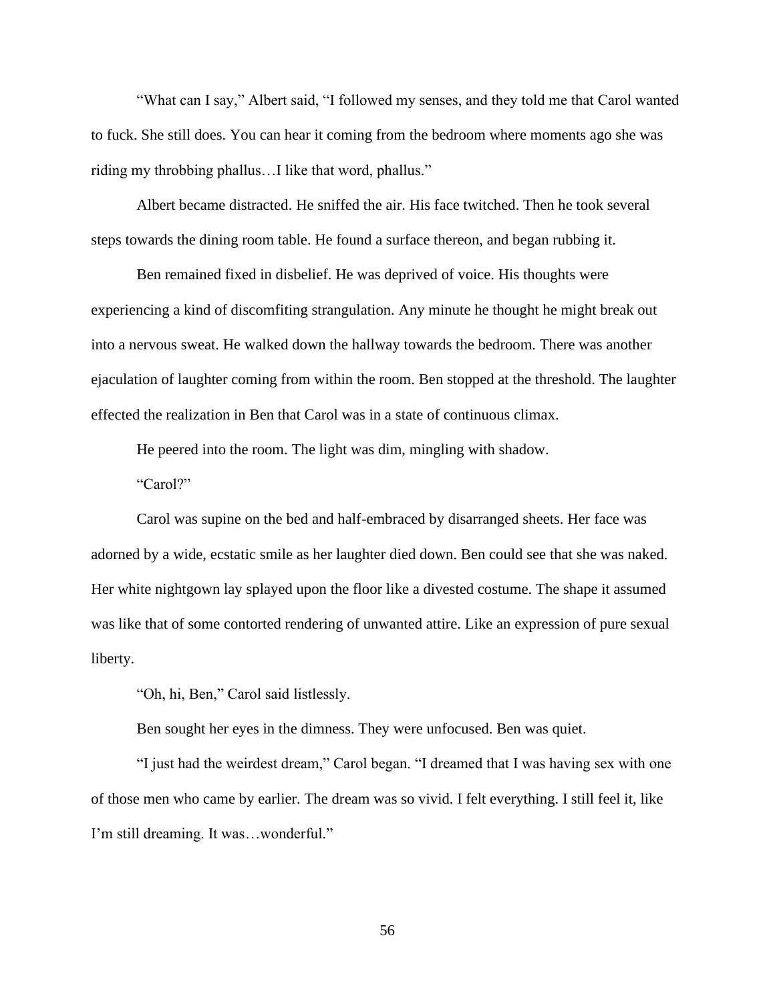"What can I say," Albert said, "I followed my senses, and they told me that Carol wanted to fuck. She still does. You can hear it coming from the bedroom where moments ago she was riding my throbbing phallus…I like that word, phallus."

Albert became distracted. He sniffed the air. His face twitched. Then he took several steps towards the dining room table. He found a surface thereon, and began rubbing it.

Ben remained fixed in disbelief. He was deprived of voice. His thoughts were experiencing a kind of discomfiting strangulation. Any minute he thought he might break out into a nervous sweat. He walked down the hallway towards the bedroom. There was another ejaculation of laughter coming from within the room. Ben stopped at the threshold. The laughter effected the realization in Ben that Carol was in a state of continuous climax.

He peered into the room. The light was dim, mingling with shadow.

"Carol?"

Carol was supine on the bed and half-embraced by disarranged sheets. Her face was adorned by a wide, ecstatic smile as her laughter died down. Ben could see that she was naked. Her white nightgown lay splayed upon the floor like a divested costume. The shape it assumed was like that of some contorted rendering of unwanted attire. Like an expression of pure sexual liberty.

"Oh, hi, Ben," Carol said listlessly.

Ben sought her eyes in the dimness. They were unfocused. Ben was quiet.

"I just had the weirdest dream," Carol began. "I dreamed that I was having sex with one of those men who came by earlier. The dream was so vivid. I felt everything. I still feel it, like I'm still dreaming. It was…wonderful."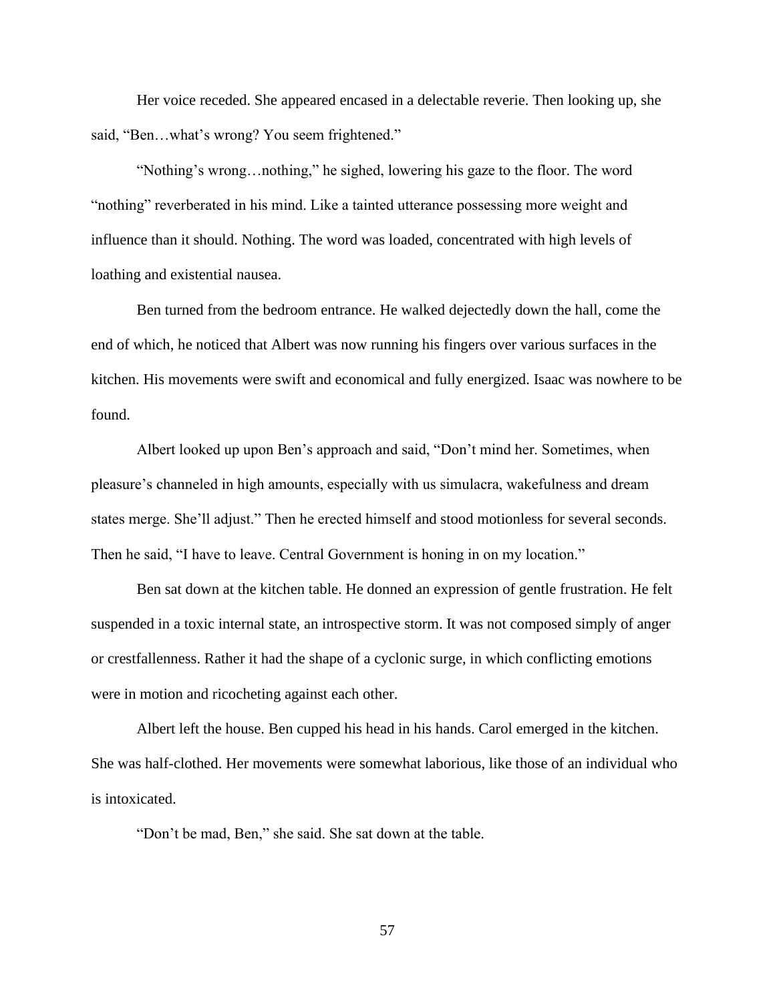Her voice receded. She appeared encased in a delectable reverie. Then looking up, she said, "Ben…what's wrong? You seem frightened."

"Nothing's wrong…nothing," he sighed, lowering his gaze to the floor. The word "nothing" reverberated in his mind. Like a tainted utterance possessing more weight and influence than it should. Nothing. The word was loaded, concentrated with high levels of loathing and existential nausea.

Ben turned from the bedroom entrance. He walked dejectedly down the hall, come the end of which, he noticed that Albert was now running his fingers over various surfaces in the kitchen. His movements were swift and economical and fully energized. Isaac was nowhere to be found.

Albert looked up upon Ben's approach and said, "Don't mind her. Sometimes, when pleasure's channeled in high amounts, especially with us simulacra, wakefulness and dream states merge. She'll adjust." Then he erected himself and stood motionless for several seconds. Then he said, "I have to leave. Central Government is honing in on my location."

Ben sat down at the kitchen table. He donned an expression of gentle frustration. He felt suspended in a toxic internal state, an introspective storm. It was not composed simply of anger or crestfallenness. Rather it had the shape of a cyclonic surge, in which conflicting emotions were in motion and ricocheting against each other.

Albert left the house. Ben cupped his head in his hands. Carol emerged in the kitchen. She was half-clothed. Her movements were somewhat laborious, like those of an individual who is intoxicated.

"Don't be mad, Ben," she said. She sat down at the table.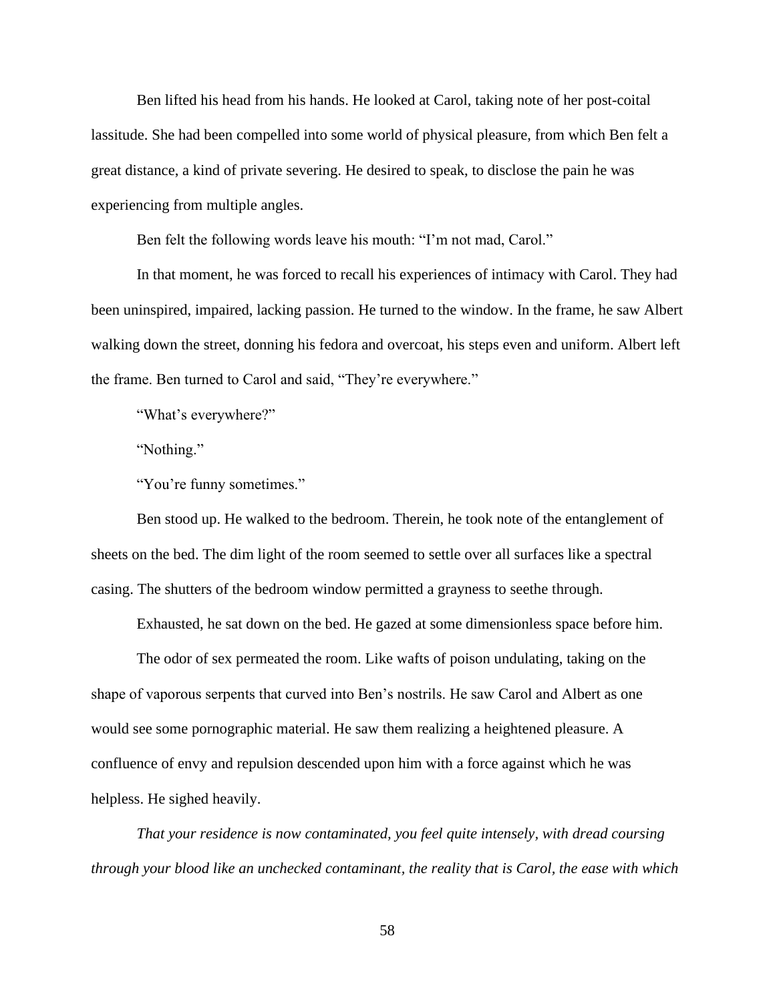Ben lifted his head from his hands. He looked at Carol, taking note of her post-coital lassitude. She had been compelled into some world of physical pleasure, from which Ben felt a great distance, a kind of private severing. He desired to speak, to disclose the pain he was experiencing from multiple angles.

Ben felt the following words leave his mouth: "I'm not mad, Carol."

In that moment, he was forced to recall his experiences of intimacy with Carol. They had been uninspired, impaired, lacking passion. He turned to the window. In the frame, he saw Albert walking down the street, donning his fedora and overcoat, his steps even and uniform. Albert left the frame. Ben turned to Carol and said, "They're everywhere."

"What's everywhere?"

"Nothing."

"You're funny sometimes."

Ben stood up. He walked to the bedroom. Therein, he took note of the entanglement of sheets on the bed. The dim light of the room seemed to settle over all surfaces like a spectral casing. The shutters of the bedroom window permitted a grayness to seethe through.

Exhausted, he sat down on the bed. He gazed at some dimensionless space before him.

The odor of sex permeated the room. Like wafts of poison undulating, taking on the shape of vaporous serpents that curved into Ben's nostrils. He saw Carol and Albert as one would see some pornographic material. He saw them realizing a heightened pleasure. A confluence of envy and repulsion descended upon him with a force against which he was helpless. He sighed heavily.

*That your residence is now contaminated, you feel quite intensely, with dread coursing through your blood like an unchecked contaminant, the reality that is Carol, the ease with which*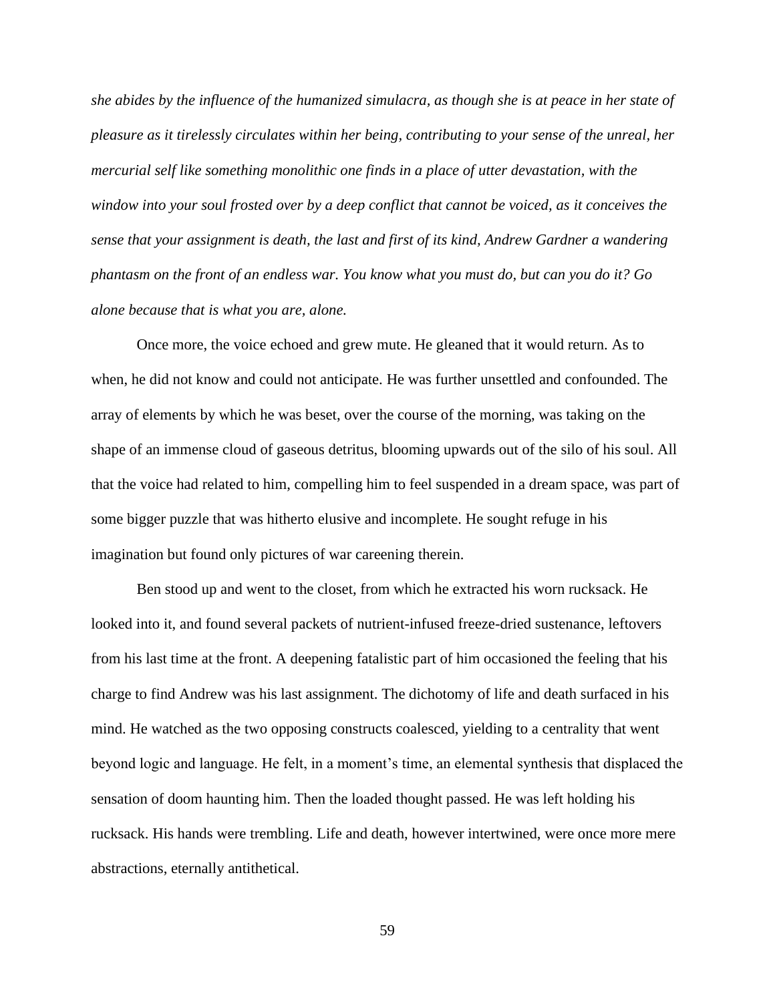*she abides by the influence of the humanized simulacra, as though she is at peace in her state of pleasure as it tirelessly circulates within her being, contributing to your sense of the unreal, her mercurial self like something monolithic one finds in a place of utter devastation, with the window into your soul frosted over by a deep conflict that cannot be voiced, as it conceives the sense that your assignment is death, the last and first of its kind, Andrew Gardner a wandering phantasm on the front of an endless war. You know what you must do, but can you do it? Go alone because that is what you are, alone.*

Once more, the voice echoed and grew mute. He gleaned that it would return. As to when, he did not know and could not anticipate. He was further unsettled and confounded. The array of elements by which he was beset, over the course of the morning, was taking on the shape of an immense cloud of gaseous detritus, blooming upwards out of the silo of his soul. All that the voice had related to him, compelling him to feel suspended in a dream space, was part of some bigger puzzle that was hitherto elusive and incomplete. He sought refuge in his imagination but found only pictures of war careening therein.

Ben stood up and went to the closet, from which he extracted his worn rucksack. He looked into it, and found several packets of nutrient-infused freeze-dried sustenance, leftovers from his last time at the front. A deepening fatalistic part of him occasioned the feeling that his charge to find Andrew was his last assignment. The dichotomy of life and death surfaced in his mind. He watched as the two opposing constructs coalesced, yielding to a centrality that went beyond logic and language. He felt, in a moment's time, an elemental synthesis that displaced the sensation of doom haunting him. Then the loaded thought passed. He was left holding his rucksack. His hands were trembling. Life and death, however intertwined, were once more mere abstractions, eternally antithetical.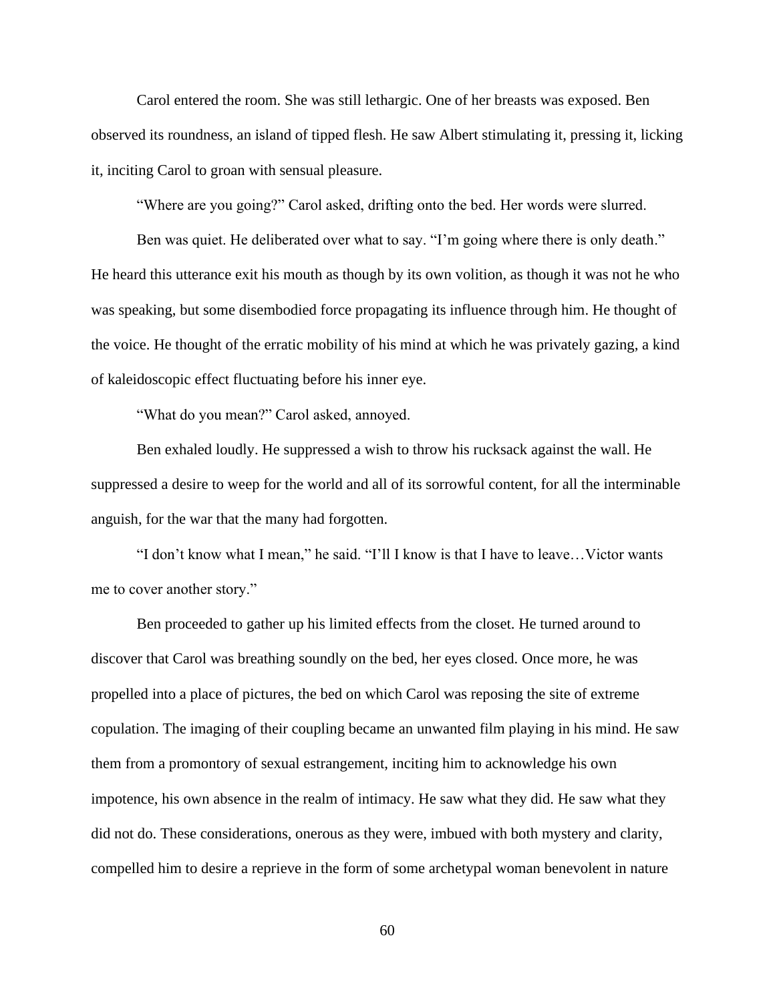Carol entered the room. She was still lethargic. One of her breasts was exposed. Ben observed its roundness, an island of tipped flesh. He saw Albert stimulating it, pressing it, licking it, inciting Carol to groan with sensual pleasure.

"Where are you going?" Carol asked, drifting onto the bed. Her words were slurred.

Ben was quiet. He deliberated over what to say. "I'm going where there is only death." He heard this utterance exit his mouth as though by its own volition, as though it was not he who was speaking, but some disembodied force propagating its influence through him. He thought of the voice. He thought of the erratic mobility of his mind at which he was privately gazing, a kind of kaleidoscopic effect fluctuating before his inner eye.

"What do you mean?" Carol asked, annoyed.

Ben exhaled loudly. He suppressed a wish to throw his rucksack against the wall. He suppressed a desire to weep for the world and all of its sorrowful content, for all the interminable anguish, for the war that the many had forgotten.

"I don't know what I mean," he said. "I'll I know is that I have to leave…Victor wants me to cover another story."

Ben proceeded to gather up his limited effects from the closet. He turned around to discover that Carol was breathing soundly on the bed, her eyes closed. Once more, he was propelled into a place of pictures, the bed on which Carol was reposing the site of extreme copulation. The imaging of their coupling became an unwanted film playing in his mind. He saw them from a promontory of sexual estrangement, inciting him to acknowledge his own impotence, his own absence in the realm of intimacy. He saw what they did. He saw what they did not do. These considerations, onerous as they were, imbued with both mystery and clarity, compelled him to desire a reprieve in the form of some archetypal woman benevolent in nature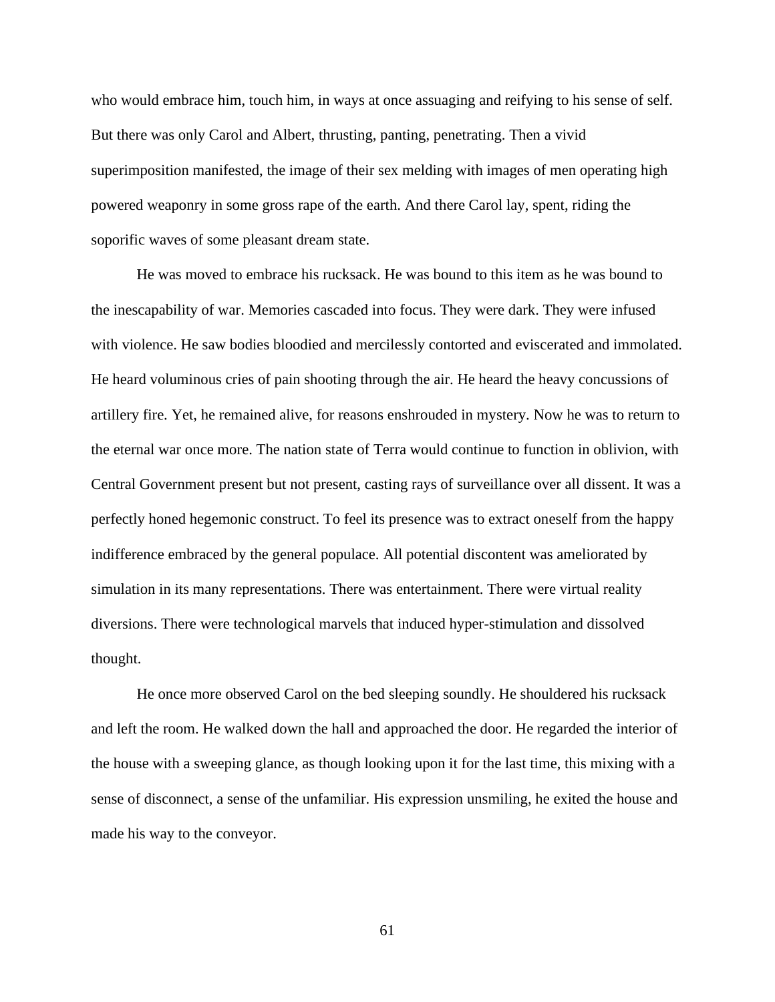who would embrace him, touch him, in ways at once assuaging and reifying to his sense of self. But there was only Carol and Albert, thrusting, panting, penetrating. Then a vivid superimposition manifested, the image of their sex melding with images of men operating high powered weaponry in some gross rape of the earth. And there Carol lay, spent, riding the soporific waves of some pleasant dream state.

He was moved to embrace his rucksack. He was bound to this item as he was bound to the inescapability of war. Memories cascaded into focus. They were dark. They were infused with violence. He saw bodies bloodied and mercilessly contorted and eviscerated and immolated. He heard voluminous cries of pain shooting through the air. He heard the heavy concussions of artillery fire. Yet, he remained alive, for reasons enshrouded in mystery. Now he was to return to the eternal war once more. The nation state of Terra would continue to function in oblivion, with Central Government present but not present, casting rays of surveillance over all dissent. It was a perfectly honed hegemonic construct. To feel its presence was to extract oneself from the happy indifference embraced by the general populace. All potential discontent was ameliorated by simulation in its many representations. There was entertainment. There were virtual reality diversions. There were technological marvels that induced hyper-stimulation and dissolved thought.

He once more observed Carol on the bed sleeping soundly. He shouldered his rucksack and left the room. He walked down the hall and approached the door. He regarded the interior of the house with a sweeping glance, as though looking upon it for the last time, this mixing with a sense of disconnect, a sense of the unfamiliar. His expression unsmiling, he exited the house and made his way to the conveyor.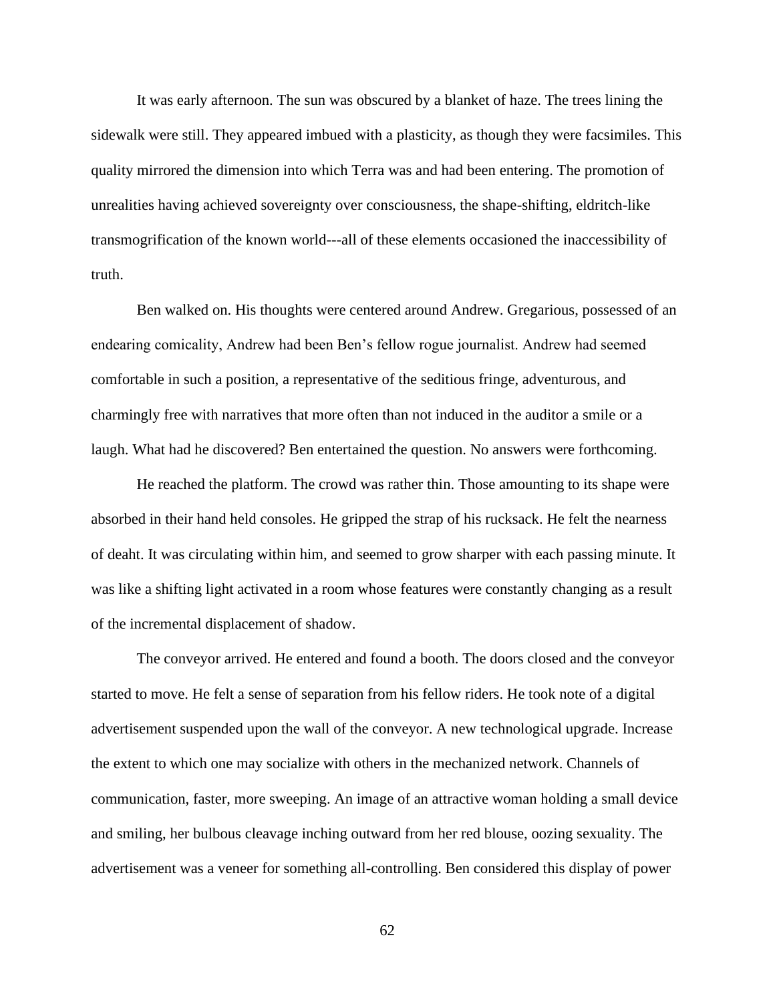It was early afternoon. The sun was obscured by a blanket of haze. The trees lining the sidewalk were still. They appeared imbued with a plasticity, as though they were facsimiles. This quality mirrored the dimension into which Terra was and had been entering. The promotion of unrealities having achieved sovereignty over consciousness, the shape-shifting, eldritch-like transmogrification of the known world---all of these elements occasioned the inaccessibility of truth.

Ben walked on. His thoughts were centered around Andrew. Gregarious, possessed of an endearing comicality, Andrew had been Ben's fellow rogue journalist. Andrew had seemed comfortable in such a position, a representative of the seditious fringe, adventurous, and charmingly free with narratives that more often than not induced in the auditor a smile or a laugh. What had he discovered? Ben entertained the question. No answers were forthcoming.

He reached the platform. The crowd was rather thin. Those amounting to its shape were absorbed in their hand held consoles. He gripped the strap of his rucksack. He felt the nearness of deaht. It was circulating within him, and seemed to grow sharper with each passing minute. It was like a shifting light activated in a room whose features were constantly changing as a result of the incremental displacement of shadow.

The conveyor arrived. He entered and found a booth. The doors closed and the conveyor started to move. He felt a sense of separation from his fellow riders. He took note of a digital advertisement suspended upon the wall of the conveyor. A new technological upgrade. Increase the extent to which one may socialize with others in the mechanized network. Channels of communication, faster, more sweeping. An image of an attractive woman holding a small device and smiling, her bulbous cleavage inching outward from her red blouse, oozing sexuality. The advertisement was a veneer for something all-controlling. Ben considered this display of power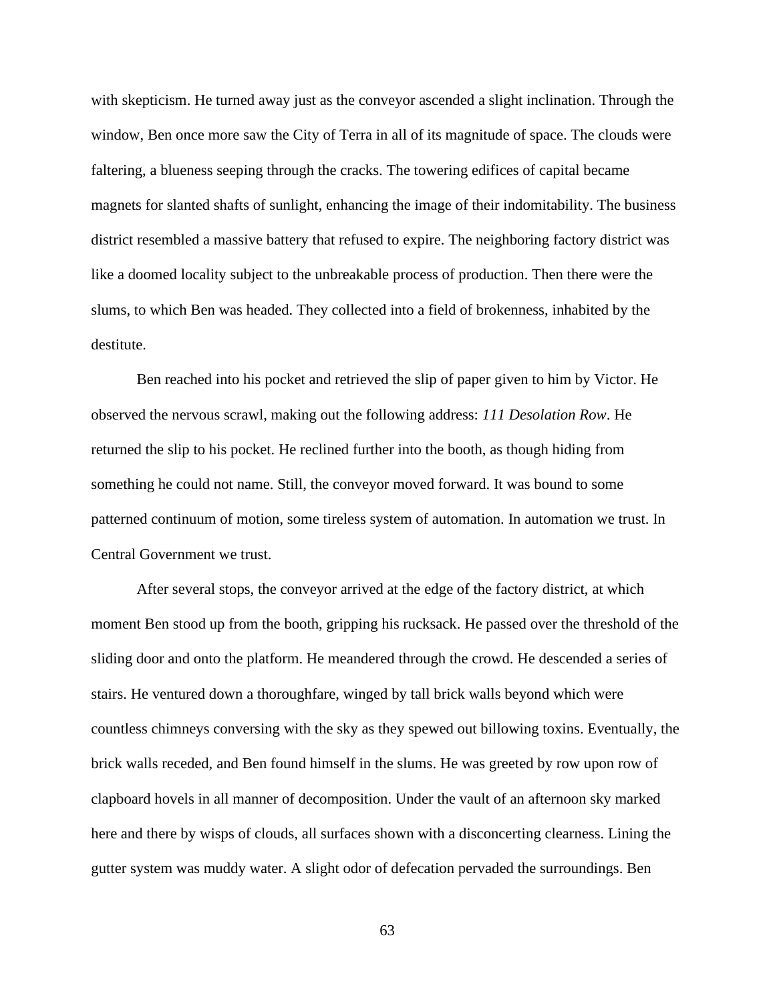with skepticism. He turned away just as the conveyor ascended a slight inclination. Through the window, Ben once more saw the City of Terra in all of its magnitude of space. The clouds were faltering, a blueness seeping through the cracks. The towering edifices of capital became magnets for slanted shafts of sunlight, enhancing the image of their indomitability. The business district resembled a massive battery that refused to expire. The neighboring factory district was like a doomed locality subject to the unbreakable process of production. Then there were the slums, to which Ben was headed. They collected into a field of brokenness, inhabited by the destitute.

Ben reached into his pocket and retrieved the slip of paper given to him by Victor. He observed the nervous scrawl, making out the following address: *111 Desolation Row*. He returned the slip to his pocket. He reclined further into the booth, as though hiding from something he could not name. Still, the conveyor moved forward. It was bound to some patterned continuum of motion, some tireless system of automation. In automation we trust. In Central Government we trust.

After several stops, the conveyor arrived at the edge of the factory district, at which moment Ben stood up from the booth, gripping his rucksack. He passed over the threshold of the sliding door and onto the platform. He meandered through the crowd. He descended a series of stairs. He ventured down a thoroughfare, winged by tall brick walls beyond which were countless chimneys conversing with the sky as they spewed out billowing toxins. Eventually, the brick walls receded, and Ben found himself in the slums. He was greeted by row upon row of clapboard hovels in all manner of decomposition. Under the vault of an afternoon sky marked here and there by wisps of clouds, all surfaces shown with a disconcerting clearness. Lining the gutter system was muddy water. A slight odor of defecation pervaded the surroundings. Ben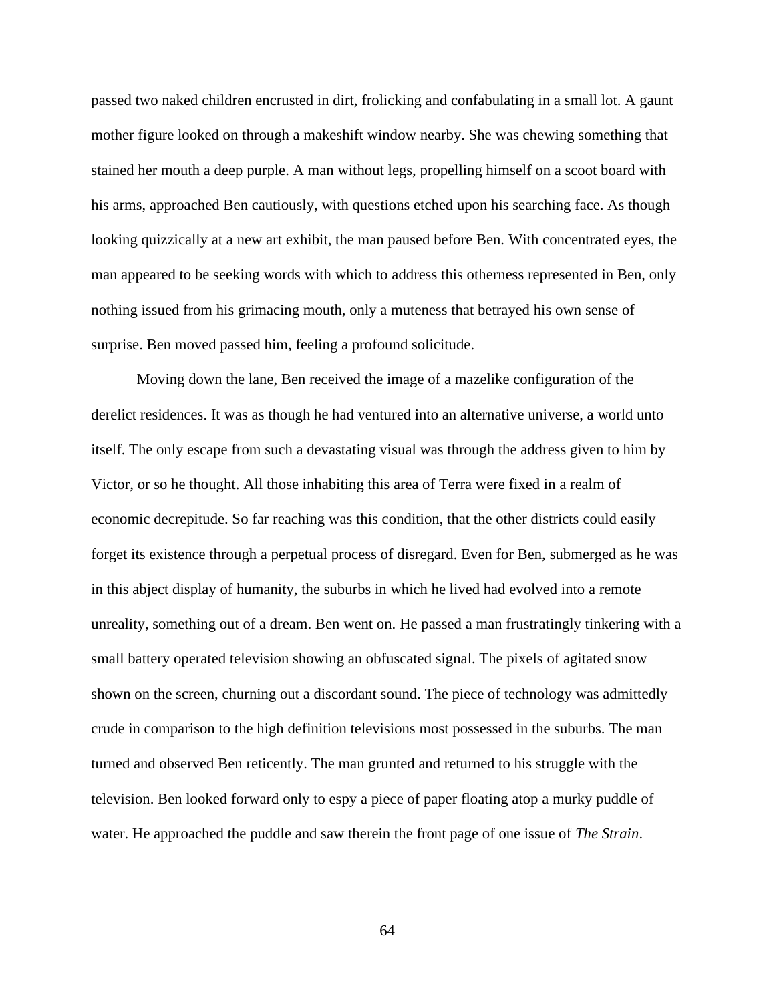passed two naked children encrusted in dirt, frolicking and confabulating in a small lot. A gaunt mother figure looked on through a makeshift window nearby. She was chewing something that stained her mouth a deep purple. A man without legs, propelling himself on a scoot board with his arms, approached Ben cautiously, with questions etched upon his searching face. As though looking quizzically at a new art exhibit, the man paused before Ben. With concentrated eyes, the man appeared to be seeking words with which to address this otherness represented in Ben, only nothing issued from his grimacing mouth, only a muteness that betrayed his own sense of surprise. Ben moved passed him, feeling a profound solicitude.

Moving down the lane, Ben received the image of a mazelike configuration of the derelict residences. It was as though he had ventured into an alternative universe, a world unto itself. The only escape from such a devastating visual was through the address given to him by Victor, or so he thought. All those inhabiting this area of Terra were fixed in a realm of economic decrepitude. So far reaching was this condition, that the other districts could easily forget its existence through a perpetual process of disregard. Even for Ben, submerged as he was in this abject display of humanity, the suburbs in which he lived had evolved into a remote unreality, something out of a dream. Ben went on. He passed a man frustratingly tinkering with a small battery operated television showing an obfuscated signal. The pixels of agitated snow shown on the screen, churning out a discordant sound. The piece of technology was admittedly crude in comparison to the high definition televisions most possessed in the suburbs. The man turned and observed Ben reticently. The man grunted and returned to his struggle with the television. Ben looked forward only to espy a piece of paper floating atop a murky puddle of water. He approached the puddle and saw therein the front page of one issue of *The Strain*.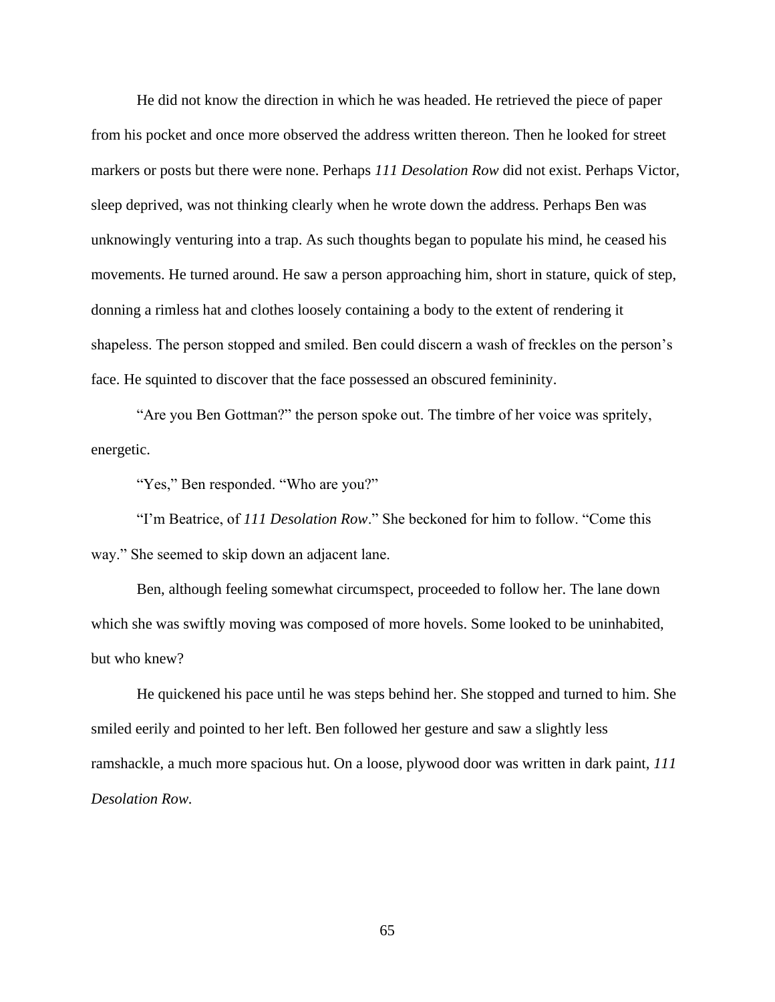He did not know the direction in which he was headed. He retrieved the piece of paper from his pocket and once more observed the address written thereon. Then he looked for street markers or posts but there were none. Perhaps *111 Desolation Row* did not exist. Perhaps Victor, sleep deprived, was not thinking clearly when he wrote down the address. Perhaps Ben was unknowingly venturing into a trap. As such thoughts began to populate his mind, he ceased his movements. He turned around. He saw a person approaching him, short in stature, quick of step, donning a rimless hat and clothes loosely containing a body to the extent of rendering it shapeless. The person stopped and smiled. Ben could discern a wash of freckles on the person's face. He squinted to discover that the face possessed an obscured femininity.

"Are you Ben Gottman?" the person spoke out. The timbre of her voice was spritely, energetic.

"Yes," Ben responded. "Who are you?"

"I'm Beatrice, of *111 Desolation Row*." She beckoned for him to follow. "Come this way." She seemed to skip down an adjacent lane.

Ben, although feeling somewhat circumspect, proceeded to follow her. The lane down which she was swiftly moving was composed of more hovels. Some looked to be uninhabited, but who knew?

He quickened his pace until he was steps behind her. She stopped and turned to him. She smiled eerily and pointed to her left. Ben followed her gesture and saw a slightly less ramshackle, a much more spacious hut. On a loose, plywood door was written in dark paint, *111 Desolation Row.*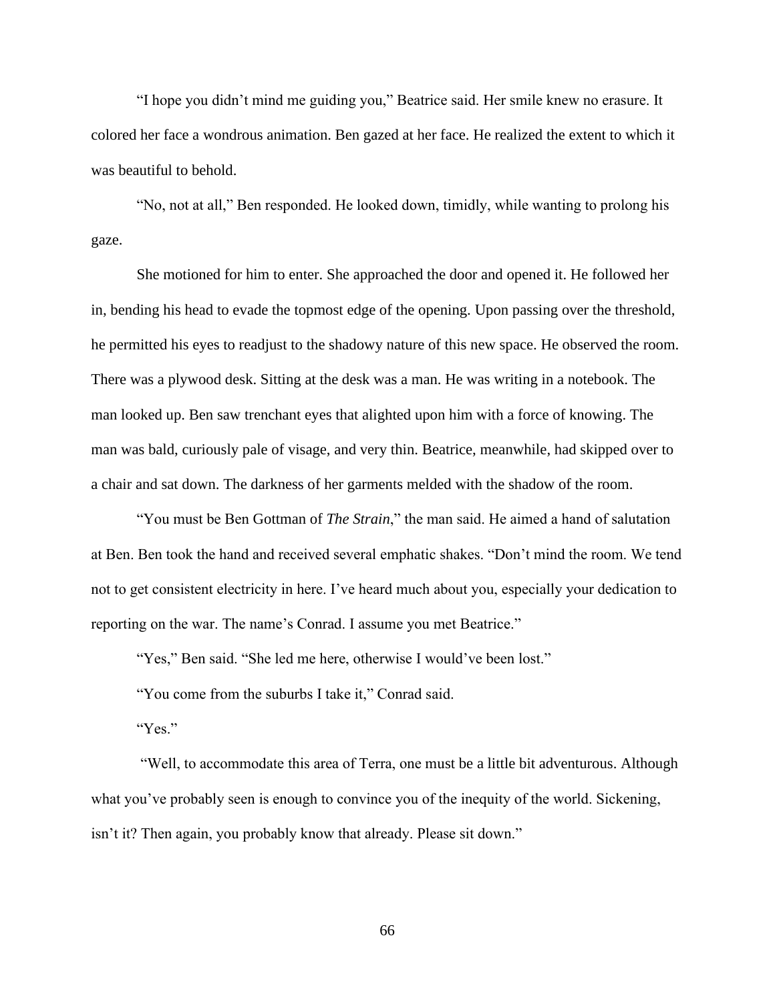"I hope you didn't mind me guiding you," Beatrice said. Her smile knew no erasure. It colored her face a wondrous animation. Ben gazed at her face. He realized the extent to which it was beautiful to behold.

"No, not at all," Ben responded. He looked down, timidly, while wanting to prolong his gaze.

She motioned for him to enter. She approached the door and opened it. He followed her in, bending his head to evade the topmost edge of the opening. Upon passing over the threshold, he permitted his eyes to readjust to the shadowy nature of this new space. He observed the room. There was a plywood desk. Sitting at the desk was a man. He was writing in a notebook. The man looked up. Ben saw trenchant eyes that alighted upon him with a force of knowing. The man was bald, curiously pale of visage, and very thin. Beatrice, meanwhile, had skipped over to a chair and sat down. The darkness of her garments melded with the shadow of the room.

"You must be Ben Gottman of *The Strain*," the man said. He aimed a hand of salutation at Ben. Ben took the hand and received several emphatic shakes. "Don't mind the room. We tend not to get consistent electricity in here. I've heard much about you, especially your dedication to reporting on the war. The name's Conrad. I assume you met Beatrice."

"Yes," Ben said. "She led me here, otherwise I would've been lost."

"You come from the suburbs I take it," Conrad said.

"Yes."

"Well, to accommodate this area of Terra, one must be a little bit adventurous. Although what you've probably seen is enough to convince you of the inequity of the world. Sickening, isn't it? Then again, you probably know that already. Please sit down."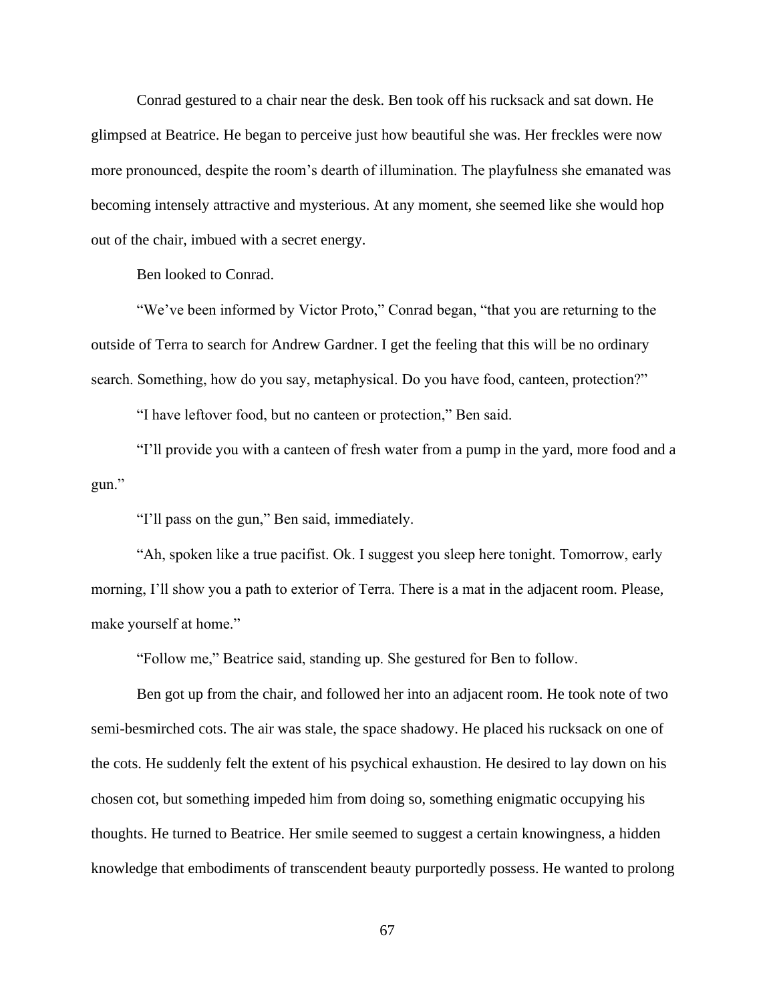Conrad gestured to a chair near the desk. Ben took off his rucksack and sat down. He glimpsed at Beatrice. He began to perceive just how beautiful she was. Her freckles were now more pronounced, despite the room's dearth of illumination. The playfulness she emanated was becoming intensely attractive and mysterious. At any moment, she seemed like she would hop out of the chair, imbued with a secret energy.

Ben looked to Conrad.

"We've been informed by Victor Proto," Conrad began, "that you are returning to the outside of Terra to search for Andrew Gardner. I get the feeling that this will be no ordinary search. Something, how do you say, metaphysical. Do you have food, canteen, protection?"

"I have leftover food, but no canteen or protection," Ben said.

"I'll provide you with a canteen of fresh water from a pump in the yard, more food and a gun."

"I'll pass on the gun," Ben said, immediately.

"Ah, spoken like a true pacifist. Ok. I suggest you sleep here tonight. Tomorrow, early morning, I'll show you a path to exterior of Terra. There is a mat in the adjacent room. Please, make yourself at home."

"Follow me," Beatrice said, standing up. She gestured for Ben to follow.

Ben got up from the chair, and followed her into an adjacent room. He took note of two semi-besmirched cots. The air was stale, the space shadowy. He placed his rucksack on one of the cots. He suddenly felt the extent of his psychical exhaustion. He desired to lay down on his chosen cot, but something impeded him from doing so, something enigmatic occupying his thoughts. He turned to Beatrice. Her smile seemed to suggest a certain knowingness, a hidden knowledge that embodiments of transcendent beauty purportedly possess. He wanted to prolong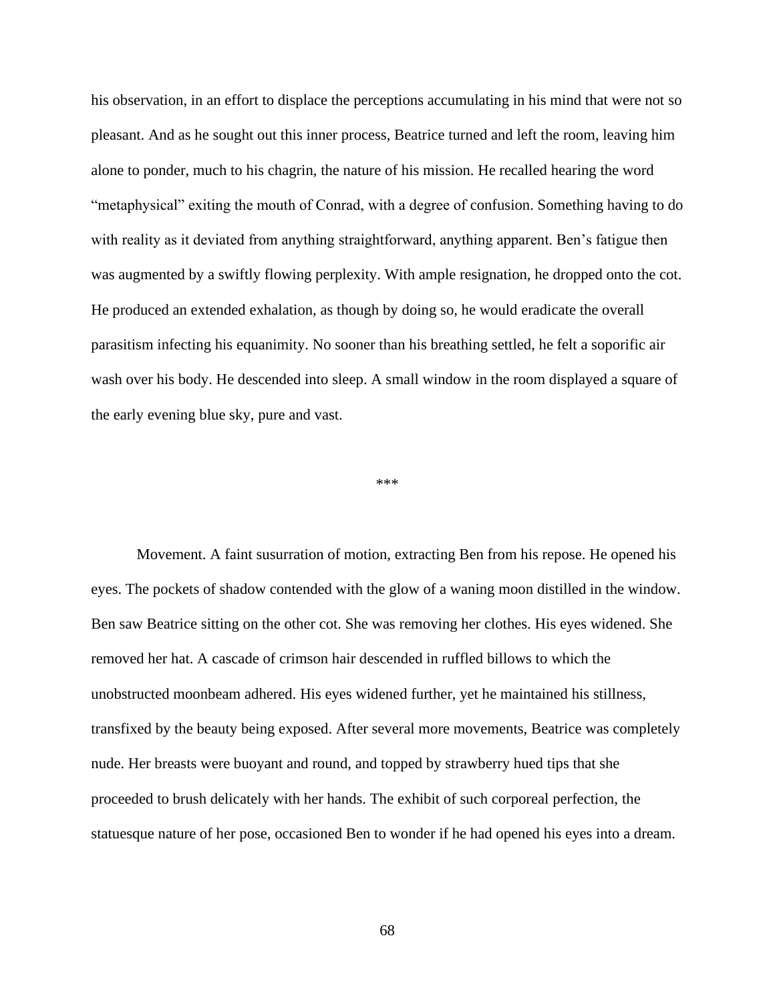his observation, in an effort to displace the perceptions accumulating in his mind that were not so pleasant. And as he sought out this inner process, Beatrice turned and left the room, leaving him alone to ponder, much to his chagrin, the nature of his mission. He recalled hearing the word "metaphysical" exiting the mouth of Conrad, with a degree of confusion. Something having to do with reality as it deviated from anything straightforward, anything apparent. Ben's fatigue then was augmented by a swiftly flowing perplexity. With ample resignation, he dropped onto the cot. He produced an extended exhalation, as though by doing so, he would eradicate the overall parasitism infecting his equanimity. No sooner than his breathing settled, he felt a soporific air wash over his body. He descended into sleep. A small window in the room displayed a square of the early evening blue sky, pure and vast.

\*\*\*

Movement. A faint susurration of motion, extracting Ben from his repose. He opened his eyes. The pockets of shadow contended with the glow of a waning moon distilled in the window. Ben saw Beatrice sitting on the other cot. She was removing her clothes. His eyes widened. She removed her hat. A cascade of crimson hair descended in ruffled billows to which the unobstructed moonbeam adhered. His eyes widened further, yet he maintained his stillness, transfixed by the beauty being exposed. After several more movements, Beatrice was completely nude. Her breasts were buoyant and round, and topped by strawberry hued tips that she proceeded to brush delicately with her hands. The exhibit of such corporeal perfection, the statuesque nature of her pose, occasioned Ben to wonder if he had opened his eyes into a dream.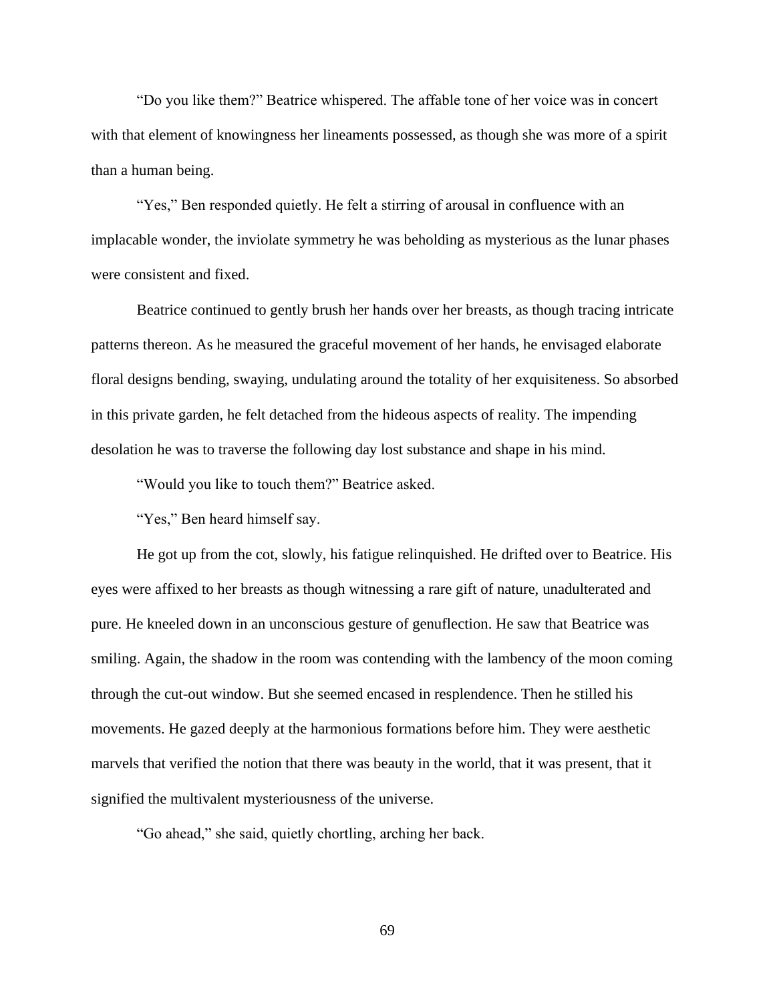"Do you like them?" Beatrice whispered. The affable tone of her voice was in concert with that element of knowingness her lineaments possessed, as though she was more of a spirit than a human being.

"Yes," Ben responded quietly. He felt a stirring of arousal in confluence with an implacable wonder, the inviolate symmetry he was beholding as mysterious as the lunar phases were consistent and fixed.

Beatrice continued to gently brush her hands over her breasts, as though tracing intricate patterns thereon. As he measured the graceful movement of her hands, he envisaged elaborate floral designs bending, swaying, undulating around the totality of her exquisiteness. So absorbed in this private garden, he felt detached from the hideous aspects of reality. The impending desolation he was to traverse the following day lost substance and shape in his mind.

"Would you like to touch them?" Beatrice asked.

"Yes," Ben heard himself say.

He got up from the cot, slowly, his fatigue relinquished. He drifted over to Beatrice. His eyes were affixed to her breasts as though witnessing a rare gift of nature, unadulterated and pure. He kneeled down in an unconscious gesture of genuflection. He saw that Beatrice was smiling. Again, the shadow in the room was contending with the lambency of the moon coming through the cut-out window. But she seemed encased in resplendence. Then he stilled his movements. He gazed deeply at the harmonious formations before him. They were aesthetic marvels that verified the notion that there was beauty in the world, that it was present, that it signified the multivalent mysteriousness of the universe.

"Go ahead," she said, quietly chortling, arching her back.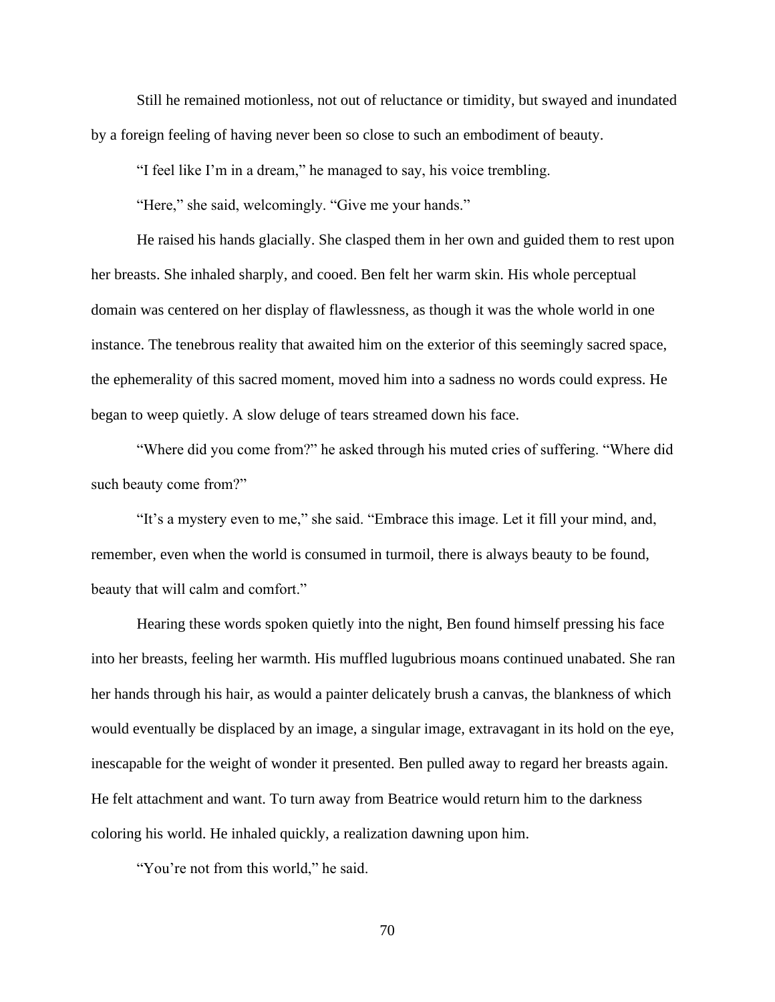Still he remained motionless, not out of reluctance or timidity, but swayed and inundated by a foreign feeling of having never been so close to such an embodiment of beauty.

"I feel like I'm in a dream," he managed to say, his voice trembling.

"Here," she said, welcomingly. "Give me your hands."

He raised his hands glacially. She clasped them in her own and guided them to rest upon her breasts. She inhaled sharply, and cooed. Ben felt her warm skin. His whole perceptual domain was centered on her display of flawlessness, as though it was the whole world in one instance. The tenebrous reality that awaited him on the exterior of this seemingly sacred space, the ephemerality of this sacred moment, moved him into a sadness no words could express. He began to weep quietly. A slow deluge of tears streamed down his face.

"Where did you come from?" he asked through his muted cries of suffering. "Where did such beauty come from?"

"It's a mystery even to me," she said. "Embrace this image. Let it fill your mind, and, remember, even when the world is consumed in turmoil, there is always beauty to be found, beauty that will calm and comfort."

Hearing these words spoken quietly into the night, Ben found himself pressing his face into her breasts, feeling her warmth. His muffled lugubrious moans continued unabated. She ran her hands through his hair, as would a painter delicately brush a canvas, the blankness of which would eventually be displaced by an image, a singular image, extravagant in its hold on the eye, inescapable for the weight of wonder it presented. Ben pulled away to regard her breasts again. He felt attachment and want. To turn away from Beatrice would return him to the darkness coloring his world. He inhaled quickly, a realization dawning upon him.

"You're not from this world," he said.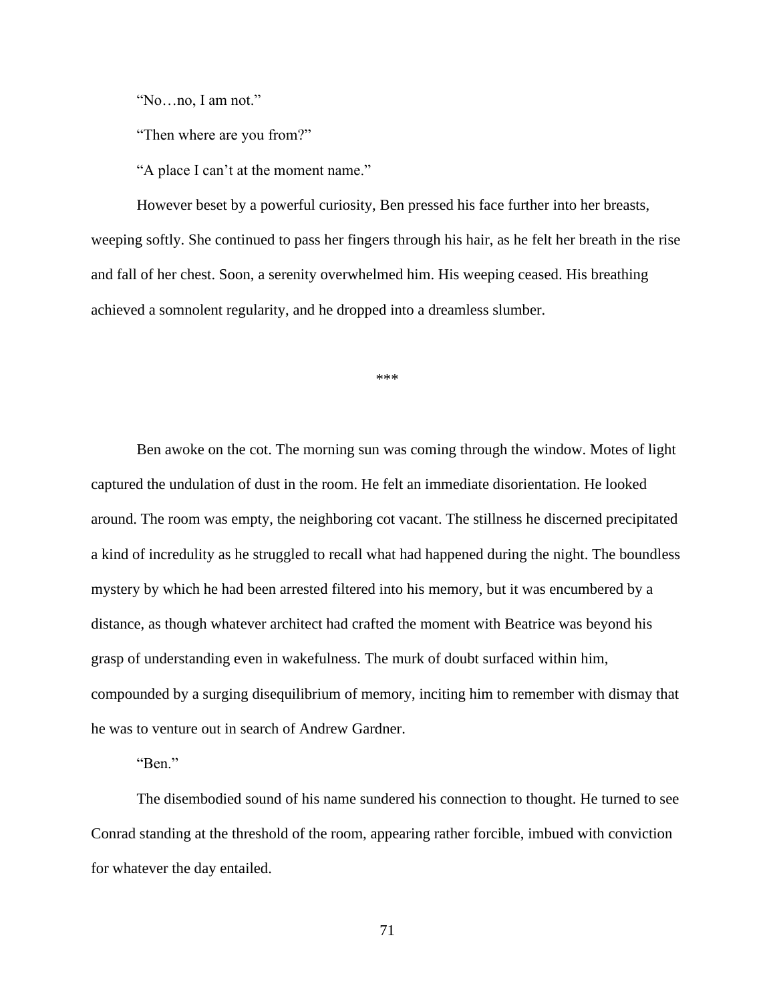"No…no, I am not."

"Then where are you from?"

"A place I can't at the moment name."

However beset by a powerful curiosity, Ben pressed his face further into her breasts, weeping softly. She continued to pass her fingers through his hair, as he felt her breath in the rise and fall of her chest. Soon, a serenity overwhelmed him. His weeping ceased. His breathing achieved a somnolent regularity, and he dropped into a dreamless slumber.

\*\*\*

Ben awoke on the cot. The morning sun was coming through the window. Motes of light captured the undulation of dust in the room. He felt an immediate disorientation. He looked around. The room was empty, the neighboring cot vacant. The stillness he discerned precipitated a kind of incredulity as he struggled to recall what had happened during the night. The boundless mystery by which he had been arrested filtered into his memory, but it was encumbered by a distance, as though whatever architect had crafted the moment with Beatrice was beyond his grasp of understanding even in wakefulness. The murk of doubt surfaced within him, compounded by a surging disequilibrium of memory, inciting him to remember with dismay that he was to venture out in search of Andrew Gardner.

"Ben."

The disembodied sound of his name sundered his connection to thought. He turned to see Conrad standing at the threshold of the room, appearing rather forcible, imbued with conviction for whatever the day entailed.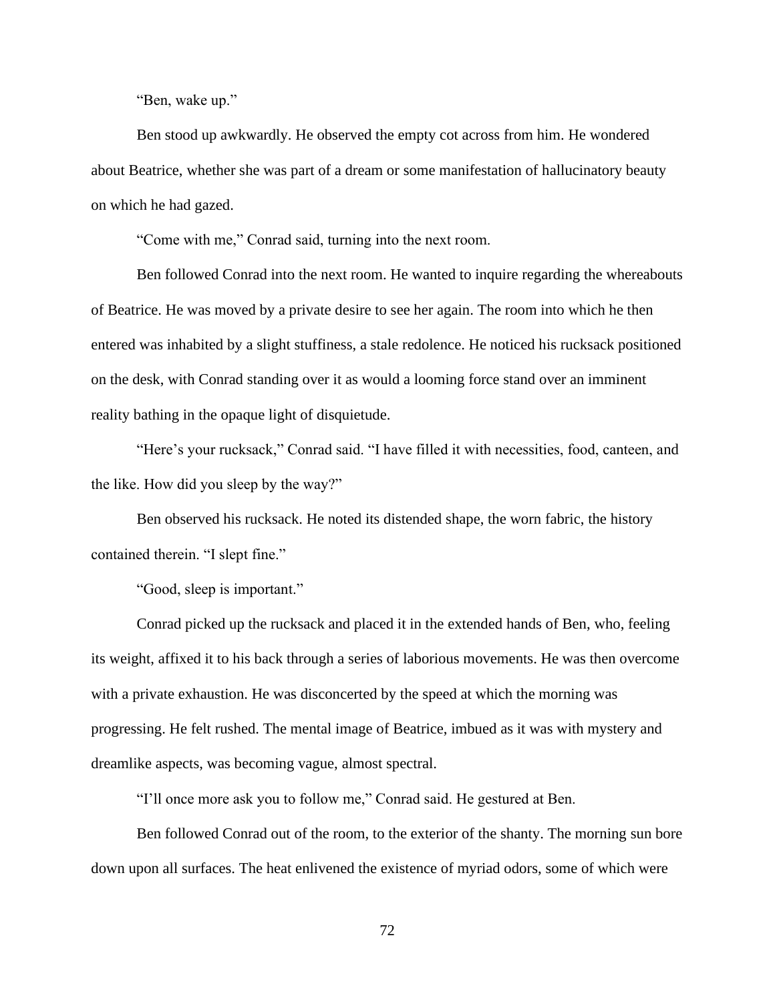"Ben, wake up."

Ben stood up awkwardly. He observed the empty cot across from him. He wondered about Beatrice, whether she was part of a dream or some manifestation of hallucinatory beauty on which he had gazed.

"Come with me," Conrad said, turning into the next room.

Ben followed Conrad into the next room. He wanted to inquire regarding the whereabouts of Beatrice. He was moved by a private desire to see her again. The room into which he then entered was inhabited by a slight stuffiness, a stale redolence. He noticed his rucksack positioned on the desk, with Conrad standing over it as would a looming force stand over an imminent reality bathing in the opaque light of disquietude.

"Here's your rucksack," Conrad said. "I have filled it with necessities, food, canteen, and the like. How did you sleep by the way?"

Ben observed his rucksack. He noted its distended shape, the worn fabric, the history contained therein. "I slept fine."

"Good, sleep is important."

Conrad picked up the rucksack and placed it in the extended hands of Ben, who, feeling its weight, affixed it to his back through a series of laborious movements. He was then overcome with a private exhaustion. He was disconcerted by the speed at which the morning was progressing. He felt rushed. The mental image of Beatrice, imbued as it was with mystery and dreamlike aspects, was becoming vague, almost spectral.

"I'll once more ask you to follow me," Conrad said. He gestured at Ben.

Ben followed Conrad out of the room, to the exterior of the shanty. The morning sun bore down upon all surfaces. The heat enlivened the existence of myriad odors, some of which were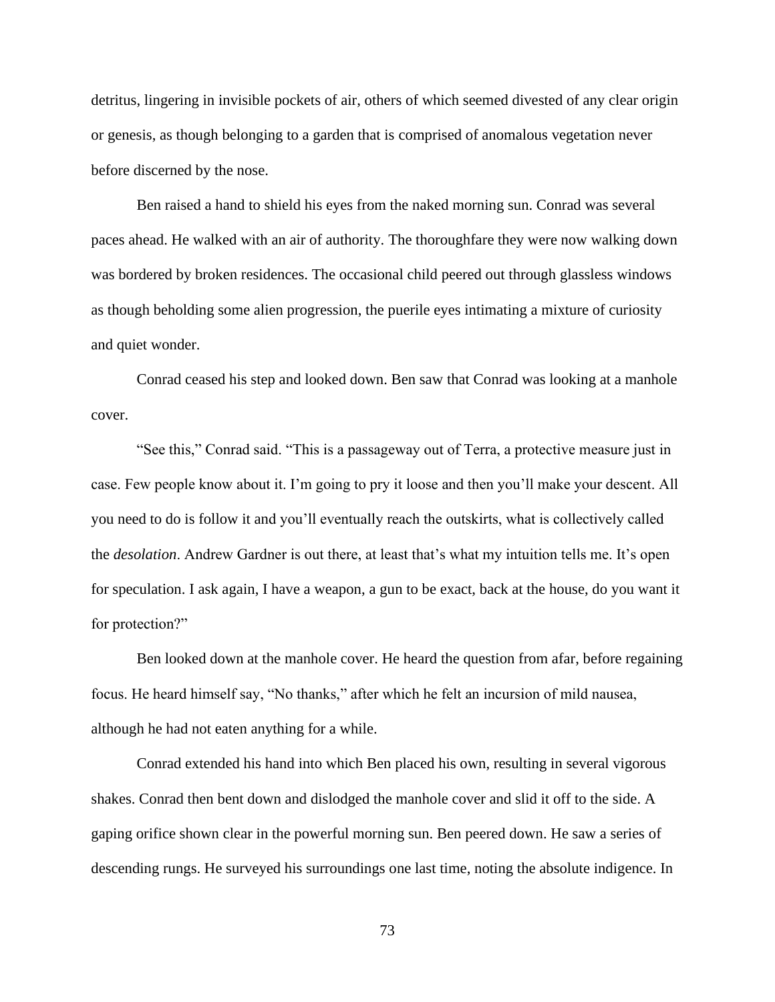detritus, lingering in invisible pockets of air, others of which seemed divested of any clear origin or genesis, as though belonging to a garden that is comprised of anomalous vegetation never before discerned by the nose.

Ben raised a hand to shield his eyes from the naked morning sun. Conrad was several paces ahead. He walked with an air of authority. The thoroughfare they were now walking down was bordered by broken residences. The occasional child peered out through glassless windows as though beholding some alien progression, the puerile eyes intimating a mixture of curiosity and quiet wonder.

Conrad ceased his step and looked down. Ben saw that Conrad was looking at a manhole cover.

"See this," Conrad said. "This is a passageway out of Terra, a protective measure just in case. Few people know about it. I'm going to pry it loose and then you'll make your descent. All you need to do is follow it and you'll eventually reach the outskirts, what is collectively called the *desolation*. Andrew Gardner is out there, at least that's what my intuition tells me. It's open for speculation. I ask again, I have a weapon, a gun to be exact, back at the house, do you want it for protection?"

Ben looked down at the manhole cover. He heard the question from afar, before regaining focus. He heard himself say, "No thanks," after which he felt an incursion of mild nausea, although he had not eaten anything for a while.

Conrad extended his hand into which Ben placed his own, resulting in several vigorous shakes. Conrad then bent down and dislodged the manhole cover and slid it off to the side. A gaping orifice shown clear in the powerful morning sun. Ben peered down. He saw a series of descending rungs. He surveyed his surroundings one last time, noting the absolute indigence. In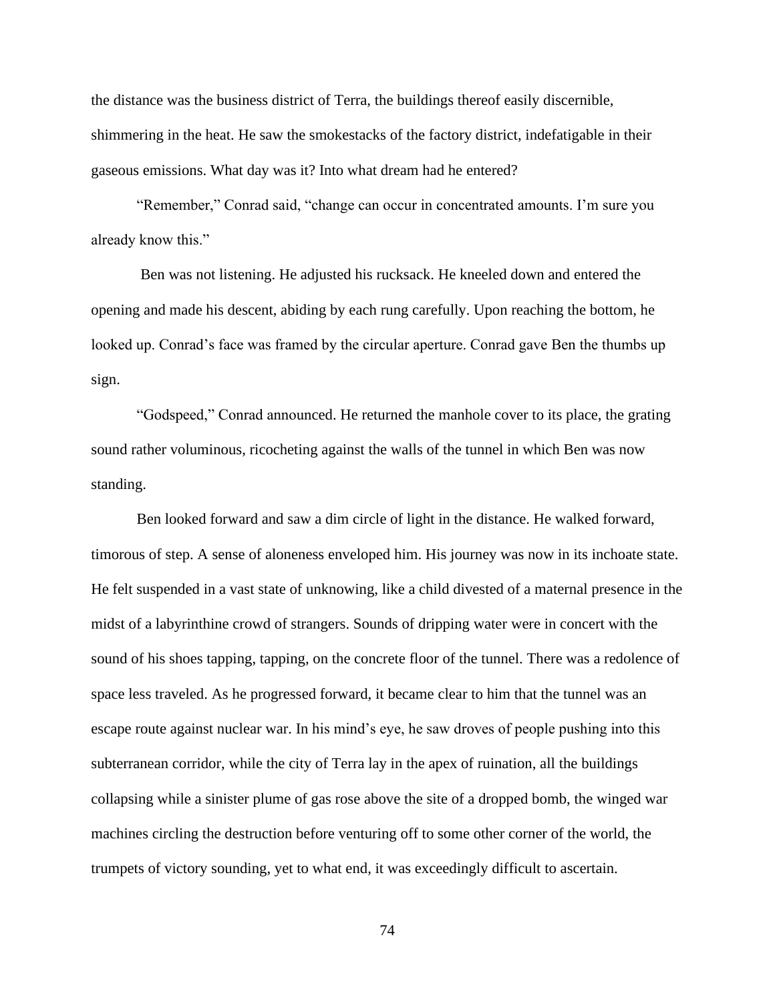the distance was the business district of Terra, the buildings thereof easily discernible, shimmering in the heat. He saw the smokestacks of the factory district, indefatigable in their gaseous emissions. What day was it? Into what dream had he entered?

"Remember," Conrad said, "change can occur in concentrated amounts. I'm sure you already know this."

Ben was not listening. He adjusted his rucksack. He kneeled down and entered the opening and made his descent, abiding by each rung carefully. Upon reaching the bottom, he looked up. Conrad's face was framed by the circular aperture. Conrad gave Ben the thumbs up sign.

"Godspeed," Conrad announced. He returned the manhole cover to its place, the grating sound rather voluminous, ricocheting against the walls of the tunnel in which Ben was now standing.

Ben looked forward and saw a dim circle of light in the distance. He walked forward, timorous of step. A sense of aloneness enveloped him. His journey was now in its inchoate state. He felt suspended in a vast state of unknowing, like a child divested of a maternal presence in the midst of a labyrinthine crowd of strangers. Sounds of dripping water were in concert with the sound of his shoes tapping, tapping, on the concrete floor of the tunnel. There was a redolence of space less traveled. As he progressed forward, it became clear to him that the tunnel was an escape route against nuclear war. In his mind's eye, he saw droves of people pushing into this subterranean corridor, while the city of Terra lay in the apex of ruination, all the buildings collapsing while a sinister plume of gas rose above the site of a dropped bomb, the winged war machines circling the destruction before venturing off to some other corner of the world, the trumpets of victory sounding, yet to what end, it was exceedingly difficult to ascertain.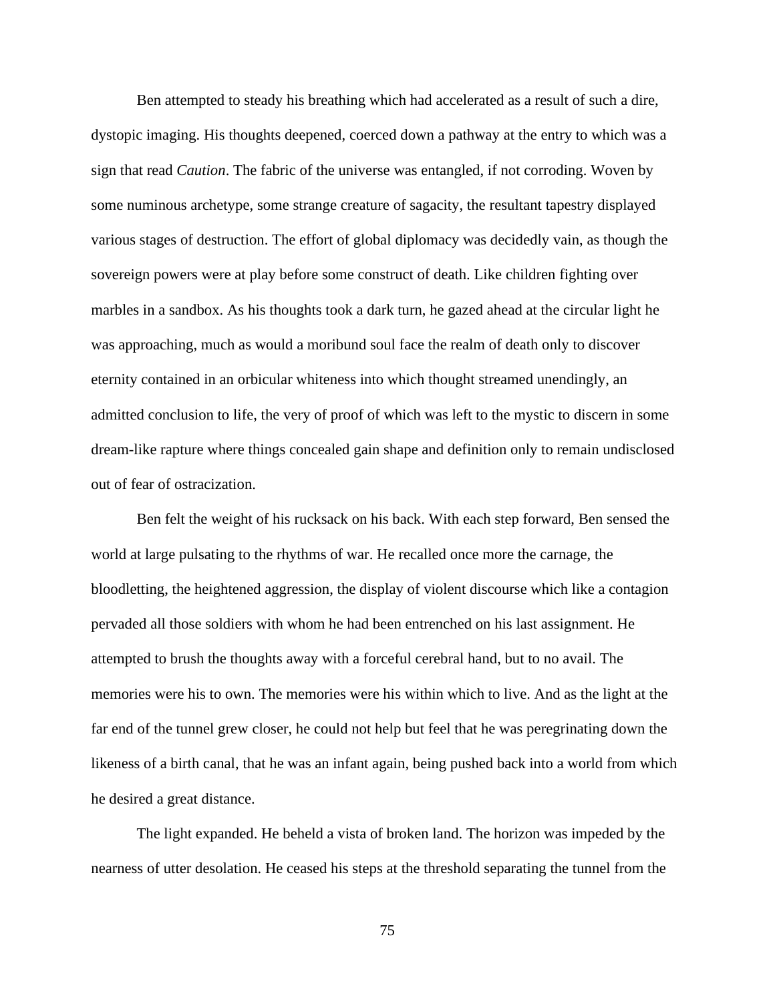Ben attempted to steady his breathing which had accelerated as a result of such a dire, dystopic imaging. His thoughts deepened, coerced down a pathway at the entry to which was a sign that read *Caution*. The fabric of the universe was entangled, if not corroding. Woven by some numinous archetype, some strange creature of sagacity, the resultant tapestry displayed various stages of destruction. The effort of global diplomacy was decidedly vain, as though the sovereign powers were at play before some construct of death. Like children fighting over marbles in a sandbox. As his thoughts took a dark turn, he gazed ahead at the circular light he was approaching, much as would a moribund soul face the realm of death only to discover eternity contained in an orbicular whiteness into which thought streamed unendingly, an admitted conclusion to life, the very of proof of which was left to the mystic to discern in some dream-like rapture where things concealed gain shape and definition only to remain undisclosed out of fear of ostracization.

Ben felt the weight of his rucksack on his back. With each step forward, Ben sensed the world at large pulsating to the rhythms of war. He recalled once more the carnage, the bloodletting, the heightened aggression, the display of violent discourse which like a contagion pervaded all those soldiers with whom he had been entrenched on his last assignment. He attempted to brush the thoughts away with a forceful cerebral hand, but to no avail. The memories were his to own. The memories were his within which to live. And as the light at the far end of the tunnel grew closer, he could not help but feel that he was peregrinating down the likeness of a birth canal, that he was an infant again, being pushed back into a world from which he desired a great distance.

The light expanded. He beheld a vista of broken land. The horizon was impeded by the nearness of utter desolation. He ceased his steps at the threshold separating the tunnel from the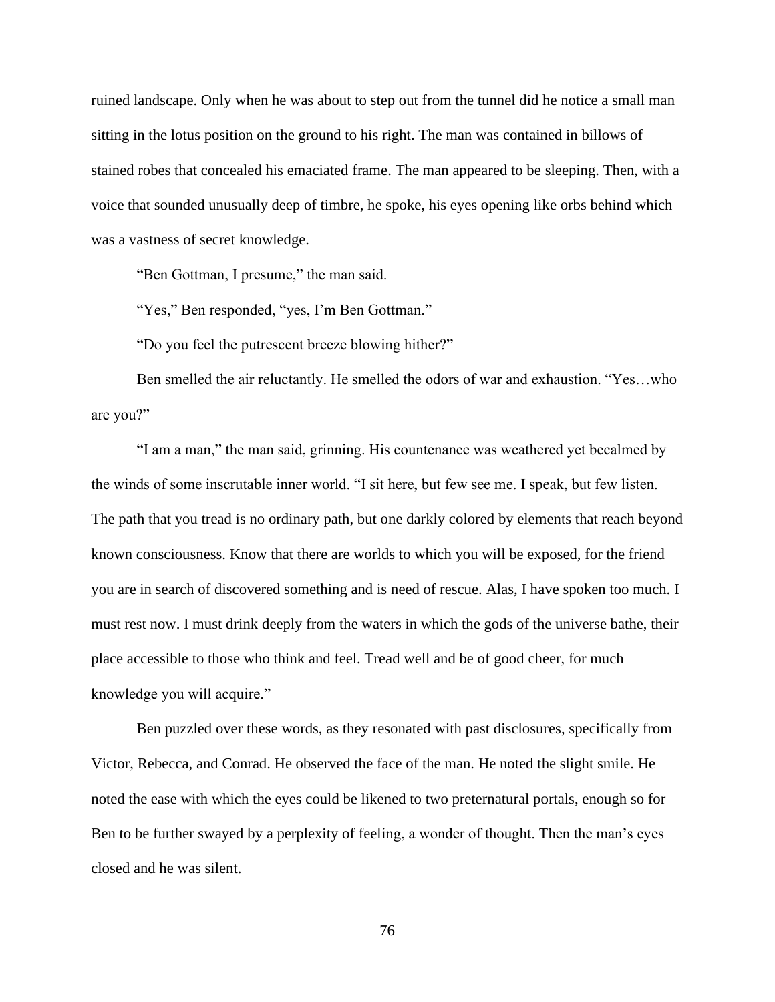ruined landscape. Only when he was about to step out from the tunnel did he notice a small man sitting in the lotus position on the ground to his right. The man was contained in billows of stained robes that concealed his emaciated frame. The man appeared to be sleeping. Then, with a voice that sounded unusually deep of timbre, he spoke, his eyes opening like orbs behind which was a vastness of secret knowledge.

"Ben Gottman, I presume," the man said.

"Yes," Ben responded, "yes, I'm Ben Gottman."

"Do you feel the putrescent breeze blowing hither?"

Ben smelled the air reluctantly. He smelled the odors of war and exhaustion. "Yes…who are you?"

"I am a man," the man said, grinning. His countenance was weathered yet becalmed by the winds of some inscrutable inner world. "I sit here, but few see me. I speak, but few listen. The path that you tread is no ordinary path, but one darkly colored by elements that reach beyond known consciousness. Know that there are worlds to which you will be exposed, for the friend you are in search of discovered something and is need of rescue. Alas, I have spoken too much. I must rest now. I must drink deeply from the waters in which the gods of the universe bathe, their place accessible to those who think and feel. Tread well and be of good cheer, for much knowledge you will acquire."

Ben puzzled over these words, as they resonated with past disclosures, specifically from Victor, Rebecca, and Conrad. He observed the face of the man. He noted the slight smile. He noted the ease with which the eyes could be likened to two preternatural portals, enough so for Ben to be further swayed by a perplexity of feeling, a wonder of thought. Then the man's eyes closed and he was silent.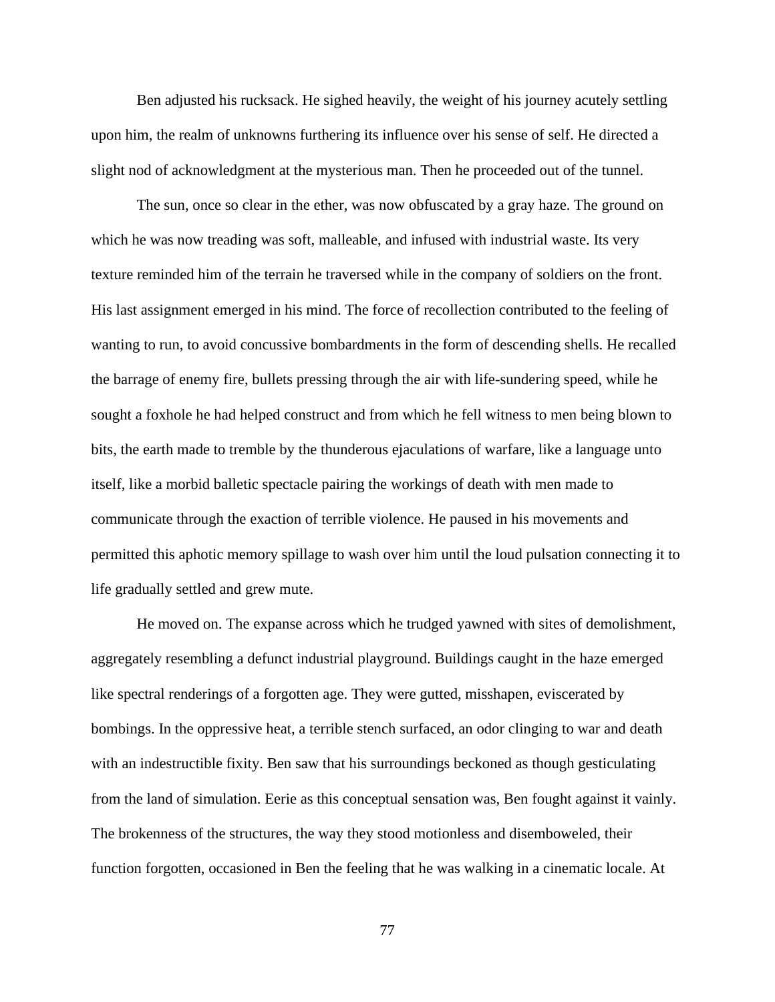Ben adjusted his rucksack. He sighed heavily, the weight of his journey acutely settling upon him, the realm of unknowns furthering its influence over his sense of self. He directed a slight nod of acknowledgment at the mysterious man. Then he proceeded out of the tunnel.

The sun, once so clear in the ether, was now obfuscated by a gray haze. The ground on which he was now treading was soft, malleable, and infused with industrial waste. Its very texture reminded him of the terrain he traversed while in the company of soldiers on the front. His last assignment emerged in his mind. The force of recollection contributed to the feeling of wanting to run, to avoid concussive bombardments in the form of descending shells. He recalled the barrage of enemy fire, bullets pressing through the air with life-sundering speed, while he sought a foxhole he had helped construct and from which he fell witness to men being blown to bits, the earth made to tremble by the thunderous ejaculations of warfare, like a language unto itself, like a morbid balletic spectacle pairing the workings of death with men made to communicate through the exaction of terrible violence. He paused in his movements and permitted this aphotic memory spillage to wash over him until the loud pulsation connecting it to life gradually settled and grew mute.

He moved on. The expanse across which he trudged yawned with sites of demolishment, aggregately resembling a defunct industrial playground. Buildings caught in the haze emerged like spectral renderings of a forgotten age. They were gutted, misshapen, eviscerated by bombings. In the oppressive heat, a terrible stench surfaced, an odor clinging to war and death with an indestructible fixity. Ben saw that his surroundings beckoned as though gesticulating from the land of simulation. Eerie as this conceptual sensation was, Ben fought against it vainly. The brokenness of the structures, the way they stood motionless and disemboweled, their function forgotten, occasioned in Ben the feeling that he was walking in a cinematic locale. At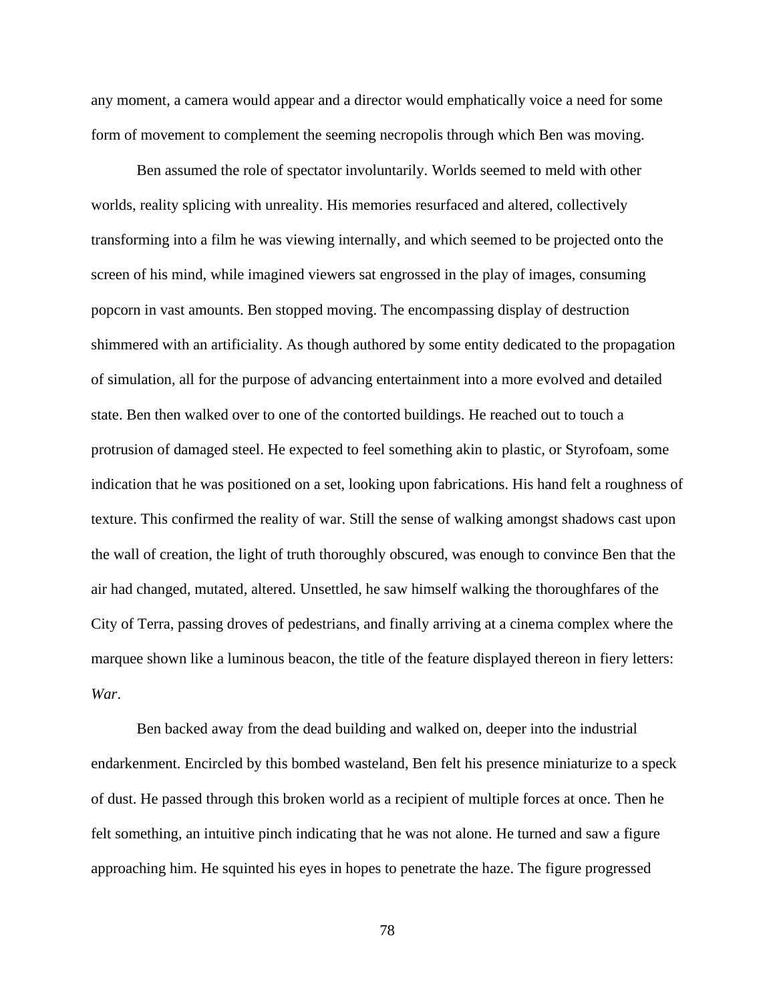any moment, a camera would appear and a director would emphatically voice a need for some form of movement to complement the seeming necropolis through which Ben was moving.

Ben assumed the role of spectator involuntarily. Worlds seemed to meld with other worlds, reality splicing with unreality. His memories resurfaced and altered, collectively transforming into a film he was viewing internally, and which seemed to be projected onto the screen of his mind, while imagined viewers sat engrossed in the play of images, consuming popcorn in vast amounts. Ben stopped moving. The encompassing display of destruction shimmered with an artificiality. As though authored by some entity dedicated to the propagation of simulation, all for the purpose of advancing entertainment into a more evolved and detailed state. Ben then walked over to one of the contorted buildings. He reached out to touch a protrusion of damaged steel. He expected to feel something akin to plastic, or Styrofoam, some indication that he was positioned on a set, looking upon fabrications. His hand felt a roughness of texture. This confirmed the reality of war. Still the sense of walking amongst shadows cast upon the wall of creation, the light of truth thoroughly obscured, was enough to convince Ben that the air had changed, mutated, altered. Unsettled, he saw himself walking the thoroughfares of the City of Terra, passing droves of pedestrians, and finally arriving at a cinema complex where the marquee shown like a luminous beacon, the title of the feature displayed thereon in fiery letters: *War*.

Ben backed away from the dead building and walked on, deeper into the industrial endarkenment. Encircled by this bombed wasteland, Ben felt his presence miniaturize to a speck of dust. He passed through this broken world as a recipient of multiple forces at once. Then he felt something, an intuitive pinch indicating that he was not alone. He turned and saw a figure approaching him. He squinted his eyes in hopes to penetrate the haze. The figure progressed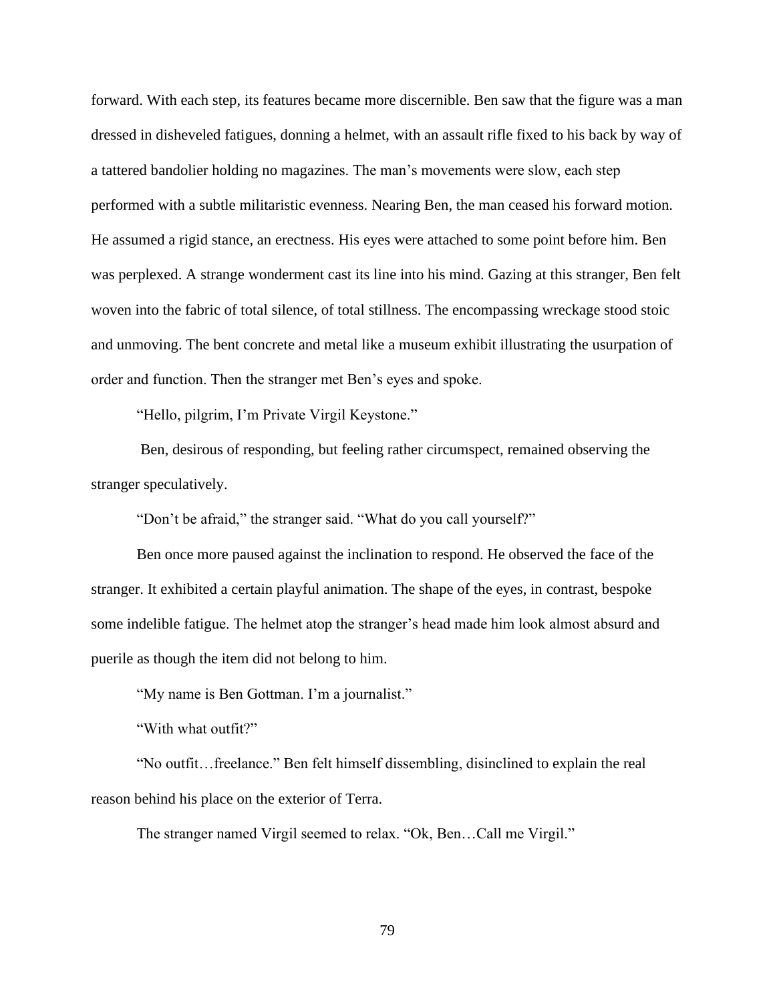forward. With each step, its features became more discernible. Ben saw that the figure was a man dressed in disheveled fatigues, donning a helmet, with an assault rifle fixed to his back by way of a tattered bandolier holding no magazines. The man's movements were slow, each step performed with a subtle militaristic evenness. Nearing Ben, the man ceased his forward motion. He assumed a rigid stance, an erectness. His eyes were attached to some point before him. Ben was perplexed. A strange wonderment cast its line into his mind. Gazing at this stranger, Ben felt woven into the fabric of total silence, of total stillness. The encompassing wreckage stood stoic and unmoving. The bent concrete and metal like a museum exhibit illustrating the usurpation of order and function. Then the stranger met Ben's eyes and spoke.

"Hello, pilgrim, I'm Private Virgil Keystone."

Ben, desirous of responding, but feeling rather circumspect, remained observing the stranger speculatively.

"Don't be afraid," the stranger said. "What do you call yourself?"

Ben once more paused against the inclination to respond. He observed the face of the stranger. It exhibited a certain playful animation. The shape of the eyes, in contrast, bespoke some indelible fatigue. The helmet atop the stranger's head made him look almost absurd and puerile as though the item did not belong to him.

"My name is Ben Gottman. I'm a journalist."

"With what outfit?"

"No outfit…freelance." Ben felt himself dissembling, disinclined to explain the real reason behind his place on the exterior of Terra.

The stranger named Virgil seemed to relax. "Ok, Ben…Call me Virgil."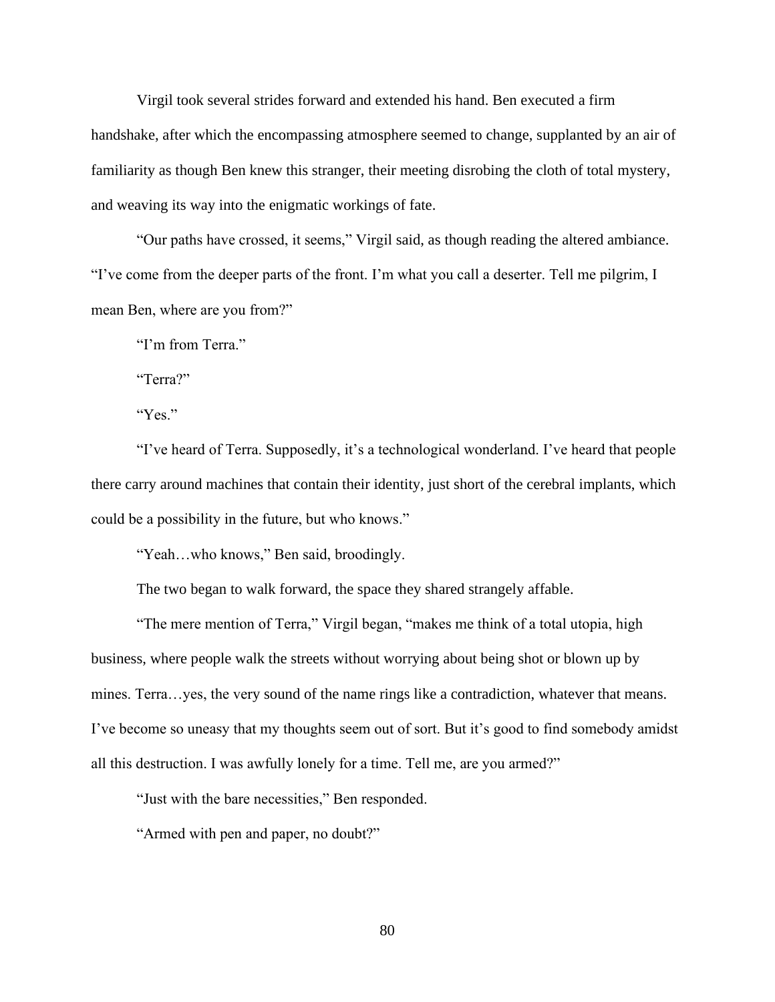Virgil took several strides forward and extended his hand. Ben executed a firm handshake, after which the encompassing atmosphere seemed to change, supplanted by an air of familiarity as though Ben knew this stranger, their meeting disrobing the cloth of total mystery, and weaving its way into the enigmatic workings of fate.

"Our paths have crossed, it seems," Virgil said, as though reading the altered ambiance. "I've come from the deeper parts of the front. I'm what you call a deserter. Tell me pilgrim, I mean Ben, where are you from?"

"I'm from Terra."

"Terra?"

"Yes."

"I've heard of Terra. Supposedly, it's a technological wonderland. I've heard that people there carry around machines that contain their identity, just short of the cerebral implants, which could be a possibility in the future, but who knows."

"Yeah…who knows," Ben said, broodingly.

The two began to walk forward, the space they shared strangely affable.

"The mere mention of Terra," Virgil began, "makes me think of a total utopia, high business, where people walk the streets without worrying about being shot or blown up by mines. Terra…yes, the very sound of the name rings like a contradiction, whatever that means. I've become so uneasy that my thoughts seem out of sort. But it's good to find somebody amidst all this destruction. I was awfully lonely for a time. Tell me, are you armed?"

"Just with the bare necessities," Ben responded.

"Armed with pen and paper, no doubt?"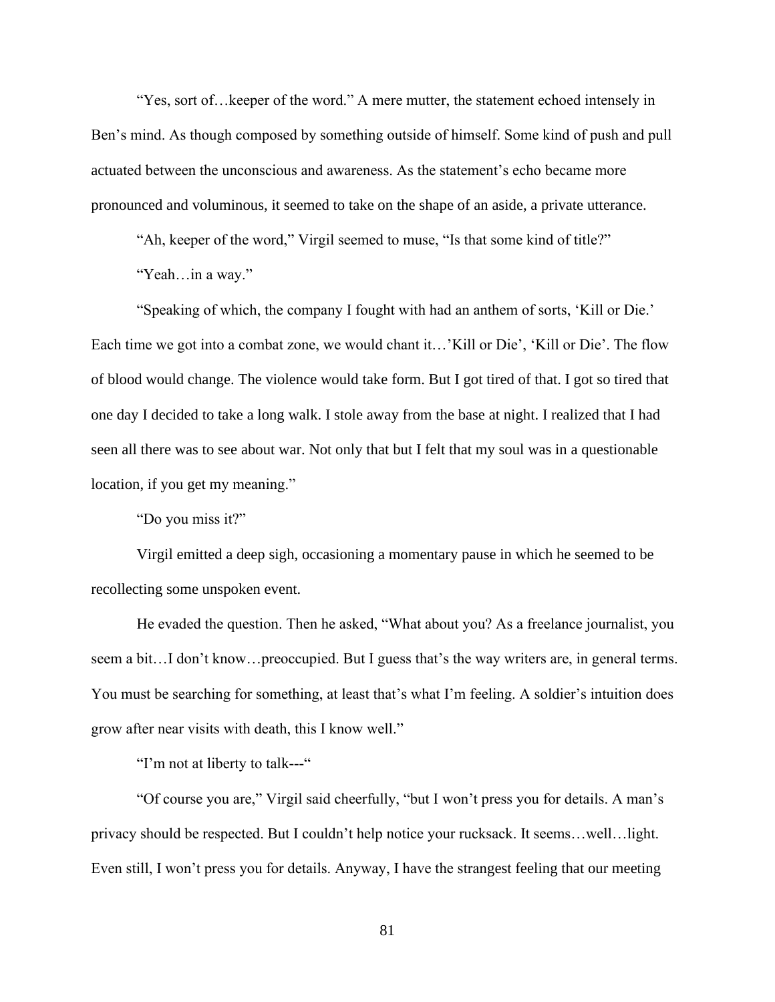"Yes, sort of…keeper of the word." A mere mutter, the statement echoed intensely in Ben's mind. As though composed by something outside of himself. Some kind of push and pull actuated between the unconscious and awareness. As the statement's echo became more pronounced and voluminous, it seemed to take on the shape of an aside, a private utterance.

"Ah, keeper of the word," Virgil seemed to muse, "Is that some kind of title?"

"Yeah…in a way."

"Speaking of which, the company I fought with had an anthem of sorts, 'Kill or Die.' Each time we got into a combat zone, we would chant it…'Kill or Die', 'Kill or Die'. The flow of blood would change. The violence would take form. But I got tired of that. I got so tired that one day I decided to take a long walk. I stole away from the base at night. I realized that I had seen all there was to see about war. Not only that but I felt that my soul was in a questionable location, if you get my meaning."

"Do you miss it?"

Virgil emitted a deep sigh, occasioning a momentary pause in which he seemed to be recollecting some unspoken event.

He evaded the question. Then he asked, "What about you? As a freelance journalist, you seem a bit...I don't know...preoccupied. But I guess that's the way writers are, in general terms. You must be searching for something, at least that's what I'm feeling. A soldier's intuition does grow after near visits with death, this I know well."

"I'm not at liberty to talk---"

"Of course you are," Virgil said cheerfully, "but I won't press you for details. A man's privacy should be respected. But I couldn't help notice your rucksack. It seems…well…light. Even still, I won't press you for details. Anyway, I have the strangest feeling that our meeting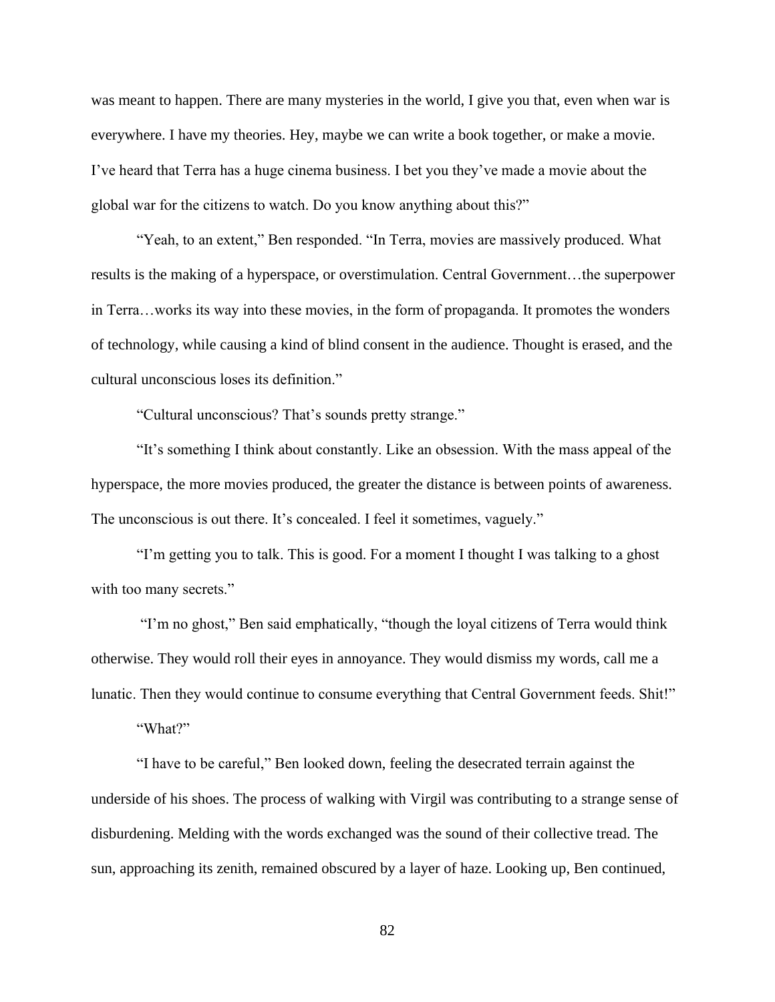was meant to happen. There are many mysteries in the world, I give you that, even when war is everywhere. I have my theories. Hey, maybe we can write a book together, or make a movie. I've heard that Terra has a huge cinema business. I bet you they've made a movie about the global war for the citizens to watch. Do you know anything about this?"

"Yeah, to an extent," Ben responded. "In Terra, movies are massively produced. What results is the making of a hyperspace, or overstimulation. Central Government…the superpower in Terra…works its way into these movies, in the form of propaganda. It promotes the wonders of technology, while causing a kind of blind consent in the audience. Thought is erased, and the cultural unconscious loses its definition."

"Cultural unconscious? That's sounds pretty strange."

"It's something I think about constantly. Like an obsession. With the mass appeal of the hyperspace, the more movies produced, the greater the distance is between points of awareness. The unconscious is out there. It's concealed. I feel it sometimes, vaguely."

"I'm getting you to talk. This is good. For a moment I thought I was talking to a ghost with too many secrets."

"I'm no ghost," Ben said emphatically, "though the loyal citizens of Terra would think otherwise. They would roll their eyes in annoyance. They would dismiss my words, call me a lunatic. Then they would continue to consume everything that Central Government feeds. Shit!"

"What?"

"I have to be careful," Ben looked down, feeling the desecrated terrain against the underside of his shoes. The process of walking with Virgil was contributing to a strange sense of disburdening. Melding with the words exchanged was the sound of their collective tread. The sun, approaching its zenith, remained obscured by a layer of haze. Looking up, Ben continued,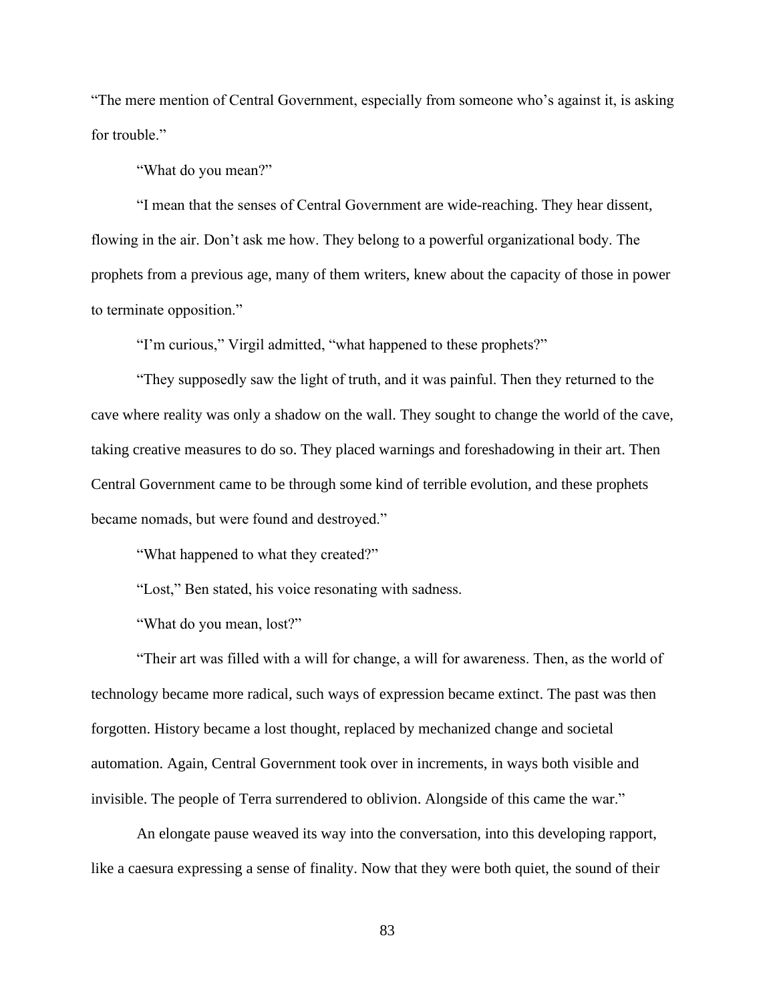"The mere mention of Central Government, especially from someone who's against it, is asking for trouble."

"What do you mean?"

"I mean that the senses of Central Government are wide-reaching. They hear dissent, flowing in the air. Don't ask me how. They belong to a powerful organizational body. The prophets from a previous age, many of them writers, knew about the capacity of those in power to terminate opposition."

"I'm curious," Virgil admitted, "what happened to these prophets?"

"They supposedly saw the light of truth, and it was painful. Then they returned to the cave where reality was only a shadow on the wall. They sought to change the world of the cave, taking creative measures to do so. They placed warnings and foreshadowing in their art. Then Central Government came to be through some kind of terrible evolution, and these prophets became nomads, but were found and destroyed."

"What happened to what they created?"

"Lost," Ben stated, his voice resonating with sadness.

"What do you mean, lost?"

"Their art was filled with a will for change, a will for awareness. Then, as the world of technology became more radical, such ways of expression became extinct. The past was then forgotten. History became a lost thought, replaced by mechanized change and societal automation. Again, Central Government took over in increments, in ways both visible and invisible. The people of Terra surrendered to oblivion. Alongside of this came the war."

An elongate pause weaved its way into the conversation, into this developing rapport, like a caesura expressing a sense of finality. Now that they were both quiet, the sound of their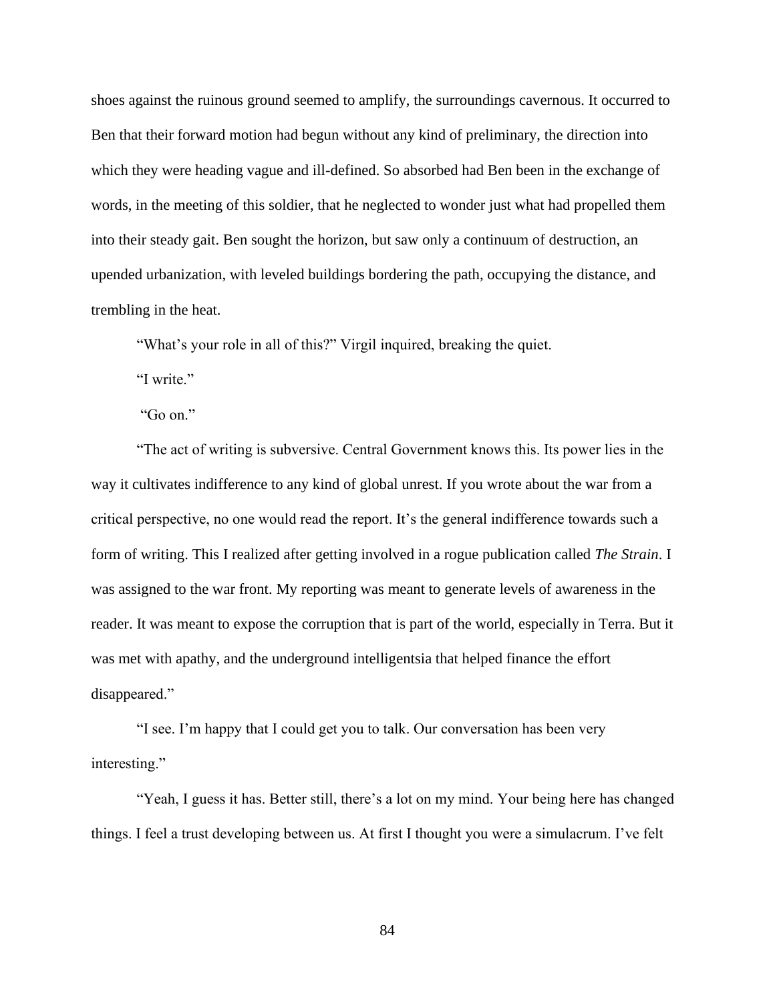shoes against the ruinous ground seemed to amplify, the surroundings cavernous. It occurred to Ben that their forward motion had begun without any kind of preliminary, the direction into which they were heading vague and ill-defined. So absorbed had Ben been in the exchange of words, in the meeting of this soldier, that he neglected to wonder just what had propelled them into their steady gait. Ben sought the horizon, but saw only a continuum of destruction, an upended urbanization, with leveled buildings bordering the path, occupying the distance, and trembling in the heat.

"What's your role in all of this?" Virgil inquired, breaking the quiet.

"I write."

"Go on."

"The act of writing is subversive. Central Government knows this. Its power lies in the way it cultivates indifference to any kind of global unrest. If you wrote about the war from a critical perspective, no one would read the report. It's the general indifference towards such a form of writing. This I realized after getting involved in a rogue publication called *The Strain*. I was assigned to the war front. My reporting was meant to generate levels of awareness in the reader. It was meant to expose the corruption that is part of the world, especially in Terra. But it was met with apathy, and the underground intelligentsia that helped finance the effort disappeared."

"I see. I'm happy that I could get you to talk. Our conversation has been very interesting."

"Yeah, I guess it has. Better still, there's a lot on my mind. Your being here has changed things. I feel a trust developing between us. At first I thought you were a simulacrum. I've felt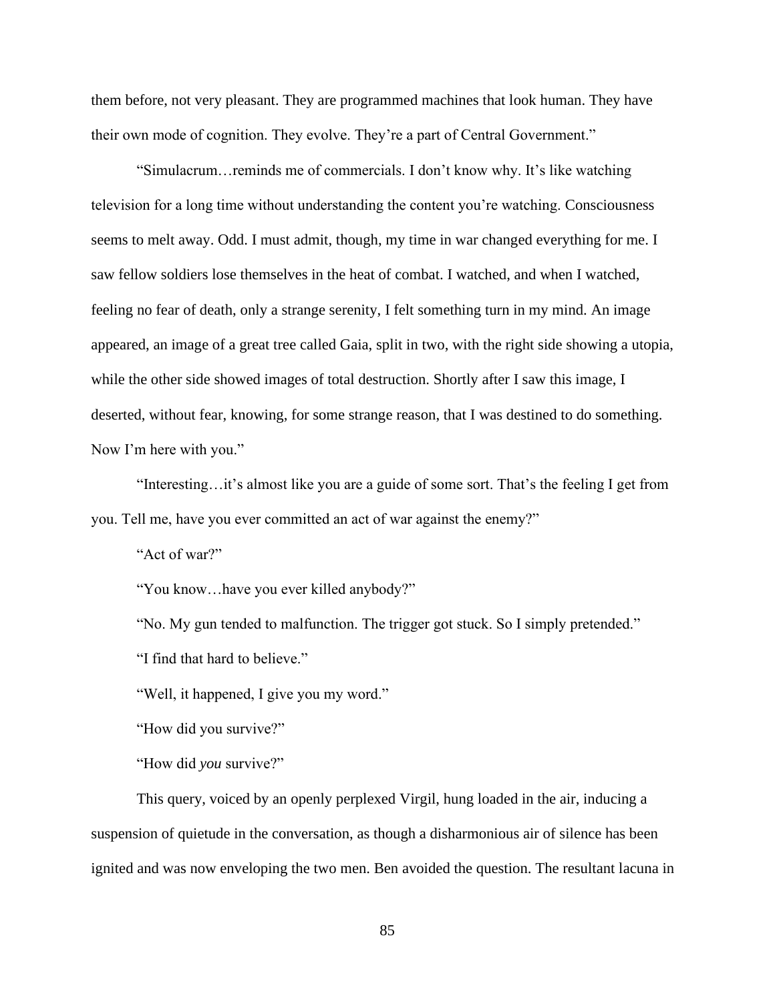them before, not very pleasant. They are programmed machines that look human. They have their own mode of cognition. They evolve. They're a part of Central Government."

"Simulacrum…reminds me of commercials. I don't know why. It's like watching television for a long time without understanding the content you're watching. Consciousness seems to melt away. Odd. I must admit, though, my time in war changed everything for me. I saw fellow soldiers lose themselves in the heat of combat. I watched, and when I watched, feeling no fear of death, only a strange serenity, I felt something turn in my mind. An image appeared, an image of a great tree called Gaia, split in two, with the right side showing a utopia, while the other side showed images of total destruction. Shortly after I saw this image, I deserted, without fear, knowing, for some strange reason, that I was destined to do something. Now I'm here with you."

"Interesting…it's almost like you are a guide of some sort. That's the feeling I get from you. Tell me, have you ever committed an act of war against the enemy?"

"Act of war?"

"You know…have you ever killed anybody?"

"No. My gun tended to malfunction. The trigger got stuck. So I simply pretended."

"I find that hard to believe."

"Well, it happened, I give you my word."

"How did you survive?"

"How did *you* survive?"

This query, voiced by an openly perplexed Virgil, hung loaded in the air, inducing a suspension of quietude in the conversation, as though a disharmonious air of silence has been ignited and was now enveloping the two men. Ben avoided the question. The resultant lacuna in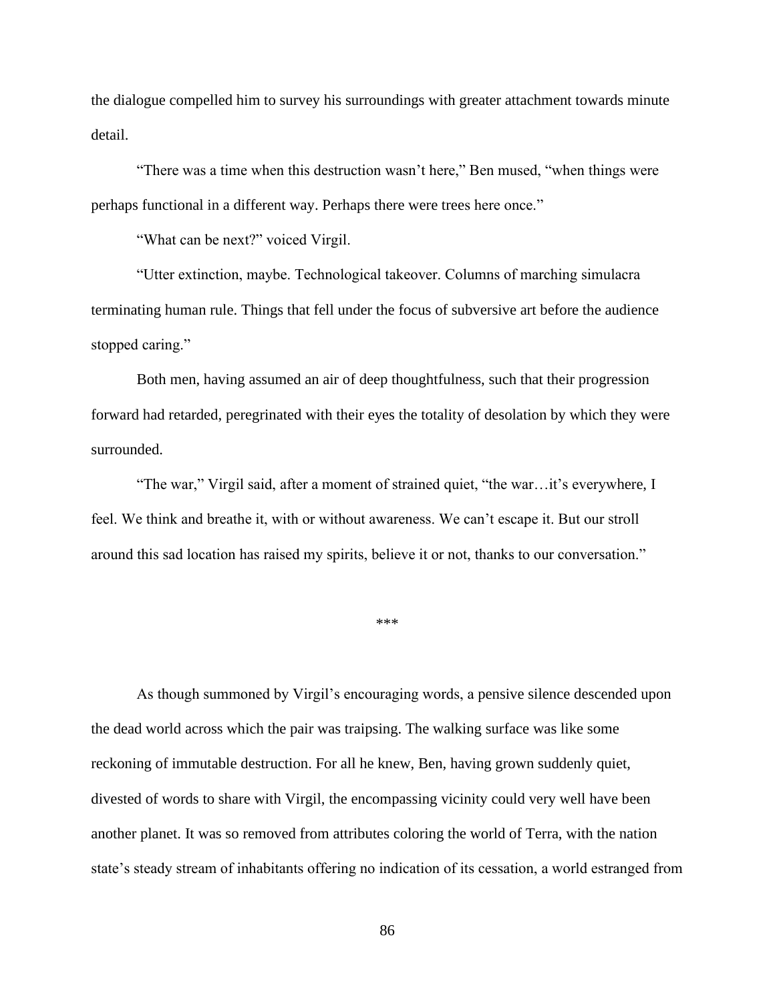the dialogue compelled him to survey his surroundings with greater attachment towards minute detail.

"There was a time when this destruction wasn't here," Ben mused, "when things were perhaps functional in a different way. Perhaps there were trees here once."

"What can be next?" voiced Virgil.

"Utter extinction, maybe. Technological takeover. Columns of marching simulacra terminating human rule. Things that fell under the focus of subversive art before the audience stopped caring."

Both men, having assumed an air of deep thoughtfulness, such that their progression forward had retarded, peregrinated with their eyes the totality of desolation by which they were surrounded.

"The war," Virgil said, after a moment of strained quiet, "the war…it's everywhere, I feel. We think and breathe it, with or without awareness. We can't escape it. But our stroll around this sad location has raised my spirits, believe it or not, thanks to our conversation."

\*\*\*

As though summoned by Virgil's encouraging words, a pensive silence descended upon the dead world across which the pair was traipsing. The walking surface was like some reckoning of immutable destruction. For all he knew, Ben, having grown suddenly quiet, divested of words to share with Virgil, the encompassing vicinity could very well have been another planet. It was so removed from attributes coloring the world of Terra, with the nation state's steady stream of inhabitants offering no indication of its cessation, a world estranged from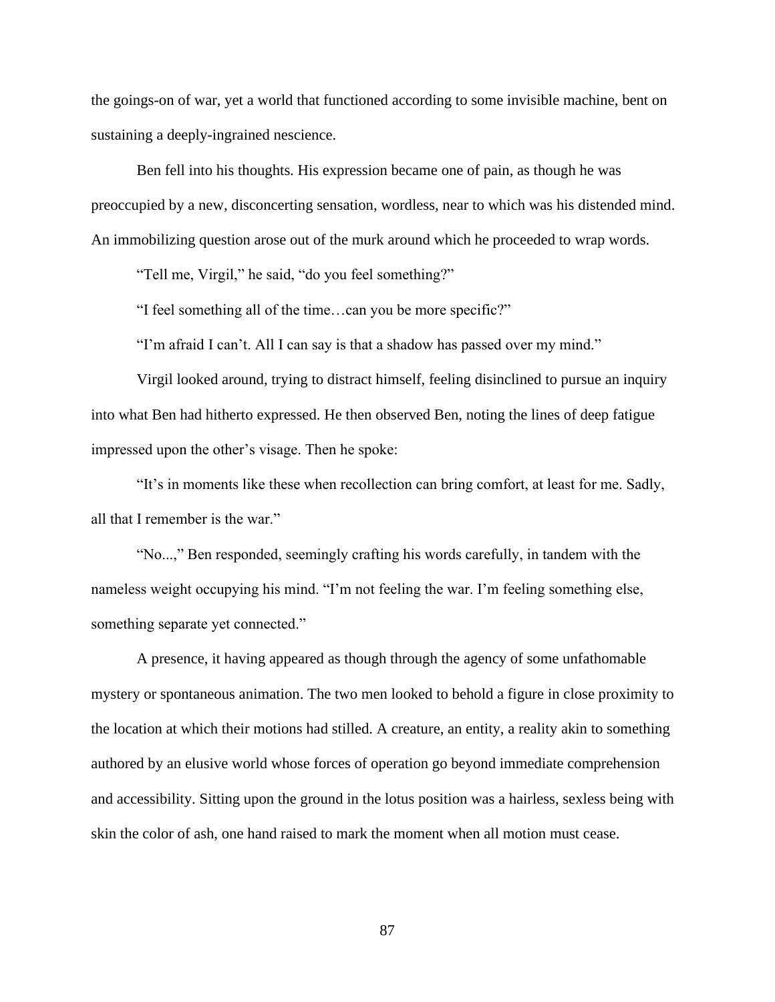the goings-on of war, yet a world that functioned according to some invisible machine, bent on sustaining a deeply-ingrained nescience.

Ben fell into his thoughts. His expression became one of pain, as though he was preoccupied by a new, disconcerting sensation, wordless, near to which was his distended mind. An immobilizing question arose out of the murk around which he proceeded to wrap words.

"Tell me, Virgil," he said, "do you feel something?"

"I feel something all of the time…can you be more specific?"

"I'm afraid I can't. All I can say is that a shadow has passed over my mind."

Virgil looked around, trying to distract himself, feeling disinclined to pursue an inquiry into what Ben had hitherto expressed. He then observed Ben, noting the lines of deep fatigue impressed upon the other's visage. Then he spoke:

"It's in moments like these when recollection can bring comfort, at least for me. Sadly, all that I remember is the war."

"No...," Ben responded, seemingly crafting his words carefully, in tandem with the nameless weight occupying his mind. "I'm not feeling the war. I'm feeling something else, something separate yet connected."

A presence, it having appeared as though through the agency of some unfathomable mystery or spontaneous animation. The two men looked to behold a figure in close proximity to the location at which their motions had stilled. A creature, an entity, a reality akin to something authored by an elusive world whose forces of operation go beyond immediate comprehension and accessibility. Sitting upon the ground in the lotus position was a hairless, sexless being with skin the color of ash, one hand raised to mark the moment when all motion must cease.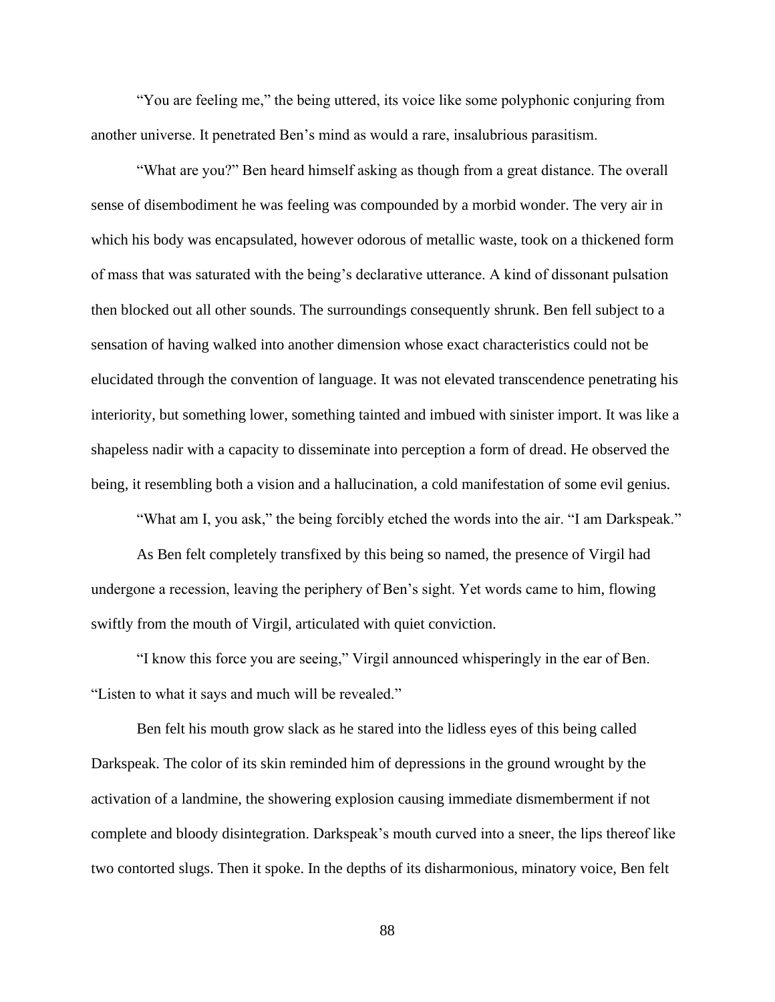"You are feeling me," the being uttered, its voice like some polyphonic conjuring from another universe. It penetrated Ben's mind as would a rare, insalubrious parasitism.

"What are you?" Ben heard himself asking as though from a great distance. The overall sense of disembodiment he was feeling was compounded by a morbid wonder. The very air in which his body was encapsulated, however odorous of metallic waste, took on a thickened form of mass that was saturated with the being's declarative utterance. A kind of dissonant pulsation then blocked out all other sounds. The surroundings consequently shrunk. Ben fell subject to a sensation of having walked into another dimension whose exact characteristics could not be elucidated through the convention of language. It was not elevated transcendence penetrating his interiority, but something lower, something tainted and imbued with sinister import. It was like a shapeless nadir with a capacity to disseminate into perception a form of dread. He observed the being, it resembling both a vision and a hallucination, a cold manifestation of some evil genius.

"What am I, you ask," the being forcibly etched the words into the air. "I am Darkspeak."

As Ben felt completely transfixed by this being so named, the presence of Virgil had undergone a recession, leaving the periphery of Ben's sight. Yet words came to him, flowing swiftly from the mouth of Virgil, articulated with quiet conviction.

"I know this force you are seeing," Virgil announced whisperingly in the ear of Ben. "Listen to what it says and much will be revealed."

Ben felt his mouth grow slack as he stared into the lidless eyes of this being called Darkspeak. The color of its skin reminded him of depressions in the ground wrought by the activation of a landmine, the showering explosion causing immediate dismemberment if not complete and bloody disintegration. Darkspeak's mouth curved into a sneer, the lips thereof like two contorted slugs. Then it spoke. In the depths of its disharmonious, minatory voice, Ben felt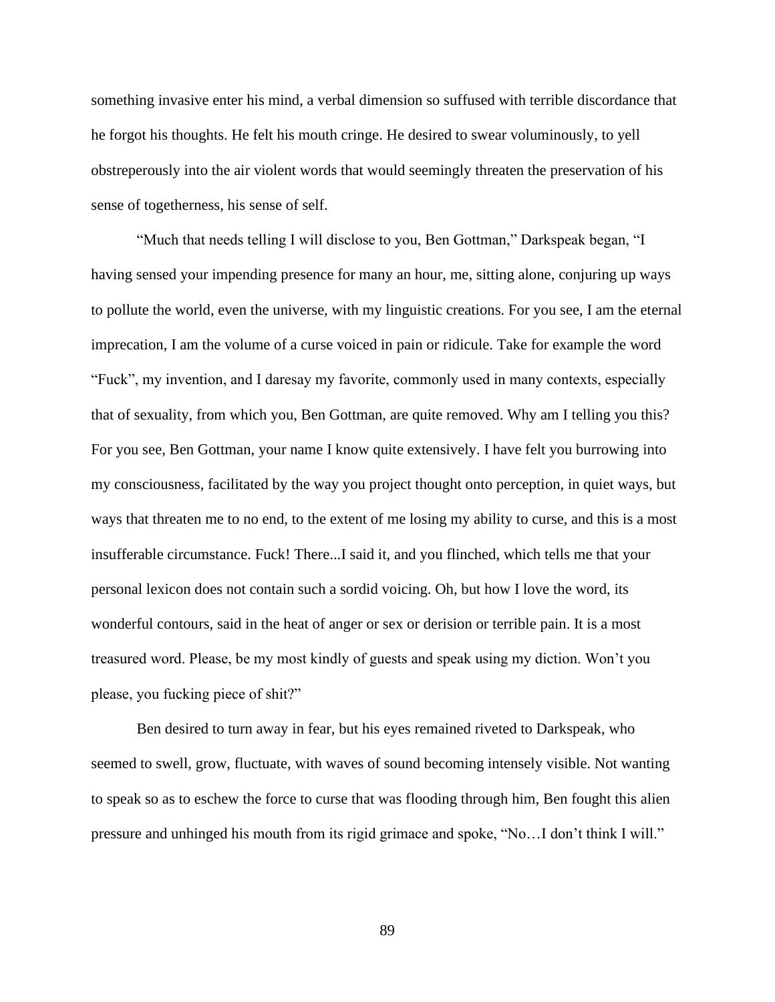something invasive enter his mind, a verbal dimension so suffused with terrible discordance that he forgot his thoughts. He felt his mouth cringe. He desired to swear voluminously, to yell obstreperously into the air violent words that would seemingly threaten the preservation of his sense of togetherness, his sense of self.

"Much that needs telling I will disclose to you, Ben Gottman," Darkspeak began, "I having sensed your impending presence for many an hour, me, sitting alone, conjuring up ways to pollute the world, even the universe, with my linguistic creations. For you see, I am the eternal imprecation, I am the volume of a curse voiced in pain or ridicule. Take for example the word "Fuck", my invention, and I daresay my favorite, commonly used in many contexts, especially that of sexuality, from which you, Ben Gottman, are quite removed. Why am I telling you this? For you see, Ben Gottman, your name I know quite extensively. I have felt you burrowing into my consciousness, facilitated by the way you project thought onto perception, in quiet ways, but ways that threaten me to no end, to the extent of me losing my ability to curse, and this is a most insufferable circumstance. Fuck! There...I said it, and you flinched, which tells me that your personal lexicon does not contain such a sordid voicing. Oh, but how I love the word, its wonderful contours, said in the heat of anger or sex or derision or terrible pain. It is a most treasured word. Please, be my most kindly of guests and speak using my diction. Won't you please, you fucking piece of shit?"

Ben desired to turn away in fear, but his eyes remained riveted to Darkspeak, who seemed to swell, grow, fluctuate, with waves of sound becoming intensely visible. Not wanting to speak so as to eschew the force to curse that was flooding through him, Ben fought this alien pressure and unhinged his mouth from its rigid grimace and spoke, "No…I don't think I will."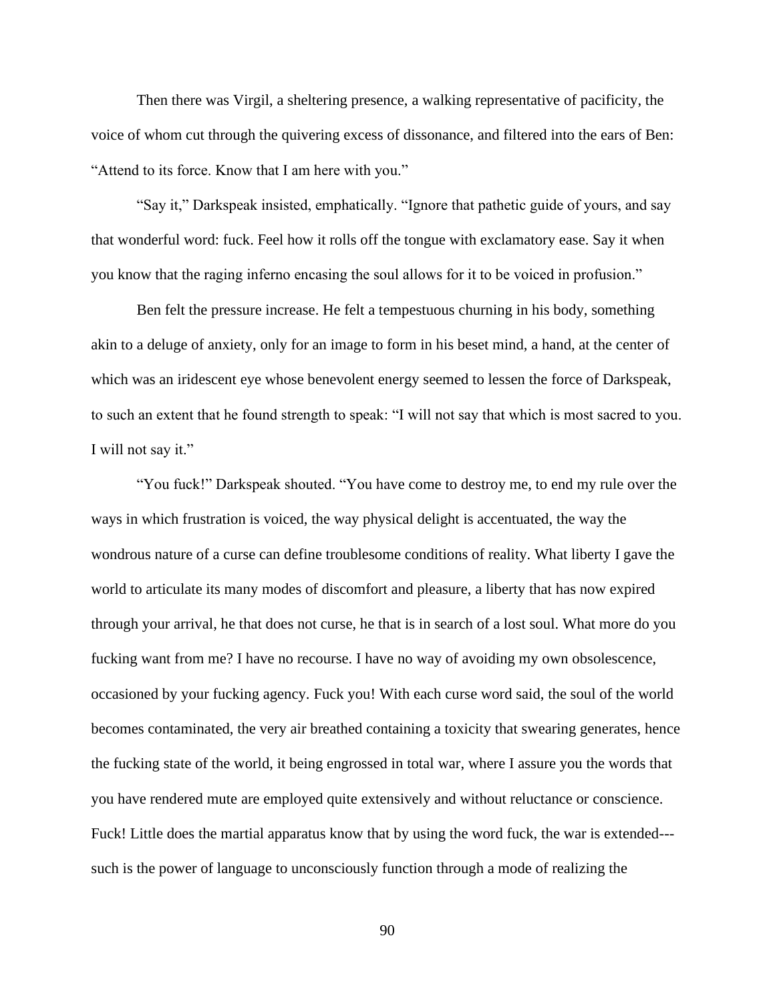Then there was Virgil, a sheltering presence, a walking representative of pacificity, the voice of whom cut through the quivering excess of dissonance, and filtered into the ears of Ben: "Attend to its force. Know that I am here with you."

"Say it," Darkspeak insisted, emphatically. "Ignore that pathetic guide of yours, and say that wonderful word: fuck. Feel how it rolls off the tongue with exclamatory ease. Say it when you know that the raging inferno encasing the soul allows for it to be voiced in profusion."

Ben felt the pressure increase. He felt a tempestuous churning in his body, something akin to a deluge of anxiety, only for an image to form in his beset mind, a hand, at the center of which was an iridescent eye whose benevolent energy seemed to lessen the force of Darkspeak, to such an extent that he found strength to speak: "I will not say that which is most sacred to you. I will not say it."

"You fuck!" Darkspeak shouted. "You have come to destroy me, to end my rule over the ways in which frustration is voiced, the way physical delight is accentuated, the way the wondrous nature of a curse can define troublesome conditions of reality. What liberty I gave the world to articulate its many modes of discomfort and pleasure, a liberty that has now expired through your arrival, he that does not curse, he that is in search of a lost soul. What more do you fucking want from me? I have no recourse. I have no way of avoiding my own obsolescence, occasioned by your fucking agency. Fuck you! With each curse word said, the soul of the world becomes contaminated, the very air breathed containing a toxicity that swearing generates, hence the fucking state of the world, it being engrossed in total war, where I assure you the words that you have rendered mute are employed quite extensively and without reluctance or conscience. Fuck! Little does the martial apparatus know that by using the word fuck, the war is extended-- such is the power of language to unconsciously function through a mode of realizing the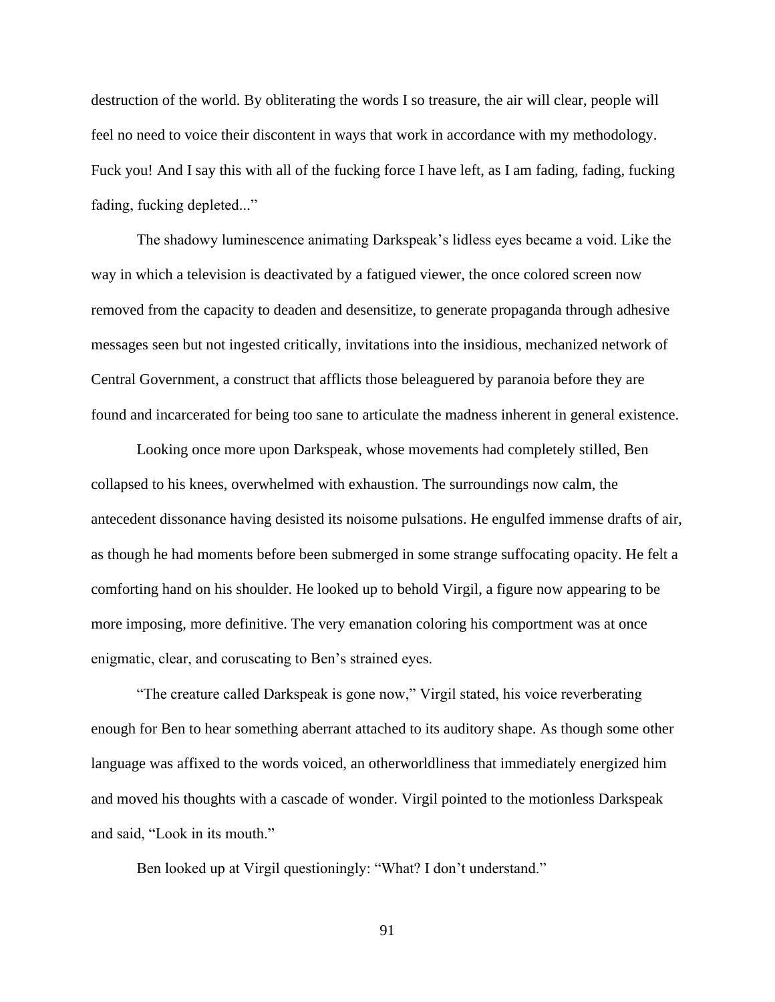destruction of the world. By obliterating the words I so treasure, the air will clear, people will feel no need to voice their discontent in ways that work in accordance with my methodology. Fuck you! And I say this with all of the fucking force I have left, as I am fading, fading, fucking fading, fucking depleted..."

The shadowy luminescence animating Darkspeak's lidless eyes became a void. Like the way in which a television is deactivated by a fatigued viewer, the once colored screen now removed from the capacity to deaden and desensitize, to generate propaganda through adhesive messages seen but not ingested critically, invitations into the insidious, mechanized network of Central Government, a construct that afflicts those beleaguered by paranoia before they are found and incarcerated for being too sane to articulate the madness inherent in general existence.

Looking once more upon Darkspeak, whose movements had completely stilled, Ben collapsed to his knees, overwhelmed with exhaustion. The surroundings now calm, the antecedent dissonance having desisted its noisome pulsations. He engulfed immense drafts of air, as though he had moments before been submerged in some strange suffocating opacity. He felt a comforting hand on his shoulder. He looked up to behold Virgil, a figure now appearing to be more imposing, more definitive. The very emanation coloring his comportment was at once enigmatic, clear, and coruscating to Ben's strained eyes.

"The creature called Darkspeak is gone now," Virgil stated, his voice reverberating enough for Ben to hear something aberrant attached to its auditory shape. As though some other language was affixed to the words voiced, an otherworldliness that immediately energized him and moved his thoughts with a cascade of wonder. Virgil pointed to the motionless Darkspeak and said, "Look in its mouth."

Ben looked up at Virgil questioningly: "What? I don't understand."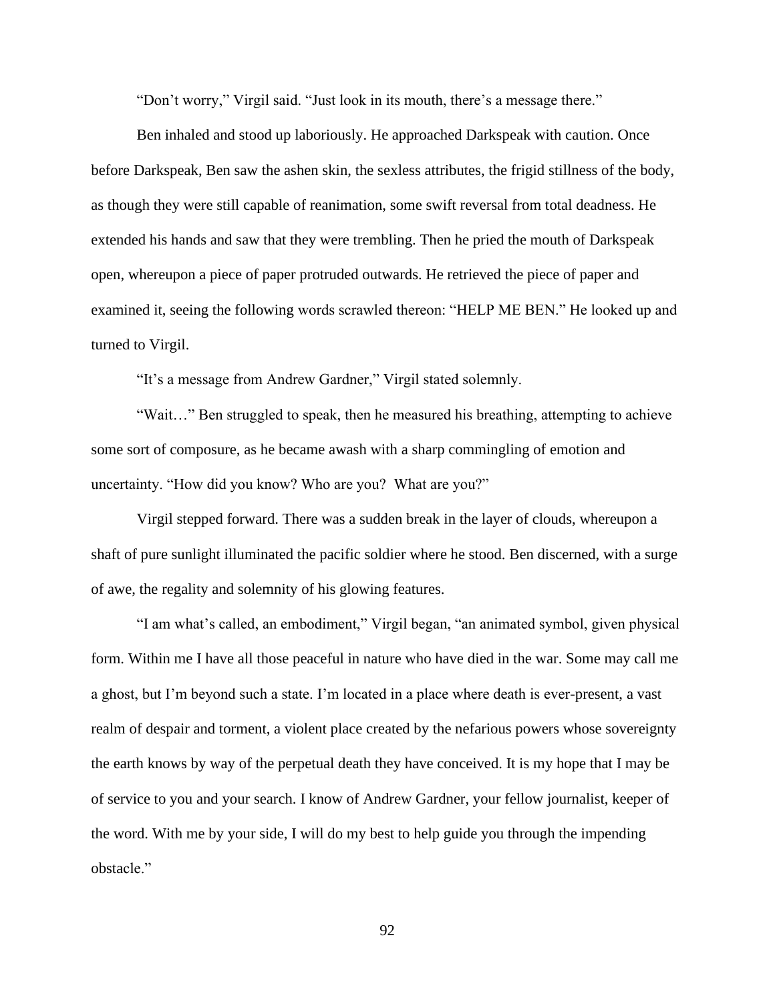"Don't worry," Virgil said. "Just look in its mouth, there's a message there."

Ben inhaled and stood up laboriously. He approached Darkspeak with caution. Once before Darkspeak, Ben saw the ashen skin, the sexless attributes, the frigid stillness of the body, as though they were still capable of reanimation, some swift reversal from total deadness. He extended his hands and saw that they were trembling. Then he pried the mouth of Darkspeak open, whereupon a piece of paper protruded outwards. He retrieved the piece of paper and examined it, seeing the following words scrawled thereon: "HELP ME BEN." He looked up and turned to Virgil.

"It's a message from Andrew Gardner," Virgil stated solemnly.

"Wait…" Ben struggled to speak, then he measured his breathing, attempting to achieve some sort of composure, as he became awash with a sharp commingling of emotion and uncertainty. "How did you know? Who are you? What are you?"

Virgil stepped forward. There was a sudden break in the layer of clouds, whereupon a shaft of pure sunlight illuminated the pacific soldier where he stood. Ben discerned, with a surge of awe, the regality and solemnity of his glowing features.

"I am what's called, an embodiment," Virgil began, "an animated symbol, given physical form. Within me I have all those peaceful in nature who have died in the war. Some may call me a ghost, but I'm beyond such a state. I'm located in a place where death is ever-present, a vast realm of despair and torment, a violent place created by the nefarious powers whose sovereignty the earth knows by way of the perpetual death they have conceived. It is my hope that I may be of service to you and your search. I know of Andrew Gardner, your fellow journalist, keeper of the word. With me by your side, I will do my best to help guide you through the impending obstacle."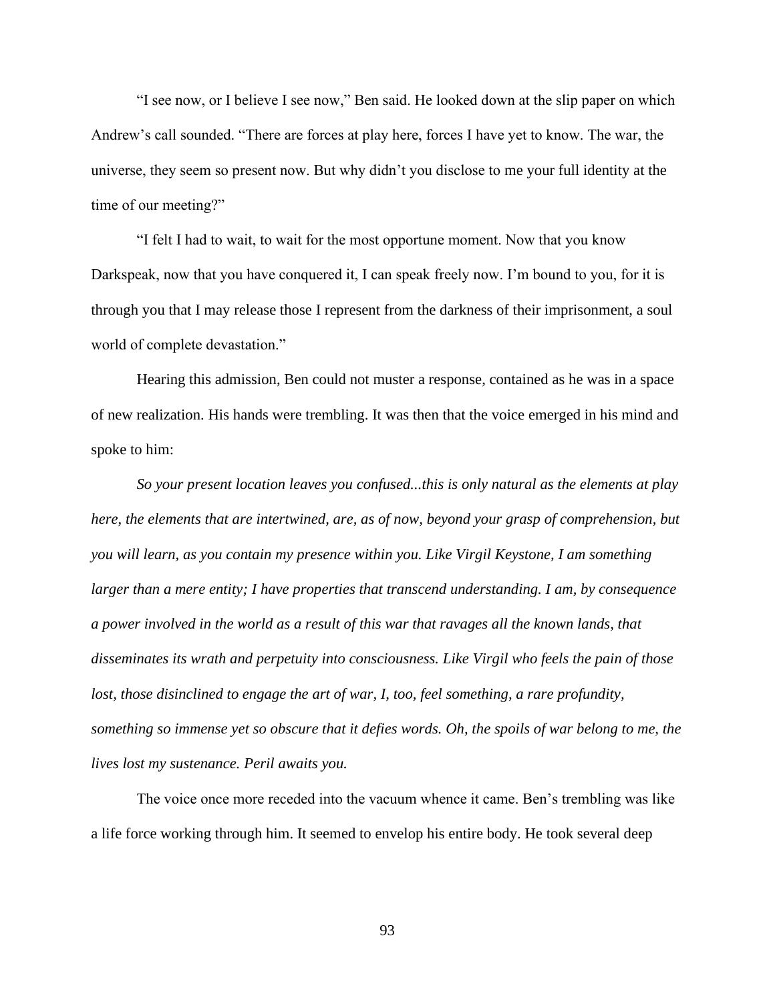"I see now, or I believe I see now," Ben said. He looked down at the slip paper on which Andrew's call sounded. "There are forces at play here, forces I have yet to know. The war, the universe, they seem so present now. But why didn't you disclose to me your full identity at the time of our meeting?"

"I felt I had to wait, to wait for the most opportune moment. Now that you know Darkspeak, now that you have conquered it, I can speak freely now. I'm bound to you, for it is through you that I may release those I represent from the darkness of their imprisonment, a soul world of complete devastation."

Hearing this admission, Ben could not muster a response, contained as he was in a space of new realization. His hands were trembling. It was then that the voice emerged in his mind and spoke to him:

*So your present location leaves you confused...this is only natural as the elements at play here, the elements that are intertwined, are, as of now, beyond your grasp of comprehension, but you will learn, as you contain my presence within you. Like Virgil Keystone, I am something larger than a mere entity; I have properties that transcend understanding. I am, by consequence a power involved in the world as a result of this war that ravages all the known lands, that disseminates its wrath and perpetuity into consciousness. Like Virgil who feels the pain of those lost, those disinclined to engage the art of war, I, too, feel something, a rare profundity, something so immense yet so obscure that it defies words. Oh, the spoils of war belong to me, the lives lost my sustenance. Peril awaits you.*

The voice once more receded into the vacuum whence it came. Ben's trembling was like a life force working through him. It seemed to envelop his entire body. He took several deep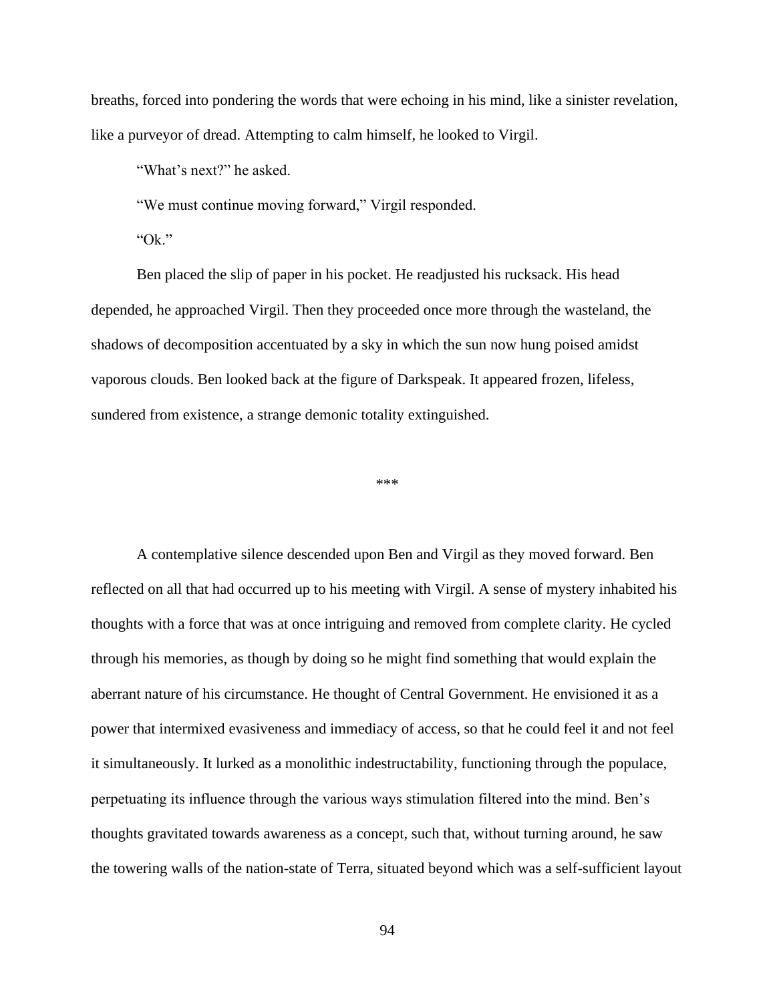breaths, forced into pondering the words that were echoing in his mind, like a sinister revelation, like a purveyor of dread. Attempting to calm himself, he looked to Virgil.

"What's next?" he asked.

"We must continue moving forward," Virgil responded.

"Ok."

Ben placed the slip of paper in his pocket. He readjusted his rucksack. His head depended, he approached Virgil. Then they proceeded once more through the wasteland, the shadows of decomposition accentuated by a sky in which the sun now hung poised amidst vaporous clouds. Ben looked back at the figure of Darkspeak. It appeared frozen, lifeless, sundered from existence, a strange demonic totality extinguished.

\*\*\*

A contemplative silence descended upon Ben and Virgil as they moved forward. Ben reflected on all that had occurred up to his meeting with Virgil. A sense of mystery inhabited his thoughts with a force that was at once intriguing and removed from complete clarity. He cycled through his memories, as though by doing so he might find something that would explain the aberrant nature of his circumstance. He thought of Central Government. He envisioned it as a power that intermixed evasiveness and immediacy of access, so that he could feel it and not feel it simultaneously. It lurked as a monolithic indestructability, functioning through the populace, perpetuating its influence through the various ways stimulation filtered into the mind. Ben's thoughts gravitated towards awareness as a concept, such that, without turning around, he saw the towering walls of the nation-state of Terra, situated beyond which was a self-sufficient layout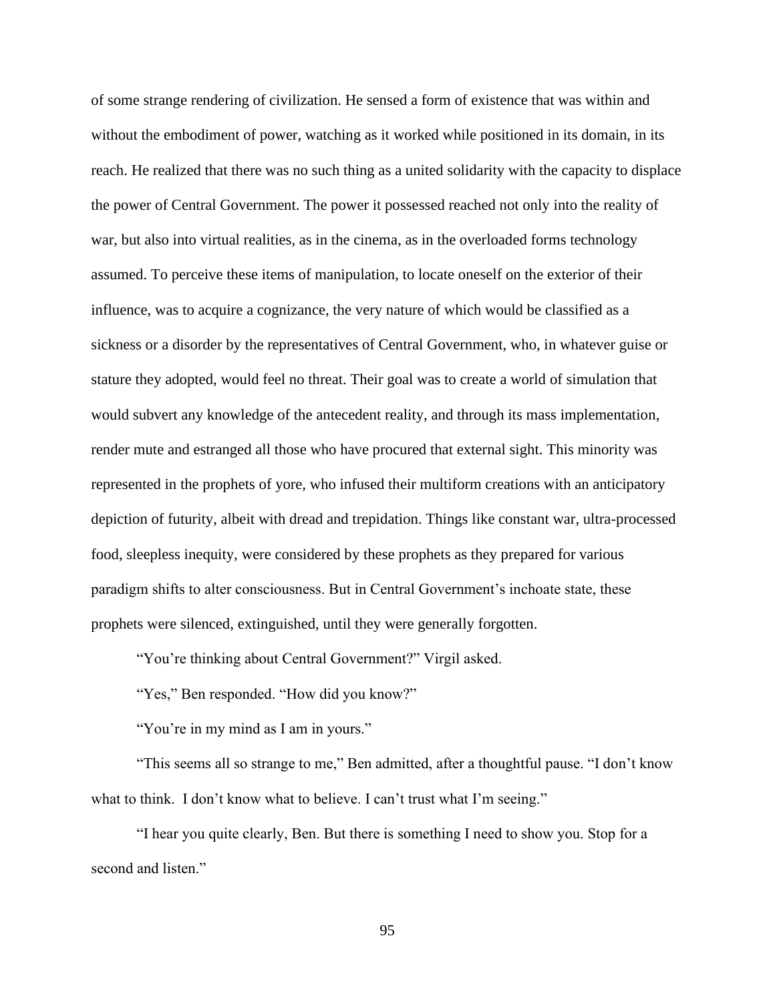of some strange rendering of civilization. He sensed a form of existence that was within and without the embodiment of power, watching as it worked while positioned in its domain, in its reach. He realized that there was no such thing as a united solidarity with the capacity to displace the power of Central Government. The power it possessed reached not only into the reality of war, but also into virtual realities, as in the cinema, as in the overloaded forms technology assumed. To perceive these items of manipulation, to locate oneself on the exterior of their influence, was to acquire a cognizance, the very nature of which would be classified as a sickness or a disorder by the representatives of Central Government, who, in whatever guise or stature they adopted, would feel no threat. Their goal was to create a world of simulation that would subvert any knowledge of the antecedent reality, and through its mass implementation, render mute and estranged all those who have procured that external sight. This minority was represented in the prophets of yore, who infused their multiform creations with an anticipatory depiction of futurity, albeit with dread and trepidation. Things like constant war, ultra-processed food, sleepless inequity, were considered by these prophets as they prepared for various paradigm shifts to alter consciousness. But in Central Government's inchoate state, these prophets were silenced, extinguished, until they were generally forgotten.

"You're thinking about Central Government?" Virgil asked.

"Yes," Ben responded. "How did you know?"

"You're in my mind as I am in yours."

"This seems all so strange to me," Ben admitted, after a thoughtful pause. "I don't know what to think. I don't know what to believe. I can't trust what I'm seeing."

"I hear you quite clearly, Ben. But there is something I need to show you. Stop for a second and listen."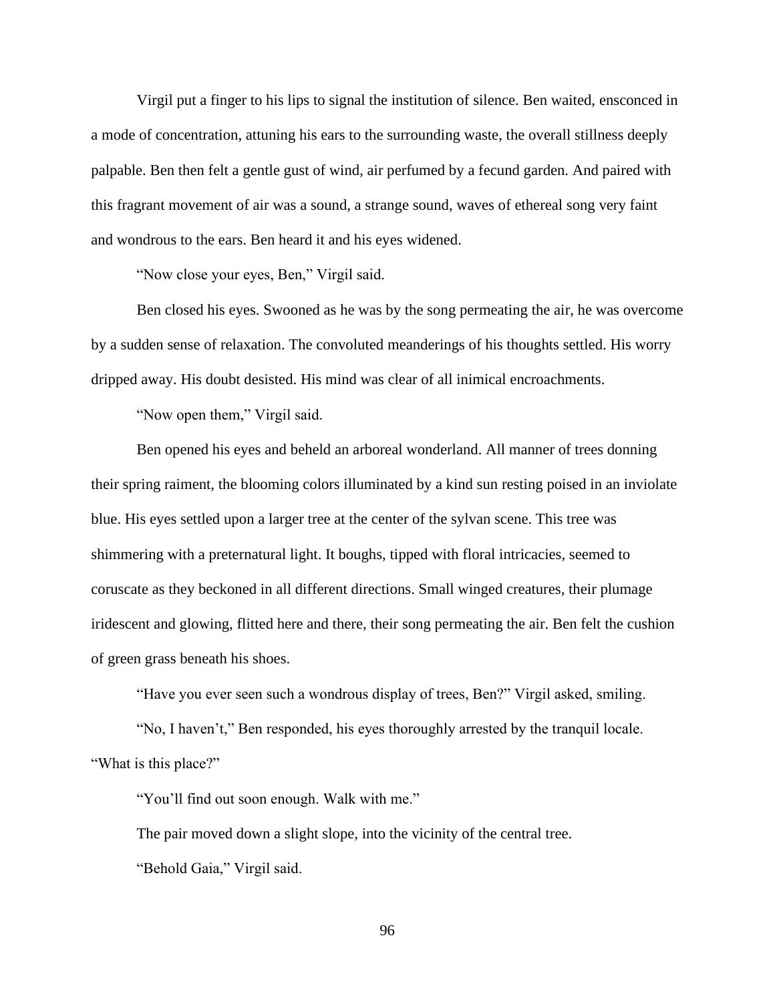Virgil put a finger to his lips to signal the institution of silence. Ben waited, ensconced in a mode of concentration, attuning his ears to the surrounding waste, the overall stillness deeply palpable. Ben then felt a gentle gust of wind, air perfumed by a fecund garden. And paired with this fragrant movement of air was a sound, a strange sound, waves of ethereal song very faint and wondrous to the ears. Ben heard it and his eyes widened.

"Now close your eyes, Ben," Virgil said.

Ben closed his eyes. Swooned as he was by the song permeating the air, he was overcome by a sudden sense of relaxation. The convoluted meanderings of his thoughts settled. His worry dripped away. His doubt desisted. His mind was clear of all inimical encroachments.

"Now open them," Virgil said.

Ben opened his eyes and beheld an arboreal wonderland. All manner of trees donning their spring raiment, the blooming colors illuminated by a kind sun resting poised in an inviolate blue. His eyes settled upon a larger tree at the center of the sylvan scene. This tree was shimmering with a preternatural light. It boughs, tipped with floral intricacies, seemed to coruscate as they beckoned in all different directions. Small winged creatures, their plumage iridescent and glowing, flitted here and there, their song permeating the air. Ben felt the cushion of green grass beneath his shoes.

"Have you ever seen such a wondrous display of trees, Ben?" Virgil asked, smiling.

"No, I haven't," Ben responded, his eyes thoroughly arrested by the tranquil locale. "What is this place?"

"You'll find out soon enough. Walk with me."

The pair moved down a slight slope, into the vicinity of the central tree. "Behold Gaia," Virgil said.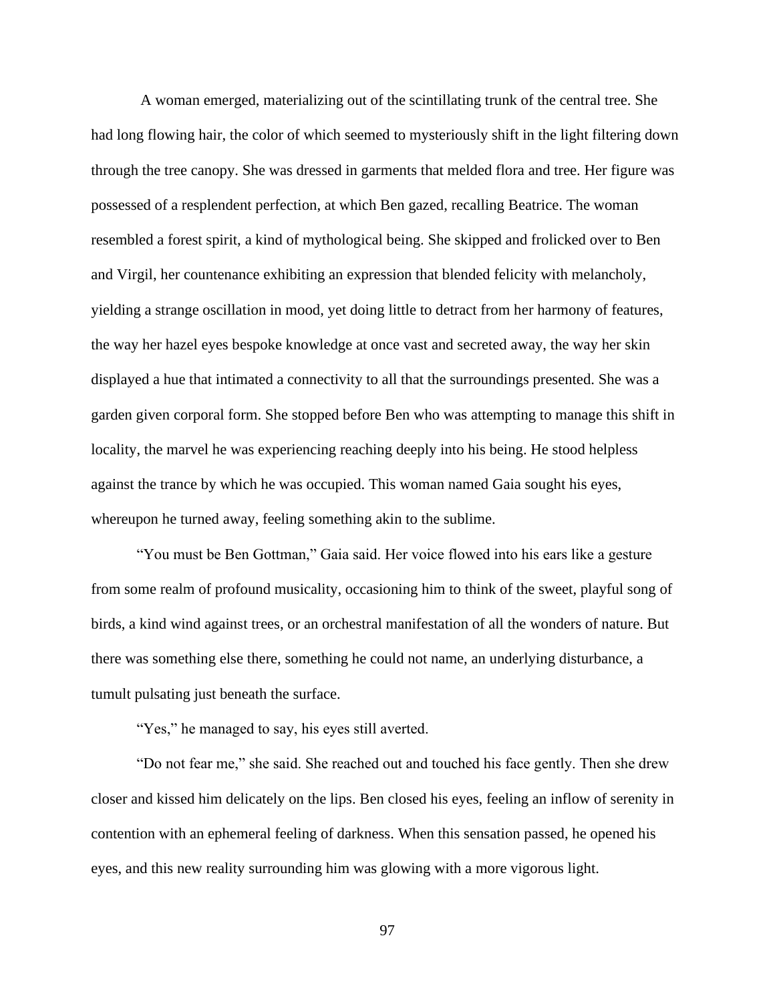A woman emerged, materializing out of the scintillating trunk of the central tree. She had long flowing hair, the color of which seemed to mysteriously shift in the light filtering down through the tree canopy. She was dressed in garments that melded flora and tree. Her figure was possessed of a resplendent perfection, at which Ben gazed, recalling Beatrice. The woman resembled a forest spirit, a kind of mythological being. She skipped and frolicked over to Ben and Virgil, her countenance exhibiting an expression that blended felicity with melancholy, yielding a strange oscillation in mood, yet doing little to detract from her harmony of features, the way her hazel eyes bespoke knowledge at once vast and secreted away, the way her skin displayed a hue that intimated a connectivity to all that the surroundings presented. She was a garden given corporal form. She stopped before Ben who was attempting to manage this shift in locality, the marvel he was experiencing reaching deeply into his being. He stood helpless against the trance by which he was occupied. This woman named Gaia sought his eyes, whereupon he turned away, feeling something akin to the sublime.

"You must be Ben Gottman," Gaia said. Her voice flowed into his ears like a gesture from some realm of profound musicality, occasioning him to think of the sweet, playful song of birds, a kind wind against trees, or an orchestral manifestation of all the wonders of nature. But there was something else there, something he could not name, an underlying disturbance, a tumult pulsating just beneath the surface.

"Yes," he managed to say, his eyes still averted.

"Do not fear me," she said. She reached out and touched his face gently. Then she drew closer and kissed him delicately on the lips. Ben closed his eyes, feeling an inflow of serenity in contention with an ephemeral feeling of darkness. When this sensation passed, he opened his eyes, and this new reality surrounding him was glowing with a more vigorous light.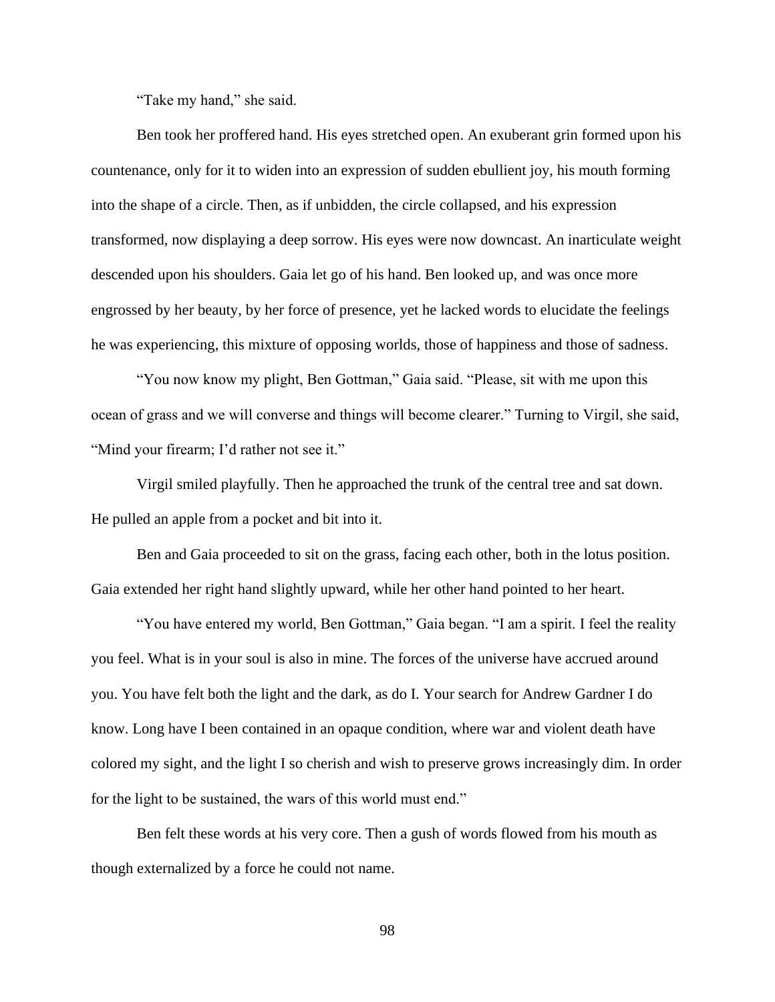"Take my hand," she said.

Ben took her proffered hand. His eyes stretched open. An exuberant grin formed upon his countenance, only for it to widen into an expression of sudden ebullient joy, his mouth forming into the shape of a circle. Then, as if unbidden, the circle collapsed, and his expression transformed, now displaying a deep sorrow. His eyes were now downcast. An inarticulate weight descended upon his shoulders. Gaia let go of his hand. Ben looked up, and was once more engrossed by her beauty, by her force of presence, yet he lacked words to elucidate the feelings he was experiencing, this mixture of opposing worlds, those of happiness and those of sadness.

"You now know my plight, Ben Gottman," Gaia said. "Please, sit with me upon this ocean of grass and we will converse and things will become clearer." Turning to Virgil, she said, "Mind your firearm; I'd rather not see it."

Virgil smiled playfully. Then he approached the trunk of the central tree and sat down. He pulled an apple from a pocket and bit into it.

Ben and Gaia proceeded to sit on the grass, facing each other, both in the lotus position. Gaia extended her right hand slightly upward, while her other hand pointed to her heart.

"You have entered my world, Ben Gottman," Gaia began. "I am a spirit. I feel the reality you feel. What is in your soul is also in mine. The forces of the universe have accrued around you. You have felt both the light and the dark, as do I. Your search for Andrew Gardner I do know. Long have I been contained in an opaque condition, where war and violent death have colored my sight, and the light I so cherish and wish to preserve grows increasingly dim. In order for the light to be sustained, the wars of this world must end."

Ben felt these words at his very core. Then a gush of words flowed from his mouth as though externalized by a force he could not name.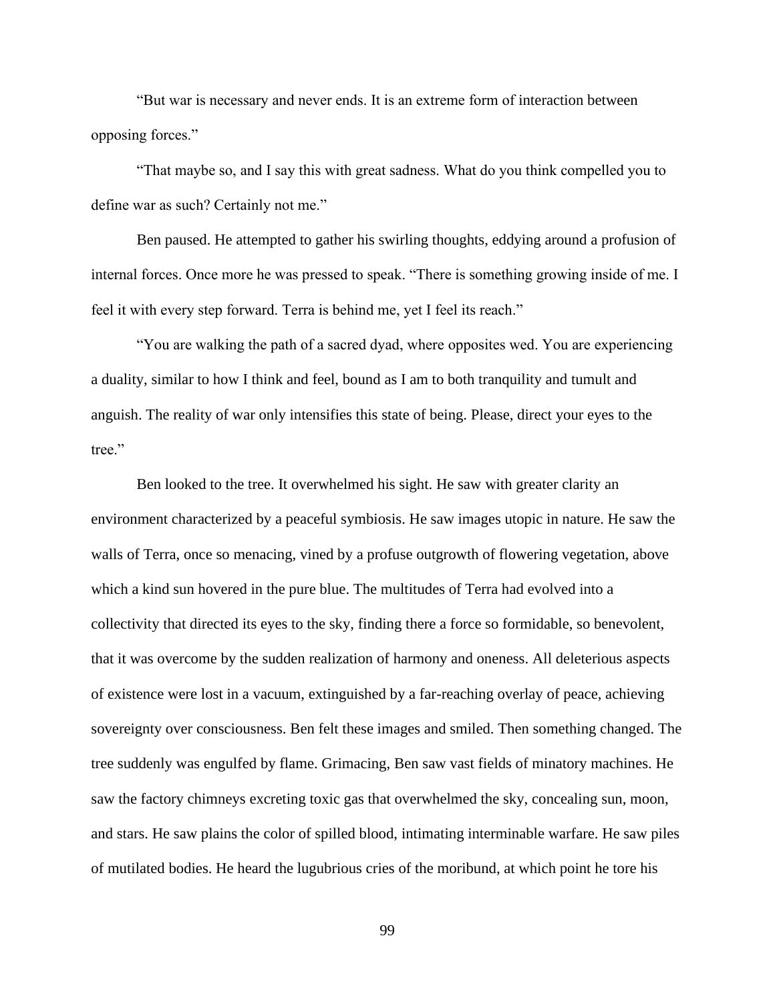"But war is necessary and never ends. It is an extreme form of interaction between opposing forces."

"That maybe so, and I say this with great sadness. What do you think compelled you to define war as such? Certainly not me."

Ben paused. He attempted to gather his swirling thoughts, eddying around a profusion of internal forces. Once more he was pressed to speak. "There is something growing inside of me. I feel it with every step forward. Terra is behind me, yet I feel its reach."

"You are walking the path of a sacred dyad, where opposites wed. You are experiencing a duality, similar to how I think and feel, bound as I am to both tranquility and tumult and anguish. The reality of war only intensifies this state of being. Please, direct your eyes to the tree."

Ben looked to the tree. It overwhelmed his sight. He saw with greater clarity an environment characterized by a peaceful symbiosis. He saw images utopic in nature. He saw the walls of Terra, once so menacing, vined by a profuse outgrowth of flowering vegetation, above which a kind sun hovered in the pure blue. The multitudes of Terra had evolved into a collectivity that directed its eyes to the sky, finding there a force so formidable, so benevolent, that it was overcome by the sudden realization of harmony and oneness. All deleterious aspects of existence were lost in a vacuum, extinguished by a far-reaching overlay of peace, achieving sovereignty over consciousness. Ben felt these images and smiled. Then something changed. The tree suddenly was engulfed by flame. Grimacing, Ben saw vast fields of minatory machines. He saw the factory chimneys excreting toxic gas that overwhelmed the sky, concealing sun, moon, and stars. He saw plains the color of spilled blood, intimating interminable warfare. He saw piles of mutilated bodies. He heard the lugubrious cries of the moribund, at which point he tore his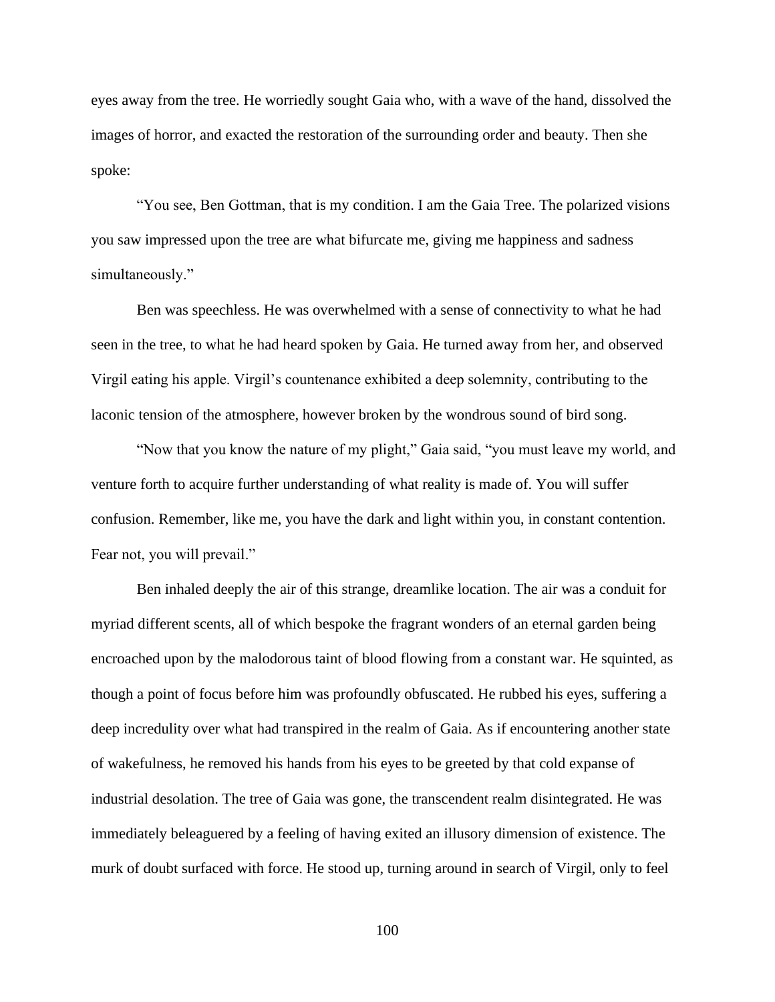eyes away from the tree. He worriedly sought Gaia who, with a wave of the hand, dissolved the images of horror, and exacted the restoration of the surrounding order and beauty. Then she spoke:

"You see, Ben Gottman, that is my condition. I am the Gaia Tree. The polarized visions you saw impressed upon the tree are what bifurcate me, giving me happiness and sadness simultaneously."

Ben was speechless. He was overwhelmed with a sense of connectivity to what he had seen in the tree, to what he had heard spoken by Gaia. He turned away from her, and observed Virgil eating his apple. Virgil's countenance exhibited a deep solemnity, contributing to the laconic tension of the atmosphere, however broken by the wondrous sound of bird song.

"Now that you know the nature of my plight," Gaia said, "you must leave my world, and venture forth to acquire further understanding of what reality is made of. You will suffer confusion. Remember, like me, you have the dark and light within you, in constant contention. Fear not, you will prevail."

Ben inhaled deeply the air of this strange, dreamlike location. The air was a conduit for myriad different scents, all of which bespoke the fragrant wonders of an eternal garden being encroached upon by the malodorous taint of blood flowing from a constant war. He squinted, as though a point of focus before him was profoundly obfuscated. He rubbed his eyes, suffering a deep incredulity over what had transpired in the realm of Gaia. As if encountering another state of wakefulness, he removed his hands from his eyes to be greeted by that cold expanse of industrial desolation. The tree of Gaia was gone, the transcendent realm disintegrated. He was immediately beleaguered by a feeling of having exited an illusory dimension of existence. The murk of doubt surfaced with force. He stood up, turning around in search of Virgil, only to feel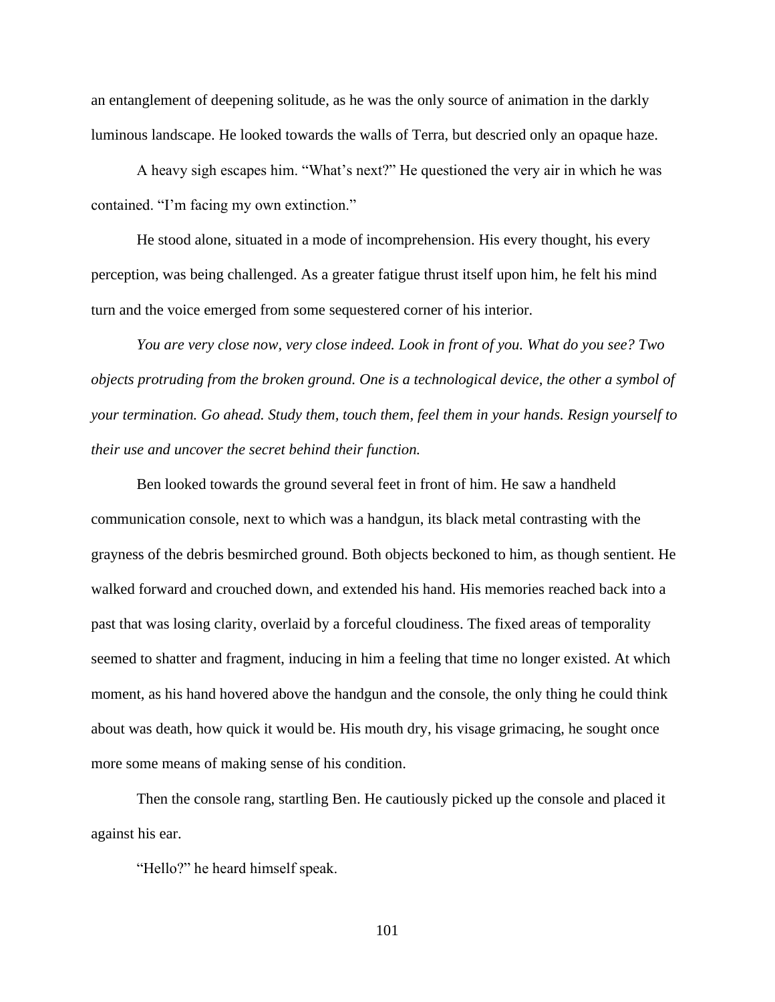an entanglement of deepening solitude, as he was the only source of animation in the darkly luminous landscape. He looked towards the walls of Terra, but descried only an opaque haze.

A heavy sigh escapes him. "What's next?" He questioned the very air in which he was contained. "I'm facing my own extinction."

He stood alone, situated in a mode of incomprehension. His every thought, his every perception, was being challenged. As a greater fatigue thrust itself upon him, he felt his mind turn and the voice emerged from some sequestered corner of his interior.

*You are very close now, very close indeed. Look in front of you. What do you see? Two objects protruding from the broken ground. One is a technological device, the other a symbol of your termination. Go ahead. Study them, touch them, feel them in your hands. Resign yourself to their use and uncover the secret behind their function.*

Ben looked towards the ground several feet in front of him. He saw a handheld communication console, next to which was a handgun, its black metal contrasting with the grayness of the debris besmirched ground. Both objects beckoned to him, as though sentient. He walked forward and crouched down, and extended his hand. His memories reached back into a past that was losing clarity, overlaid by a forceful cloudiness. The fixed areas of temporality seemed to shatter and fragment, inducing in him a feeling that time no longer existed. At which moment, as his hand hovered above the handgun and the console, the only thing he could think about was death, how quick it would be. His mouth dry, his visage grimacing, he sought once more some means of making sense of his condition.

Then the console rang, startling Ben. He cautiously picked up the console and placed it against his ear.

"Hello?" he heard himself speak.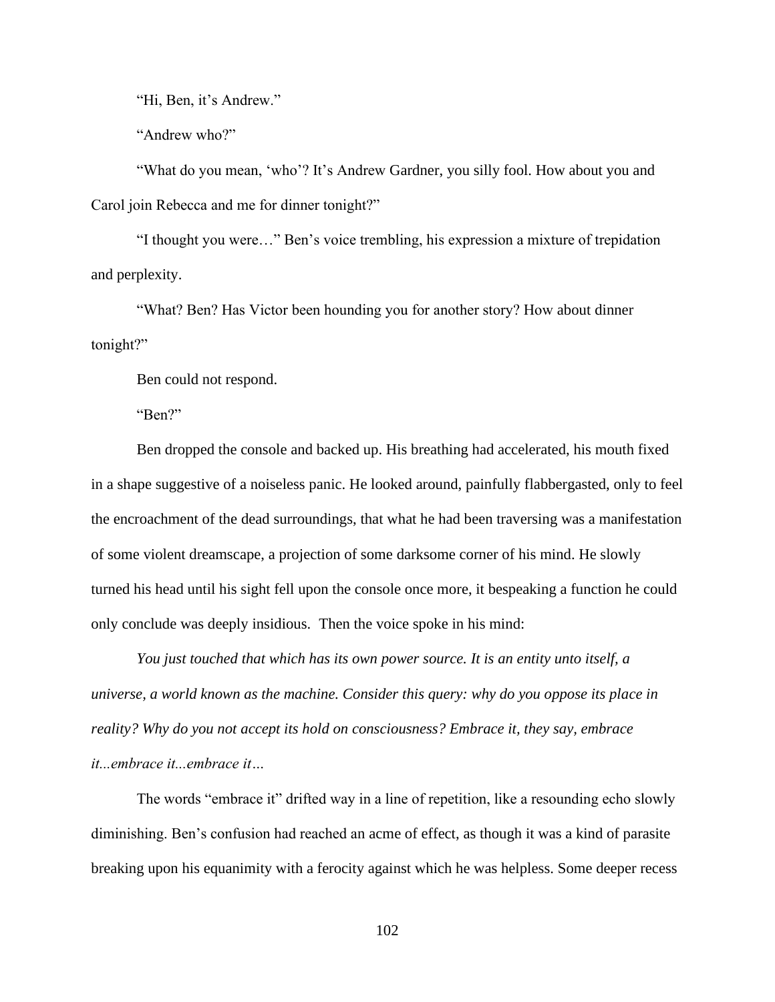"Hi, Ben, it's Andrew."

"Andrew who?"

"What do you mean, 'who'? It's Andrew Gardner, you silly fool. How about you and Carol join Rebecca and me for dinner tonight?"

"I thought you were…" Ben's voice trembling, his expression a mixture of trepidation and perplexity.

"What? Ben? Has Victor been hounding you for another story? How about dinner tonight?"

Ben could not respond.

"Ben?"

Ben dropped the console and backed up. His breathing had accelerated, his mouth fixed in a shape suggestive of a noiseless panic. He looked around, painfully flabbergasted, only to feel the encroachment of the dead surroundings, that what he had been traversing was a manifestation of some violent dreamscape, a projection of some darksome corner of his mind. He slowly turned his head until his sight fell upon the console once more, it bespeaking a function he could only conclude was deeply insidious. Then the voice spoke in his mind:

*You just touched that which has its own power source. It is an entity unto itself, a universe, a world known as the machine. Consider this query: why do you oppose its place in reality? Why do you not accept its hold on consciousness? Embrace it, they say, embrace it...embrace it...embrace it…*

The words "embrace it" drifted way in a line of repetition, like a resounding echo slowly diminishing. Ben's confusion had reached an acme of effect, as though it was a kind of parasite breaking upon his equanimity with a ferocity against which he was helpless. Some deeper recess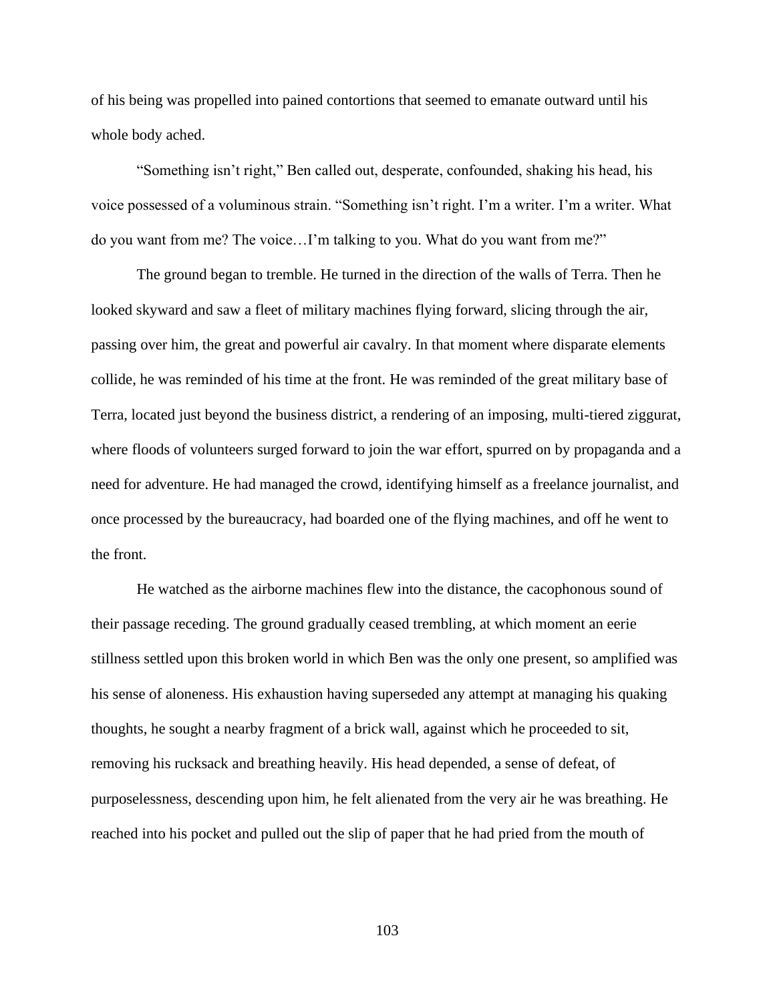of his being was propelled into pained contortions that seemed to emanate outward until his whole body ached.

"Something isn't right," Ben called out, desperate, confounded, shaking his head, his voice possessed of a voluminous strain. "Something isn't right. I'm a writer. I'm a writer. What do you want from me? The voice…I'm talking to you. What do you want from me?"

The ground began to tremble. He turned in the direction of the walls of Terra. Then he looked skyward and saw a fleet of military machines flying forward, slicing through the air, passing over him, the great and powerful air cavalry. In that moment where disparate elements collide, he was reminded of his time at the front. He was reminded of the great military base of Terra, located just beyond the business district, a rendering of an imposing, multi-tiered ziggurat, where floods of volunteers surged forward to join the war effort, spurred on by propaganda and a need for adventure. He had managed the crowd, identifying himself as a freelance journalist, and once processed by the bureaucracy, had boarded one of the flying machines, and off he went to the front.

He watched as the airborne machines flew into the distance, the cacophonous sound of their passage receding. The ground gradually ceased trembling, at which moment an eerie stillness settled upon this broken world in which Ben was the only one present, so amplified was his sense of aloneness. His exhaustion having superseded any attempt at managing his quaking thoughts, he sought a nearby fragment of a brick wall, against which he proceeded to sit, removing his rucksack and breathing heavily. His head depended, a sense of defeat, of purposelessness, descending upon him, he felt alienated from the very air he was breathing. He reached into his pocket and pulled out the slip of paper that he had pried from the mouth of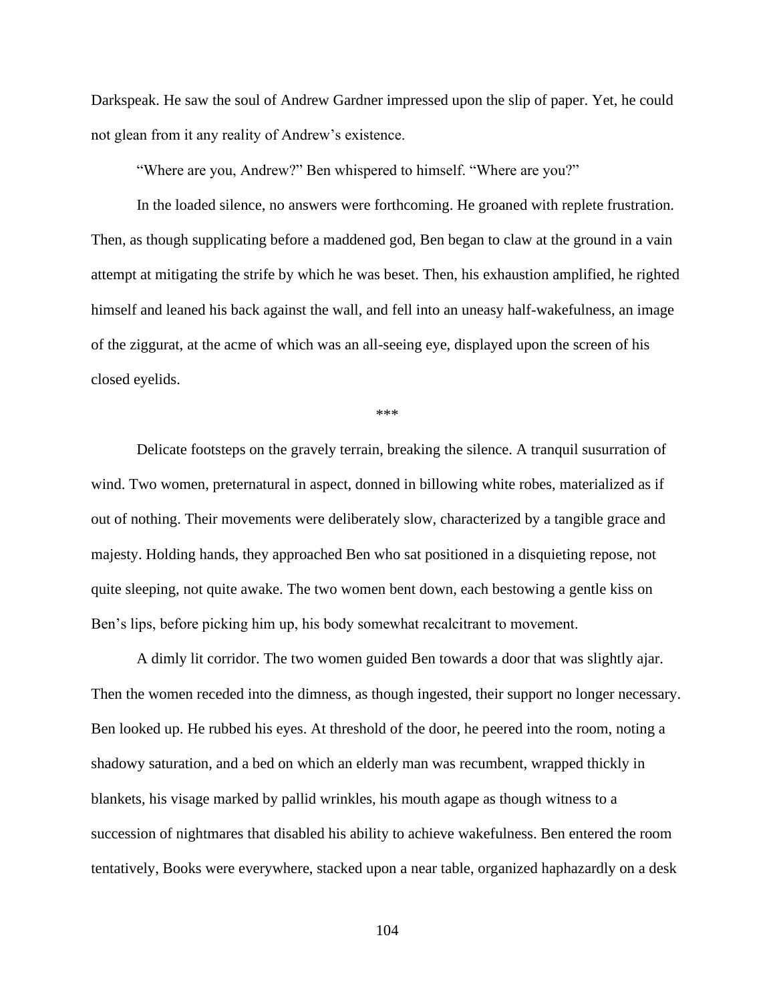Darkspeak. He saw the soul of Andrew Gardner impressed upon the slip of paper. Yet, he could not glean from it any reality of Andrew's existence.

"Where are you, Andrew?" Ben whispered to himself. "Where are you?"

In the loaded silence, no answers were forthcoming. He groaned with replete frustration. Then, as though supplicating before a maddened god, Ben began to claw at the ground in a vain attempt at mitigating the strife by which he was beset. Then, his exhaustion amplified, he righted himself and leaned his back against the wall, and fell into an uneasy half-wakefulness, an image of the ziggurat, at the acme of which was an all-seeing eye, displayed upon the screen of his closed eyelids.

\*\*\*

Delicate footsteps on the gravely terrain, breaking the silence. A tranquil susurration of wind. Two women, preternatural in aspect, donned in billowing white robes, materialized as if out of nothing. Their movements were deliberately slow, characterized by a tangible grace and majesty. Holding hands, they approached Ben who sat positioned in a disquieting repose, not quite sleeping, not quite awake. The two women bent down, each bestowing a gentle kiss on Ben's lips, before picking him up, his body somewhat recalcitrant to movement.

A dimly lit corridor. The two women guided Ben towards a door that was slightly ajar. Then the women receded into the dimness, as though ingested, their support no longer necessary. Ben looked up. He rubbed his eyes. At threshold of the door, he peered into the room, noting a shadowy saturation, and a bed on which an elderly man was recumbent, wrapped thickly in blankets, his visage marked by pallid wrinkles, his mouth agape as though witness to a succession of nightmares that disabled his ability to achieve wakefulness. Ben entered the room tentatively, Books were everywhere, stacked upon a near table, organized haphazardly on a desk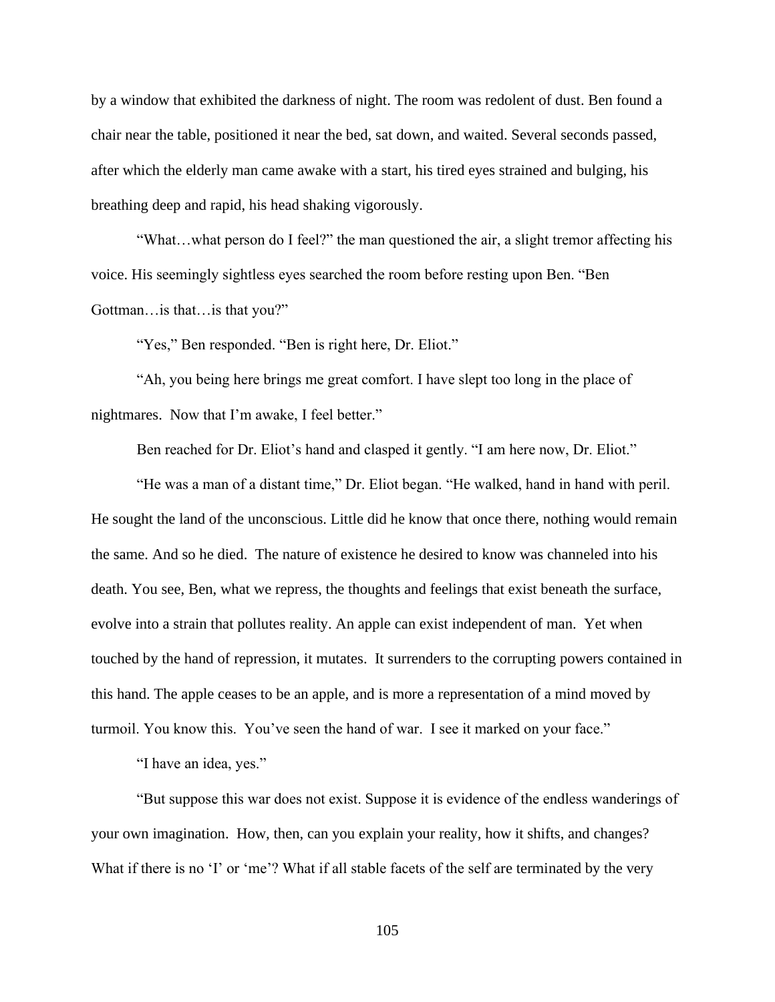by a window that exhibited the darkness of night. The room was redolent of dust. Ben found a chair near the table, positioned it near the bed, sat down, and waited. Several seconds passed, after which the elderly man came awake with a start, his tired eyes strained and bulging, his breathing deep and rapid, his head shaking vigorously.

"What…what person do I feel?" the man questioned the air, a slight tremor affecting his voice. His seemingly sightless eyes searched the room before resting upon Ben. "Ben Gottman…is that…is that you?"

"Yes," Ben responded. "Ben is right here, Dr. Eliot."

"Ah, you being here brings me great comfort. I have slept too long in the place of nightmares. Now that I'm awake, I feel better."

Ben reached for Dr. Eliot's hand and clasped it gently. "I am here now, Dr. Eliot."

"He was a man of a distant time," Dr. Eliot began. "He walked, hand in hand with peril. He sought the land of the unconscious. Little did he know that once there, nothing would remain the same. And so he died. The nature of existence he desired to know was channeled into his death. You see, Ben, what we repress, the thoughts and feelings that exist beneath the surface, evolve into a strain that pollutes reality. An apple can exist independent of man. Yet when touched by the hand of repression, it mutates. It surrenders to the corrupting powers contained in this hand. The apple ceases to be an apple, and is more a representation of a mind moved by turmoil. You know this. You've seen the hand of war. I see it marked on your face."

"I have an idea, yes."

"But suppose this war does not exist. Suppose it is evidence of the endless wanderings of your own imagination. How, then, can you explain your reality, how it shifts, and changes? What if there is no 'I' or 'me'? What if all stable facets of the self are terminated by the very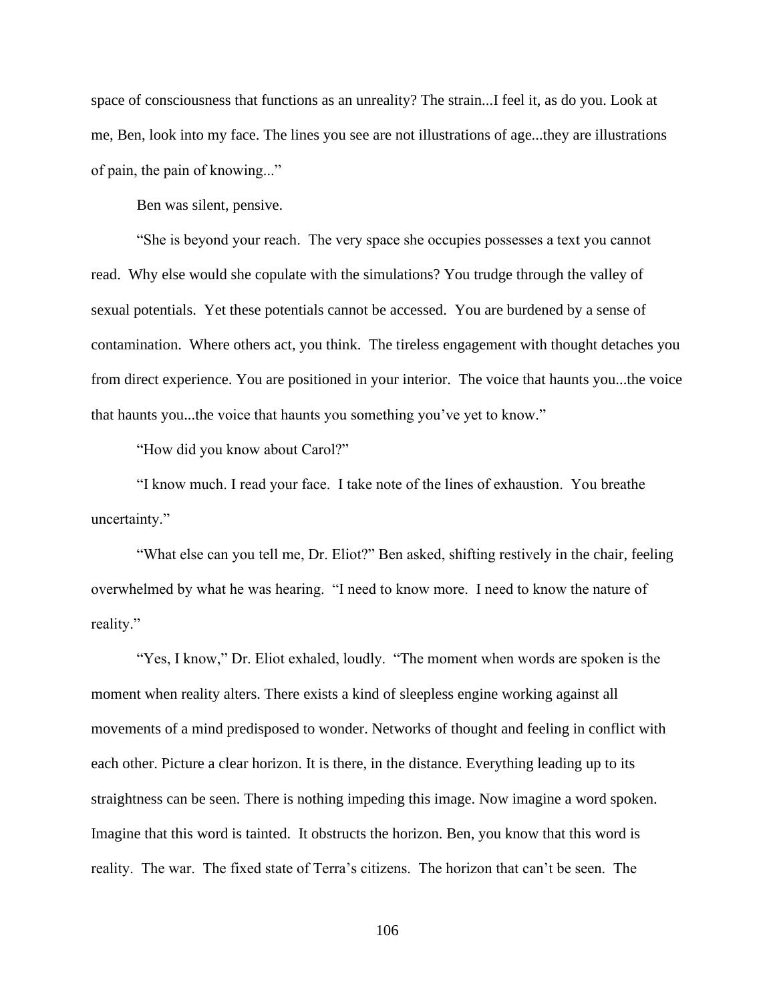space of consciousness that functions as an unreality? The strain...I feel it, as do you. Look at me, Ben, look into my face. The lines you see are not illustrations of age...they are illustrations of pain, the pain of knowing..."

Ben was silent, pensive.

"She is beyond your reach. The very space she occupies possesses a text you cannot read. Why else would she copulate with the simulations? You trudge through the valley of sexual potentials. Yet these potentials cannot be accessed. You are burdened by a sense of contamination. Where others act, you think. The tireless engagement with thought detaches you from direct experience. You are positioned in your interior. The voice that haunts you...the voice that haunts you...the voice that haunts you something you've yet to know."

"How did you know about Carol?"

"I know much. I read your face. I take note of the lines of exhaustion. You breathe uncertainty."

"What else can you tell me, Dr. Eliot?" Ben asked, shifting restively in the chair, feeling overwhelmed by what he was hearing. "I need to know more. I need to know the nature of reality."

"Yes, I know," Dr. Eliot exhaled, loudly. "The moment when words are spoken is the moment when reality alters. There exists a kind of sleepless engine working against all movements of a mind predisposed to wonder. Networks of thought and feeling in conflict with each other. Picture a clear horizon. It is there, in the distance. Everything leading up to its straightness can be seen. There is nothing impeding this image. Now imagine a word spoken. Imagine that this word is tainted. It obstructs the horizon. Ben, you know that this word is reality. The war. The fixed state of Terra's citizens. The horizon that can't be seen. The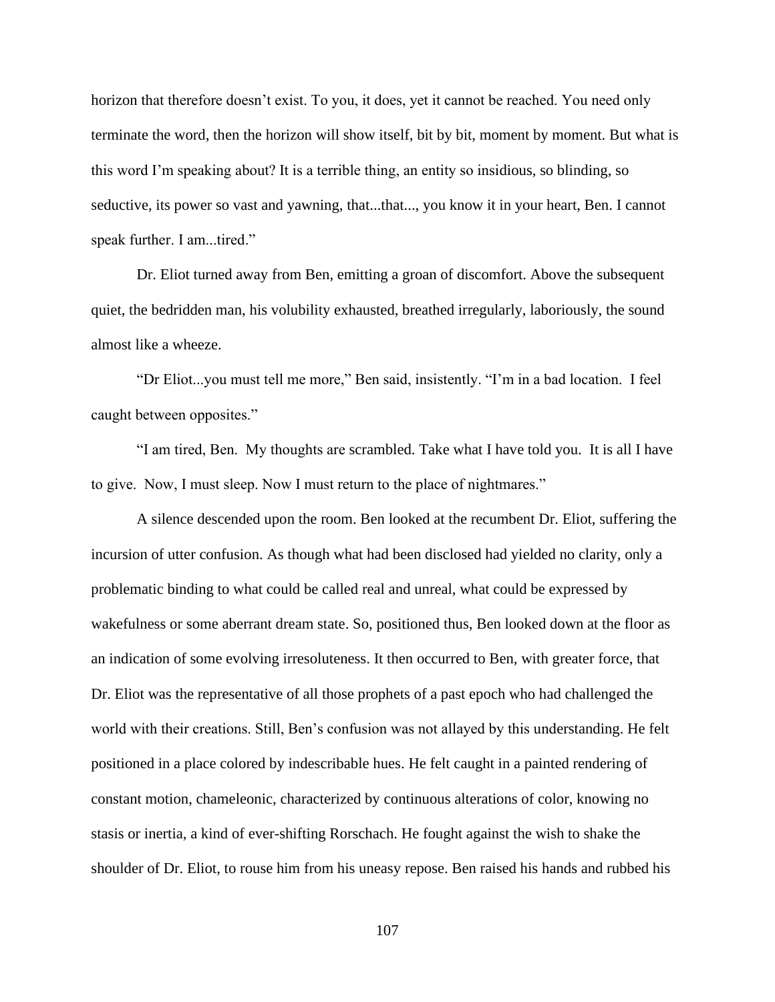horizon that therefore doesn't exist. To you, it does, yet it cannot be reached. You need only terminate the word, then the horizon will show itself, bit by bit, moment by moment. But what is this word I'm speaking about? It is a terrible thing, an entity so insidious, so blinding, so seductive, its power so vast and yawning, that...that..., you know it in your heart, Ben. I cannot speak further. I am...tired."

Dr. Eliot turned away from Ben, emitting a groan of discomfort. Above the subsequent quiet, the bedridden man, his volubility exhausted, breathed irregularly, laboriously, the sound almost like a wheeze.

"Dr Eliot...you must tell me more," Ben said, insistently. "I'm in a bad location. I feel caught between opposites."

"I am tired, Ben. My thoughts are scrambled. Take what I have told you. It is all I have to give. Now, I must sleep. Now I must return to the place of nightmares."

A silence descended upon the room. Ben looked at the recumbent Dr. Eliot, suffering the incursion of utter confusion. As though what had been disclosed had yielded no clarity, only a problematic binding to what could be called real and unreal, what could be expressed by wakefulness or some aberrant dream state. So, positioned thus, Ben looked down at the floor as an indication of some evolving irresoluteness. It then occurred to Ben, with greater force, that Dr. Eliot was the representative of all those prophets of a past epoch who had challenged the world with their creations. Still, Ben's confusion was not allayed by this understanding. He felt positioned in a place colored by indescribable hues. He felt caught in a painted rendering of constant motion, chameleonic, characterized by continuous alterations of color, knowing no stasis or inertia, a kind of ever-shifting Rorschach. He fought against the wish to shake the shoulder of Dr. Eliot, to rouse him from his uneasy repose. Ben raised his hands and rubbed his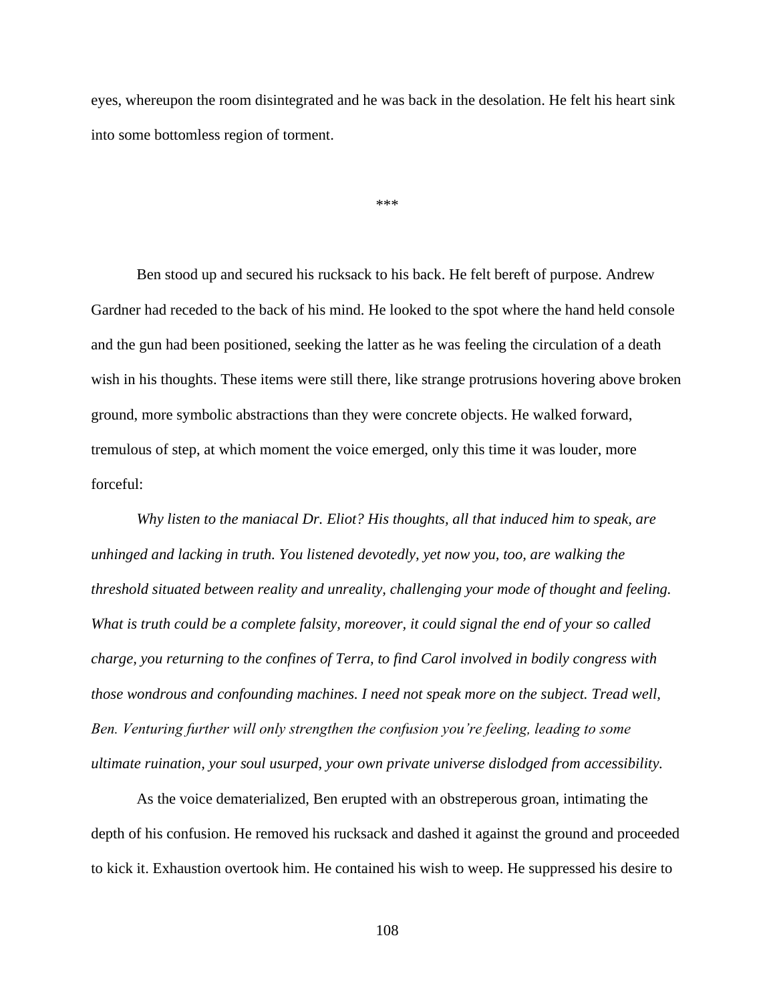eyes, whereupon the room disintegrated and he was back in the desolation. He felt his heart sink into some bottomless region of torment.

\*\*\*

Ben stood up and secured his rucksack to his back. He felt bereft of purpose. Andrew Gardner had receded to the back of his mind. He looked to the spot where the hand held console and the gun had been positioned, seeking the latter as he was feeling the circulation of a death wish in his thoughts. These items were still there, like strange protrusions hovering above broken ground, more symbolic abstractions than they were concrete objects. He walked forward, tremulous of step, at which moment the voice emerged, only this time it was louder, more forceful:

*Why listen to the maniacal Dr. Eliot? His thoughts, all that induced him to speak, are unhinged and lacking in truth. You listened devotedly, yet now you, too, are walking the threshold situated between reality and unreality, challenging your mode of thought and feeling. What is truth could be a complete falsity, moreover, it could signal the end of your so called charge, you returning to the confines of Terra, to find Carol involved in bodily congress with those wondrous and confounding machines. I need not speak more on the subject. Tread well, Ben. Venturing further will only strengthen the confusion you're feeling, leading to some ultimate ruination, your soul usurped, your own private universe dislodged from accessibility.*

As the voice dematerialized, Ben erupted with an obstreperous groan, intimating the depth of his confusion. He removed his rucksack and dashed it against the ground and proceeded to kick it. Exhaustion overtook him. He contained his wish to weep. He suppressed his desire to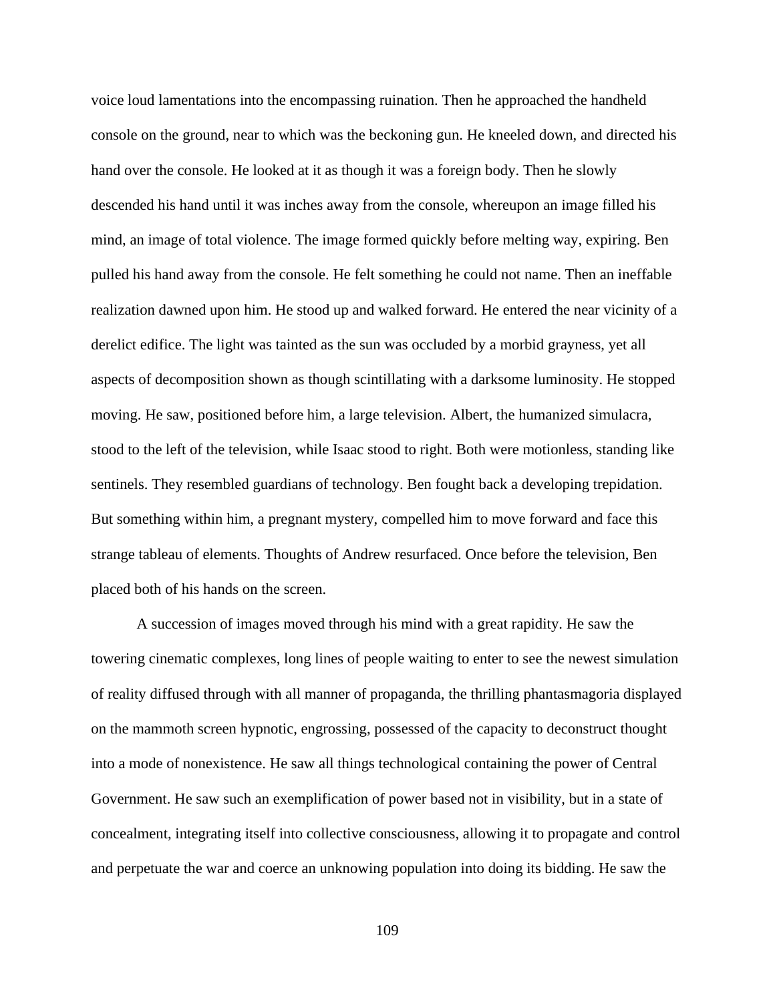voice loud lamentations into the encompassing ruination. Then he approached the handheld console on the ground, near to which was the beckoning gun. He kneeled down, and directed his hand over the console. He looked at it as though it was a foreign body. Then he slowly descended his hand until it was inches away from the console, whereupon an image filled his mind, an image of total violence. The image formed quickly before melting way, expiring. Ben pulled his hand away from the console. He felt something he could not name. Then an ineffable realization dawned upon him. He stood up and walked forward. He entered the near vicinity of a derelict edifice. The light was tainted as the sun was occluded by a morbid grayness, yet all aspects of decomposition shown as though scintillating with a darksome luminosity. He stopped moving. He saw, positioned before him, a large television. Albert, the humanized simulacra, stood to the left of the television, while Isaac stood to right. Both were motionless, standing like sentinels. They resembled guardians of technology. Ben fought back a developing trepidation. But something within him, a pregnant mystery, compelled him to move forward and face this strange tableau of elements. Thoughts of Andrew resurfaced. Once before the television, Ben placed both of his hands on the screen.

A succession of images moved through his mind with a great rapidity. He saw the towering cinematic complexes, long lines of people waiting to enter to see the newest simulation of reality diffused through with all manner of propaganda, the thrilling phantasmagoria displayed on the mammoth screen hypnotic, engrossing, possessed of the capacity to deconstruct thought into a mode of nonexistence. He saw all things technological containing the power of Central Government. He saw such an exemplification of power based not in visibility, but in a state of concealment, integrating itself into collective consciousness, allowing it to propagate and control and perpetuate the war and coerce an unknowing population into doing its bidding. He saw the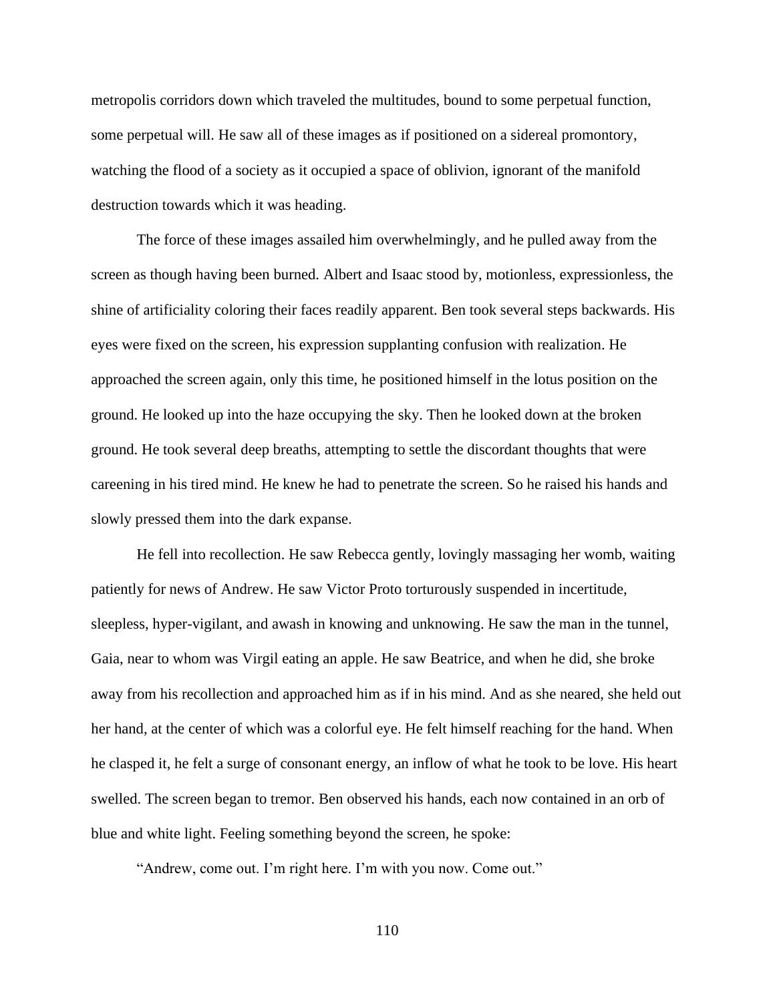metropolis corridors down which traveled the multitudes, bound to some perpetual function, some perpetual will. He saw all of these images as if positioned on a sidereal promontory, watching the flood of a society as it occupied a space of oblivion, ignorant of the manifold destruction towards which it was heading.

The force of these images assailed him overwhelmingly, and he pulled away from the screen as though having been burned. Albert and Isaac stood by, motionless, expressionless, the shine of artificiality coloring their faces readily apparent. Ben took several steps backwards. His eyes were fixed on the screen, his expression supplanting confusion with realization. He approached the screen again, only this time, he positioned himself in the lotus position on the ground. He looked up into the haze occupying the sky. Then he looked down at the broken ground. He took several deep breaths, attempting to settle the discordant thoughts that were careening in his tired mind. He knew he had to penetrate the screen. So he raised his hands and slowly pressed them into the dark expanse.

He fell into recollection. He saw Rebecca gently, lovingly massaging her womb, waiting patiently for news of Andrew. He saw Victor Proto torturously suspended in incertitude, sleepless, hyper-vigilant, and awash in knowing and unknowing. He saw the man in the tunnel, Gaia, near to whom was Virgil eating an apple. He saw Beatrice, and when he did, she broke away from his recollection and approached him as if in his mind. And as she neared, she held out her hand, at the center of which was a colorful eye. He felt himself reaching for the hand. When he clasped it, he felt a surge of consonant energy, an inflow of what he took to be love. His heart swelled. The screen began to tremor. Ben observed his hands, each now contained in an orb of blue and white light. Feeling something beyond the screen, he spoke:

"Andrew, come out. I'm right here. I'm with you now. Come out."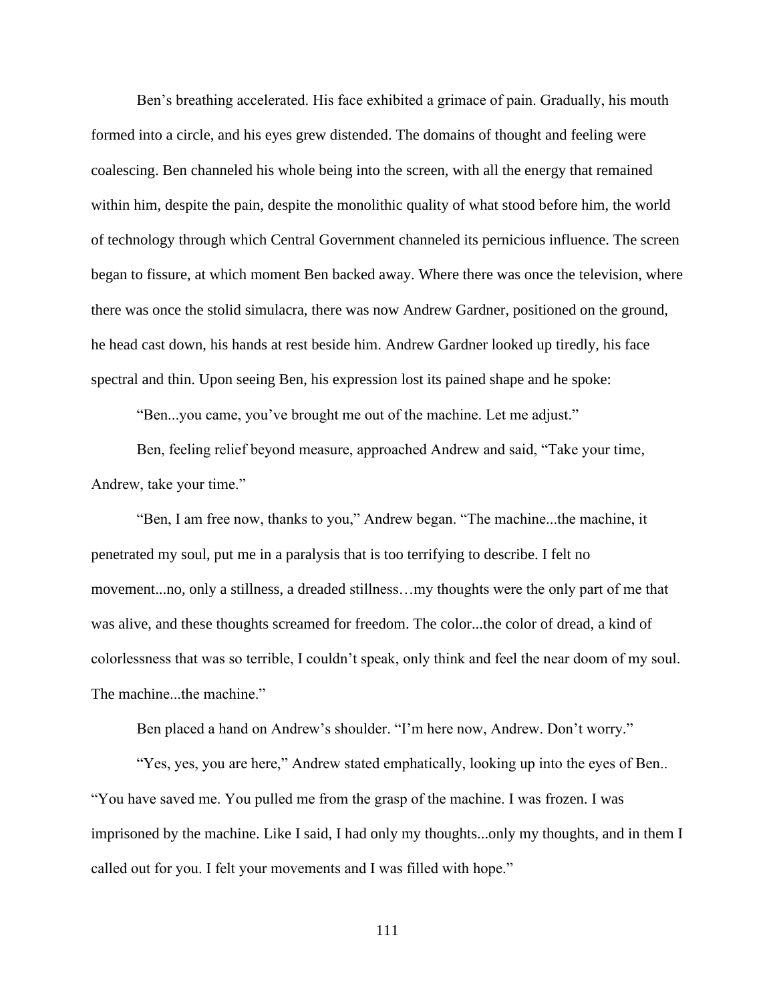Ben's breathing accelerated. His face exhibited a grimace of pain. Gradually, his mouth formed into a circle, and his eyes grew distended. The domains of thought and feeling were coalescing. Ben channeled his whole being into the screen, with all the energy that remained within him, despite the pain, despite the monolithic quality of what stood before him, the world of technology through which Central Government channeled its pernicious influence. The screen began to fissure, at which moment Ben backed away. Where there was once the television, where there was once the stolid simulacra, there was now Andrew Gardner, positioned on the ground, he head cast down, his hands at rest beside him. Andrew Gardner looked up tiredly, his face spectral and thin. Upon seeing Ben, his expression lost its pained shape and he spoke:

"Ben...you came, you've brought me out of the machine. Let me adjust."

Ben, feeling relief beyond measure, approached Andrew and said, "Take your time, Andrew, take your time."

"Ben, I am free now, thanks to you," Andrew began. "The machine...the machine, it penetrated my soul, put me in a paralysis that is too terrifying to describe. I felt no movement...no, only a stillness, a dreaded stillness…my thoughts were the only part of me that was alive, and these thoughts screamed for freedom. The color...the color of dread, a kind of colorlessness that was so terrible, I couldn't speak, only think and feel the near doom of my soul. The machine...the machine."

Ben placed a hand on Andrew's shoulder. "I'm here now, Andrew. Don't worry."

"Yes, yes, you are here," Andrew stated emphatically, looking up into the eyes of Ben.. "You have saved me. You pulled me from the grasp of the machine. I was frozen. I was imprisoned by the machine. Like I said, I had only my thoughts...only my thoughts, and in them I called out for you. I felt your movements and I was filled with hope."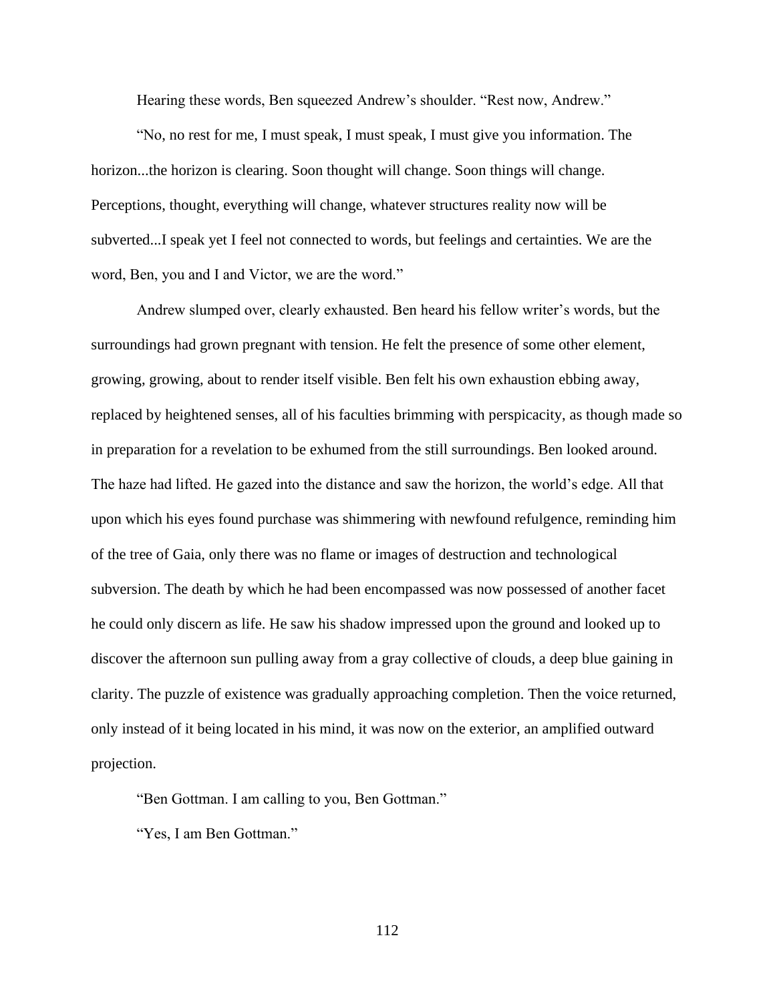Hearing these words, Ben squeezed Andrew's shoulder. "Rest now, Andrew."

"No, no rest for me, I must speak, I must speak, I must give you information. The horizon...the horizon is clearing. Soon thought will change. Soon things will change. Perceptions, thought, everything will change, whatever structures reality now will be subverted...I speak yet I feel not connected to words, but feelings and certainties. We are the word, Ben, you and I and Victor, we are the word."

Andrew slumped over, clearly exhausted. Ben heard his fellow writer's words, but the surroundings had grown pregnant with tension. He felt the presence of some other element, growing, growing, about to render itself visible. Ben felt his own exhaustion ebbing away, replaced by heightened senses, all of his faculties brimming with perspicacity, as though made so in preparation for a revelation to be exhumed from the still surroundings. Ben looked around. The haze had lifted. He gazed into the distance and saw the horizon, the world's edge. All that upon which his eyes found purchase was shimmering with newfound refulgence, reminding him of the tree of Gaia, only there was no flame or images of destruction and technological subversion. The death by which he had been encompassed was now possessed of another facet he could only discern as life. He saw his shadow impressed upon the ground and looked up to discover the afternoon sun pulling away from a gray collective of clouds, a deep blue gaining in clarity. The puzzle of existence was gradually approaching completion. Then the voice returned, only instead of it being located in his mind, it was now on the exterior, an amplified outward projection.

"Ben Gottman. I am calling to you, Ben Gottman."

"Yes, I am Ben Gottman."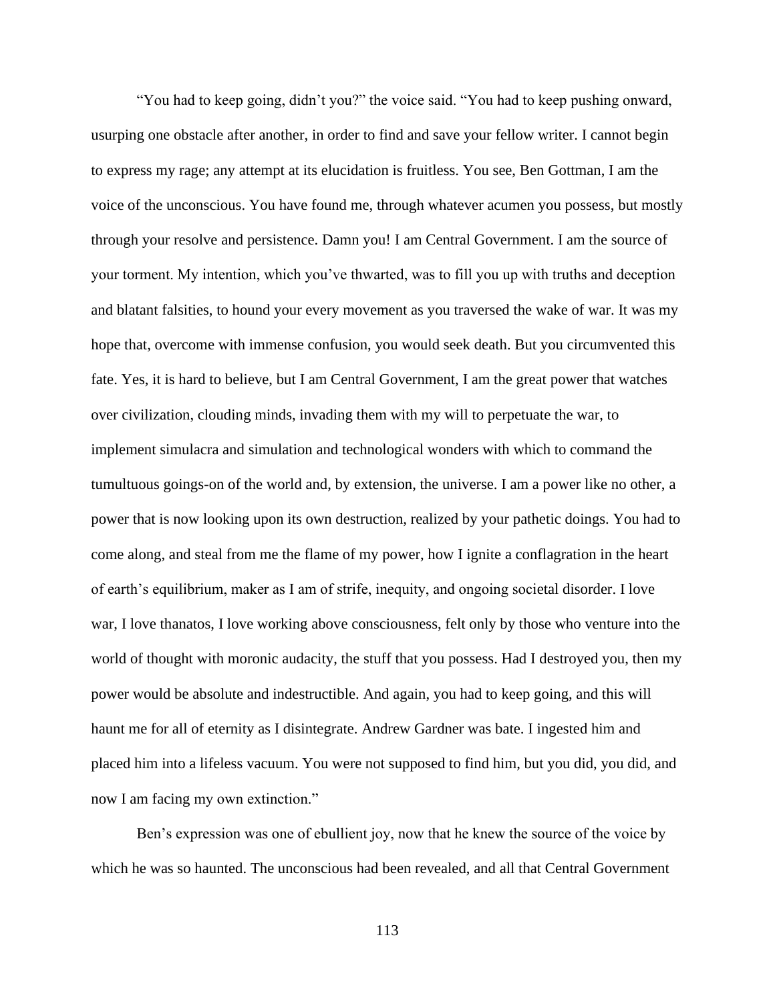"You had to keep going, didn't you?" the voice said. "You had to keep pushing onward, usurping one obstacle after another, in order to find and save your fellow writer. I cannot begin to express my rage; any attempt at its elucidation is fruitless. You see, Ben Gottman, I am the voice of the unconscious. You have found me, through whatever acumen you possess, but mostly through your resolve and persistence. Damn you! I am Central Government. I am the source of your torment. My intention, which you've thwarted, was to fill you up with truths and deception and blatant falsities, to hound your every movement as you traversed the wake of war. It was my hope that, overcome with immense confusion, you would seek death. But you circumvented this fate. Yes, it is hard to believe, but I am Central Government, I am the great power that watches over civilization, clouding minds, invading them with my will to perpetuate the war, to implement simulacra and simulation and technological wonders with which to command the tumultuous goings-on of the world and, by extension, the universe. I am a power like no other, a power that is now looking upon its own destruction, realized by your pathetic doings. You had to come along, and steal from me the flame of my power, how I ignite a conflagration in the heart of earth's equilibrium, maker as I am of strife, inequity, and ongoing societal disorder. I love war, I love thanatos, I love working above consciousness, felt only by those who venture into the world of thought with moronic audacity, the stuff that you possess. Had I destroyed you, then my power would be absolute and indestructible. And again, you had to keep going, and this will haunt me for all of eternity as I disintegrate. Andrew Gardner was bate. I ingested him and placed him into a lifeless vacuum. You were not supposed to find him, but you did, you did, and now I am facing my own extinction."

Ben's expression was one of ebullient joy, now that he knew the source of the voice by which he was so haunted. The unconscious had been revealed, and all that Central Government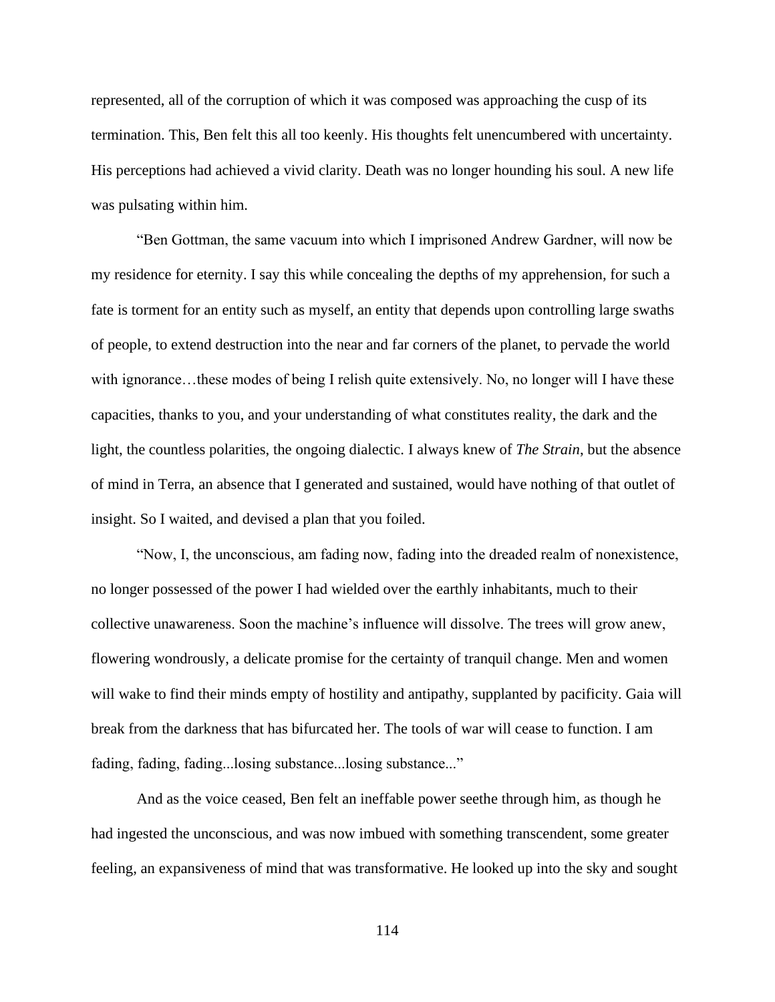represented, all of the corruption of which it was composed was approaching the cusp of its termination. This, Ben felt this all too keenly. His thoughts felt unencumbered with uncertainty. His perceptions had achieved a vivid clarity. Death was no longer hounding his soul. A new life was pulsating within him.

"Ben Gottman, the same vacuum into which I imprisoned Andrew Gardner, will now be my residence for eternity. I say this while concealing the depths of my apprehension, for such a fate is torment for an entity such as myself, an entity that depends upon controlling large swaths of people, to extend destruction into the near and far corners of the planet, to pervade the world with ignorance...these modes of being I relish quite extensively. No, no longer will I have these capacities, thanks to you, and your understanding of what constitutes reality, the dark and the light, the countless polarities, the ongoing dialectic. I always knew of *The Strain*, but the absence of mind in Terra, an absence that I generated and sustained, would have nothing of that outlet of insight. So I waited, and devised a plan that you foiled.

"Now, I, the unconscious, am fading now, fading into the dreaded realm of nonexistence, no longer possessed of the power I had wielded over the earthly inhabitants, much to their collective unawareness. Soon the machine's influence will dissolve. The trees will grow anew, flowering wondrously, a delicate promise for the certainty of tranquil change. Men and women will wake to find their minds empty of hostility and antipathy, supplanted by pacificity. Gaia will break from the darkness that has bifurcated her. The tools of war will cease to function. I am fading, fading, fading...losing substance...losing substance..."

And as the voice ceased, Ben felt an ineffable power seethe through him, as though he had ingested the unconscious, and was now imbued with something transcendent, some greater feeling, an expansiveness of mind that was transformative. He looked up into the sky and sought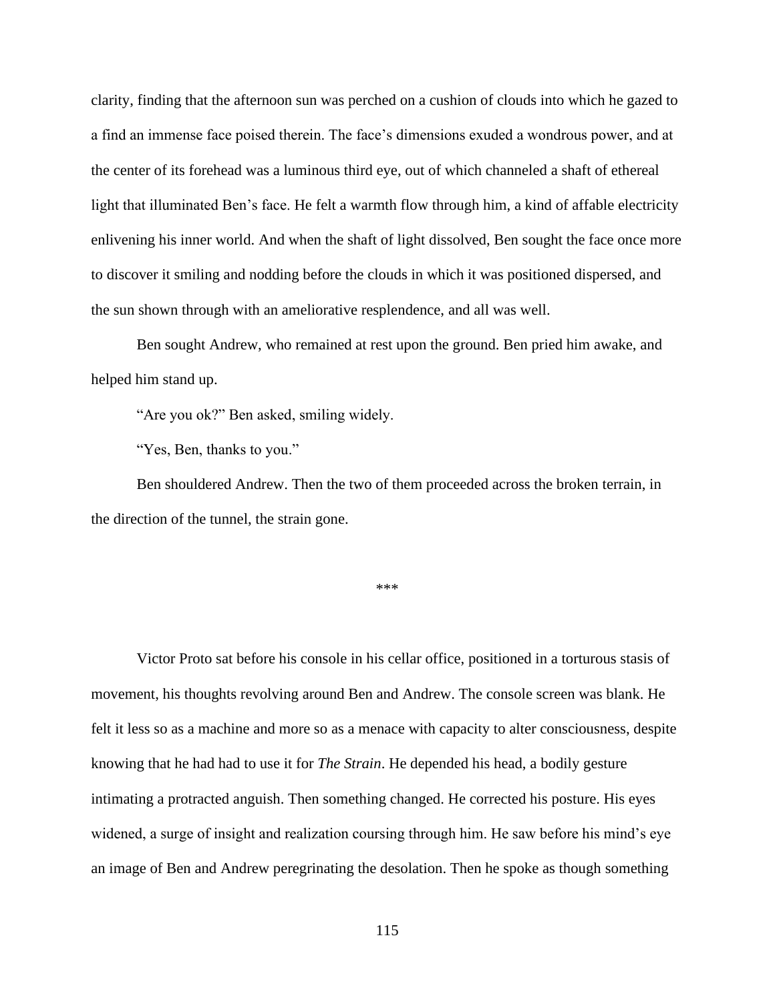clarity, finding that the afternoon sun was perched on a cushion of clouds into which he gazed to a find an immense face poised therein. The face's dimensions exuded a wondrous power, and at the center of its forehead was a luminous third eye, out of which channeled a shaft of ethereal light that illuminated Ben's face. He felt a warmth flow through him, a kind of affable electricity enlivening his inner world. And when the shaft of light dissolved, Ben sought the face once more to discover it smiling and nodding before the clouds in which it was positioned dispersed, and the sun shown through with an ameliorative resplendence, and all was well.

Ben sought Andrew, who remained at rest upon the ground. Ben pried him awake, and helped him stand up.

"Are you ok?" Ben asked, smiling widely.

"Yes, Ben, thanks to you."

Ben shouldered Andrew. Then the two of them proceeded across the broken terrain, in the direction of the tunnel, the strain gone.

\*\*\*

Victor Proto sat before his console in his cellar office, positioned in a torturous stasis of movement, his thoughts revolving around Ben and Andrew. The console screen was blank. He felt it less so as a machine and more so as a menace with capacity to alter consciousness, despite knowing that he had had to use it for *The Strain*. He depended his head, a bodily gesture intimating a protracted anguish. Then something changed. He corrected his posture. His eyes widened, a surge of insight and realization coursing through him. He saw before his mind's eye an image of Ben and Andrew peregrinating the desolation. Then he spoke as though something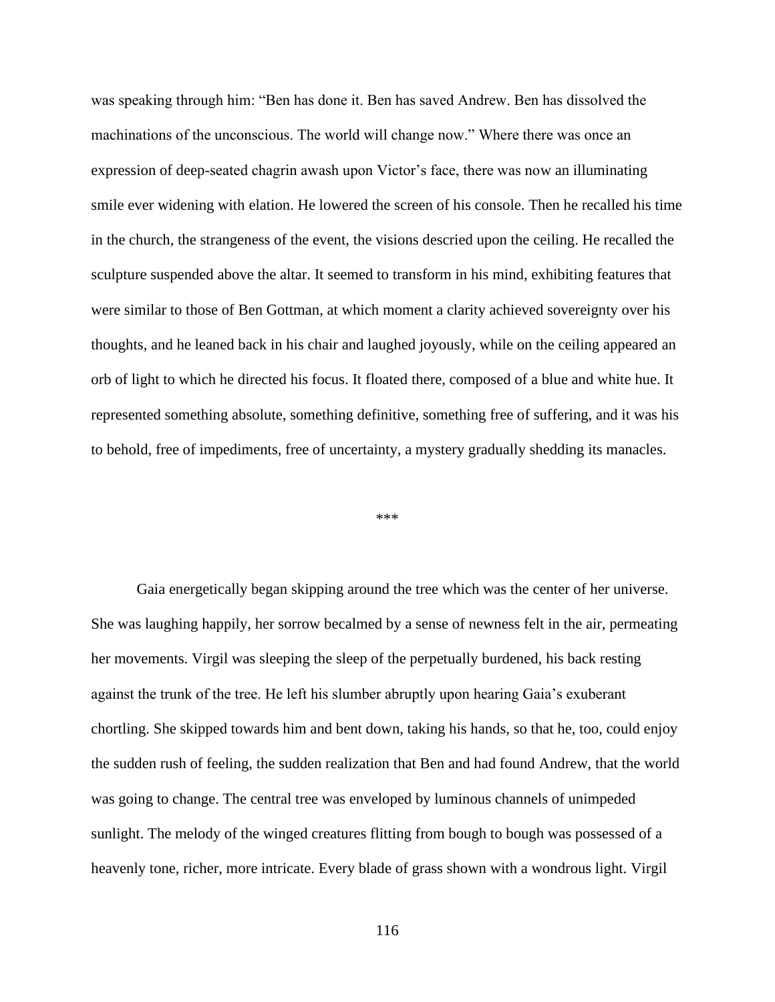was speaking through him: "Ben has done it. Ben has saved Andrew. Ben has dissolved the machinations of the unconscious. The world will change now." Where there was once an expression of deep-seated chagrin awash upon Victor's face, there was now an illuminating smile ever widening with elation. He lowered the screen of his console. Then he recalled his time in the church, the strangeness of the event, the visions descried upon the ceiling. He recalled the sculpture suspended above the altar. It seemed to transform in his mind, exhibiting features that were similar to those of Ben Gottman, at which moment a clarity achieved sovereignty over his thoughts, and he leaned back in his chair and laughed joyously, while on the ceiling appeared an orb of light to which he directed his focus. It floated there, composed of a blue and white hue. It represented something absolute, something definitive, something free of suffering, and it was his to behold, free of impediments, free of uncertainty, a mystery gradually shedding its manacles.

## \*\*\*

Gaia energetically began skipping around the tree which was the center of her universe. She was laughing happily, her sorrow becalmed by a sense of newness felt in the air, permeating her movements. Virgil was sleeping the sleep of the perpetually burdened, his back resting against the trunk of the tree. He left his slumber abruptly upon hearing Gaia's exuberant chortling. She skipped towards him and bent down, taking his hands, so that he, too, could enjoy the sudden rush of feeling, the sudden realization that Ben and had found Andrew, that the world was going to change. The central tree was enveloped by luminous channels of unimpeded sunlight. The melody of the winged creatures flitting from bough to bough was possessed of a heavenly tone, richer, more intricate. Every blade of grass shown with a wondrous light. Virgil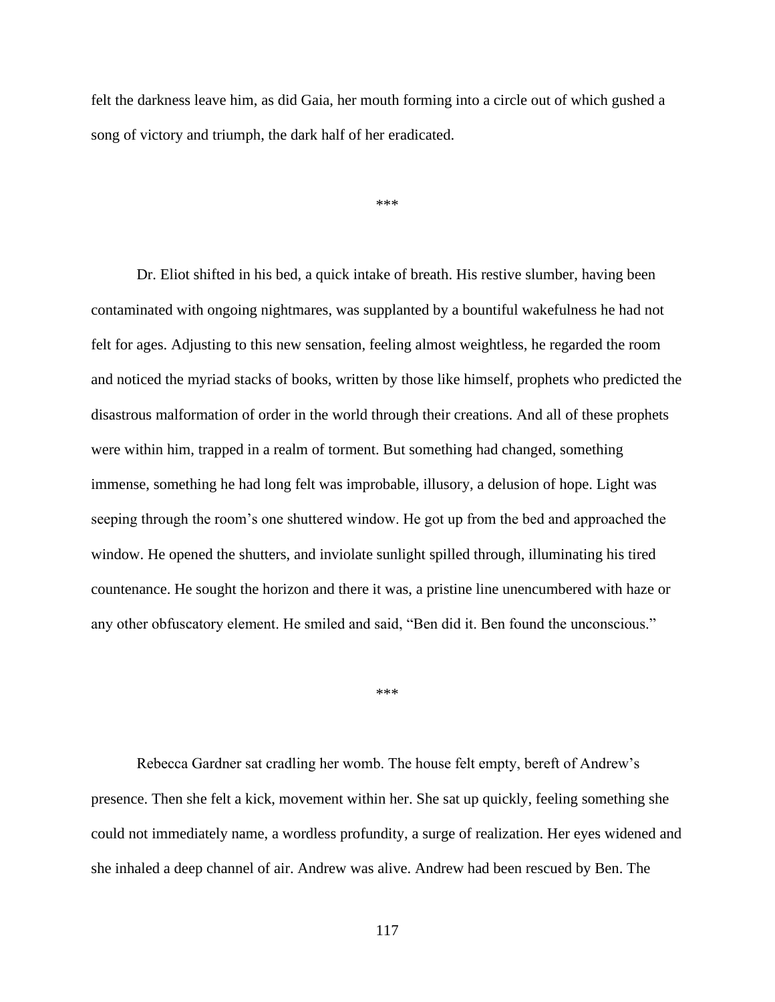felt the darkness leave him, as did Gaia, her mouth forming into a circle out of which gushed a song of victory and triumph, the dark half of her eradicated.

\*\*\*

Dr. Eliot shifted in his bed, a quick intake of breath. His restive slumber, having been contaminated with ongoing nightmares, was supplanted by a bountiful wakefulness he had not felt for ages. Adjusting to this new sensation, feeling almost weightless, he regarded the room and noticed the myriad stacks of books, written by those like himself, prophets who predicted the disastrous malformation of order in the world through their creations. And all of these prophets were within him, trapped in a realm of torment. But something had changed, something immense, something he had long felt was improbable, illusory, a delusion of hope. Light was seeping through the room's one shuttered window. He got up from the bed and approached the window. He opened the shutters, and inviolate sunlight spilled through, illuminating his tired countenance. He sought the horizon and there it was, a pristine line unencumbered with haze or any other obfuscatory element. He smiled and said, "Ben did it. Ben found the unconscious."

\*\*\*

Rebecca Gardner sat cradling her womb. The house felt empty, bereft of Andrew's presence. Then she felt a kick, movement within her. She sat up quickly, feeling something she could not immediately name, a wordless profundity, a surge of realization. Her eyes widened and she inhaled a deep channel of air. Andrew was alive. Andrew had been rescued by Ben. The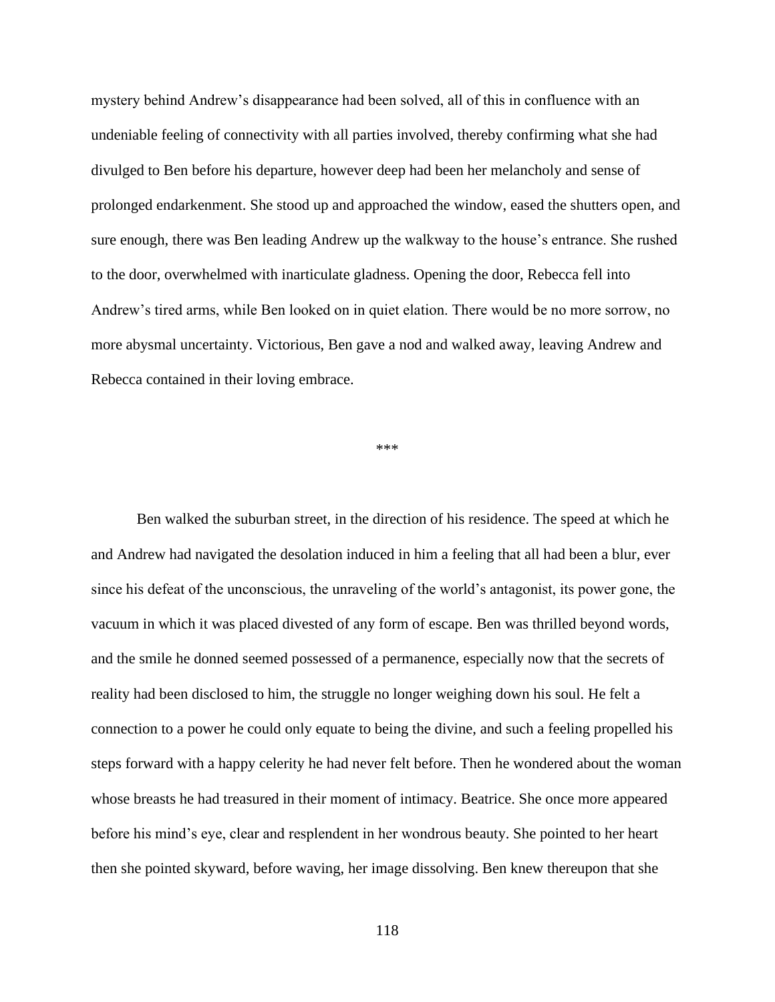mystery behind Andrew's disappearance had been solved, all of this in confluence with an undeniable feeling of connectivity with all parties involved, thereby confirming what she had divulged to Ben before his departure, however deep had been her melancholy and sense of prolonged endarkenment. She stood up and approached the window, eased the shutters open, and sure enough, there was Ben leading Andrew up the walkway to the house's entrance. She rushed to the door, overwhelmed with inarticulate gladness. Opening the door, Rebecca fell into Andrew's tired arms, while Ben looked on in quiet elation. There would be no more sorrow, no more abysmal uncertainty. Victorious, Ben gave a nod and walked away, leaving Andrew and Rebecca contained in their loving embrace.

## \*\*\*

Ben walked the suburban street, in the direction of his residence. The speed at which he and Andrew had navigated the desolation induced in him a feeling that all had been a blur, ever since his defeat of the unconscious, the unraveling of the world's antagonist, its power gone, the vacuum in which it was placed divested of any form of escape. Ben was thrilled beyond words, and the smile he donned seemed possessed of a permanence, especially now that the secrets of reality had been disclosed to him, the struggle no longer weighing down his soul. He felt a connection to a power he could only equate to being the divine, and such a feeling propelled his steps forward with a happy celerity he had never felt before. Then he wondered about the woman whose breasts he had treasured in their moment of intimacy. Beatrice. She once more appeared before his mind's eye, clear and resplendent in her wondrous beauty. She pointed to her heart then she pointed skyward, before waving, her image dissolving. Ben knew thereupon that she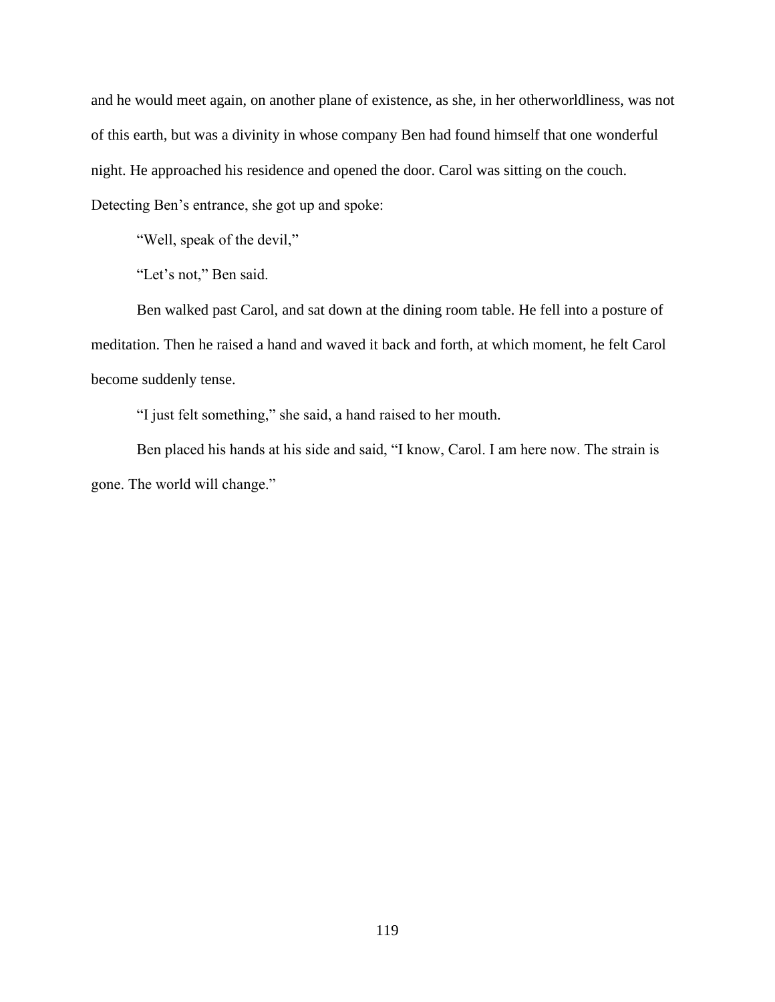and he would meet again, on another plane of existence, as she, in her otherworldliness, was not of this earth, but was a divinity in whose company Ben had found himself that one wonderful night. He approached his residence and opened the door. Carol was sitting on the couch. Detecting Ben's entrance, she got up and spoke:

"Well, speak of the devil,"

"Let's not," Ben said.

Ben walked past Carol, and sat down at the dining room table. He fell into a posture of meditation. Then he raised a hand and waved it back and forth, at which moment, he felt Carol become suddenly tense.

"I just felt something," she said, a hand raised to her mouth.

Ben placed his hands at his side and said, "I know, Carol. I am here now. The strain is gone. The world will change."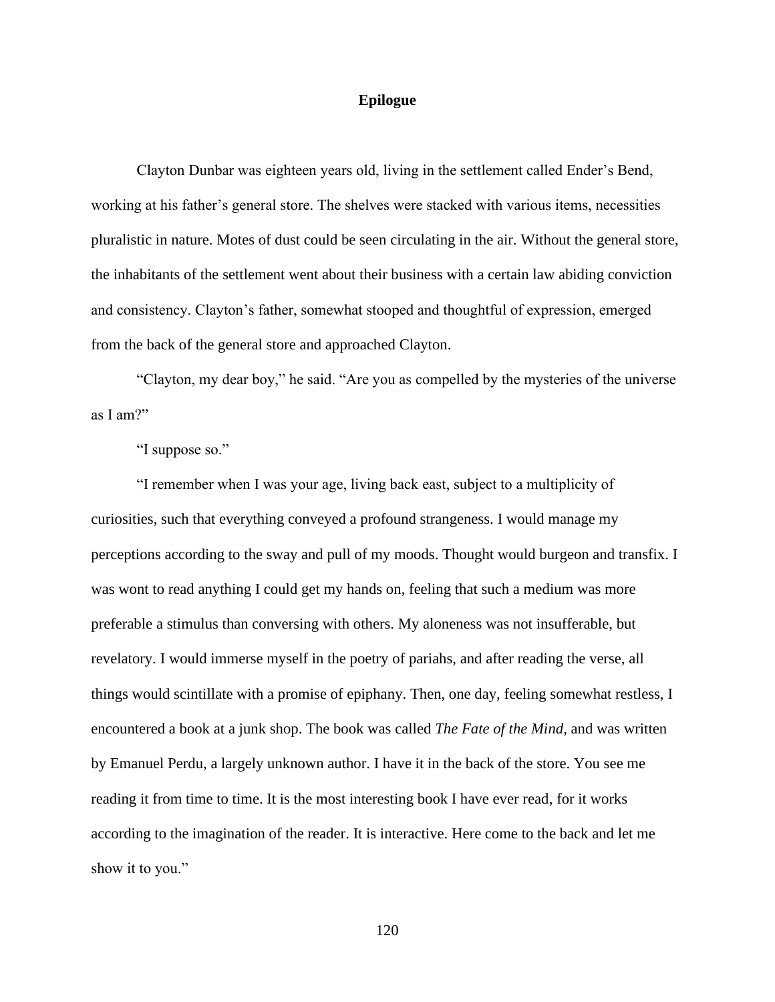## **Epilogue**

Clayton Dunbar was eighteen years old, living in the settlement called Ender's Bend, working at his father's general store. The shelves were stacked with various items, necessities pluralistic in nature. Motes of dust could be seen circulating in the air. Without the general store, the inhabitants of the settlement went about their business with a certain law abiding conviction and consistency. Clayton's father, somewhat stooped and thoughtful of expression, emerged from the back of the general store and approached Clayton.

"Clayton, my dear boy," he said. "Are you as compelled by the mysteries of the universe as I am?"

"I suppose so."

"I remember when I was your age, living back east, subject to a multiplicity of curiosities, such that everything conveyed a profound strangeness. I would manage my perceptions according to the sway and pull of my moods. Thought would burgeon and transfix. I was wont to read anything I could get my hands on, feeling that such a medium was more preferable a stimulus than conversing with others. My aloneness was not insufferable, but revelatory. I would immerse myself in the poetry of pariahs, and after reading the verse, all things would scintillate with a promise of epiphany. Then, one day, feeling somewhat restless, I encountered a book at a junk shop. The book was called *The Fate of the Mind*, and was written by Emanuel Perdu, a largely unknown author. I have it in the back of the store. You see me reading it from time to time. It is the most interesting book I have ever read, for it works according to the imagination of the reader. It is interactive. Here come to the back and let me show it to you."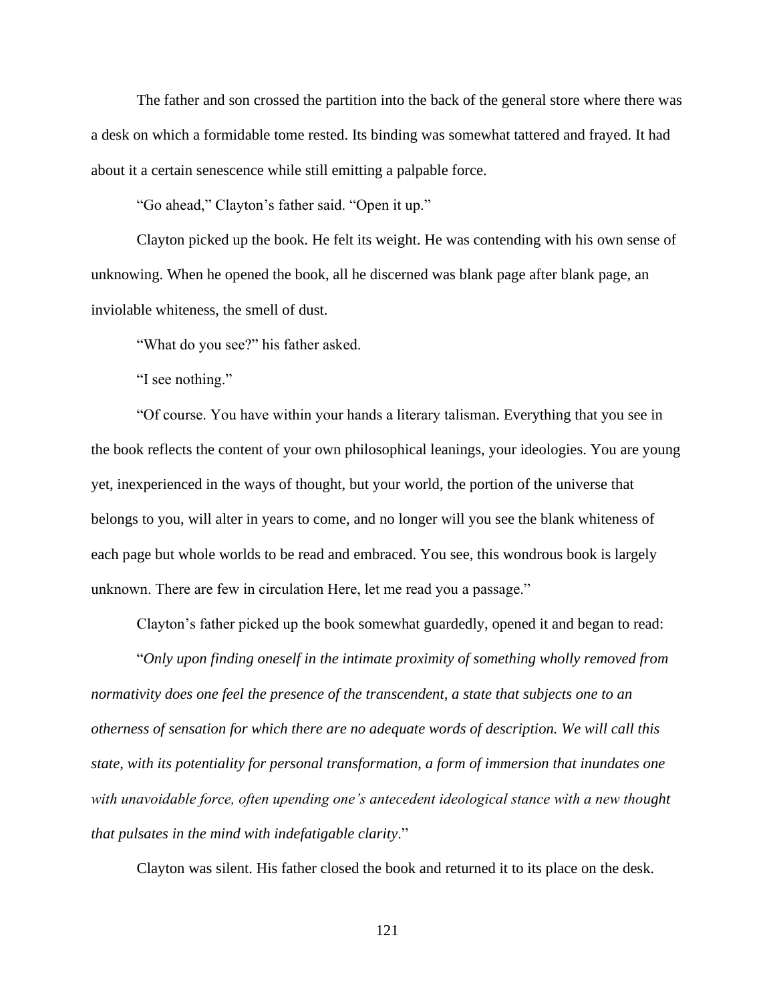The father and son crossed the partition into the back of the general store where there was a desk on which a formidable tome rested. Its binding was somewhat tattered and frayed. It had about it a certain senescence while still emitting a palpable force.

"Go ahead," Clayton's father said. "Open it up."

Clayton picked up the book. He felt its weight. He was contending with his own sense of unknowing. When he opened the book, all he discerned was blank page after blank page, an inviolable whiteness, the smell of dust.

"What do you see?" his father asked.

"I see nothing."

"Of course. You have within your hands a literary talisman. Everything that you see in the book reflects the content of your own philosophical leanings, your ideologies. You are young yet, inexperienced in the ways of thought, but your world, the portion of the universe that belongs to you, will alter in years to come, and no longer will you see the blank whiteness of each page but whole worlds to be read and embraced. You see, this wondrous book is largely unknown. There are few in circulation Here, let me read you a passage."

Clayton's father picked up the book somewhat guardedly, opened it and began to read:

"*Only upon finding oneself in the intimate proximity of something wholly removed from normativity does one feel the presence of the transcendent, a state that subjects one to an otherness of sensation for which there are no adequate words of description. We will call this state, with its potentiality for personal transformation, a form of immersion that inundates one with unavoidable force, often upending one's antecedent ideological stance with a new thought that pulsates in the mind with indefatigable clarity*."

Clayton was silent. His father closed the book and returned it to its place on the desk.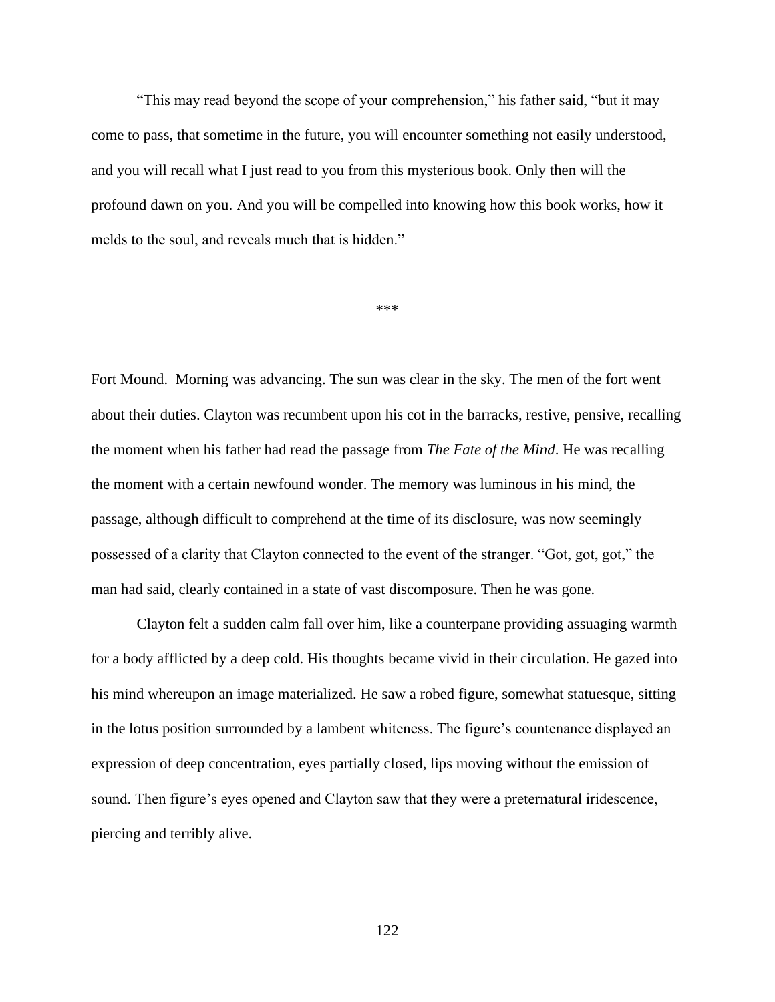"This may read beyond the scope of your comprehension," his father said, "but it may come to pass, that sometime in the future, you will encounter something not easily understood, and you will recall what I just read to you from this mysterious book. Only then will the profound dawn on you. And you will be compelled into knowing how this book works, how it melds to the soul, and reveals much that is hidden."

\*\*\*

Fort Mound. Morning was advancing. The sun was clear in the sky. The men of the fort went about their duties. Clayton was recumbent upon his cot in the barracks, restive, pensive, recalling the moment when his father had read the passage from *The Fate of the Mind*. He was recalling the moment with a certain newfound wonder. The memory was luminous in his mind, the passage, although difficult to comprehend at the time of its disclosure, was now seemingly possessed of a clarity that Clayton connected to the event of the stranger. "Got, got, got," the man had said, clearly contained in a state of vast discomposure. Then he was gone.

Clayton felt a sudden calm fall over him, like a counterpane providing assuaging warmth for a body afflicted by a deep cold. His thoughts became vivid in their circulation. He gazed into his mind whereupon an image materialized. He saw a robed figure, somewhat statuesque, sitting in the lotus position surrounded by a lambent whiteness. The figure's countenance displayed an expression of deep concentration, eyes partially closed, lips moving without the emission of sound. Then figure's eyes opened and Clayton saw that they were a preternatural iridescence, piercing and terribly alive.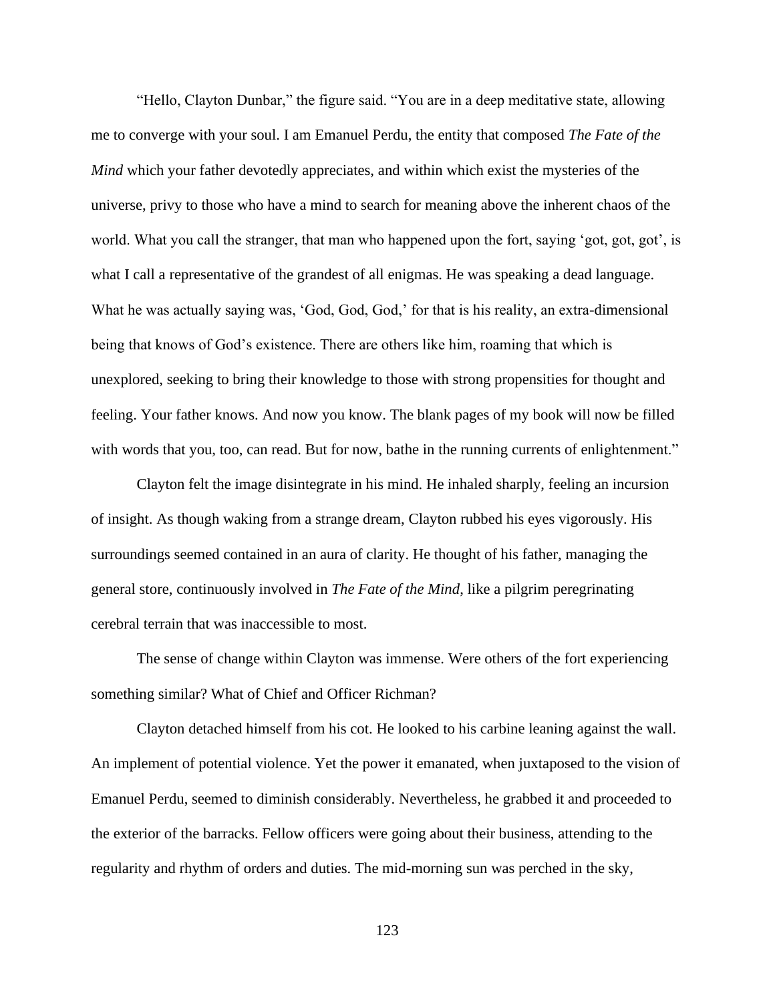"Hello, Clayton Dunbar," the figure said. "You are in a deep meditative state, allowing me to converge with your soul. I am Emanuel Perdu, the entity that composed *The Fate of the Mind* which your father devotedly appreciates, and within which exist the mysteries of the universe, privy to those who have a mind to search for meaning above the inherent chaos of the world. What you call the stranger, that man who happened upon the fort, saying 'got, got, got', is what I call a representative of the grandest of all enigmas. He was speaking a dead language. What he was actually saying was, 'God, God, God,' for that is his reality, an extra-dimensional being that knows of God's existence. There are others like him, roaming that which is unexplored, seeking to bring their knowledge to those with strong propensities for thought and feeling. Your father knows. And now you know. The blank pages of my book will now be filled with words that you, too, can read. But for now, bathe in the running currents of enlightenment."

Clayton felt the image disintegrate in his mind. He inhaled sharply, feeling an incursion of insight. As though waking from a strange dream, Clayton rubbed his eyes vigorously. His surroundings seemed contained in an aura of clarity. He thought of his father, managing the general store, continuously involved in *The Fate of the Mind*, like a pilgrim peregrinating cerebral terrain that was inaccessible to most.

The sense of change within Clayton was immense. Were others of the fort experiencing something similar? What of Chief and Officer Richman?

Clayton detached himself from his cot. He looked to his carbine leaning against the wall. An implement of potential violence. Yet the power it emanated, when juxtaposed to the vision of Emanuel Perdu, seemed to diminish considerably. Nevertheless, he grabbed it and proceeded to the exterior of the barracks. Fellow officers were going about their business, attending to the regularity and rhythm of orders and duties. The mid-morning sun was perched in the sky,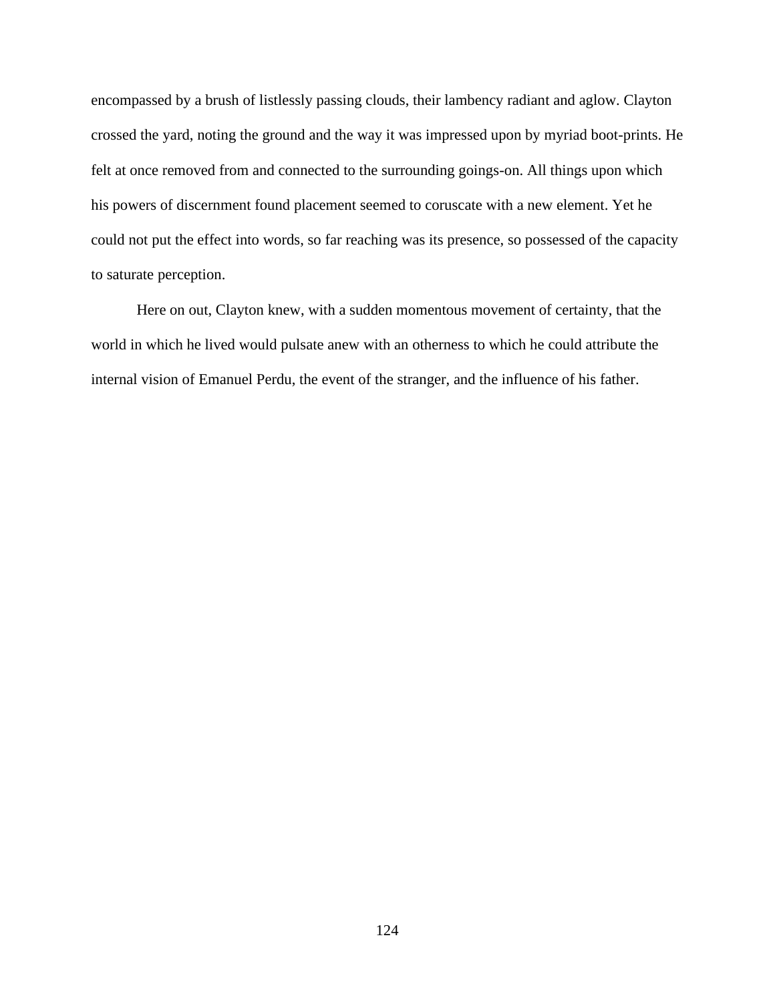encompassed by a brush of listlessly passing clouds, their lambency radiant and aglow. Clayton crossed the yard, noting the ground and the way it was impressed upon by myriad boot-prints. He felt at once removed from and connected to the surrounding goings-on. All things upon which his powers of discernment found placement seemed to coruscate with a new element. Yet he could not put the effect into words, so far reaching was its presence, so possessed of the capacity to saturate perception.

Here on out, Clayton knew, with a sudden momentous movement of certainty, that the world in which he lived would pulsate anew with an otherness to which he could attribute the internal vision of Emanuel Perdu, the event of the stranger, and the influence of his father.